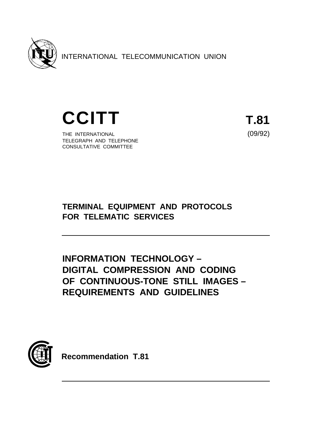

INTERNATIONAL TELECOMMUNICATION UNION



THE INTERNATIONAL (09/92) TELEGRAPH AND TELEPHONE CONSULTATIVE COMMITTEE

# **TERMINAL EQUIPMENT AND PROTOCOLS FOR TELEMATIC SERVICES**

# **INFORMATION TECHNOLOGY – DIGITAL COMPRESSION AND CODING OF CONTINUOUS-TONE STILL IMAGES – REQUIREMENTS AND GUIDELINES**



**Recommendation T.81**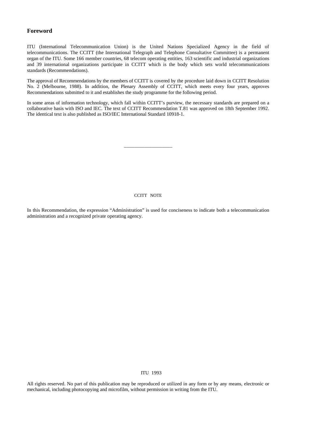# **Foreword**

ITU (International Telecommunication Union) is the United Nations Specialized Agency in the field of telecommunications. The CCITT (the International Telegraph and Telephone Consultative Committee) is a permanent organ of the ITU. Some 166 member countries, 68 telecom operating entities, 163 scientific and industrial organizations and 39 international organizations participate in CCITT which is the body which sets world telecommunications standards (Recommendations).

The approval of Recommendations by the members of CCITT is covered by the procedure laid down in CCITT Resolution No. 2 (Melbourne, 1988). In addition, the Plenary Assembly of CCITT, which meets every four years, approves Recommendations submitted to it and establishes the study programme for the following period.

In some areas of information technology, which fall within CCITT's purview, the necessary standards are prepared on a collaborative basis with ISO and IEC. The text of CCITT Recommendation T.81 was approved on 18th September 1992. The identical text is also published as ISO/IEC International Standard 10918-1.

\_\_\_\_\_\_\_\_\_\_\_\_\_\_\_\_\_\_\_

## CCITT NOTE

In this Recommendation, the expression "Administration" is used for conciseness to indicate both a telecommunication administration and a recognized private operating agency.

#### © ITU 1993

All rights reserved. No part of this publication may be reproduced or utilized in any form or by any means, electronic or mechanical, including photocopying and microfilm, without permission in writing from the ITU.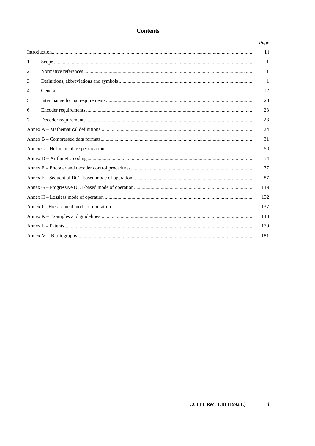# **Contents**

|                |  | Page |  |
|----------------|--|------|--|
|                |  | iii  |  |
| 1              |  | 1    |  |
| 2              |  | 1    |  |
| 3              |  | 1    |  |
| $\overline{4}$ |  | 12   |  |
| 5              |  | 23   |  |
| 6              |  | 23   |  |
| 7              |  | 23   |  |
|                |  | 24   |  |
| 31             |  |      |  |
| 50             |  |      |  |
| 54             |  |      |  |
| 77             |  |      |  |
| 87             |  |      |  |
| 119            |  |      |  |
| 132            |  |      |  |
| 137            |  |      |  |
| 143            |  |      |  |
| 179            |  |      |  |
| 181            |  |      |  |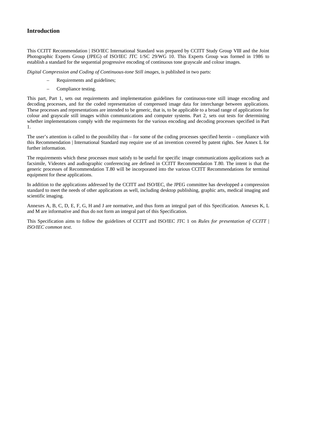# **Introduction**

This CCITT Recommendation | ISO/IEC International Standard was prepared by CCITT Study Group VIII and the Joint Photographic Experts Group (JPEG) of ISO/IEC JTC 1/SC 29/WG 10. This Experts Group was formed in 1986 to establish a standard for the sequential progressive encoding of continuous tone grayscale and colour images.

*Digital Compression and Coding of Continuous-tone Still images*, is published in two parts:

- Requirements and guidelines;
- Compliance testing.

This part, Part 1, sets out requirements and implementation guidelines for continuous-tone still image encoding and decoding processes, and for the coded representation of compressed image data for interchange between applications. These processes and representations are intended to be generic, that is, to be applicable to a broad range of applications for colour and grayscale still images within communications and computer systems. Part 2, sets out tests for determining whether implementations comply with the requirments for the various encoding and decoding processes specified in Part 1.

The user's attention is called to the possibility that – for some of the coding processes specified herein – compliance with this Recommendation | International Standard may require use of an invention covered by patent rights. See Annex L for further information.

The requirements which these processes must satisfy to be useful for specific image communications applications such as facsimile, Videotex and audiographic conferencing are defined in CCITT Recommendation T.80. The intent is that the generic processes of Recommendation T.80 will be incorporated into the various CCITT Recommendations for terminal equipment for these applications.

In addition to the applications addressed by the CCITT and ISO/IEC, the JPEG committee has developped a compression standard to meet the needs of other applications as well, including desktop publishing, graphic arts, medical imaging and scientific imaging.

Annexes A, B, C, D, E, F, G, H and J are normative, and thus form an integral part of this Specification. Annexes K, L and M are informative and thus do not form an integral part of this Specification.

This Specification aims to follow the guidelines of CCITT and ISO/IEC JTC 1 on *Rules for presentation of CCITT* | *ISO/IEC common text*.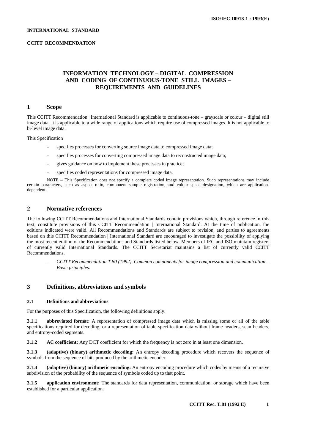#### **INTERNATIONAL STANDARD**

## **CCITT RECOMMENDATION**

# **INFORMATION TECHNOLOGY – DIGITAL COMPRESSION AND CODING OF CONTINUOUS-TONE STILL IMAGES – REQUIREMENTS AND GUIDELINES**

# **1 Scope**

This CCITT Recommendation | International Standard is applicable to continuous-tone – grayscale or colour – digital still image data. It is applicable to a wide range of applications which require use of compressed images. It is not applicable to bi-level image data.

This Specification

- specifies processes for converting source image data to compressed image data;
- specifies processes for converting compressed image data to reconstructed image data;
- gives guidance on how to implement these processes in practice;
- specifies coded representations for compressed image data.

NOTE – This Specification does not specify a complete coded image representation. Such representations may include certain parameters, such as aspect ratio, component sample registration, and colour space designation, which are applicationdependent.

## **2 Normative references**

The following CCITT Recommendations and International Standards contain provisions which, through reference in this text, constitute provisions of this CCITT Recommendation | International Standard. At the time of publication, the editions indicated were valid. All Recommendations and Standards are subject to revision, and parties to agreements based on this CCITT Recommendation | International Standard are encouraged to investigate the possibility of applying the most recent edition of the Recommendations and Standards listed below. Members of IEC and ISO maintain registers of currently valid International Standards. The CCITT Secretariat maintains a list of currently valid CCITT Recommendations.

– *CCITT Recommendation T.80 (1992), Common components for image compression and communication – Basic principles*.

## **3 Definitions, abbreviations and symbols**

## **3.1 Definitions and abbreviations**

For the purposes of this Specification, the following definitions apply.

**3.1.1 abbreviated format:** A representation of compressed image data which is missing some or all of the table specifications required for decoding, or a representation of table-specification data without frame headers, scan headers, and entropy-coded segments.

**3.1.2** AC coefficient: Any DCT coefficient for which the frequency is not zero in at least one dimension.

**3.1.3 (adaptive) (binary) arithmetic decoding:** An entropy decoding procedure which recovers the sequence of symbols from the sequence of bits produced by the arithmetic encoder.

**3.1.4 (adaptive) (binary) arithmetic encoding:** An entropy encoding procedure which codes by means of a recursive subdivision of the probability of the sequence of symbols coded up to that point.

**3.1.5 application environment:** The standards for data representation, communication, or storage which have been established for a particular application.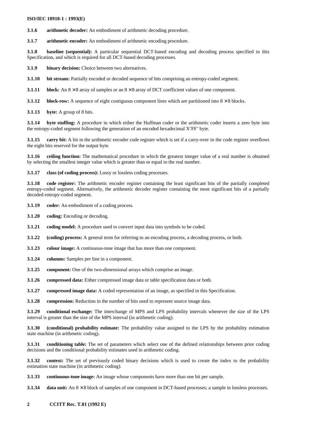**3.1.6 arithmetic decoder:** An embodiment of arithmetic decoding procedure.

**3.1.7 arithmetic encoder:** An embodiment of arithmetic encoding procedure.

**3.1.8 baseline (sequential):** A particular sequential DCT-based encoding and decoding process specified in this Specification, and which is required for all DCT-based decoding processes.

**3.1.9 binary decision:** Choice between two alternatives.

**3.1.10 bit stream:** Partially encoded or decoded sequence of bits comprising an entropy-coded segment.

**3.1.11 block:** An  $8 \times 8$  array of samples or an  $8 \times 8$  array of DCT coefficient values of one component.

**3.1.12 block-row:** A sequence of eight contiguous component lines which are partitioned into 8  $\times$  8 blocks.

**3.1.13 byte:** A group of 8 bits.

**3.1.14 byte stuffing:** A procedure in which either the Huffman coder or the arithmetic coder inserts a zero byte into the entropy-coded segment following the generation of an encoded hexadecimal X'FF' byte.

**3.1.15 carry bit:** A bit in the arithmetic encoder code register which is set if a carry-over in the code register overflows the eight bits reserved for the output byte.

**3.1.16** ceiling function: The mathematical procedure in which the greatest integer value of a real number is obtained by selecting the smallest integer value which is greater than or equal to the real number.

**3.1.17 class (of coding process):** Lossy or lossless coding processes.

**3.1.18 code register:** The arithmetic encoder register containing the least significant bits of the partially completed entropy-coded segment. Alternatively, the arithmetic decoder register containing the most significant bits of a partially decoded entropy-coded segment.

**3.1.19 coder:** An embodiment of a coding process.

- **3.1.20 coding:** Encoding or decoding.
- **3.1.21 coding model:** A procedure used to convert input data into symbols to be coded.
- **3.1.22 (coding) process:** A general term for referring to an encoding process, a decoding process, or both.
- **3.1.23 colour image:** A continuous-tone image that has more than one component.
- **3.1.24 columns:** Samples per line in a component.
- **3.1.25 component:** One of the two-dimensional arrays which comprise an image.
- **3.1.26 compressed data:** Either compressed image data or table specification data or both.
- **3.1.27 compressed image data:** A coded representation of an image, as specified in this Specification.

**3.1.28 compression:** Reduction in the number of bits used to represent source image data.

**3.1.29 conditional exchange:** The interchange of MPS and LPS probability intervals whenever the size of the LPS interval is greater than the size of the MPS interval (in arithmetic coding).

**3.1.30 (conditional) probability estimate:** The probability value assigned to the LPS by the probability estimation state machine (in arithmetic coding).

**3.1.31 conditioning table:** The set of parameters which select one of the defined relationships between prior coding decisions and the conditional probability estimates used in arithmetic coding.

**3.1.32 context:** The set of previously coded binary decisions which is used to create the index to the probability estimation state machine (in arithmetic coding).

**3.1.33 continuous-tone image:** An image whose components have more than one bit per sample.

**3.1.34 data unit:** An 8 × 8 block of samples of one component in DCT-based processes; a sample in lossless processes.

## **2 CCITT Rec. T.81 (1992 E)**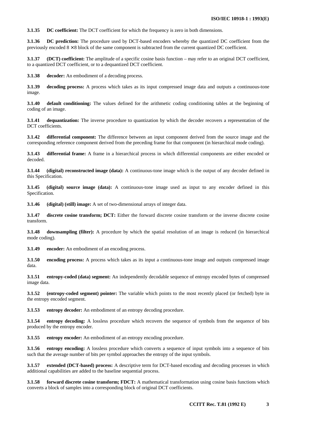**3.1.35 DC coefficient:** The DCT coefficient for which the frequency is zero in both dimensions.

**3.1.36 DC prediction:** The procedure used by DCT-based encoders whereby the quantized DC coefficient from the previously encoded  $8 \times 8$  block of the same component is subtracted from the current quantized DC coefficient.

**3.1.37 (DCT) coefficient:** The amplitude of a specific cosine basis function – may refer to an original DCT coefficient, to a quantized DCT coefficient, or to a dequantized DCT coefficient.

**3.1.38 decoder:** An embodiment of a decoding process.

**3.1.39 decoding process:** A process which takes as its input compressed image data and outputs a continuous-tone image.

**3.1.40 default conditioning:** The values defined for the arithmetic coding conditioning tables at the beginning of coding of an image.

**3.1.41 dequantization:** The inverse procedure to quantization by which the decoder recovers a representation of the DCT coefficients.

**3.1.42 differential component:** The difference between an input component derived from the source image and the corresponding reference component derived from the preceding frame for that component (in hierarchical mode coding).

**3.1.43 differential frame:** A frame in a hierarchical process in which differential components are either encoded or decoded.

**3.1.44 (digital) reconstructed image (data):** A continuous-tone image which is the output of any decoder defined in this Specification.

**3.1.45 (digital) source image (data):** A continuous-tone image used as input to any encoder defined in this Specification.

**3.1.46 (digital) (still) image:** A set of two-dimensional arrays of integer data.

**3.1.47 discrete cosine transform; DCT:** Either the forward discrete cosine transform or the inverse discrete cosine transform.

**3.1.48 downsampling (filter):** A procedure by which the spatial resolution of an image is reduced (in hierarchical mode coding).

**3.1.49 encoder:** An embodiment of an encoding process.

**3.1.50 encoding process:** A process which takes as its input a continuous-tone image and outputs compressed image data.

**3.1.51 entropy-coded (data) segment:** An independently decodable sequence of entropy encoded bytes of compressed image data.

**3.1.52 (entropy-coded segment) pointer:** The variable which points to the most recently placed (or fetched) byte in the entropy encoded segment.

**3.1.53 entropy decoder:** An embodiment of an entropy decoding procedure.

**3.1.54 entropy decoding:** A lossless procedure which recovers the sequence of symbols from the sequence of bits produced by the entropy encoder.

**3.1.55 entropy encoder:** An embodiment of an entropy encoding procedure.

**3.1.56 entropy encoding:** A lossless procedure which converts a sequence of input symbols into a sequence of bits such that the average number of bits per symbol approaches the entropy of the input symbols.

**3.1.57 extended (DCT-based) process:** A descriptive term for DCT-based encoding and decoding processes in which additional capabilities are added to the baseline sequential process.

**3.1.58 forward discrete cosine transform; FDCT:** A mathematical transformation using cosine basis functions which converts a block of samples into a corresponding block of original DCT coefficients.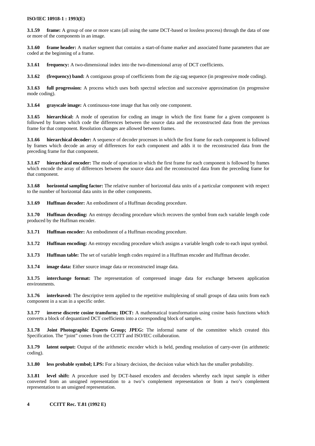**3.1.59 frame:** A group of one or more scans (all using the same DCT-based or lossless process) through the data of one or more of the components in an image.

**3.1.60 frame header:** A marker segment that contains a start-of-frame marker and associated frame parameters that are coded at the beginning of a frame.

**3.1.61 frequency:** A two-dimensional index into the two-dimensional array of DCT coefficients.

**3.1.62 (frequency) band:** A contiguous group of coefficients from the zig-zag sequence (in progressive mode coding).

**3.1.63 full progression:** A process which uses both spectral selection and successive approximation (in progressive mode coding).

**3.1.64 grayscale image:** A continuous-tone image that has only one component.

**3.1.65 hierarchical:** A mode of operation for coding an image in which the first frame for a given component is followed by frames which code the differences between the source data and the reconstructed data from the previous frame for that component. Resolution changes are allowed between frames.

**3.1.66 hierarchical decoder:** A sequence of decoder processes in which the first frame for each component is followed by frames which decode an array of differences for each component and adds it to the reconstructed data from the preceding frame for that component.

**3.1.67 hierarchical encoder:** The mode of operation in which the first frame for each component is followed by frames which encode the array of differences between the source data and the reconstructed data from the preceding frame for that component.

**3.1.68 horizontal sampling factor:** The relative number of horizontal data units of a particular component with respect to the number of horizontal data units in the other components.

**3.1.69 Huffman decoder:** An embodiment of a Huffman decoding procedure.

**3.1.70 Huffman decoding:** An entropy decoding procedure which recovers the symbol from each variable length code produced by the Huffman encoder.

**3.1.71 Huffman encoder:** An embodiment of a Huffman encoding procedure.

**3.1.72 Huffman encoding:** An entropy encoding procedure which assigns a variable length code to each input symbol.

**3.1.73 Huffman table:** The set of variable length codes required in a Huffman encoder and Huffman decoder.

**3.1.74 image data:** Either source image data or reconstructed image data.

**3.1.75 interchange format:** The representation of compressed image data for exchange between application environments.

**3.1.76 interleaved:** The descriptive term applied to the repetitive multiplexing of small groups of data units from each component in a scan in a specific order.

**3.1.77 inverse discrete cosine transform; IDCT:** A mathematical transformation using cosine basis functions which converts a block of dequantized DCT coefficients into a corresponding block of samples.

**3.1.78 Joint Photographic Experts Group; JPEG:** The informal name of the committee which created this Specification. The "joint" comes from the CCITT and ISO/IEC collaboration.

**3.1.79 latent output:** Output of the arithmetic encoder which is held, pending resolution of carry-over (in arithmetic coding).

**3.1.80 less probable symbol; LPS:** For a binary decision, the decision value which has the smaller probability.

**3.1.81 level shift:** A procedure used by DCT-based encoders and decoders whereby each input sample is either converted from an unsigned representation to a two's complement representation or from a two's complement representation to an unsigned representation.

## **4 CCITT Rec. T.81 (1992 E)**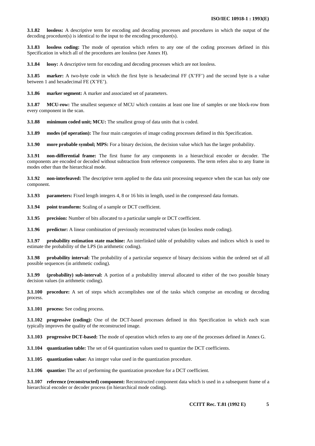**3.1.82 lossless:** A descriptive term for encoding and decoding processes and procedures in which the output of the decoding procedure(s) is identical to the input to the encoding procedure(s).

**3.1.83 lossless coding:** The mode of operation which refers to any one of the coding processes defined in this Specification in which all of the procedures are lossless (see Annex H).

**3.1.84 lossy:** A descriptive term for encoding and decoding processes which are not lossless.

**3.1.85 marker:** A two-byte code in which the first byte is hexadecimal FF (X'FF') and the second byte is a value between 1 and hexadecimal FE (X'FE').

**3.1.86 marker segment:** A marker and associated set of parameters.

**3.1.87 MCU-row:** The smallest sequence of MCU which contains at least one line of samples or one block-row from every component in the scan.

**3.1.88 minimum coded unit; MCU:** The smallest group of data units that is coded.

**3.1.89 modes (of operation):** The four main categories of image coding processes defined in this Specification.

**3.1.90 more probable symbol; MPS:** For a binary decision, the decision value which has the larger probability.

**3.1.91 non-differential frame:** The first frame for any components in a hierarchical encoder or decoder. The components are encoded or decoded without subtraction from reference components. The term refers also to any frame in modes other than the hierarchical mode.

**3.1.92 non-interleaved:** The descriptive term applied to the data unit processing sequence when the scan has only one component.

**3.1.93 parameters:** Fixed length integers 4, 8 or 16 bits in length, used in the compressed data formats.

**3.1.94 point transform:** Scaling of a sample or DCT coefficient.

**3.1.95 precision:** Number of bits allocated to a particular sample or DCT coefficient.

**3.1.96 predictor:** A linear combination of previously reconstructed values (in lossless mode coding).

**3.1.97 probability estimation state machine:** An interlinked table of probability values and indices which is used to estimate the probability of the LPS (in arithmetic coding).

**3.1.98 probability interval:** The probability of a particular sequence of binary decisions within the ordered set of all possible sequences (in arithmetic coding).

**3.1.99 (probability) sub-interval:** A portion of a probability interval allocated to either of the two possible binary decision values (in arithmetic coding).

**3.1.100 procedure:** A set of steps which accomplishes one of the tasks which comprise an encoding or decoding process.

**3.1.101 process:** See coding process.

**3.1.102 progressive (coding):** One of the DCT-based processes defined in this Specification in which each scan typically improves the quality of the reconstructed image.

**3.1.103 progressive DCT-based:** The mode of operation which refers to any one of the processes defined in Annex G.

**3.1.104 quantization table:** The set of 64 quantization values used to quantize the DCT coefficients.

**3.1.105 quantization value:** An integer value used in the quantization procedure.

**3.1.106 quantize:** The act of performing the quantization procedure for a DCT coefficient.

**3.1.107 reference (reconstructed) component:** Reconstructed component data which is used in a subsequent frame of a hierarchical encoder or decoder process (in hierarchical mode coding).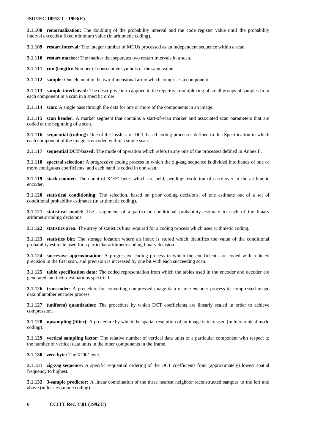**3.1.108 renormalization:** The doubling of the probability interval and the code register value until the probability interval exceeds a fixed minimum value (in arithmetic coding).

**3.1.109 restart interval:** The integer number of MCUs processed as an independent sequence within a scan.

**3.1.110 restart marker:** The marker that separates two restart intervals in a scan.

**3.1.111 run (length):** Number of consecutive symbols of the same value.

**3.1.112 sample:** One element in the two-dimensional array which comprises a component.

**3.1.113 sample-interleaved:** The descriptive term applied to the repetitive multiplexing of small groups of samples from each component in a scan in a specific order.

**3.1.114 scan:** A single pass through the data for one or more of the components in an image.

**3.1.115 scan header:** A marker segment that contains a start-of-scan marker and associated scan parameters that are coded at the beginning of a scan.

**3.1.116 sequential (coding):** One of the lossless or DCT-based coding processes defined in this Specification in which each component of the image is encoded within a single scan.

**3.1.117 sequential DCT-based:** The mode of operation which refers to any one of the processes defined in Annex F.

**3.1.118 spectral selection:** A progressive coding process in which the zig-zag sequence is divided into bands of one or more contiguous coefficients, and each band is coded in one scan.

**3.1.119 stack counter:** The count of X'FF' bytes which are held, pending resolution of carry-over in the arithmetic encoder.

**3.1.120 statistical conditioning:** The selection, based on prior coding decisions, of one estimate out of a set of conditional probability estimates (in arithmetic coding).

**3.1.121 statistical model:** The assignment of a particular conditional probability estimate to each of the binary arithmetic coding decisions.

**3.1.122 statistics area:** The array of statistics bins required for a coding process which uses arithmetic coding.

**3.1.123 statistics bin:** The storage location where an index is stored which identifies the value of the conditional probability estimate used for a particular arithmetic coding binary decision.

**3.1.124 successive approximation:** A progressive coding process in which the coefficients are coded with reduced precision in the first scan, and precision is increased by one bit with each succeeding scan.

**3.1.125 table specification data:** The coded representation from which the tables used in the encoder and decoder are generated and their destinations specified.

**3.1.126 transcoder:** A procedure for converting compressed image data of one encoder process to compressed image data of another encoder process.

**3.1.127 (uniform) quantization:** The procedure by which DCT coefficients are linearly scaled in order to achieve compression.

**3.1.128 upsampling (filter):** A procedure by which the spatial resolution of an image is increased (in hierarchical mode coding).

**3.1.129 vertical sampling factor:** The relative number of vertical data units of a particular component with respect to the number of vertical data units in the other components in the frame.

**3.1.130 zero byte:** The X'00' byte.

**3.1.131 zig-zag sequence:** A specific sequential ordering of the DCT coefficients from (approximately) lowest spatial frequency to highest.

**3.1.132 3-sample predictor:** A linear combination of the three nearest neighbor reconstructed samples to the left and above (in lossless mode coding).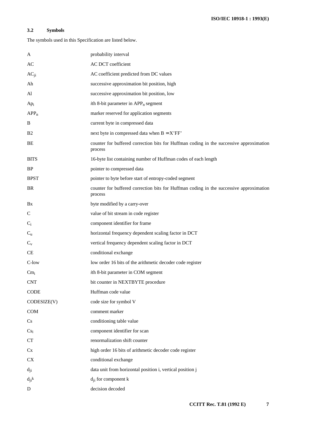# **3.2 Symbols**

The symbols used in this Specification are listed below.

| A                | probability interval                                                                               |
|------------------|----------------------------------------------------------------------------------------------------|
| AC               | AC DCT coefficient                                                                                 |
| $AC_{ii}$        | AC coefficient predicted from DC values                                                            |
| Ah               | successive approximation bit position, high                                                        |
| Al               | successive approximation bit position, low                                                         |
| Ap <sub>i</sub>  | <i>i</i> th 8-bit parameter in APP <sub>n</sub> segment                                            |
| APP <sub>n</sub> | marker reserved for application segments                                                           |
| B                | current byte in compressed data                                                                    |
| <b>B2</b>        | next byte in compressed data when $B = X'FF'$                                                      |
| BE               | counter for buffered correction bits for Huffman coding in the successive approximation<br>process |
| <b>BITS</b>      | 16-byte list containing number of Huffman codes of each length                                     |
| $\rm BP$         | pointer to compressed data                                                                         |
| <b>BPST</b>      | pointer to byte before start of entropy-coded segment                                              |
| <b>BR</b>        | counter for buffered correction bits for Huffman coding in the successive approximation<br>process |
| Bx               | byte modified by a carry-over                                                                      |
| C                | value of bit stream in code register                                                               |
| $C_i$            | component identifier for frame                                                                     |
| $C_{u}$          | horizontal frequency dependent scaling factor in DCT                                               |
| $C_{V}$          | vertical frequency dependent scaling factor in DCT                                                 |
| <b>CE</b>        | conditional exchange                                                                               |
| C-low            | low order 16 bits of the arithmetic decoder code register                                          |
| $Cm_i$           | ith 8-bit parameter in COM segment                                                                 |
| <b>CNT</b>       | bit counter in NEXTBYTE procedure                                                                  |
| <b>CODE</b>      | Huffman code value                                                                                 |
| CODESIZE(V)      | code size for symbol V                                                                             |
| COM              | comment marker                                                                                     |
| Cs               | conditioning table value                                                                           |
| Cs <sub>i</sub>  | component identifier for scan                                                                      |
| <b>CT</b>        | renormalization shift counter                                                                      |
| Cx               | high order 16 bits of arithmetic decoder code register                                             |
| CX               | conditional exchange                                                                               |
| $d_{ji}$         | data unit from horizontal position i, vertical position j                                          |
| $d_{ji}$ k       | $d_{ji}$ for component $k$                                                                         |
| D                | decision decoded                                                                                   |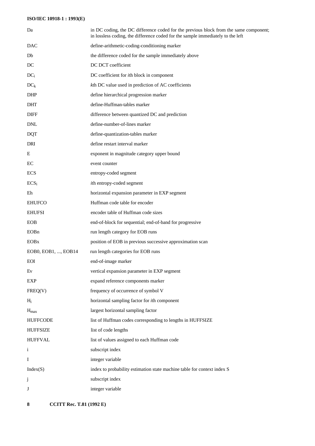| Da                  | in DC coding, the DC difference coded for the previous block from the same component;<br>in lossless coding, the difference coded for the sample immediately to the left |
|---------------------|--------------------------------------------------------------------------------------------------------------------------------------------------------------------------|
| DAC                 | define-arithmetic-coding-conditioning marker                                                                                                                             |
| Db                  | the difference coded for the sample immediately above                                                                                                                    |
| DC                  | DC DCT coefficient                                                                                                                                                       |
| $DC_i$              | DC coefficient for <i>i</i> th block in component                                                                                                                        |
| $DC_k$              | kth DC value used in prediction of AC coefficients                                                                                                                       |
| <b>DHP</b>          | define hierarchical progression marker                                                                                                                                   |
| <b>DHT</b>          | define-Huffman-tables marker                                                                                                                                             |
| <b>DIFF</b>         | difference between quantized DC and prediction                                                                                                                           |
| <b>DNL</b>          | define-number-of-lines marker                                                                                                                                            |
| <b>DQT</b>          | define-quantization-tables marker                                                                                                                                        |
| DRI                 | define restart interval marker                                                                                                                                           |
| Ε                   | exponent in magnitude category upper bound                                                                                                                               |
| EC                  | event counter                                                                                                                                                            |
| <b>ECS</b>          | entropy-coded segment                                                                                                                                                    |
| ECS <sub>i</sub>    | <i>i</i> th entropy-coded segment                                                                                                                                        |
| Eh                  | horizontal expansion parameter in EXP segment                                                                                                                            |
| <b>EHUFCO</b>       | Huffman code table for encoder                                                                                                                                           |
| <b>EHUFSI</b>       | encoder table of Huffman code sizes                                                                                                                                      |
| <b>EOB</b>          | end-of-block for sequential; end-of-band for progressive                                                                                                                 |
| EOBn                | run length category for EOB runs                                                                                                                                         |
| <b>EOB</b> x        | position of EOB in previous successive approximation scan                                                                                                                |
| EOB0, EOB1, , EOB14 | run length categories for EOB runs                                                                                                                                       |
| EOI                 | end-of-image marker                                                                                                                                                      |
| Ev                  | vertical expansion parameter in EXP segment                                                                                                                              |
| <b>EXP</b>          | expand reference components marker                                                                                                                                       |
| FREQ(V)             | frequency of occurrence of symbol V                                                                                                                                      |
| $H_i$               | horizontal sampling factor for <i>i</i> th component                                                                                                                     |
| $H_{\text{max}}$    | largest horizontal sampling factor                                                                                                                                       |
| <b>HUFFCODE</b>     | list of Huffman codes corresponding to lengths in HUFFSIZE                                                                                                               |
| <b>HUFFSIZE</b>     | list of code lengths                                                                                                                                                     |
| <b>HUFFVAL</b>      | list of values assigned to each Huffman code                                                                                                                             |
| i                   | subscript index                                                                                                                                                          |
| I                   | integer variable                                                                                                                                                         |
| Index(S)            | index to probability estimation state machine table for context index S                                                                                                  |
| j                   | subscript index                                                                                                                                                          |
| J                   | integer variable                                                                                                                                                         |
|                     |                                                                                                                                                                          |

**8 CCITT Rec. T.81 (1992 E)**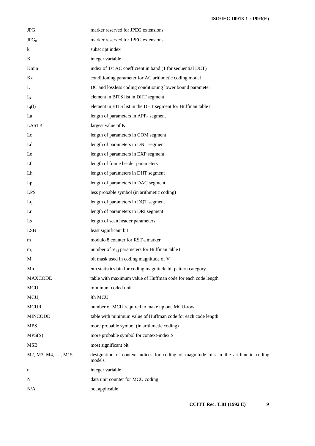| <b>JPG</b>        | marker reserved for JPEG extensions                                                            |
|-------------------|------------------------------------------------------------------------------------------------|
| $JPG_n$           | marker reserved for JPEG extensions                                                            |
| k                 | subscript index                                                                                |
| K                 | integer variable                                                                               |
| Kmin              | index of 1st AC coefficient in band (1 for sequential DCT)                                     |
| Kx                | conditioning parameter for AC arithmetic coding model                                          |
| L                 | DC and lossless coding conditioning lower bound parameter                                      |
| $L_i$             | element in BITS list in DHT segment                                                            |
| $L_i(t)$          | element in BITS list in the DHT segment for Huffman table t                                    |
| La                | length of parameters in $APP_n$ segment                                                        |
| <b>LASTK</b>      | largest value of K                                                                             |
| Lc                | length of parameters in COM segment                                                            |
| Ld                | length of parameters in DNL segment                                                            |
| Le                | length of parameters in EXP segment                                                            |
| Lf                | length of frame header parameters                                                              |
| Lh                | length of parameters in DHT segment                                                            |
| $L_{p}$           | length of parameters in DAC segment                                                            |
| <b>LPS</b>        | less probable symbol (in arithmetic coding)                                                    |
| Lq                | length of parameters in DQT segment                                                            |
| Lr                | length of parameters in DRI segment                                                            |
| Ls                | length of scan header parameters                                                               |
| <b>LSB</b>        | least significant bit                                                                          |
| m                 | modulo 8 counter for RST <sub>m</sub> marker                                                   |
| $m_t$             | number of $V_{i,j}$ parameters for Huffman table t                                             |
| М                 | bit mask used in coding magnitude of V                                                         |
| Mn                | nth statistics bin for coding magnitude bit pattern category                                   |
| <b>MAXCODE</b>    | table with maximum value of Huffman code for each code length                                  |
| MCU               | minimum coded unit                                                                             |
| $MCU_i$           | ith MCU                                                                                        |
| <b>MCUR</b>       | number of MCU required to make up one MCU-row                                                  |
| <b>MINCODE</b>    | table with minimum value of Huffman code for each code length                                  |
| <b>MPS</b>        | more probable symbol (in arithmetic coding)                                                    |
| MPS(S)            | more probable symbol for context-index S                                                       |
| <b>MSB</b>        | most significant bit                                                                           |
| M2, M3, M4, , M15 | designation of context-indices for coding of magnitude bits in the arithmetic coding<br>models |
| n                 | integer variable                                                                               |
| N                 | data unit counter for MCU coding                                                               |
| N/A               | not applicable                                                                                 |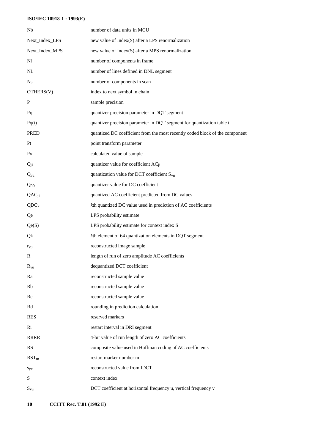| Nb              | number of data units in MCU                                                  |
|-----------------|------------------------------------------------------------------------------|
| Next_Index_LPS  | new value of Index(S) after a LPS renormalization                            |
| Next_Index_MPS  | new value of Index(S) after a MPS renormalization                            |
| Nf              | number of components in frame                                                |
| NL              | number of lines defined in DNL segment                                       |
| Ns.             | number of components in scan                                                 |
| OTHERS(V)       | index to next symbol in chain                                                |
| $\mathbf P$     | sample precision                                                             |
| Pq              | quantizer precision parameter in DQT segment                                 |
| Pq(t)           | quantizer precision parameter in DQT segment for quantization table t        |
| <b>PRED</b>     | quantized DC coefficient from the most recently coded block of the component |
| Pt              | point transform parameter                                                    |
| Px              | calculated value of sample                                                   |
| $Q_{ji}$        | quantizer value for coefficient AC <sub>ii</sub>                             |
| $Q_{vu}$        | quantization value for DCT coefficient $S_{vu}$                              |
| $Q_{00}$        | quantizer value for DC coefficient                                           |
| $QAC_{ji}$      | quantized AC coefficient predicted from DC values                            |
| $QDC_k$         | kth quantized DC value used in prediction of AC coefficients                 |
| Qe              | LPS probability estimate                                                     |
| Qe(S)           | LPS probability estimate for context index S                                 |
| Qk              | kth element of 64 quantization elements in DQT segment                       |
| $r_{vu}$        | reconstructed image sample                                                   |
| R               | length of run of zero amplitude AC coefficients                              |
| $\rm R_{vu}$    | dequantized DCT coefficient                                                  |
| Ra              | reconstructed sample value                                                   |
| Rb              | reconstructed sample value                                                   |
| Rc              | reconstructed sample value                                                   |
| Rd              | rounding in prediction calculation                                           |
| <b>RES</b>      | reserved markers                                                             |
| Ri              | restart interval in DRI segment                                              |
| <b>RRRR</b>     | 4-bit value of run length of zero AC coefficients                            |
| <b>RS</b>       | composite value used in Huffman coding of AC coefficients                    |
| $RST_m$         | restart marker number m                                                      |
| $S_{\rm YX}$    | reconstructed value from IDCT                                                |
| S               | context index                                                                |
| $S_{\text{vu}}$ | DCT coefficient at horizontal frequency u, vertical frequency v              |
|                 |                                                                              |

**10 CCITT Rec. T.81 (1992 E)**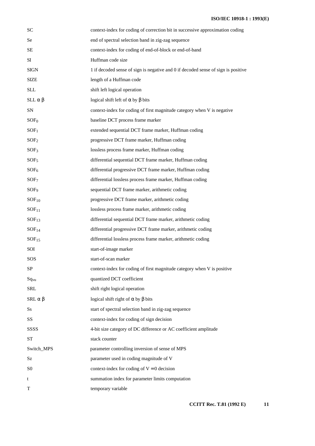| <b>SC</b>          | context-index for coding of correction bit in successive approximation coding     |
|--------------------|-----------------------------------------------------------------------------------|
| Se                 | end of spectral selection band in zig-zag sequence                                |
| SE                 | context-index for coding of end-of-block or end-of-band                           |
| SI                 | Huffman code size                                                                 |
| <b>SIGN</b>        | 1 if decoded sense of sign is negative and 0 if decoded sense of sign is positive |
| <b>SIZE</b>        | length of a Huffman code                                                          |
| <b>SLL</b>         | shift left logical operation                                                      |
| $SLL \alpha \beta$ | logical shift left of $\alpha$ by $\beta$ bits                                    |
| <b>SN</b>          | context-index for coding of first magnitude category when V is negative           |
| SOF <sub>0</sub>   | baseline DCT process frame marker                                                 |
| SOF <sub>1</sub>   | extended sequential DCT frame marker, Huffman coding                              |
| SOF <sub>2</sub>   | progressive DCT frame marker, Huffman coding                                      |
| SOF <sub>3</sub>   | lossless process frame marker, Huffman coding                                     |
| SOF <sub>5</sub>   | differential sequential DCT frame marker, Huffman coding                          |
| SOF <sub>6</sub>   | differential progressive DCT frame marker, Huffman coding                         |
| SOF <sub>7</sub>   | differential lossless process frame marker, Huffman coding                        |
| SOF <sub>9</sub>   | sequential DCT frame marker, arithmetic coding                                    |
| SOF <sub>10</sub>  | progressive DCT frame marker, arithmetic coding                                   |
| SOF <sub>11</sub>  | lossless process frame marker, arithmetic coding                                  |
| SOF <sub>13</sub>  | differential sequential DCT frame marker, arithmetic coding                       |
| SOF <sub>14</sub>  | differential progressive DCT frame marker, arithmetic coding                      |
| SOF <sub>15</sub>  | differential lossless process frame marker, arithmetic coding                     |
| SOI                | start-of-image marker                                                             |
| SOS                | start-of-scan marker                                                              |
| SP                 | context-index for coding of first magnitude category when V is positive           |
| Sq <sub>vu</sub>   | quantized DCT coefficient                                                         |
| SRL                | shift right logical operation                                                     |
| $SRL \alpha \beta$ | logical shift right of $\alpha$ by $\beta$ bits                                   |
| Ss                 | start of spectral selection band in zig-zag sequence                              |
| SS                 | context-index for coding of sign decision                                         |
| SSSS               | 4-bit size category of DC difference or AC coefficient amplitude                  |
| <b>ST</b>          | stack counter                                                                     |
| Switch_MPS         | parameter controlling inversion of sense of MPS                                   |
| Sz                 | parameter used in coding magnitude of V                                           |
| S <sub>0</sub>     | context-index for coding of $V = 0$ decision                                      |
| t                  | summation index for parameter limits computation                                  |
| Т                  | temporary variable                                                                |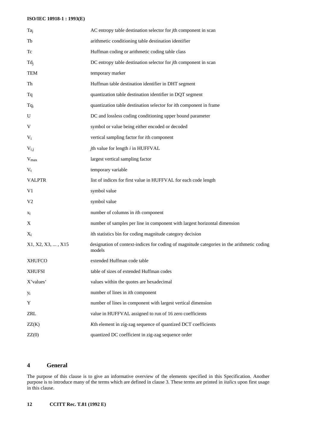| Ta <sub>i</sub>   | AC entropy table destination selector for <i>j</i> th component in scan                              |
|-------------------|------------------------------------------------------------------------------------------------------|
| Tb                | arithmetic conditioning table destination identifier                                                 |
| Tc                | Huffman coding or arithmetic coding table class                                                      |
| $Td_i$            | DC entropy table destination selector for <i>j</i> th component in scan                              |
| <b>TEM</b>        | temporary marker                                                                                     |
| Th                | Huffman table destination identifier in DHT segment                                                  |
| Tq                | quantization table destination identifier in DQT segment                                             |
| Tqi               | quantization table destination selector for <i>i</i> th component in frame                           |
| U                 | DC and lossless coding conditioning upper bound parameter                                            |
| V                 | symbol or value being either encoded or decoded                                                      |
| $V_i$             | vertical sampling factor for <i>i</i> th component                                                   |
| $V_{i,j}$         | jth value for length i in HUFFVAL                                                                    |
| $V_{max}$         | largest vertical sampling factor                                                                     |
| $V_t$             | temporary variable                                                                                   |
| <b>VALPTR</b>     | list of indices for first value in HUFFVAL for each code length                                      |
| V1                | symbol value                                                                                         |
| V <sub>2</sub>    | symbol value                                                                                         |
| $x_i$             | number of columns in <i>ith</i> component                                                            |
| X                 | number of samples per line in component with largest horizontal dimension                            |
| $X_i$             | ith statistics bin for coding magnitude category decision                                            |
| X1, X2, X3, , X15 | designation of context-indices for coding of magnitude categories in the arithmetic coding<br>models |
| <b>XHUFCO</b>     | extended Huffman code table                                                                          |
| <b>XHUFSI</b>     | table of sizes of extended Huffman codes                                                             |
| X'values'         | values within the quotes are hexadecimal                                                             |
| Уi                | number of lines in <i>ith</i> component                                                              |
| Y                 | number of lines in component with largest vertical dimension                                         |
| ZRL               | value in HUFFVAL assigned to run of 16 zero coefficients                                             |
| ZZ(K)             | Kth element in zig-zag sequence of quantized DCT coefficients                                        |
| ZZ(0)             | quantized DC coefficient in zig-zag sequence order                                                   |
|                   |                                                                                                      |

# **4 General**

The purpose of this clause is to give an informative overview of the elements specified in this Specification. Another purpose is to introduce many of the terms which are defined in clause 3. These terms are printed in *italics* upon first usage in this clause.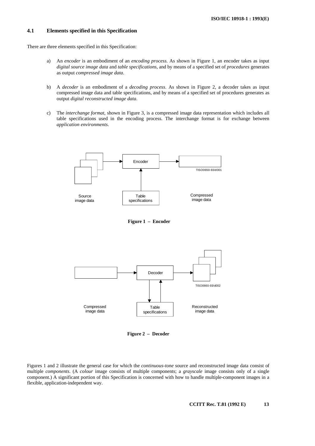## **4.1 Elements specified in this Specification**

There are three elements specified in this Specification:

- a) An *encoder* is an embodiment of an *encoding process*. As shown in Figure 1, an encoder takes as input *digital source image data* and *table specifications*, and by means of a specified set of *procedures* generates as output *compressed image data*.
- b) A *decoder* is an embodiment of a *decoding process*. As shown in Figure 2, a decoder takes as input compressed image data and table specifications, and by means of a specified set of procedures generates as output *digital reconstructed image data*.
- c) The *interchange format*, shown in Figure 3, is a compressed image data representation which includes all table specifications used in the encoding process. The interchange format is for exchange between *application environments*.



**Figure 1 – Encoder**



**Figure 2 – Decoder**

Figures 1 and 2 illustrate the general case for which the *continuous-tone* source and reconstructed image data consist of multiple *components*. (A *colour* image consists of multiple components; a *grayscale* image consists only of a single component.) A significant portion of this Specification is concerned with how to handle multiple-component images in a flexible, application-independent way.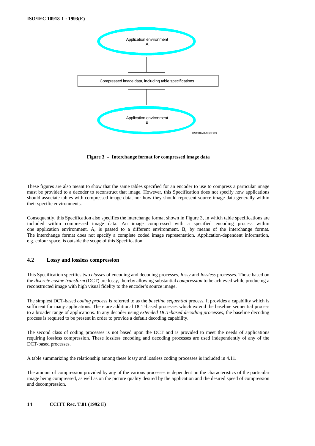

**Figure 3 – Interchange format for compressed image data**

These figures are also meant to show that the same tables specified for an encoder to use to compress a particular image must be provided to a decoder to reconstruct that image. However, this Specification does not specify how applications should associate tables with compressed image data, nor how they should represent source image data generally within their specific environments.

Consequently, this Specification also specifies the interchange format shown in Figure 3, in which table specifications are included within compressed image data. An image compressed with a specified encoding process within one application environment, A, is passed to a different environment, B, by means of the interchange format. The interchange format does not specify a complete coded image representation. Application-dependent information, e.g. colour space, is outside the scope of this Specification.

## **4.2 Lossy and lossless compression**

This Specification specifies two *classes* of encoding and decoding processes, *lossy* and *lossless* processes. Those based on the *discrete cosine transform* (DCT) are lossy, thereby allowing substantial *compression* to be achieved while producing a reconstructed image with high visual fidelity to the encoder's source image.

The simplest DCT-based *coding process* is referred to as the *baseline sequential* process. It provides a capability which is sufficient for many applications. There are additional DCT-based processes which extend the baseline sequential process to a broader range of applications. In any decoder using *extended DCT-based decoding processes*, the baseline decoding process is required to be present in order to provide a default decoding capability.

The second class of coding processes is not based upon the DCT and is provided to meet the needs of applications requiring lossless compression. These lossless encoding and decoding processes are used independently of any of the DCT-based processes.

A table summarizing the relationship among these lossy and lossless coding processes is included in 4.11.

The amount of compression provided by any of the various processes is dependent on the characteristics of the particular image being compressed, as well as on the picture quality desired by the application and the desired speed of compression and decompression.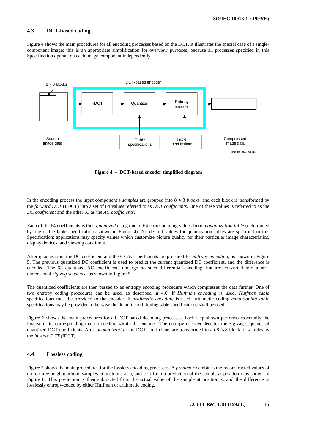## **4.3 DCT-based coding**

Figure 4 shows the main procedures for all encoding processes based on the DCT. It illustrates the special case of a singlecomponent image; this is an appropriate simplification for overview purposes, because all processes specified in this Specification operate on each image component independently.



**Figure 4 – DCT-based encoder simplified diagram**

In the encoding process the input component's *samples* are grouped into  $8 \times 8$  *blocks*, and each block is transformed by the *forward DCT* (FDCT) into a set of 64 values referred to as *DCT coefficients*. One of these values is referred to as the *DC coefficient* and the other 63 as the *AC coefficients*.

Each of the 64 coefficients is then *quantized* using one of 64 corresponding values from a *quantization table* (determined by one of the table specifications shown in Figure 4). No default values for quantization tables are specified in this Specification; applications may specify values which customize picture quality for their particular image characteristics, display devices, and viewing conditions.

After quantization, the DC coefficient and the 63 AC coefficients are prepared for *entropy encoding*, as shown in Figure 5. The previous quantized DC coefficient is used to predict the current quantized DC coefficient, and the difference is encoded. The 63 quantized AC coefficients undergo no such differential encoding, but are converted into a onedimensional *zig-zag sequence*, as shown in Figure 5.

The quantized coefficients are then passed to an entropy encoding procedure which compresses the data further. One of two entropy coding procedures can be used, as described in 4.6. If *Huffman encoding* is used, *Huffman table* specifications must be provided to the encoder. If *arithmetic encoding* is used, arithmetic coding *conditioning table* specifications may be provided, otherwise the default conditioning table specifications shall be used.

Figure 6 shows the main procedures for all DCT-based decoding processes. Each step shown performs essentially the inverse of its corresponding main procedure within the encoder. The entropy decoder decodes the zig-zag sequence of quantized DCT coefficients. After *dequantization* the DCT coefficients are transformed to an  $8 \times 8$  block of samples by the *inverse DCT* (IDCT).

## **4.4 Lossless coding**

Figure 7 shows the main procedures for the lossless encoding processes. A *predictor* combines the reconstructed values of up to three neighbourhood samples at positions a, b, and c to form a prediction of the sample at position x as shown in Figure 8. This prediction is then subtracted from the actual value of the sample at position x, and the difference is losslessly entropy-coded by either Huffman or arithmetic coding.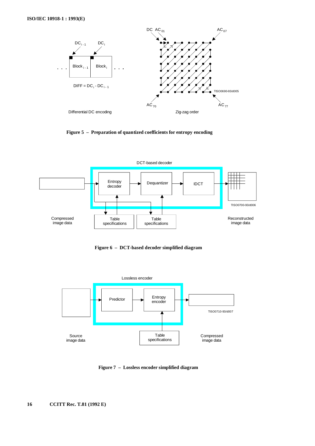





**Figure 6 – DCT-based decoder simplified diagram**



**Figure 7 – Lossless encoder simplified diagram**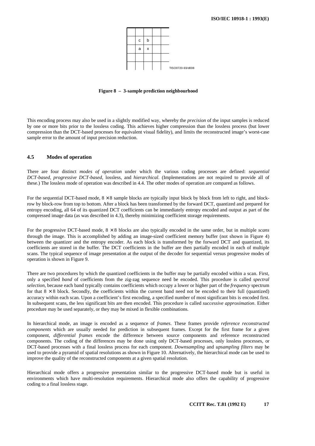

**Figure 8 – 3-sample prediction neighbourhood**

This encoding process may also be used in a slightly modified way, whereby the *precision* of the input samples is reduced by one or more bits prior to the lossless coding. This achieves higher compression than the lossless process (but lower compression than the DCT-based processes for equivalent visual fidelity), and limits the reconstructed image's worst-case sample error to the amount of input precision reduction.

# **4.5 Modes of operation**

There are four distinct *modes of operation* under which the various coding processes are defined: *sequential DCT-based, progressive DCT-based*, lossless, and *hierarchical*. (Implementations are not required to provide all of these.) The lossless mode of operation was described in 4.4. The other modes of operation are compared as follows.

For the sequential DCT-based mode,  $8 \times 8$  sample blocks are typically input block by block from left to right, and blockrow by block-row from top to bottom. After a block has been transformed by the forward DCT, quantized and prepared for entropy encoding, all 64 of its quantized DCT coefficients can be immediately entropy encoded and output as part of the compressed image data (as was described in 4.3), thereby minimizing coefficient storage requirements.

For the progressive DCT-based mode, 8 × 8 blocks are also typically encoded in the same order, but in multiple *scans* through the image. This is accomplished by adding an image-sized coefficient memory buffer (not shown in Figure 4) between the quantizer and the entropy encoder. As each block is transformed by the forward DCT and quantized, its coefficients are stored in the buffer. The DCT coefficients in the buffer are then partially encoded in each of multiple scans. The typical sequence of image presentation at the output of the decoder for sequential versus progressive modes of operation is shown in Figure 9.

There are two procedures by which the quantized coefficients in the buffer may be partially encoded within a scan. First, only a specified *band* of coefficients from the zig-zag sequence need be encoded. This procedure is called *spectral selection*, because each band typically contains coefficients which occupy a lower or higher part of the *frequency* spectrum for that  $8 \times 8$  block. Secondly, the coefficients within the current band need not be encoded to their full (quantized) accuracy within each scan. Upon a coefficient's first encoding, a specified number of most significant bits is encoded first. In subsequent scans, the less significant bits are then encoded. This procedure is called *successive approximation*. Either procedure may be used separately, or they may be mixed in flexible combinations.

In hierarchical mode, an image is encoded as a sequence of *frames*. These frames provide *reference reconstructed components* which are usually needed for prediction in subsequent frames. Except for the first frame for a given component, *differential frames* encode the difference between source components and reference reconstructed components. The coding of the differences may be done using only DCT-based processes, only lossless processes, or DCT-based processes with a final lossless process for each component. *Downsampling* and *upsampling filters* may be used to provide a pyramid of spatial resolutions as shown in Figure 10. Alternatively, the hierarchical mode can be used to improve the quality of the reconstructed components at a given spatial resolution.

Hierarchical mode offers a progressive presentation similar to the progressive DCT-based mode but is useful in environments which have multi-resolution requirements. Hierarchical mode also offers the capability of progressive coding to a final lossless stage.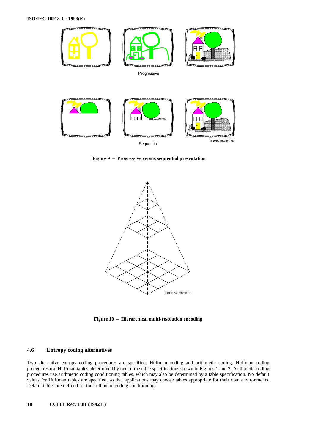

**Figure 9 – Progressive versus sequential presentation**



**Figure 10 – Hierarchical multi-resolution encoding**

## **4.6 Entropy coding alternatives**

Two alternative entropy coding procedures are specified: Huffman coding and arithmetic coding. Huffman coding procedures use Huffman tables, determined by one of the table specifications shown in Figures 1 and 2. Arithmetic coding procedures use arithmetic coding conditioning tables, which may also be determined by a table specification. No default values for Huffman tables are specified, so that applications may choose tables appropriate for their own environments. Default tables are defined for the arithmetic coding conditioning.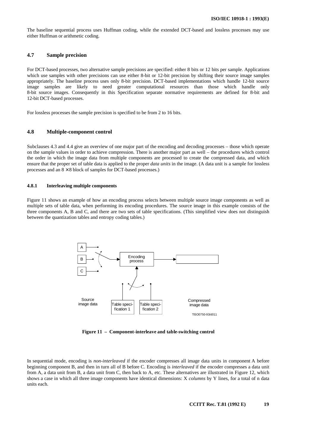The baseline sequential process uses Huffman coding, while the extended DCT-based and lossless processes may use either Huffman or arithmetic coding.

## **4.7 Sample precision**

For DCT-based processes, two alternative sample precisions are specified: either 8 bits or 12 bits per sample. Applications which use samples with other precisions can use either 8-bit or 12-bit precision by shifting their source image samples appropriately. The baseline process uses only 8-bit precision. DCT-based implementations which handle 12-bit source image samples are likely to need greater computational resources than those which handle only 8-bit source images. Consequently in this Specification separate normative requirements are defined for 8-bit and 12-bit DCT-based processes.

For lossless processes the sample precision is specified to be from 2 to 16 bits.

#### **4.8 Multiple-component control**

Subclauses 4.3 and 4.4 give an overview of one major part of the encoding and decoding processes – those which operate on the sample values in order to achieve compression. There is another major part as well – the procedures which control the order in which the image data from multiple components are processed to create the compressed data, and which ensure that the proper set of table data is applied to the proper *data units* in the image. (A data unit is a sample for lossless processes and an  $8 \times 8$  block of samples for DCT-based processes.)

#### **4.8.1 Interleaving multiple components**

Figure 11 shows an example of how an encoding process selects between multiple source image components as well as multiple sets of table data, when performing its encoding procedures. The source image in this example consists of the three components A, B and C, and there are two sets of table specifications. (This simplified view does not distinguish between the quantization tables and entropy coding tables.)



**Figure 11 – Component-interleave and table-switching control**

In sequential mode, encoding is *non-interleaved* if the encoder compresses all image data units in component A before beginning component B, and then in turn all of B before C. Encoding is *interleaved* if the encoder compresses a data unit from A, a data unit from B, a data unit from C, then back to A, etc. These alternatives are illustrated in Figure 12, which shows a case in which all three image components have identical dimensions: X *columns* by Y lines, for a total of n data units each.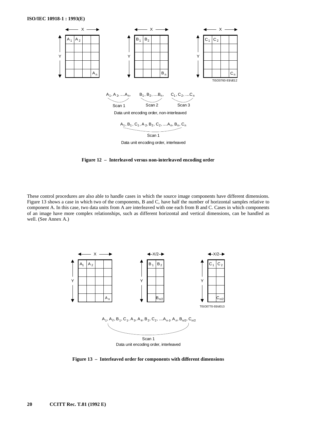

**Figure 12 – Interleaved versus non-interleaved encoding order**

These control procedures are also able to handle cases in which the source image components have different dimensions. Figure 13 shows a case in which two of the components, B and C, have half the number of horizontal samples relative to component A. In this case, two data units from A are interleaved with one each from B and C. Cases in which components of an image have more complex relationships, such as different horizontal and vertical dimensions, can be handled as well. (See Annex A.)



**Figure 13 – Interleaved order for components with different dimensions**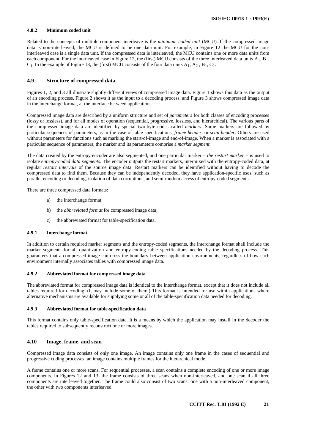#### **4.8.2 Minimum coded unit**

Related to the concepts of multiple-component interleave is the *minimum coded unit* (MCU). If the compressed image data is non-interleaved, the MCU is defined to be one data unit. For example, in Figure 12 the MCU for the noninterleaved case is a single data unit. If the compressed data is interleaved, the MCU contains one or more data units from each component. For the interleaved case in Figure 12, the (first) MCU consists of the three interleaved data units  $A_1$ ,  $B_1$ ,  $C_1$ . In the example of Figure 13, the (first) MCU consists of the four data units  $A_1$ ,  $A_2$ ,  $B_1$ ,  $C_1$ .

## **4.9 Structure of compressed data**

Figures 1, 2, and 3 all illustrate slightly different views of compressed image data. Figure 1 shows this data as the output of an encoding process, Figure 2 shows it as the input to a decoding process, and Figure 3 shows compressed image data in the interchange format, at the interface between applications.

Compressed image data are described by a uniform structure and set of *parameters* for both classes of encoding processes (lossy or lossless), and for all modes of operation (sequential, progressive, lossless, and hierarchical). The various parts of the compressed image data are identified by special two-byte codes called *markers*. Some markers are followed by particular sequences of parameters, as in the case of table specifications, *frame header*, or *scan header*. Others are used without parameters for functions such as marking the start-of-image and end-of-image. When a marker is associated with a particular sequence of parameters, the marker and its parameters comprise a *marker segment*.

The data created by the entropy encoder are also segmented, and one particular marker – *the restart marker* – is used to isolate *entropy-coded data segments*. The encoder outputs the restart markers, intermixed with the entropy-coded data, at regular *restart intervals* of the source image data. Restart markers can be identified without having to decode the compressed data to find them. Because they can be independently decoded, they have application-specific uses, such as parallel encoding or decoding, isolation of data corruptions, and semi-random access of entropy-coded segments.

There are three compressed data formats:

- a) the interchange format;
- b) the *abbreviated format* for compressed image data;
- c) the abbreviated format for table-specification data.

#### **4.9.1 Interchange format**

In addition to certain required marker segments and the entropy-coded segments, the interchange format shall include the marker segments for all quantization and entropy-coding table specifications needed by the decoding process. This guarantees that a compressed image can cross the boundary between application environments, regardless of how each environment internally associates tables with compressed image data.

#### **4.9.2 Abbreviated format for compressed image data**

The abbreviated format for compressed image data is identical to the interchange format, except that it does not include all tables required for decoding. (It may include some of them.) This format is intended for use within applications where alternative mechanisms are available for supplying some or all of the table-specification data needed for decoding.

#### **4.9.3 Abbreviated format for table-specification data**

This format contains only table-specification data. It is a means by which the application may install in the decoder the tables required to subsequently reconstruct one or more images.

#### **4.10 Image, frame, and scan**

Compressed image data consists of only one image. An image contains only one frame in the cases of sequential and progressive coding processes; an image contains multiple frames for the hierarchical mode.

A frame contains one or more scans. For sequential processes, a scan contains a complete encoding of one or more image components. In Figures 12 and 13, the frame consists of three scans when non-interleaved, and one scan if all three components are interleaved together. The frame could also consist of two scans: one with a non-interleaved component, the other with two components interleaved.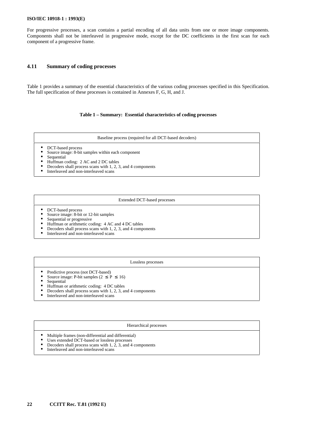For progressive processes, a scan contains a partial encoding of all data units from one or more image components. Components shall not be interleaved in progressive mode, except for the DC coefficients in the first scan for each component of a progressive frame.

## **4.11 Summary of coding processes**

Table 1 provides a summary of the essential characteristics of the various coding processes specified in this Specification. The full specification of these processes is contained in Annexes F, G, H, and J.

#### **Table 1 – Summary: Essential characteristics of coding processes**

- Baseline process (required for all DCT-based decoders)
- DCT-based process
- Source image: 8-bit samples within each component
- Sequential
- Huffman coding: 2 AC and 2 DC tables<br>• Decoders shall process scans with 1 2 3
- Decoders shall process scans with 1, 2, 3, and 4 components
- Interleaved and non-interleaved scans

#### Extended DCT-based processes

- DCT-based process
- Source image: 8-bit or 12-bit samples
- Sequential or progressive<br>• Huffman or arithmetic co
- Huffman or arithmetic coding:  $4 \text{ AC}$  and  $4 \text{ DC}$  tables<br>• Decoders shall process scaps with  $1, 2, 3$  and  $4 \text{ comp}$
- Decoders shall process scans with  $1, 2, 3$ , and  $4$  components
- Interleaved and non-interleaved scans

#### Lossless processes

- Predictive process (not DCT-based)
	- Source image: P-bit samples ( $2 \le P \le 16$ )
- Sequential<br>• Huffman o
- Huffman or arithmetic coding:  $4 \text{ DC tables}$ <br>• Decoders shall process scans with  $1, 2, 3$
- Decoders shall process scans with  $1, 2, 3$ , and  $4$  components
- Interleaved and non-interleaved scans

#### Hierarchical processes

- Multiple frames (non-differential and differential)
- Uses extended DCT-based or lossless processes<br>• Decoders shall process scans with 1 2 3 and 4
- Decoders shall process scans with  $1, 2, 3$ , and 4 components
- Interleaved and non-interleaved scans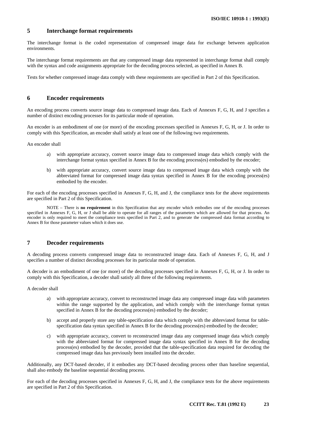# **5 Interchange format requirements**

The interchange format is the coded representation of compressed image data for exchange between application environments.

The interchange format requirements are that any compressed image data represented in interchange format shall comply with the syntax and code assignments appropriate for the decoding process selected, as specified in Annex B.

Tests for whether compressed image data comply with these requirements are specified in Part 2 of this Specification.

## **6 Encoder requirements**

An encoding process converts source image data to compressed image data. Each of Annexes F, G, H, and J specifies a number of distinct encoding processes for its particular mode of operation.

An encoder is an embodiment of one (or more) of the encoding processes specified in Annexes F, G, H, or J. In order to comply with this Specification, an encoder shall satisfy at least one of the following two requirements.

An encoder shall

- a) with appropriate accuracy, convert source image data to compressed image data which comply with the interchange format syntax specified in Annex B for the encoding process(es) embodied by the encoder;
- b) with appropriate accuracy, convert source image data to compressed image data which comply with the abbreviated format for compressed image data syntax specified in Annex B for the encoding process(es) embodied by the encoder.

For each of the encoding processes specified in Annexes F, G, H, and J, the compliance tests for the above requirements are specified in Part 2 of this Specification.

NOTE – There is **no requirement** in this Specification that any encoder which embodies one of the encoding processes specified in Annexes F, G, H, or J shall be able to operate for all ranges of the parameters which are allowed for that process. An encoder is only required to meet the compliance tests specified in Part 2, and to generate the compressed data format according to Annex B for those parameter values which it does use.

## **7 Decoder requirements**

A decoding process converts compressed image data to reconstructed image data. Each of Annexes F, G, H, and J specifies a number of distinct decoding processes for its particular mode of operation.

A decoder is an embodiment of one (or more) of the decoding processes specified in Annexes F, G, H, or J. In order to comply with this Specification, a decoder shall satisfy all three of the following requirements.

A decoder shall

- a) with appropriate accuracy, convert to reconstructed image data any compressed image data with parameters within the range supported by the application, and which comply with the interchange format syntax specified in Annex B for the decoding process(es) embodied by the decoder;
- b) accept and properly store any table-specification data which comply with the abbreviated format for tablespecification data syntax specified in Annex B for the decoding process(es) embodied by the decoder;
- c) with appropriate accuracy, convert to reconstructed image data any compressed image data which comply with the abbreviated format for compressed image data syntax specified in Annex B for the decoding process(es) embodied by the decoder, provided that the table-specification data required for decoding the compressed image data has previously been installed into the decoder.

Additionally, any DCT-based decoder, if it embodies any DCT-based decoding process other than baseline sequential, shall also embody the baseline sequential decoding process.

For each of the decoding processes specified in Annexes F, G, H, and J, the compliance tests for the above requirements are specified in Part 2 of this Specification.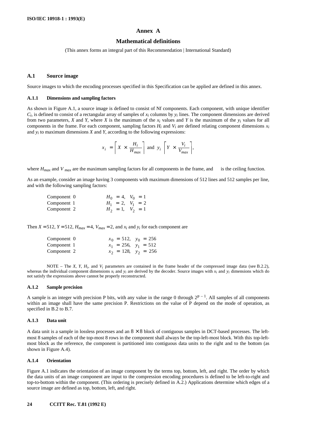## **Annex A**

## **Mathematical definitions**

(This annex forms an integral part of this Recommendation | International Standard)

#### **A.1 Source image**

Source images to which the encoding processes specified in this Specification can be applied are defined in this annex.

#### **A.1.1 Dimensions and sampling factors**

As shown in Figure A.1, a source image is defined to consist of Nf components. Each component, with unique identifier  $C_i$  is defined to consist of a rectangular array of samples of  $x_i$  columns by  $y_i$  lines. The component dimensions are derived from two parameters, *X* and *Y*, where *X* is the maximum of the *xi* values and *Y* is the maximum of the *yi* values for all components in the frame. For each component, sampling factors  $H_i$  and  $V_i$  are defined relating component dimensions  $x_i$ and  $y_i$  to maximum dimensions  $X$  and  $Y$ , according to the following expressions:

$$
x_i = \left[ X \times \frac{H_i}{H_{max}} \right] \text{ and } y_i \left[ Y \times \frac{V_i}{V_{max}} \right],
$$

where  $H_{max}$  and *V*  $_{max}$  are the maximum sampling factors for all components in the frame, and  $\lceil \cdot \rceil$  is the ceiling function.

As an example, consider an image having 3 components with maximum dimensions of 512 lines and 512 samples per line, and with the following sampling factors:

| Component 0 | $H_0 = 4$ , $V_0 = 1$ |  |  |
|-------------|-----------------------|--|--|
| Component 1 | $H_1 = 2, V_1 = 2$    |  |  |
| Component 2 | $H_2 = 1$ , $V_2 = 1$ |  |  |

Then  $X = 512$ ,  $Y = 512$ ,  $H_{max} = 4$ ,  $V_{max} = 2$ , and  $x_i$  and  $y_i$  for each component are

| Component 0 | $x_0 = 512$ , $y_0 = 256$ |  |
|-------------|---------------------------|--|
| Component 1 | $x_1 = 256$ , $y_1 = 512$ |  |
| Component 2 | $x_2 = 128$ , $y_2 = 256$ |  |

NOTE – The *X*, *Y*,  $H_i$ , and  $V_i$  parameters are contained in the frame header of the compressed image data (see B.2.2), whereas the individual component dimensions  $x_i$  and  $y_i$  are derived by the decoder. Source images with  $x_i$  and  $y_i$  dimensions which do not satisfy the expressions above cannot be properly reconstructed.

## **A.1.2 Sample precision**

A sample is an integer with precision P bits, with any value in the range 0 through  $2^{P-1}$ . All samples of all components within an image shall have the same precision P. Restrictions on the value of P depend on the mode of operation, as specified in B.2 to B.7.

#### **A.1.3 Data unit**

A data unit is a sample in lossless processes and an  $8 \times 8$  block of contiguous samples in DCT-based processes. The leftmost 8 samples of each of the top-most 8 rows in the component shall always be the top-left-most block. With this top-leftmost block as the reference, the component is partitioned into contiguous data units to the right and to the bottom (as shown in Figure A.4).

### **A.1.4 Orientation**

Figure A.1 indicates the orientation of an image component by the terms top, bottom, left, and right. The order by which the data units of an image component are input to the compression encoding procedures is defined to be left-to-right and top-to-bottom within the component. (This ordering is precisely defined in A.2.) Applications determine which edges of a source image are defined as top, bottom, left, and right.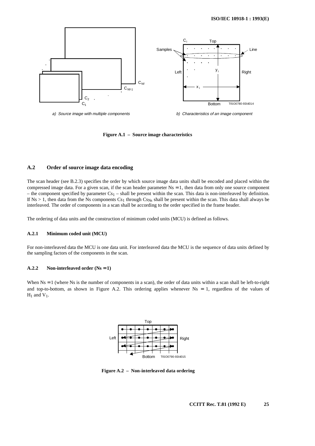

a) Source image with multiple components b) Characteristics of an image component

**Figure A.1 – Source image characteristics**

## **A.2 Order of source image data encoding**

The scan header (see B.2.3) specifies the order by which source image data units shall be encoded and placed within the compressed image data. For a given scan, if the scan header parameter  $Ns = 1$ , then data from only one source component – the component specified by parameter  $Cs_1$  – shall be present within the scan. This data is non-interleaved by definition. If  $Ns > 1$ , then data from the Ns components Cs<sub>1</sub> through Cs<sub>Ns</sub> shall be present within the scan. This data shall always be interleaved. The order of components in a scan shall be according to the order specified in the frame header.

The ordering of data units and the construction of minimum coded units (MCU) is defined as follows.

#### **A.2.1 Minimum coded unit (MCU)**

For non-interleaved data the MCU is one data unit. For interleaved data the MCU is the sequence of data units defined by the sampling factors of the components in the scan.

### **A.2.2 Non-interleaved order (Ns** = **1)**

When  $Ns = 1$  (where Ns is the number of components in a scan), the order of data units within a scan shall be left-to-right and top-to-bottom, as shown in Figure A.2. This ordering applies whenever Ns = 1, regardless of the values of  $H_1$  and  $V_1$ .



**Figure A.2 – Non-interleaved data ordering**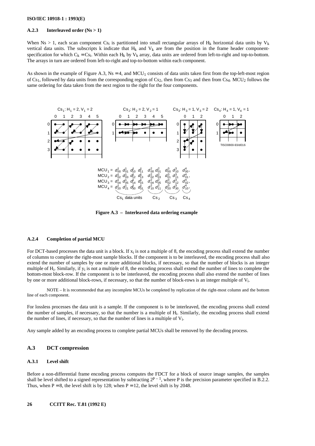#### **A.2.3 Interleaved order (Ns > 1)**

When Ns > 1, each scan component Cs<sub>i</sub> is partitioned into small rectangular arrays of H<sub>k</sub> horizontal data units by V<sub>k</sub> vertical data units. The subscripts k indicate that  $H_k$  and  $V_k$  are from the position in the frame header componentspecification for which  $C_k = Cs_i$ . Within each  $H_k$  by  $V_k$  array, data units are ordered from left-to-right and top-to-bottom. The arrays in turn are ordered from left-to-right and top-to-bottom within each component.

As shown in the example of Figure A.3,  $Ns = 4$ , and MCU<sub>1</sub> consists of data units taken first from the top-left-most region of Cs<sub>1</sub>, followed by data units from the corresponding region of Cs<sub>2</sub>, then from Cs<sub>3</sub> and then from Cs<sub>4</sub>. MCU<sub>2</sub> follows the same ordering for data taken from the next region to the right for the four components.



**Figure A.3 – Interleaved data ordering example**

#### **A.2.4 Completion of partial MCU**

For DCT-based processes the data unit is a block. If  $x_i$  is not a multiple of 8, the encoding process shall extend the number of columns to complete the right-most sample blocks. If the component is to be interleaved, the encoding process shall also extend the number of samples by one or more additional blocks, if necessary, so that the number of blocks is an integer multiple of Hi. Similarly, if yi is not a multiple of 8, the encoding process shall extend the number of lines to complete the bottom-most block-row. If the component is to be interleaved, the encoding process shall also extend the number of lines by one or more additional block-rows, if necessary, so that the number of block-rows is an integer multiple of  $V_i$ .

NOTE – It is recommended that any incomplete MCUs be completed by replication of the right-most column and the bottom line of each component.

For lossless processes the data unit is a sample. If the component is to be interleaved, the encoding process shall extend the number of samples, if necessary, so that the number is a multiple of Hi. Similarly, the encoding process shall extend the number of lines, if necessary, so that the number of lines is a multiple of  $V_i$ .

Any sample added by an encoding process to complete partial MCUs shall be removed by the decoding process.

## **A.3 DCT compression**

## **A.3.1 Level shift**

Before a non-differential frame encoding process computes the FDCT for a block of source image samples, the samples shall be level shifted to a signed representation by subtracting  $2^{p-1}$ , where P is the precision parameter specified in B.2.2. Thus, when  $P = 8$ , the level shift is by 128; when  $P = 12$ , the level shift is by 2048.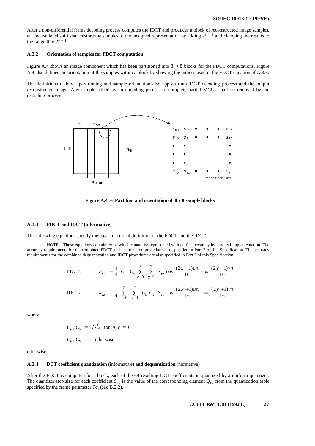After a non-differential frame decoding process computes the IDCT and produces a block of reconstructed image samples, an inverse level shift shall restore the samples to the unsigned representation by adding  $2^{P-1}$  and clamping the results to the range 0 to  $2P - 1$ .

#### **A.3.2 Orientation of samples for FDCT computation**

Figure A.4 shows an image component which has been partitioned into  $8 \times 8$  blocks for the FDCT computations. Figure A.4 also defines the orientation of the samples within a block by showing the indices used in the FDCT equation of A.3.3.

The definitions of block partitioning and sample orientation also apply to any DCT decoding process and the output reconstructed image. Any sample added by an encoding process to complete partial MCUs shall be removed by the decoding process.



**Figure A.4 – Partition and orientation of 8 x 8 sample blocks**

#### **A.3.3 FDCT and IDCT (informative)**

The following equations specify the ideal functional definition of the FDCT and the IDCT.

NOTE – These equations contain terms which cannot be represented with perfect accuracy by any real implementation. The accuracy requirements for the combined FDCT and quantization procedures are specified in Part 2 of this Specification. The accuracy requirements for the combined dequantization and IDCT procedures are also specified in Part 2 of this Specification.

FDCT: 
$$
S_{vu} = \frac{1}{4} C_u C_v \sum_{x=0}^{7} \sum_{y=0}^{7} s_{yx} \cos \frac{(2x+1)u\pi}{16} \cos \frac{(2y+1)v\pi}{16}
$$
  
IDCT:  $s_{yx} = \frac{1}{4} \sum_{u=0}^{7} \sum_{v=0}^{7} C_u C_v S_{vu} \cos \frac{(2x+1)u\pi}{16} \cos \frac{(2y+1)v\pi}{16}$ 

where

$$
C_u, C_v = 1/\sqrt{2} \text{ for } u, v = 0
$$
  

$$
C_u, C_v = 1 \text{ otherwise}
$$

otherwise.

#### **A.3.4 DCT coefficient quantization** (informative) **and dequantization** (normative)

After the FDCT is computed for a block, each of the 64 resulting DCT coefficients is quantized by a uniform quantizer. The quantizer step size for each coefficient  $S_{vu}$  is the value of the corresponding element  $Q_{vu}$  from the quantization table specified by the frame parameter *Tqi* (see B.2.2).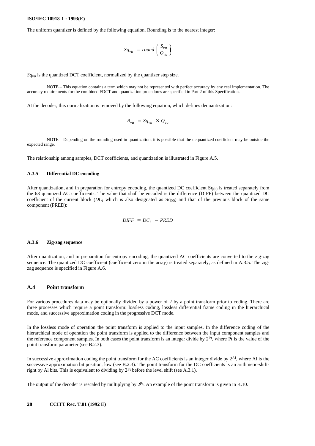The uniform quantizer is defined by the following equation. Rounding is to the nearest integer:

$$
Sq_{vu} = round \left(\frac{S_{vu}}{Q_{vu}}\right)
$$

*Sqvu* is the quantized DCT coefficient, normalized by the quantizer step size.

NOTE – This equation contains a term which may not be represented with perfect accuracy by any real implementation. The accuracy requirements for the combined FDCT and quantization procedures are specified in Part 2 of this Specification.

At the decoder, this normalization is removed by the following equation, which defines dequantization:

$$
R_{vu} = Sq_{vu} \times Q_{vu}
$$

NOTE – Depending on the rounding used in quantization, it is possible that the dequantized coefficient may be outside the expected range.

The relationship among samples, DCT coefficients, and quantization is illustrated in Figure A.5.

#### **A.3.5 Differential DC encoding**

After quantization, and in preparation for entropy encoding, the quantized DC coefficient Sq<sub>00</sub> is treated separately from the 63 quantized AC coefficients. The value that shall be encoded is the difference (DIFF) between the quantized DC coefficient of the current block (*DC<sub>i</sub>* which is also designated as  $Sq_{00}$ ) and that of the previous block of the same component (PRED):

$$
DIFF = DC_i - PRED
$$

#### **A.3.6 Zig-zag sequence**

After quantization, and in preparation for entropy encoding, the quantized AC coefficients are converted to the zig-zag sequence. The quantized DC coefficient (coefficient zero in the array) is treated separately, as defined in A.3.5. The zigzag sequence is specified in Figure A.6.

## **A.4 Point transform**

For various procedures data may be optionally divided by a power of 2 by a point transform prior to coding. There are three processes which require a point transform: lossless coding, lossless differential frame coding in the hierarchical mode, and successive approximation coding in the progressive DCT mode.

In the lossless mode of operation the point transform is applied to the input samples. In the difference coding of the hierarchical mode of operation the point transform is applied to the difference between the input component samples and the reference component samples. In both cases the point transform is an integer divide by  $2^{\text{Pt}}$ , where Pt is the value of the point transform parameter (see B.2.3).

In successive approximation coding the point transform for the AC coefficients is an integer divide by 2<sup>Al</sup>, where Al is the successive approximation bit position, low (see B.2.3). The point transform for the DC coefficients is an arithmetic-shiftright by Al bits. This is equivalent to dividing by  $2^{Pt}$  before the level shift (see A.3.1).

The output of the decoder is rescaled by multiplying by  $2^{Pt}$ . An example of the point transform is given in K.10.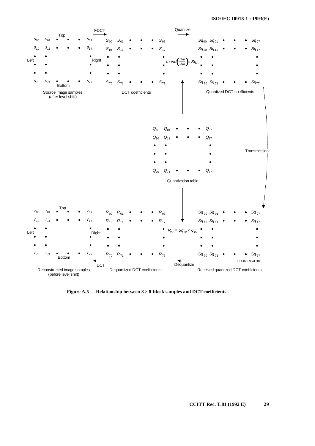

**Figure A.5 – Relationship between 8 × 8-block samples and DCT coefficients**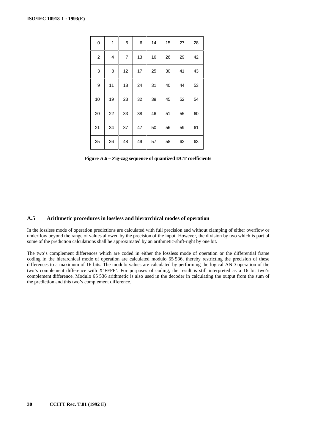| 0              | 1  | 5  | 6  | 14 | 15 | 27 | 28 |
|----------------|----|----|----|----|----|----|----|
| $\overline{c}$ | 4  | 7  | 13 | 16 | 26 | 29 | 42 |
| 3              | 8  | 12 | 17 | 25 | 30 | 41 | 43 |
| 9              | 11 | 18 | 24 | 31 | 40 | 44 | 53 |
| 10             | 19 | 23 | 32 | 39 | 45 | 52 | 54 |
| 20             | 22 | 33 | 38 | 46 | 51 | 55 | 60 |
| 21             | 34 | 37 | 47 | 50 | 56 | 59 | 61 |
| 35             | 36 | 48 | 49 | 57 | 58 | 62 | 63 |

**Figure A.6 – Zig-zag sequence of quantized DCT coefficients**

# **A.5 Arithmetic procedures in lossless and hierarchical modes of operation**

In the lossless mode of operation predictions are calculated with full precision and without clamping of either overflow or underflow beyond the range of values allowed by the precision of the input. However, the division by two which is part of some of the prediction calculations shall be approximated by an arithmetic-shift-right by one bit.

The two's complement differences which are coded in either the lossless mode of operation or the differential frame coding in the hierarchical mode of operation are calculated modulo 65 536, thereby restricting the precision of these differences to a maximum of 16 bits. The modulo values are calculated by performing the logical AND operation of the two's complement difference with X'FFFF'. For purposes of coding, the result is still interpreted as a 16 bit two's complement difference. Modulo 65 536 arithmetic is also used in the decoder in calculating the output from the sum of the prediction and this two's complement difference.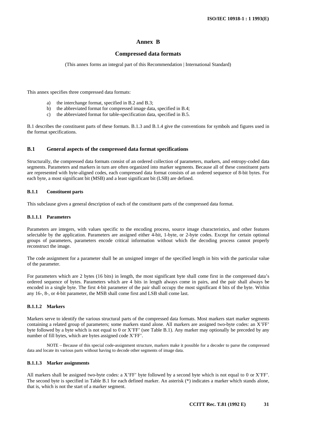## **Annex B**

## **Compressed data formats**

(This annex forms an integral part of this Recommendation | International Standard)

This annex specifies three compressed data formats:

- a) the interchange format, specified in B.2 and B.3;
- b) the abbreviated format for compressed image data, specified in B.4;
- c) the abbreviated format for table-specification data, specified in B.5.

B.1 describes the constituent parts of these formats. B.1.3 and B.1.4 give the conventions for symbols and figures used in the format specifications.

## **B.1 General aspects of the compressed data format specifications**

Structurally, the compressed data formats consist of an ordered collection of parameters, markers, and entropy-coded data segments. Parameters and markers in turn are often organized into marker segments. Because all of these constituent parts are represented with byte-aligned codes, each compressed data format consists of an ordered sequence of 8-bit bytes. For each byte, a most significant bit (MSB) and a least significant bit (LSB) are defined.

#### **B.1.1 Constituent parts**

This subclause gives a general description of each of the constituent parts of the compressed data format.

## **B.1.1.1 Parameters**

Parameters are integers, with values specific to the encoding process, source image characteristics, and other features selectable by the application. Parameters are assigned either 4-bit, 1-byte, or 2-byte codes. Except for certain optional groups of parameters, parameters encode critical information without which the decoding process cannot properly reconstruct the image.

The code assignment for a parameter shall be an unsigned integer of the specified length in bits with the particular value of the parameter.

For parameters which are 2 bytes (16 bits) in length, the most significant byte shall come first in the compressed data's ordered sequence of bytes. Parameters which are 4 bits in length always come in pairs, and the pair shall always be encoded in a single byte. The first 4-bit parameter of the pair shall occupy the most significant 4 bits of the byte. Within any 16-, 8-, or 4-bit parameter, the MSB shall come first and LSB shall come last.

## **B.1.1.2 Markers**

Markers serve to identify the various structural parts of the compressed data formats. Most markers start marker segments containing a related group of parameters; some markers stand alone. All markers are assigned two-byte codes: an X'FF' byte followed by a byte which is not equal to 0 or X'FF' (see Table B.1). Any marker may optionally be preceded by any number of fill bytes, which are bytes assigned code X'FF'.

NOTE – Because of this special code-assignment structure, markers make it possible for a decoder to parse the compressed data and locate its various parts without having to decode other segments of image data.

## **B.1.1.3 Marker assignments**

All markers shall be assigned two-byte codes: a X'FF' byte followed by a second byte which is not equal to 0 or X'FF'. The second byte is specified in Table B.1 for each defined marker. An asterisk (\*) indicates a marker which stands alone, that is, which is not the start of a marker segment.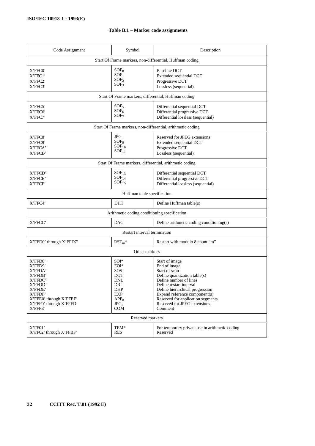| Code Assignment                                                                                                                                       | Symbol                                                                                                                | Description                                                                                                                                                                                                                                                                              |  |  |  |
|-------------------------------------------------------------------------------------------------------------------------------------------------------|-----------------------------------------------------------------------------------------------------------------------|------------------------------------------------------------------------------------------------------------------------------------------------------------------------------------------------------------------------------------------------------------------------------------------|--|--|--|
| Start Of Frame markers, non-differential, Huffman coding                                                                                              |                                                                                                                       |                                                                                                                                                                                                                                                                                          |  |  |  |
| X'FFC0'<br>X'FFC1'<br>X'FFC2'<br>X'FFC3'                                                                                                              | SOF <sub>0</sub><br>SOF <sub>1</sub><br>SOF <sub>2</sub><br>SOF <sub>3</sub>                                          | <b>Baseline DCT</b><br>Extended sequential DCT<br>Progressive DCT<br>Lossless (sequential)                                                                                                                                                                                               |  |  |  |
|                                                                                                                                                       | Start Of Frame markers, differential, Huffman coding                                                                  |                                                                                                                                                                                                                                                                                          |  |  |  |
| X'FFC5'<br>X'FFC6'<br>$X'$ FFC $7'$                                                                                                                   | SOF <sub>5</sub><br>SOF <sub>6</sub><br>SOF <sub>7</sub>                                                              | Differential sequential DCT<br>Differential progressive DCT<br>Differential lossless (sequential)                                                                                                                                                                                        |  |  |  |
|                                                                                                                                                       |                                                                                                                       | Start Of Frame markers, non-differential, arithmetic coding                                                                                                                                                                                                                              |  |  |  |
| X'FFC8'<br>X'FFC9'<br>X'FFCA'<br>X'FFCB'                                                                                                              | <b>JPG</b><br>SOF <sub>9</sub><br>SOF <sub>10</sub><br>SOF <sub>11</sub>                                              | Reserved for JPEG extensions<br>Extended sequential DCT<br>Progressive DCT<br>Lossless (sequential)                                                                                                                                                                                      |  |  |  |
|                                                                                                                                                       | Start Of Frame markers, differential, arithmetic coding                                                               |                                                                                                                                                                                                                                                                                          |  |  |  |
| X'FFCD'<br>X'FFCE'<br>X'FFCF'                                                                                                                         | SOF <sub>13</sub><br>SOF <sub>14</sub><br>SOF <sub>15</sub>                                                           | Differential sequential DCT<br>Differential progressive DCT<br>Differential lossless (sequential)                                                                                                                                                                                        |  |  |  |
|                                                                                                                                                       | Huffman table specification                                                                                           |                                                                                                                                                                                                                                                                                          |  |  |  |
| X'FFC4'                                                                                                                                               | <b>DHT</b>                                                                                                            | Define Huffman table(s)                                                                                                                                                                                                                                                                  |  |  |  |
|                                                                                                                                                       | Arithmetic coding conditioning specification                                                                          |                                                                                                                                                                                                                                                                                          |  |  |  |
| X'FFCC'                                                                                                                                               | <b>DAC</b>                                                                                                            | Define arithmetic coding conditioning(s)                                                                                                                                                                                                                                                 |  |  |  |
|                                                                                                                                                       | Restart interval termination                                                                                          |                                                                                                                                                                                                                                                                                          |  |  |  |
| X'FFD0' through X'FFD7'                                                                                                                               | $RST_m^*$                                                                                                             | Restart with modulo 8 count "m"                                                                                                                                                                                                                                                          |  |  |  |
|                                                                                                                                                       | Other markers                                                                                                         |                                                                                                                                                                                                                                                                                          |  |  |  |
| X'FFD8'<br>X'FFD9'<br>X'FFDA'<br>X'FFDB'<br>X'FFDC'<br>X'FFDD'<br>X'FFDE'<br>X'FFDF'<br>X'FFE0' through X'FFEF'<br>X'FFF0' through X'FFFD'<br>X'FFFE' | $SOI^*$<br>$EOI^*$<br>SOS<br>DQT<br><b>DNL</b><br>DRI<br><b>DHP</b><br><b>EXP</b><br>$APP_n$<br>$JPG_n$<br><b>COM</b> | Start of image<br>End of image<br>Start of scan<br>Define quantization table(s)<br>Define number of lines<br>Define restart interval<br>Define hierarchical progression<br>Expand reference component(s)<br>Reserved for application segments<br>Reserved for JPEG extensions<br>Comment |  |  |  |
| Reserved markers                                                                                                                                      |                                                                                                                       |                                                                                                                                                                                                                                                                                          |  |  |  |
| X'FF01'<br>X'FF02' through X'FFBF'                                                                                                                    | TEM*<br><b>RES</b>                                                                                                    | For temporary private use in arithmetic coding<br>Reserved                                                                                                                                                                                                                               |  |  |  |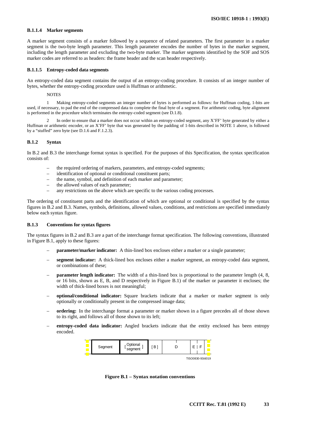### **B.1.1.4 Marker segments**

A marker segment consists of a marker followed by a sequence of related parameters. The first parameter in a marker segment is the two-byte length parameter. This length parameter encodes the number of bytes in the marker segment, including the length parameter and excluding the two-byte marker. The marker segments identified by the SOF and SOS marker codes are referred to as headers: the frame header and the scan header respectively.

### **B.1.1.5 Entropy-coded data segments**

An entropy-coded data segment contains the output of an entropy-coding procedure. It consists of an integer number of bytes, whether the entropy-coding procedure used is Huffman or arithmetic.

**NOTES** 

1 Making entropy-coded segments an integer number of bytes is performed as follows: for Huffman coding, 1-bits are used, if necessary, to pad the end of the compressed data to complete the final byte of a segment. For arithmetic coding, byte alignment is performed in the procedure which terminates the entropy-coded segment (see D.1.8).

2 In order to ensure that a marker does not occur within an entropy-coded segment, any X'FF' byte generated by either a Huffman or arithmetic encoder, or an X'FF' byte that was generated by the padding of 1-bits described in NOTE 1 above, is followed by a "stuffed" zero byte (see D.1.6 and F.1.2.3).

### **B.1.2 Syntax**

In B.2 and B.3 the interchange format syntax is specified. For the purposes of this Specification, the syntax specification consists of:

- the required ordering of markers, parameters, and entropy-coded segments;
- identification of optional or conditional constituent parts;
- the name, symbol, and definition of each marker and parameter;
- the allowed values of each parameter;
- any restrictions on the above which are specific to the various coding processes.

The ordering of constituent parts and the identification of which are optional or conditional is specified by the syntax figures in B.2 and B.3. Names, symbols, definitions, allowed values, conditions, and restrictions are specified immediately below each syntax figure.

#### **B.1.3 Conventions for syntax figures**

The syntax figures in B.2 and B.3 are a part of the interchange format specification. The following conventions, illustrated in Figure B.1, apply to these figures:

- **parameter/marker indicator:** A thin-lined box encloses either a marker or a single parameter;
- **segment indicator:** A thick-lined box encloses either a marker segment, an entropy-coded data segment, or combinations of these;
- **parameter length indicator:** The width of a thin-lined box is proportional to the parameter length (4, 8, or 16 bits, shown as E, B, and D respectively in Figure B.1) of the marker or parameter it encloses; the width of thick-lined boxes is not meaningful;
- **optional/conditional indicator:** Square brackets indicate that a marker or marker segment is only optionally or conditionally present in the compressed image data;
- **ordering:** In the interchange format a parameter or marker shown in a figure precedes all of those shown to its right, and follows all of those shown to its left;
- **entropy-coded data indicator:** Angled brackets indicate that the entity enclosed has been entropy encoded.

| Segment | Optional<br>segment | в |                  |  |
|---------|---------------------|---|------------------|--|
|         |                     |   | TISO0830-93/d019 |  |

**Figure B.1 – Syntax notation conventions**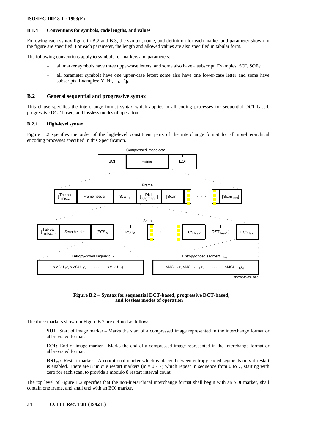### **ISO/IEC 10918-1 : 1993(E)**

### **B.1.4 Conventions for symbols, code lengths, and values**

Following each syntax figure in B.2 and B.3, the symbol, name, and definition for each marker and parameter shown in the figure are specified. For each parameter, the length and allowed values are also specified in tabular form.

The following conventions apply to symbols for markers and parameters:

- all marker symbols have three upper-case letters, and some also have a subscript. Examples: SOI, SOFn;
- all parameter symbols have one upper-case letter; some also have one lower-case letter and some have subscripts. Examples: Y, Nf, Hi, Tqi.

# **B.2 General sequential and progressive syntax**

This clause specifies the interchange format syntax which applies to all coding processes for sequential DCT-based, progressive DCT-based, and lossless modes of operation.

# **B.2.1 High-level syntax**

Figure B.2 specifies the order of the high-level constituent parts of the interchange format for all non-hierarchical encoding processes specified in this Specification.



**Figure B.2 – Syntax for sequential DCT-based, progressive DCT-based, and lossless modes of operation**

The three markers shown in Figure B.2 are defined as follows:

**SOI:** Start of image marker – Marks the start of a compressed image represented in the interchange format or abbreviated format.

**EOI:** End of image marker – Marks the end of a compressed image represented in the interchange format or abbreviated format.

**RSTm:** Restart marker – A conditional marker which is placed between entropy-coded segments only if restart is enabled. There are 8 unique restart markers ( $m = 0 - 7$ ) which repeat in sequence from 0 to 7, starting with zero for each scan, to provide a modulo 8 restart interval count.

The top level of Figure B.2 specifies that the non-hierarchical interchange format shall begin with an SOI marker, shall contain one frame, and shall end with an EOI marker.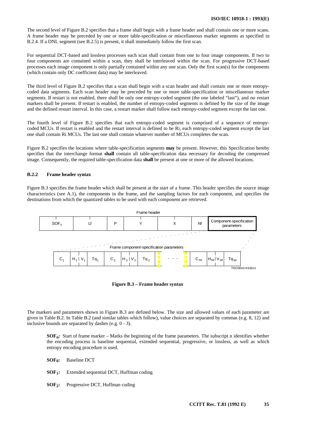The second level of Figure B.2 specifies that a frame shall begin with a frame header and shall contain one or more scans. A frame header may be preceded by one or more table-specification or miscellaneous marker segments as specified in B.2.4. If a DNL segment (see B.2.5) is present, it shall immediately follow the first scan.

For sequential DCT-based and lossless processes each scan shall contain from one to four image components. If two to four components are contained within a scan, they shall be interleaved within the scan. For progressive DCT-based processes each image component is only partially contained within any one scan. Only the first scan(s) for the components (which contain only DC coefficient data) may be interleaved.

The third level of Figure B.2 specifies that a scan shall begin with a scan header and shall contain one or more entropycoded data segments. Each scan header may be preceded by one or more table-specification or miscellaneous marker segments. If restart is not enabled, there shall be only one entropy-coded segment (the one labeled "last"), and no restart markers shall be present. If restart is enabled, the number of entropy-coded segments is defined by the size of the image and the defined restart interval. In this case, a restart marker shall follow each entropy-coded segment except the last one.

The fourth level of Figure B.2 specifies that each entropy-coded segment is comprised of a sequence of entropycoded MCUs. If restart is enabled and the restart interval is defined to be Ri, each entropy-coded segment except the last one shall contain Ri MCUs. The last one shall contain whatever number of MCUs completes the scan.

Figure B.2 specifies the locations where table-specification segments **may** be present. However, this Specification hereby specifies that the interchange format **shall** contain all table-specification data necessary for decoding the compressed image. Consequently, the required table-specification data **shall** be present at one or more of the allowed locations.

# **B.2.2 Frame header syntax**

Figure B.3 specifies the frame header which shall be present at the start of a frame. This header specifies the source image characteristics (see A.1), the components in the frame, and the sampling factors for each component, and specifies the destinations from which the quantized tables to be used with each component are retrieved.



**Figure B.3 – Frame header syntax**

The markers and parameters shown in Figure B.3 are defined below. The size and allowed values of each parameter are given in Table B.2. In Table B.2 (and similar tables which follow), value choices are separated by commas (e.g. 8, 12) and inclusive bounds are separated by dashes (e.g. 0 - 3).

**SOFn:** Start of frame marker – Marks the beginning of the frame parameters. The subscript n identifies whether the encoding process is baseline sequential, extended sequential, progressive, or lossless, as well as which entropy encoding procedure is used.

- **SOF<sub>0</sub>:** Baseline DCT
- **SOF<sub>1</sub>:** Extended sequential DCT, Huffman coding
- **SOF<sub>2</sub>:** Progressive DCT, Huffman coding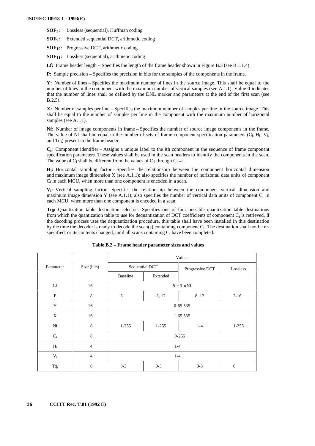**SOF3:** Lossless (sequential), Huffman coding

**SOF<sub>9</sub>:** Extended sequential DCT, arithmetic coding

**SOF<sub>10</sub>:** Progressive DCT, arithmetic coding

**SOF<sub>11</sub>:** Lossless (sequential), arithmetic coding

**Lf:** Frame header length – Specifies the length of the frame header shown in Figure B.3 (see B.1.1.4).

**P:** Sample precision – Specifies the precision in bits for the samples of the components in the frame.

**Y:** Number of lines – Specifies the maximum number of lines in the source image. This shall be equal to the number of lines in the component with the maximum number of vertical samples (see A.1.1). Value  $\overline{0}$  indicates that the number of lines shall be defined by the DNL marker and parameters at the end of the first scan (see B.2.5).

**X:** Number of samples per line – Specifies the maximum number of samples per line in the source image. This shall be equal to the number of samples per line in the component with the maximum number of horizontal samples (see A.1.1).

**Nf:** Number of image components in frame – Specifies the number of source image components in the frame. The value of Nf shall be equal to the number of sets of frame component specification parameters  $(C_i, H_i, V_i)$ , and Tqi) present in the frame header.

**Ci:** Component identifier – Assigns a unique label to the *i*th component in the sequence of frame component specification parameters. These values shall be used in the scan headers to identify the components in the scan. The value of  $\tilde{C}_i$  shall be different from the values of  $C_1$  through  $C_{i-1}$ .

**Hi:** Horizontal sampling factor – Specifies the relationship between the component horizontal dimension and maximum image dimension X (see A.1.1); also specifies the number of horizontal data units of component  $C_i$  in each MCU, when more than one component is encoded in a scan.

**Vi:** Vertical sampling factor – Specifies the relationship between the component vertical dimension and maximum image dimension Y (see A.1.1); also specifies the number of vertical data units of component  $C_i$  in each MCU, when more than one component is encoded in a scan.

**Tqi:** Quantization table destination selector – Specifies one of four possible quantization table destinations from which the quantization table to use for dequantization of DCT coefficients of component  $C_i$  is retrieved. If the decoding process uses the dequantization procedure, this table shall have been installed in this destination by the time the decoder is ready to decode the scan(s) containing component  $C_i$ . The destination shall not be respecified, or its contents changed, until all scans containing  $C_i$  have been completed.

|              |                | Values                                          |                |         |           |  |
|--------------|----------------|-------------------------------------------------|----------------|---------|-----------|--|
| Parameter    | Size (bits)    |                                                 | Sequential DCT |         | Lossless  |  |
|              |                | <b>Baseline</b>                                 | Extended       |         |           |  |
| Lf           | 16             | $8 + 3 \times Nf$                               |                |         |           |  |
| $\mathbf{P}$ | 8              | 8<br>$2 - 16$<br>8, 12<br>8, 12                 |                |         |           |  |
| Y            | 16             | $0-65535$                                       |                |         |           |  |
| X            | 16             | $1-655535$                                      |                |         |           |  |
| Nf           | 8              | $1 - 255$                                       | $1 - 255$      | $1 - 4$ | $1 - 255$ |  |
| $C_i$        | 8              | $0 - 255$                                       |                |         |           |  |
| $H_i$        | $\overline{4}$ | $1 - 4$                                         |                |         |           |  |
| $V_i$        | $\overline{4}$ | $1-4$                                           |                |         |           |  |
| $Tq_i$       | 8              | $0 - 3$<br>$0 - 3$<br>$0 - 3$<br>$\overline{0}$ |                |         |           |  |

**Table B.2 – Frame header parameter sizes and values**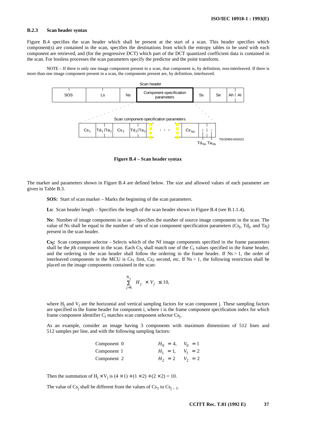#### **B.2.3 Scan header syntax**

Figure B.4 specifies the scan header which shall be present at the start of a scan. This header specifies which component(s) are contained in the scan, specifies the destinations from which the entropy tables to be used with each component are retrieved, and (for the progressive DCT) which part of the DCT quantized coefficient data is contained in the scan. For lossless processes the scan parameters specify the predictor and the point transform.

NOTE – If there is only one image component present in a scan, that component is, by definition, non-interleaved. If there is more than one image component present in a scan, the components present are, by definition, interleaved.



**Figure B.4 – Scan header syntax**

The marker and parameters shown in Figure B.4 are defined below. The size and allowed values of each parameter are given in Table B.3.

**SOS:** Start of scan marker – Marks the beginning of the scan parameters.

Ls: Scan header length – Specifies the length of the scan header shown in Figure B.4 (see B.1.1.4).

**Ns:** Number of image components in scan – Specifies the number of source image components in the scan. The value of Ns shall be equal to the number of sets of scan component specification parameters (Csj, Tdj, and Taj) present in the scan header.

**Csj:** Scan component selector – Selects which of the Nf image components specified in the frame parameters shall be the *j*th component in the scan. Each  $Cs_i$  shall match one of the  $C_i$  values specified in the frame header, and the ordering in the scan header shall follow the ordering in the frame header. If  $Ns > 1$ , the order of interleaved components in the MCU is Cs<sub>1</sub> first, Cs<sub>2</sub> second, etc. If Ns  $>$  1, the following restriction shall be placed on the image components contained in the scan:

$$
\sum_{j=1}^{N_s} H_j \times V_j \le 10,
$$

where  $H_i$  and  $V_j$  are the horizontal and vertical sampling factors for scan component j. These sampling factors are specified in the frame header for component i, where i is the frame component specification index for which frame component identifier  $C_i$  matches scan component selector  $Cs_i$ .

As an example, consider an image having 3 components with maximum dimensions of 512 lines and 512 samples per line, and with the following sampling factors:

| Component 0 | $H_0 = 4$ , $V_0 = 1$    |  |
|-------------|--------------------------|--|
| Component 1 | $H_1 = 1, \quad V_1 = 2$ |  |
| Component 2 | $H_2 = 2$ $V_2 = 2$      |  |

Then the summation of  $H_i \times V_i$  is  $(4 \times 1) + (1 \times 2) + (2 \times 2) = 10$ .

The value of  $Cs_i$  shall be different from the values of  $Cs_1$  to  $Cs_{i-1}$ .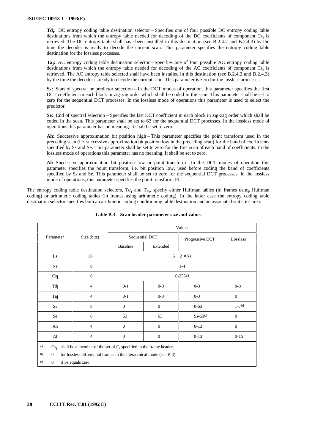**Tdj:** DC entropy coding table destination selector – Specifies one of four possible DC entropy coding table destinations from which the entropy table needed for decoding of the DC coefficients of component Cs<sub>i</sub> is retrieved. The DC entropy table shall have been installed in this destination (see B.2.4.2 and B.2.4.3) by the time the decoder is ready to decode the current scan. This parameter specifies the entropy coding table destination for the lossless processes.

**Taj:** AC entropy coding table destination selector – Specifies one of four possible AC entropy coding table destinations from which the entropy table needed for decoding of the AC coefficients of component Cs<sub>i</sub> is retrieved. The AC entropy table selected shall have been installed in this destination (see B.2.4.2 and B.2.4.3) by the time the decoder is ready to decode the current scan. This parameter is zero for the lossless processes.

**Ss:** Start of spectral or predictor selection – In the DCT modes of operation, this parameter specifies the first DCT coefficient in each block in zig-zag order which shall be coded in the scan. This parameter shall be set to zero for the sequential DCT processes. In the lossless mode of operations this parameter is used to select the predictor.

**Se:** End of spectral selection – Specifies the last DCT coefficient in each block in zig-zag order which shall be coded in the scan. This parameter shall be set to 63 for the sequential DCT processes. In the lossless mode of operations this parameter has no meaning. It shall be set to zero.

**Ah:** Successive approximation bit position high – This parameter specifies the point transform used in the preceding scan (i.e. successive approximation bit position low in the preceding scan) for the band of coefficients specified by Ss and Se. This parameter shall be set to zero for the first scan of each band of coefficients. In the lossless mode of operations this parameter has no meaning. It shall be set to zero.

**Al:** Successive approximation bit position low or point transform – In the DCT modes of operation this parameter specifies the point transform, i.e. bit position low, used before coding the band of coefficients specified by Ss and Se. This parameter shall be set to zero for the sequential DCT processes. In the lossless mode of operations, this parameter specifies the point transform, Pt.

The entropy coding table destination selectors, Tdj and Taj, specify either Huffman tables (in frames using Huffman coding) or arithmetic coding tables (in frames using arithmetic coding). In the latter case the entropy coding table destination selector specifies both an arithmetic coding conditioning table destination and an associated statistics area.

|                                                                                              |             | Values          |          |                   |                |  |
|----------------------------------------------------------------------------------------------|-------------|-----------------|----------|-------------------|----------------|--|
| Parameter                                                                                    | Size (bits) | Sequential DCT  |          | Progressive DCT   | Lossless       |  |
|                                                                                              |             | <b>Baseline</b> | Extended |                   |                |  |
| Ls                                                                                           | 16          |                 |          | $6 + 2 \times$ Ns |                |  |
| N <sub>S</sub>                                                                               | 8           |                 |          | $1 - 4$           |                |  |
| Cs <sub>j</sub>                                                                              | 8           | $0-255a)$       |          |                   |                |  |
| Tdj<br>4                                                                                     |             | $0 - 1$         | $0 - 3$  | $0 - 3$           | $0 - 3$        |  |
| Taj                                                                                          | 4           | $0-1$           | $0 - 3$  | $0 - 3$           | $\overline{0}$ |  |
| <b>Ss</b>                                                                                    | 8           | $\mathbf{0}$    | $\theta$ | $0 - 63$          | $1-7b$         |  |
| Se                                                                                           | 8           | 63              | 63       | $Ss-63c$          | $\mathbf{0}$   |  |
| Ah                                                                                           | 4           | $\mathbf{0}$    | $\theta$ | $0-13$            | $\mathbf{0}$   |  |
| Al<br>4                                                                                      |             | $\mathbf{0}$    | $\theta$ | $0 - 13$          | $0 - 15$       |  |
| a)<br>$Cs_i$ shall be a member of the set of $C_i$ specified in the frame header.            |             |                 |          |                   |                |  |
| b)<br>for lossless differential frames in the hierarchical mode (see B.3).<br>$\overline{0}$ |             |                 |          |                   |                |  |
| $\mathbf{c}$ )<br>if Ss equals zero.<br>$\mathbf{0}$                                         |             |                 |          |                   |                |  |

**Table B.3 – Scan header parameter size and values**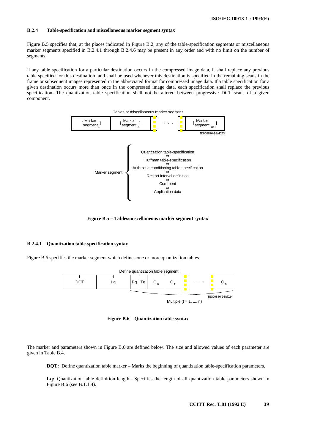# **B.2.4 Table-specification and miscellaneous marker segment syntax**

Figure B.5 specifies that, at the places indicated in Figure B.2, any of the table-specification segments or miscellaneous marker segments specified in B.2.4.1 through B.2.4.6 may be present in any order and with no limit on the number of segments.

If any table specification for a particular destination occurs in the compressed image data, it shall replace any previous table specified for this destination, and shall be used whenever this destination is specified in the remaining scans in the frame or subsequent images represented in the abbreviated format for compressed image data. If a table specification for a given destination occurs more than once in the compressed image data, each specification shall replace the previous specification. The quantization table specification shall not be altered between progressive DCT scans of a given component.



**Figure B.5 – Tables/miscellaneous marker segment syntax**

# **B.2.4.1 Quantization table-specification syntax**

Figure B.6 specifies the marker segment which defines one or more quantization tables.



**Figure B.6 – Quantization table syntax**

The marker and parameters shown in Figure B.6 are defined below. The size and allowed values of each parameter are given in Table B.4.

**DQT:** Define quantization table marker – Marks the beginning of quantization table-specification parameters.

**Lq:** Quantization table definition length – Specifies the length of all quantization table parameters shown in Figure B.6 (see B.1.1.4).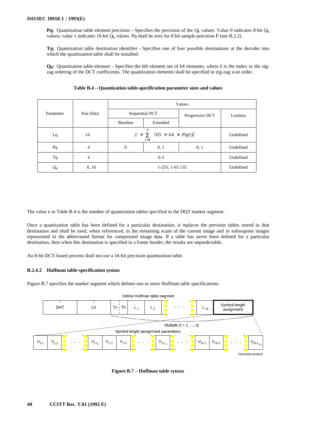**Pq:** Quantization table element precision – Specifies the precision of the  $Q_k$  values. Value 0 indicates 8-bit  $Q_k$ values; value 1 indicates 16-bit  $Q_k$  values. Pq shall be zero for 8 bit sample precision P (see B.2.2).

**Tq:** Quantization table destination identifier – Specifies one of four possible destinations at the decoder into which the quantization table shall be installed.

**Qk:** Quantization table element – Specifies the *k*th element out of 64 elements, where *k* is the index in the zigzag ordering of the DCT coefficients. The quantization elements shall be specified in zig-zag scan order.

|           |             | Values                                          |          |                 |           |  |
|-----------|-------------|-------------------------------------------------|----------|-----------------|-----------|--|
| Parameter | Size (bits) | Sequential DCT                                  |          | Progressive DCT | Lossless  |  |
|           |             | Baseline                                        | Extended |                 |           |  |
| Lq        | 16          | n<br>$2 + \sum (65 + 64 \times Pq(t))$<br>$t=1$ |          |                 | Undefined |  |
| Pq        | 4           | $\mathbf{0}$                                    | 0, 1     | 0, 1            | Undefined |  |
| Tq        | 4           | $0 - 3$                                         |          |                 | Undefined |  |
| $Q_{k}$   | 8, 16       | 1-255, 1-65 535                                 |          |                 | Undefined |  |

### **Table B.4 – Quantization table-specification parameter sizes and values**

The value n in Table B.4 is the number of quantization tables specified in the DQT marker segment.

Once a quantization table has been defined for a particular destination, it replaces the previous tables stored in that destination and shall be used, when referenced, in the remaining scans of the current image and in subsequent images represented in the abbreviated format for compressed image data. If a table has never been defined for a particular destination, then when this destination is specified in a frame header, the results are unpredictable.

An 8-bit DCT-based process shall not use a 16-bit precision quantization table.

# **B.2.4.2 Huffman table-specification syntax**

Figure B.7 specifies the marker segment which defines one or more Huffman table specifications.



**Figure B.7 – Huffman table syntax**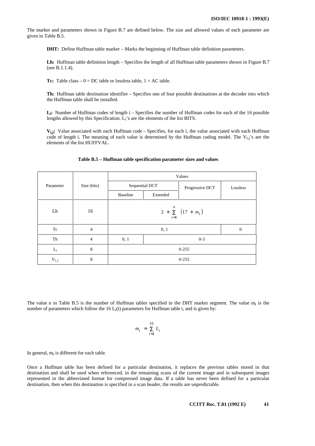The marker and parameters shown in Figure B.7 are defined below. The size and allowed values of each parameter are given in Table B.5.

**DHT:** Define Huffman table marker – Marks the beginning of Huffman table definition parameters.

**Lh:** Huffman table definition length – Specifies the length of all Huffman table parameters shown in Figure B.7 (see B.1.1.4).

**Tc:** Table class  $-0 = DC$  table or lossless table,  $1 = AC$  table.

**Th:** Huffman table destination identifier – Specifies one of four possible destinations at the decoder into which the Huffman table shall be installed.

**Li:** Number of Huffman codes of length i – Specifies the number of Huffman codes for each of the 16 possible lengths allowed by this Specification. L<sub>i</sub>'s are the elements of the list BITS.

**Vi,j:** Value associated with each Huffman code – Specifies, for each i, the value associated with each Huffman code of length i. The meaning of each value is determined by the Huffman coding model. The  $V_{i,j}$ 's are the elements of the list HUFFVAL.

|           |                | Values                                   |          |                 |          |  |
|-----------|----------------|------------------------------------------|----------|-----------------|----------|--|
| Parameter | Size (bits)    | Sequential DCT                           |          | Progressive DCT | Lossless |  |
|           |                | <b>Baseline</b>                          | Extended |                 |          |  |
| Lh        | 16             | $2 + \sum_{i=1}^{n} (17 + m_t)$<br>$t=1$ |          |                 |          |  |
| Tc        | $\overline{4}$ |                                          | 0, 1     |                 |          |  |
| Th        | $\overline{4}$ | 0, 1<br>$0 - 3$                          |          |                 |          |  |
| $L_i$     | 8              | $0 - 255$                                |          |                 |          |  |
| $V_{i,j}$ | 8              | $0 - 255$                                |          |                 |          |  |

# **Table B.5 – Huffman table specification parameter sizes and values**

The value n in Table B.5 is the number of Huffman tables specified in the DHT marker segment. The value  $m_t$  is the number of parameters which follow the  $16$  L<sub>i</sub>(t) parameters for Huffman table t, and is given by:

$$
m_t = \sum_{i=1}^{16} L_i
$$

In general,  $m_t$  is different for each table.

Once a Huffman table has been defined for a particular destination, it replaces the previous tables stored in that destination and shall be used when referenced, in the remaining scans of the current image and in subsequent images represented in the abbreviated format for compressed image data. If a table has never been defined for a particular destination, then when this destination is specified in a scan header, the results are unpredictable.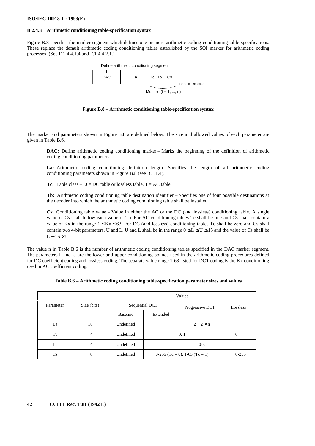## **B.2.4.3 Arithmetic conditioning table-specification syntax**

Figure B.8 specifies the marker segment which defines one or more arithmetic coding conditioning table specifications. These replace the default arithmetic coding conditioning tables established by the SOI marker for arithmetic coding processes. (See F.1.4.4.1.4 and F.1.4.4.2.1.)



**Figure B.8 – Arithmetic conditioning table-specification syntax**

The marker and parameters shown in Figure B.8 are defined below. The size and allowed values of each parameter are given in Table B.6.

**DAC:** Define arithmetic coding conditioning marker – Marks the beginning of the definition of arithmetic coding conditioning parameters.

**La:** Arithmetic coding conditioning definition length – Specifies the length of all arithmetic coding conditioning parameters shown in Figure B.8 (see B.1.1.4).

**Tc:** Table class  $- 0 = DC$  table or lossless table,  $1 = AC$  table.

**Tb:** Arithmetic coding conditioning table destination identifier – Specifies one of four possible destinations at the decoder into which the arithmetic coding conditioning table shall be installed.

**Cs:** Conditioning table value – Value in either the AC or the DC (and lossless) conditioning table. A single value of Cs shall follow each value of Tb. For AC conditioning tables Tc shall be one and Cs shall contain a value of Kx in the range  $1 \leq Kx \leq 63$ . For DC (and lossless) conditioning tables Tc shall be zero and Cs shall contain two 4-bit parameters, U and L. U and L shall be in the range  $0 \le L \le U \le 15$  and the value of Cs shall be  $L + 16 \times U$ .

The value n in Table B.6 is the number of arithmetic coding conditioning tables specified in the DAC marker segment. The parameters L and U are the lower and upper conditioning bounds used in the arithmetic coding procedures defined for DC coefficient coding and lossless coding. The separate value range 1-63 listed for DCT coding is the Kx conditioning used in AC coefficient coding.

| Table B.6 - Arithmetic coding conditioning table-specification parameter sizes and values |  |  |  |
|-------------------------------------------------------------------------------------------|--|--|--|
|-------------------------------------------------------------------------------------------|--|--|--|

|           |                | Values         |                                 |                 |                |  |
|-----------|----------------|----------------|---------------------------------|-----------------|----------------|--|
| Parameter | Size (bits)    | Sequential DCT |                                 | Progressive DCT | Lossless       |  |
|           |                | Baseline       | Extended                        |                 |                |  |
| La        | 16             | Undefined      | $2 + 2 \times n$                |                 |                |  |
| Tc        | $\overline{4}$ | Undefined      | 0, 1                            |                 | $\overline{0}$ |  |
| Tb        | 4              | Undefined      | $0 - 3$                         |                 |                |  |
| Cs        | 8              | Undefined      | $0-255$ (Tc = 0), 1-63 (Tc = 1) |                 | $0 - 255$      |  |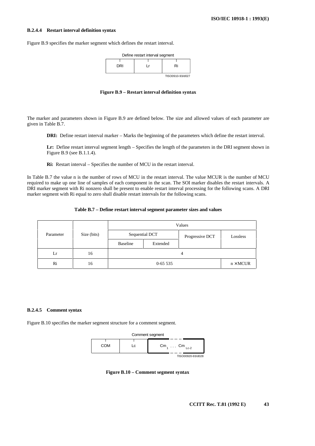### **B.2.4.4 Restart interval definition syntax**

Figure B.9 specifies the marker segment which defines the restart interval.



**Figure B.9 – Restart interval definition syntax**

The marker and parameters shown in Figure B.9 are defined below. The size and allowed values of each parameter are given in Table B.7.

**DRI:** Define restart interval marker – Marks the beginning of the parameters which define the restart interval.

**Lr:** Define restart interval segment length – Specifies the length of the parameters in the DRI segment shown in Figure B.9 (see B.1.1.4).

**Ri:** Restart interval – Specifies the number of MCU in the restart interval.

In Table B.7 the value n is the number of rows of MCU in the restart interval. The value MCUR is the number of MCU required to make up one line of samples of each component in the scan. The SOI marker disables the restart intervals. A DRI marker segment with Ri nonzero shall be present to enable restart interval processing for the following scans. A DRI marker segment with Ri equal to zero shall disable restart intervals for the following scans.

### **Table B.7 – Define restart interval segment parameter sizes and values**

|           |             | Values         |          |                 |                 |  |
|-----------|-------------|----------------|----------|-----------------|-----------------|--|
| Parameter | Size (bits) | Sequential DCT |          | Progressive DCT | Lossless        |  |
|           |             | Baseline       | Extended |                 |                 |  |
| Lr        | 16          |                | 4        |                 |                 |  |
| Ri        | 16          | $0-655535$     |          |                 | $n \times MCUR$ |  |

### **B.2.4.5 Comment syntax**

Figure B.10 specifies the marker segment structure for a comment segment.



**Figure B.10 – Comment segment syntax**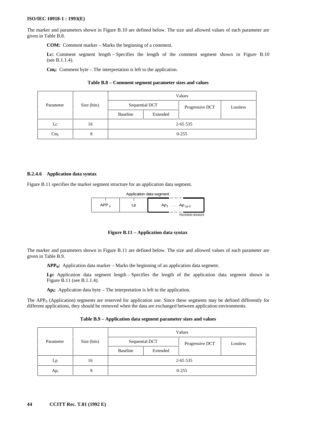### **ISO/IEC 10918-1 : 1993(E)**

The marker and parameters shown in Figure B.10 are defined below. The size and allowed values of each parameter are given in Table B.8.

**COM:** Comment marker – Marks the beginning of a comment.

**Lc:** Comment segment length – Specifies the length of the comment segment shown in Figure B.10 (see B.1.1.4).

**Cm<sub>i</sub>:** Comment byte – The interpretation is left to the application.

|           |             | Values         |          |                 |          |  |
|-----------|-------------|----------------|----------|-----------------|----------|--|
| Parameter | Size (bits) | Sequential DCT |          | Progressive DCT | Lossless |  |
|           |             | Baseline       | Extended |                 |          |  |
| Lc        | 16          | 2-65 535       |          |                 |          |  |
| $Cm_i$    | 8           | $0 - 255$      |          |                 |          |  |

#### **Table B.8 – Comment segment parameter sizes and values**

### **B.2.4.6 Application data syntax**

Figure B.11 specifies the marker segment structure for an application data segment.



**Figure B.11 – Application data syntax**

The marker and parameters shown in Figure B.11 are defined below. The size and allowed values of each parameter are given in Table B.9.

**APPn:** Application data marker – Marks the beginning of an application data segment.

Lp: Application data segment length – Specifies the length of the application data segment shown in Figure B.11 (see B.1.1.4).

**Api:** Application data byte – The interpretation is left to the application.

The  $APP_n$  (Application) segments are reserved for application use. Since these segments may be defined differently for different applications, they should be removed when the data are exchanged between application environments.

| Table B.9 - Application data segment parameter sizes and values |  |  |  |  |
|-----------------------------------------------------------------|--|--|--|--|
|-----------------------------------------------------------------|--|--|--|--|

|                 |             | Values         |          |                 |          |  |
|-----------------|-------------|----------------|----------|-----------------|----------|--|
| Parameter       | Size (bits) | Sequential DCT |          | Progressive DCT | Lossless |  |
|                 |             | Baseline       | Extended |                 |          |  |
| Lp              | 16          | 2-65 535       |          |                 |          |  |
| Ap <sub>i</sub> | 8           | $0 - 255$      |          |                 |          |  |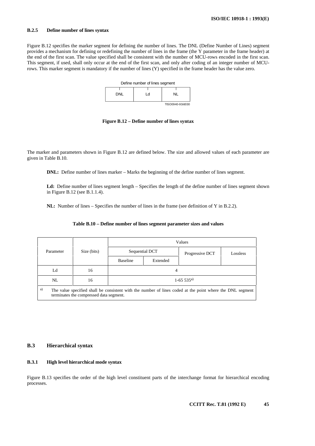### **B.2.5 Define number of lines syntax**

Figure B.12 specifies the marker segment for defining the number of lines. The DNL (Define Number of Lines) segment provides a mechanism for defining or redefining the number of lines in the frame (the Y parameter in the frame header) at the end of the first scan. The value specified shall be consistent with the number of MCU-rows encoded in the first scan. This segment, if used, shall only occur at the end of the first scan, and only after coding of an integer number of MCUrows. This marker segment is mandatory if the number of lines (Y) specified in the frame header has the value zero.



**Figure B.12 – Define number of lines syntax**

The marker and parameters shown in Figure B.12 are defined below. The size and allowed values of each parameter are given in Table B.10.

**DNL:** Define number of lines marker – Marks the beginning of the define number of lines segment.

**Ld:** Define number of lines segment length – Specifies the length of the define number of lines segment shown in Figure B.12 (see B.1.1.4).

**NL:** Number of lines – Specifies the number of lines in the frame (see definition of Y in B.2.2).

|                                                                                                                                                            | Size (bits) | Values          |                |                 |          |  |  |  |
|------------------------------------------------------------------------------------------------------------------------------------------------------------|-------------|-----------------|----------------|-----------------|----------|--|--|--|
| Parameter                                                                                                                                                  |             |                 | Sequential DCT | Progressive DCT | Lossless |  |  |  |
|                                                                                                                                                            |             | <b>Baseline</b> | Extended       |                 |          |  |  |  |
| Ld                                                                                                                                                         | 16          | 4               |                |                 |          |  |  |  |
| NI.                                                                                                                                                        | 16          | $1-65, 535a$    |                |                 |          |  |  |  |
| a)<br>The value specified shall be consistent with the number of lines coded at the point where the DNL segment<br>terminates the compressed data segment. |             |                 |                |                 |          |  |  |  |

# **Table B.10 – Define number of lines segment parameter sizes and values**

# **B.3 Hierarchical syntax**

# **B.3.1 High level hierarchical mode syntax**

Figure B.13 specifies the order of the high level constituent parts of the interchange format for hierarchical encoding processes.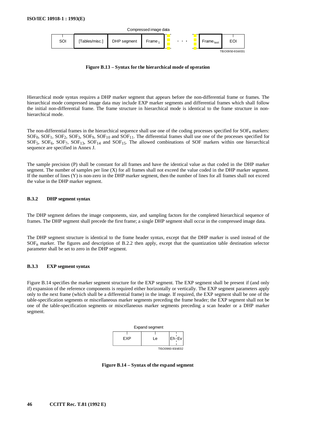| Compressed image data |                |  |                       |    |  |  |  |  |  |
|-----------------------|----------------|--|-----------------------|----|--|--|--|--|--|
| SOI                   | [Tables/misc.] |  | Frame <sub>last</sub> | EO |  |  |  |  |  |
| TISO0950-93/d031      |                |  |                       |    |  |  |  |  |  |

### **Figure B.13 – Syntax for the hierarchical mode of operation**

Hierarchical mode syntax requires a DHP marker segment that appears before the non-differential frame or frames. The hierarchical mode compressed image data may include EXP marker segments and differential frames which shall follow the initial non-differential frame. The frame structure in hierarchical mode is identical to the frame structure in nonhierarchical mode.

The non-differential frames in the hierarchical sequence shall use one of the coding processes specified for  $SOF_n$  markers:  $SOF_0$ ,  $SOF_1$ ,  $SOF_2$ ,  $SOF_3$ ,  $SOF_9$ ,  $SOF_{10}$  and  $SOF_{11}$ . The differential frames shall use one of the processes specified for  $SOF_5$ ,  $SOF_6$ ,  $SOF_7$ ,  $SOF_{13}$ ,  $SOF_{14}$  and  $SOF_{15}$ . The allowed combinations of SOF markers within one hierarchical sequence are specified in Annex J.

The sample precision (P) shall be constant for all frames and have the identical value as that coded in the DHP marker segment. The number of samples per line (X) for all frames shall not exceed the value coded in the DHP marker segment. If the number of lines (Y) is non-zero in the DHP marker segment, then the number of lines for all frames shall not exceed the value in the DHP marker segment.

### **B.3.2 DHP segment syntax**

The DHP segment defines the image components, size, and sampling factors for the completed hierarchical sequence of frames. The DHP segment shall precede the first frame; a single DHP segment shall occur in the compressed image data.

The DHP segment structure is identical to the frame header syntax, except that the DHP marker is used instead of the SOFn marker. The figures and description of B.2.2 then apply, except that the quantization table destination selector parameter shall be set to zero in the DHP segment.

### **B.3.3 EXP segment syntax**

Figure B.14 specifies the marker segment structure for the EXP segment. The EXP segment shall be present if (and only if) expansion of the reference components is required either horizontally or vertically. The EXP segment parameters apply only to the next frame (which shall be a differential frame) in the image. If required, the EXP segment shall be one of the table-specification segments or miscellaneous marker segments preceding the frame header; the EXP segment shall not be one of the table-specification segments or miscellaneous marker segments preceding a scan header or a DHP marker segment.



**Figure B.14 – Syntax of the expand segment**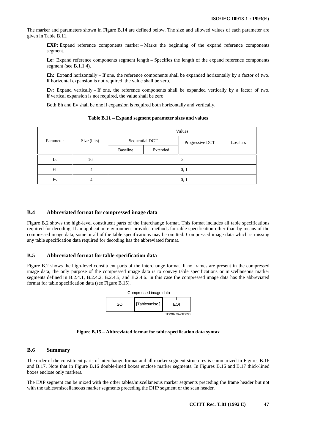The marker and parameters shown in Figure B.14 are defined below. The size and allowed values of each parameter are given in Table B.11.

**EXP:** Expand reference components marker – Marks the beginning of the expand reference components segment.

Le: Expand reference components segment length – Specifies the length of the expand reference components segment (see B.1.1.4).

**Eh:** Expand horizontally – If one, the reference components shall be expanded horizontally by a factor of two. If horizontal expansion is not required, the value shall be zero.

**Ev:** Expand vertically – If one, the reference components shall be expanded vertically by a factor of two. If vertical expansion is not required, the value shall be zero.

Both Eh and Ev shall be one if expansion is required both horizontally and vertically.

|           | Size (bits) | Values         |          |                 |          |  |  |  |
|-----------|-------------|----------------|----------|-----------------|----------|--|--|--|
| Parameter |             | Sequential DCT |          | Progressive DCT | Lossless |  |  |  |
|           |             | Baseline       | Extended |                 |          |  |  |  |
| Le        | 16          | 3              |          |                 |          |  |  |  |
| Eh        | 4           | 0, 1           |          |                 |          |  |  |  |
| Ev        | 4           | 0, 1           |          |                 |          |  |  |  |

**Table B.11 – Expand segment parameter sizes and values**

### **B.4 Abbreviated format for compressed image data**

Figure B.2 shows the high-level constituent parts of the interchange format. This format includes all table specifications required for decoding. If an application environment provides methods for table specification other than by means of the compressed image data, some or all of the table specifications may be omitted. Compressed image data which is missing any table specification data required for decoding has the abbreviated format.

#### **B.5 Abbreviated format for table-specification data**

Figure B.2 shows the high-level constituent parts of the interchange format. If no frames are present in the compressed image data, the only purpose of the compressed image data is to convey table specifications or miscellaneous marker segments defined in B.2.4.1, B.2.4.2, B.2.4.5, and B.2.4.6. In this case the compressed image data has the abbreviated format for table specification data (see Figure B.15).



**Figure B.15 – Abbreviated format for table-specification data syntax**

# **B.6 Summary**

The order of the constituent parts of interchange format and all marker segment structures is summarized in Figures B.16 and B.17. Note that in Figure B.16 double-lined boxes enclose marker segments. In Figures B.16 and B.17 thick-lined boxes enclose only markers.

The EXP segment can be mixed with the other tables/miscellaneous marker segments preceding the frame header but not with the tables/miscellaneous marker segments preceding the DHP segment or the scan header.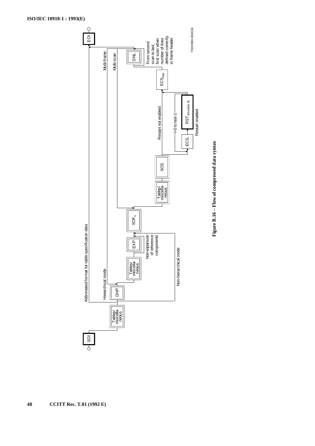

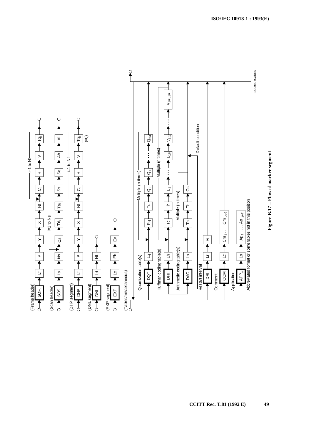

**ISO/IEC 10918-1 : 1993(E)**

**CCITT Rec. T.81 (1992 E) 49**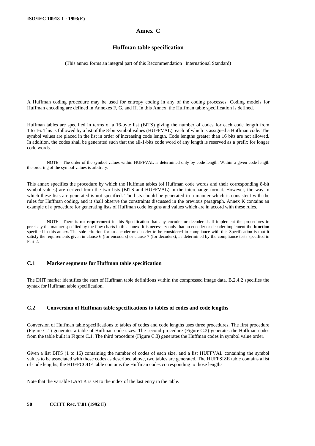# **Annex C**

# **Huffman table specification**

#### (This annex forms an integral part of this Recommendation | International Standard)

A Huffman coding procedure may be used for entropy coding in any of the coding processes. Coding models for Huffman encoding are defined in Annexes F, G, and H. In this Annex, the Huffman table specification is defined.

Huffman tables are specified in terms of a 16-byte list (BITS) giving the number of codes for each code length from 1 to 16. This is followed by a list of the 8-bit symbol values (HUFFVAL), each of which is assigned a Huffman code. The symbol values are placed in the list in order of increasing code length. Code lengths greater than 16 bits are not allowed. In addition, the codes shall be generated such that the all-1-bits code word of any length is reserved as a prefix for longer code words.

NOTE – The order of the symbol values within HUFFVAL is determined only by code length. Within a given code length the ordering of the symbol values is arbitrary.

This annex specifies the procedure by which the Huffman tables (of Huffman code words and their corresponding 8-bit symbol values) are derived from the two lists (BITS and HUFFVAL) in the interchange format. However, the way in which these lists are generated is not specified. The lists should be generated in a manner which is consistent with the rules for Huffman coding, and it shall observe the constraints discussed in the previous paragraph. Annex K contains an example of a procedure for generating lists of Huffman code lengths and values which are in accord with these rules.

NOTE – There is **no requirement** in this Specification that any encoder or decoder shall implement the procedures in precisely the manner specified by the flow charts in this annex. It is necessary only that an encoder or decoder implement the **function** specified in this annex. The sole criterion for an encoder or decoder to be considered in compliance with this Specification is that it satisfy the requirements given in clause 6 (for encoders) or clause 7 (for decoders), as determined by the compliance tests specified in Part 2.

# **C.1 Marker segments for Huffman table specification**

The DHT marker identifies the start of Huffman table definitions within the compressed image data. B.2.4.2 specifies the syntax for Huffman table specification.

# **C.2 Conversion of Huffman table specifications to tables of codes and code lengths**

Conversion of Huffman table specifications to tables of codes and code lengths uses three procedures. The first procedure (Figure C.1) generates a table of Huffman code sizes. The second procedure (Figure C.2) generates the Huffman codes from the table built in Figure C.1. The third procedure (Figure C.3) generates the Huffman codes in symbol value order.

Given a list BITS (1 to 16) containing the number of codes of each size, and a list HUFFVAL containing the symbol values to be associated with those codes as described above, two tables are generated. The HUFFSIZE table contains a list of code lengths; the HUFFCODE table contains the Huffman codes corresponding to those lengths.

Note that the variable LASTK is set to the index of the last entry in the table.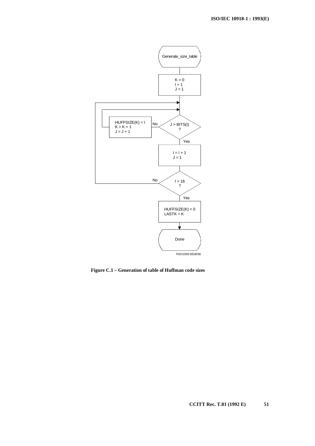

**Figure C.1 – Generation of table of Huffman code sizes**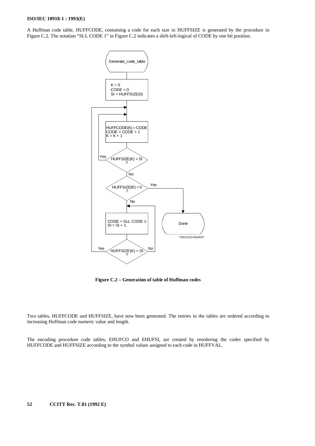# **ISO/IEC 10918-1 : 1993(E)**

A Huffman code table, HUFFCODE, containing a code for each size in HUFFSIZE is generated by the procedure in Figure C.2. The notation "SLL CODE 1" in Figure C.2 indicates a shift-left-logical of CODE by one bit position.



**Figure C.2 – Generation of table of Huffman codes**

Two tables, HUFFCODE and HUFFSIZE, have now been generated. The entries in the tables are ordered according to increasing Huffman code numeric value and length.

The encoding procedure code tables, EHUFCO and EHUFSI, are created by reordering the codes specified by HUFFCODE and HUFFSIZE according to the symbol values assigned to each code in HUFFVAL.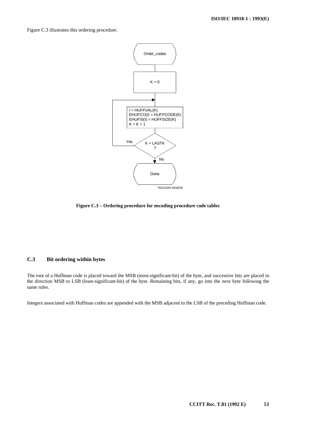Figure C.3 illustrates this ordering procedure.



**Figure C.3 – Ordering procedure for encoding procedure code tables**

# **C.3 Bit ordering within bytes**

The root of a Huffman code is placed toward the MSB (most-significant-bit) of the byte, and successive bits are placed in the direction MSB to LSB (least-significant-bit) of the byte. Remaining bits, if any, go into the next byte following the same rules.

Integers associated with Huffman codes are appended with the MSB adjacent to the LSB of the preceding Huffman code.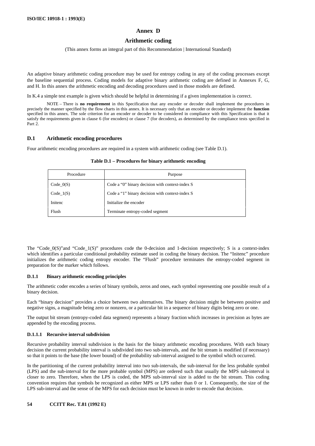# **Annex D**

# **Arithmetic coding**

(This annex forms an integral part of this Recommendation | International Standard)

An adaptive binary arithmetic coding procedure may be used for entropy coding in any of the coding processes except the baseline sequential process. Coding models for adaptive binary arithmetic coding are defined in Annexes F, G, and H. In this annex the arithmetic encoding and decoding procedures used in those models are defined.

In K.4 a simple test example is given which should be helpful in determining if a given implementation is correct.

TE – There is **no requirement** in this Specification that any encoder or decoder shall implement the procedures in precisely the manner specified by the flow charts in this annex. It is necessary only that an encoder or decoder implement the **function** specified in this annex. The sole criterion for an encoder or decoder to be considered in compliance with this Specification is that it satisfy the requirements given in clause 6 (for encoders) or clause 7 (for decoders), as determined by the compliance tests specified in Part  $2$ .

# **D.1 Arithmetic encoding procedures**

Four arithmetic encoding procedures are required in a system with arithmetic coding (see Table D.1).

| Procedure   | Purpose                                         |
|-------------|-------------------------------------------------|
| Code $0(S)$ | Code a "0" binary decision with context-index S |
| Code $1(S)$ | Code a "1" binary decision with context-index S |
| Initenc     | Initialize the encoder                          |
| Flush       | Terminate entropy-coded segment                 |

### **Table D.1 – Procedures for binary arithmetic encoding**

The "Code  $O(S)$ "and "Code  $1(S)$ " procedures code the 0-decision and 1-decision respectively; S is a context-index which identifies a particular conditional probability estimate used in coding the binary decision. The "Initenc" procedure initializes the arithmetic coding entropy encoder. The "Flush" procedure terminates the entropy-coded segment in preparation for the marker which follows.

# **D.1.1 Binary arithmetic encoding principles**

The arithmetic coder encodes a series of binary symbols, zeros and ones, each symbol representing one possible result of a binary decision.

Each "binary decision" provides a choice between two alternatives. The binary decision might be between positive and negative signs, a magnitude being zero or nonzero, or a particular bit in a sequence of binary digits being zero or one.

The output bit stream (entropy-coded data segment) represents a binary fraction which increases in precision as bytes are appended by the encoding process.

# **D.1.1.1 Recursive interval subdivision**

Recursive probability interval subdivision is the basis for the binary arithmetic encoding procedures. With each binary decision the current probability interval is subdivided into two sub-intervals, and the bit stream is modified (if necessary) so that it points to the base (the lower bound) of the probability sub-interval assigned to the symbol which occurred.

In the partitioning of the current probability interval into two sub-intervals, the sub-interval for the less probable symbol (LPS) and the sub-interval for the more probable symbol (MPS) are ordered such that usually the MPS sub-interval is closer to zero. Therefore, when the LPS is coded, the MPS sub-interval size is added to the bit stream. This coding convention requires that symbols be recognized as either MPS or LPS rather than 0 or 1. Consequently, the size of the LPS sub-interval and the sense of the MPS for each decision must be known in order to encode that decision.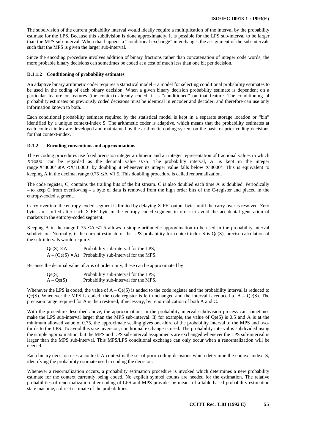The subdivision of the current probability interval would ideally require a multiplication of the interval by the probability estimate for the LPS. Because this subdivision is done approximately, it is possible for the LPS sub-interval to be larger than the MPS sub-interval. When that happens a "conditional exchange" interchanges the assignment of the sub-intervals such that the MPS is given the larger sub-interval.

Since the encoding procedure involves addition of binary fractions rather than concatenation of integer code words, the more probable binary decisions can sometimes be coded at a cost of much less than one bit per decision.

### **D.1.1.2 Conditioning of probability estimates**

An adaptive binary arithmetic coder requires a statistical model – a model for selecting conditional probability estimates to be used in the coding of each binary decision. When a given binary decision probability estimate is dependent on a particular feature or features (the context) already coded, it is "conditioned" on that feature. The conditioning of probability estimates on previously coded decisions must be identical in encoder and decoder, and therefore can use only information known to both.

Each conditional probability estimate required by the statistical model is kept in a separate storage location or "bin" identified by a unique context-index S. The arithmetic coder is adaptive, which means that the probability estimates at each context-index are developed and maintained by the arithmetic coding system on the basis of prior coding decisions for that context-index.

### **D.1.2 Encoding conventions and approximations**

The encoding procedures use fixed precision integer arithmetic and an integer representation of fractional values in which X'8000' can be regarded as the decimal value 0.75. The probability interval, A, is kept in the integer range X'8000'  $\leq A <$ X'10000' by doubling it whenever its integer value falls below X'8000'. This is equivalent to keeping A in the decimal range  $0.75 \leq A < 1.5$ . This doubling procedure is called renormalization.

The code register, C, contains the trailing bits of the bit stream. C is also doubled each time A is doubled. Periodically – to keep C from overflowing – a byte of data is removed from the high order bits of the C-register and placed in the entropy-coded segment.

Carry-over into the entropy-coded segment is limited by delaying X'FF' output bytes until the carry-over is resolved. Zero bytes are stuffed after each X'FF' byte in the entropy-coded segment in order to avoid the accidental generation of markers in the entropy-coded segment.

Keeping A in the range  $0.75 \leq A < 1.5$  allows a simple arithmetic approximation to be used in the probability interval subdivision. Normally, if the current estimate of the LPS probability for context-index S is Qe(S), precise calculation of the sub-intervals would require:

 $Qe(S) \times A$  Probability sub-interval for the LPS:  $A - (Qe(S) \times A)$  Probability sub-interval for the MPS.

Because the decimal value of A is of order unity, these can be approximated by

| $\text{Qe}(S)$ | Probability sub-interval for the LPS; |
|----------------|---------------------------------------|
| $A - Qe(S)$    | Probability sub-interval for the MPS. |

Whenever the LPS is coded, the value of  $A - Qe(S)$  is added to the code register and the probability interval is reduced to  $Qe(S)$ . Whenever the MPS is coded, the code register is left unchanged and the interval is reduced to  $A - Qe(S)$ . The precision range required for A is then restored, if necessary, by renormalization of both A and C.

With the procedure described above, the approximations in the probability interval subdivision process can sometimes make the LPS sub-interval larger than the MPS sub-interval. If, for example, the value of  $Oe(S)$  is 0.5 and A is at the minimum allowed value of 0.75, the approximate scaling gives one-third of the probability interval to the MPS and twothirds to the LPS. To avoid this size inversion, conditional exchange is used. The probability interval is subdivided using the simple approximation, but the MPS and LPS sub-interval assignments are exchanged whenever the LPS sub-interval is larger than the MPS sub-interval. This MPS/LPS conditional exchange can only occur when a renormalization will be needed.

Each binary decision uses a context. A context is the set of prior coding decisions which determine the context-index, S, identifying the probability estimate used in coding the decision.

Whenever a renormalization occurs, a probability estimation procedure is invoked which determines a new probability estimate for the context currently being coded. No explicit symbol counts are needed for the estimation. The relative probabilities of renormalization after coding of LPS and MPS provide, by means of a table-based probability estimation state machine, a direct estimate of the probabilities.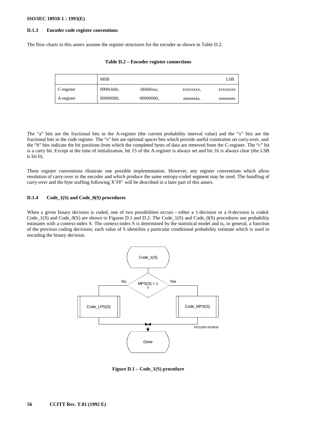### **ISO/IEC 10918-1 : 1993(E)**

# **D.1.3 Encoder code register conventions**

The flow charts in this annex assume the register structures for the encoder as shown in Table D.2.

|            | <b>MSB</b>       |           |           | LSB      |
|------------|------------------|-----------|-----------|----------|
| C-register | $0000$ c $bbb$ . | bbbbbsss, | XXXXXXXX, | XXXXXXXX |
| A-register | 00000000.        | 00000000. | aaaaaaaa. | aaaaaaaa |

**Table D.2 – Encoder register connections**

The "a" bits are the fractional bits in the A-register (the current probability interval value) and the "x" bits are the fractional bits in the code register. The "s" bits are optional spacer bits which provide useful constraints on carry-over, and the "b" bits indicate the bit positions from which the completed bytes of data are removed from the C-register. The "c" bit is a carry bit. Except at the time of initialization, bit 15 of the A-register is always set and bit 16 is always clear (the LSB is bit 0).

These register conventions illustrate one possible implementation. However, any register conventions which allow resolution of carry-over in the encoder and which produce the same entropy-coded segment may be used. The handling of carry-over and the byte stuffing following X'FF' will be described in a later part of this annex.

### **D.1.4 Code\_1(S) and Code\_0(S) procedures**

When a given binary decision is coded, one of two possibilities occurs – either a 1-decision or a 0-decision is coded. Code\_1(S) and Code\_0(S) are shown in Figures D.1 and D.2. The Code\_1(S) and Code\_0(S) procedures use probability estimates with a context-index S. The context-index S is determined by the statistical model and is, in general, a function of the previous coding decisions; each value of S identifies a particular conditional probability estimate which is used in encoding the binary decision.



**Figure D.1 – Code\_1(S) procedure**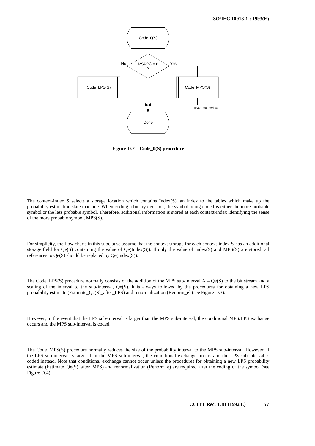

**Figure D.2 – Code\_0(S) procedure**

The context-index S selects a storage location which contains Index(S), an index to the tables which make up the probability estimation state machine. When coding a binary decision, the symbol being coded is either the more probable symbol or the less probable symbol. Therefore, additional information is stored at each context-index identifying the sense of the more probable symbol, MPS(S).

For simplicity, the flow charts in this subclause assume that the context storage for each context-index S has an additional storage field for  $Qe(S)$  containing the value of  $Qe(Index(S))$ . If only the value of Index(S) and MPS(S) are stored, all references to Qe(S) should be replaced by Qe(Index(S)).

The Code\_LPS(S) procedure normally consists of the addition of the MPS sub-interval  $A - Qe(S)$  to the bit stream and a scaling of the interval to the sub-interval, Qe(S). It is always followed by the procedures for obtaining a new LPS probability estimate (Estimate\_Qe(S)\_after\_LPS) and renormalization (Renorm\_e) (see Figure D.3).

However, in the event that the LPS sub-interval is larger than the MPS sub-interval, the conditional MPS/LPS exchange occurs and the MPS sub-interval is coded.

The Code\_MPS(S) procedure normally reduces the size of the probability interval to the MPS sub-interval. However, if the LPS sub-interval is larger than the MPS sub-interval, the conditional exchange occurs and the LPS sub-interval is coded instead. Note that conditional exchange cannot occur unless the procedures for obtaining a new LPS probability estimate (Estimate\_Qe(S)\_after\_MPS) and renormalization (Renorm\_e) are required after the coding of the symbol (see Figure D.4).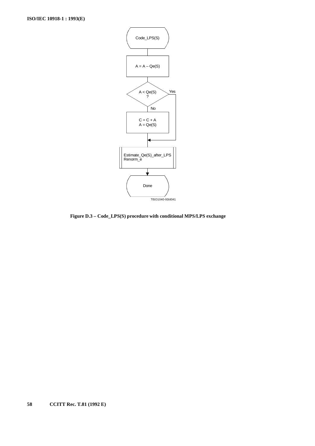

**Figure D.3 – Code\_LPS(S) procedure with conditional MPS/LPS exchange**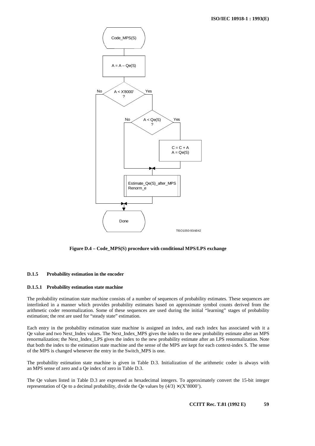

**Figure D.4 – Code\_MPS(S) procedure with conditional MPS/LPS exchange**

# **D.1.5 Probability estimation in the encoder**

# **D.1.5.1 Probability estimation state machine**

The probability estimation state machine consists of a number of sequences of probability estimates. These sequences are interlinked in a manner which provides probability estimates based on approximate symbol counts derived from the arithmetic coder renormalization. Some of these sequences are used during the initial "learning" stages of probability estimation; the rest are used for "steady state" estimation.

Each entry in the probability estimation state machine is assigned an index, and each index has associated with it a Qe value and two Next\_Index values. The Next\_Index\_MPS gives the index to the new probability estimate after an MPS renormalization; the Next\_Index\_LPS gives the index to the new probability estimate after an LPS renormalization. Note that both the index to the estimation state machine and the sense of the MPS are kept for each context-index S. The sense of the MPS is changed whenever the entry in the Switch\_MPS is one.

The probability estimation state machine is given in Table D.3. Initialization of the arithmetic coder is always with an MPS sense of zero and a Qe index of zero in Table D.3.

The Qe values listed in Table D.3 are expressed as hexadecimal integers. To approximately convert the 15-bit integer representation of Qe to a decimal probability, divide the Qe values by  $(4/3) \times (X'8000')$ .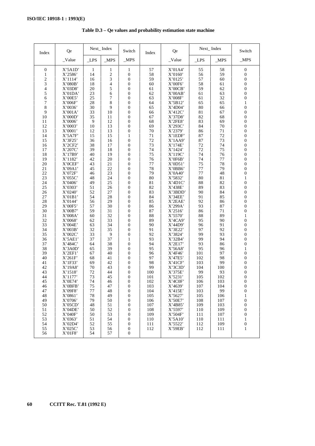| Index                    | <b>Qe</b>          | Next_Index   |                | Switch                           | Index    | Qe                 | Next_Index |          | Switch                               |
|--------------------------|--------------------|--------------|----------------|----------------------------------|----------|--------------------|------------|----------|--------------------------------------|
|                          | $\_\text{Value}$   | $_{LPS}$     | $_MPS$         | $_MPS$                           |          | $\_\text{Value}$   | $_{LPS}$   | $_MPS$   | $_MPS$                               |
| $\boldsymbol{0}$         | X'5A1D'            | $\mathbf{1}$ | $\mathbf{1}$   | $\mathbf{1}$                     | 57       | X'01A4'            | 55         | 58       | $\boldsymbol{0}$                     |
| 1                        | X'2586'            | 14           | $\overline{c}$ | $\boldsymbol{0}$                 | 58       | X'0160'            | 56         | 59       | $\boldsymbol{0}$                     |
| $\overline{c}$           | X'1114'            | 16           | 3              | $\boldsymbol{0}$                 | 59       | X'0125'            | 57         | 60       | $\boldsymbol{0}$                     |
| 3                        | X'080B'            | 18           | 4              | $\mathbf{0}$                     | 60       | X'00F6'            | 58         | 61       | $\boldsymbol{0}$                     |
| $\overline{\mathcal{L}}$ | X'03D8'            | 20           | 5              | $\boldsymbol{0}$                 | 61       | X'00CB'            | 59         | 62       | $\boldsymbol{0}$                     |
| 5                        | X'01DA'            | 23           | 6              | $\mathbf{0}$                     | 62       | X'00AB'            | 61         | 63       | $\boldsymbol{0}$                     |
| 6                        | X'00E5'            | 25           | 7              | 0                                | 63       | X'008F'            | 61         | 32       | $\boldsymbol{0}$                     |
| 7                        | X'006F'            | 28           | 8              | $\mathbf{0}$                     | 64       | X'5B12'            | 65         | 65       | 1                                    |
| 8                        | X'0036'            | 30           | 9              | $\boldsymbol{0}$                 | 65       | X'4D04'            | 80         | 66       | $\boldsymbol{0}$                     |
| 9                        | X'001A'            | 33           | 10             | $\mathbf{0}$                     | 66       | X'412C'            | 81         | 67       | $\boldsymbol{0}$                     |
| 10                       | X'000D'            | 35           | 11             | $\boldsymbol{0}$                 | 67       | X'37D8'            | 82         | 68       | $\boldsymbol{0}$                     |
| 11                       | X'0006'            | 9            | 12             | $\mathbf{0}$                     | 68       | X'2FE8'            | 83         | 69       | $\boldsymbol{0}$                     |
| 12                       | X'0003'            | 10           | 13             | $\boldsymbol{0}$                 | 69       | X'293C'            | 84         | 70       | $\boldsymbol{0}$                     |
| 13                       | X'0001'            | 12           | 13             | $\mathbf{0}$                     | 70       | X'2379'            | 86         | 71       | $\boldsymbol{0}$                     |
| 14                       | X'5A7F'            | 15           | 15             | 1                                | 71       | $X'$ 1 $EDF'$      | 87         | 72       | 0                                    |
| 15                       | X'3F25'            | 36           | 16             | $\mathbf{0}$                     | 72       | X'1AA9'            | 87         | 73       | $\boldsymbol{0}$                     |
| 16                       | X'2CF2'            | 38           | 17             | $\bf{0}$                         | 73       | X'174E'            | 72         | 74       | 0                                    |
| 17                       | X'207C'            | 39           | 18             | $\boldsymbol{0}$                 | 74       | X'1424'            | 72         | 75       | $\boldsymbol{0}$                     |
| 18                       | X'17B9'            | 40           | 19             | $\boldsymbol{0}$                 | 75       | X'119C'            | 74         | 76       | $\boldsymbol{0}$                     |
| 19                       | X'1182'            | 42           | 20             | $\boldsymbol{0}$                 | 76       | X'0F6B'            | 74         | 77       | $\boldsymbol{0}$                     |
| 20                       | X'0CEF'            | 43           | 21             | $\boldsymbol{0}$                 | 77       | X'0D51'            | 75         | 78       | 0                                    |
| 21                       | X'09A1'            | 45           | 22             | $\boldsymbol{0}$                 | 78       | X'0BB6'            | 77         | 79       | $\boldsymbol{0}$                     |
| 22                       | X'072F'            | 46           | 23             | $\boldsymbol{0}$                 | 79       | X'0A40'            | 77         | 48       | $\boldsymbol{0}$                     |
| 23                       | X'055C'            | 48           | 24             | $\boldsymbol{0}$                 | 80       | X'5832'            | 80         | 81       | 1                                    |
| 24                       | X'0406'            | 49           | 25             | $\mathbf{0}$                     | 81       | X'4D1C'            | 88         | 82       | $\boldsymbol{0}$                     |
| 25                       | X'0303'            | 51           | 26             | $\boldsymbol{0}$                 | 82       | X'438E'            | 89         | 83       | $\boldsymbol{0}$                     |
| 26                       | X'0240'            | 52           | 27             | $\mathbf{0}$                     | 83       | X'3BDD'            | 90         | 84       | $\boldsymbol{0}$                     |
| 27                       | X'01B1'            | 54           | 28<br>29       | $\boldsymbol{0}$                 | 84       | X'34EE'            | 91         | 85       | $\boldsymbol{0}$                     |
| 28<br>29                 | X'0144'<br>X'00F5' | 56<br>57     | 30             | $\mathbf{0}$<br>$\boldsymbol{0}$ | 85<br>86 | X'2EAE'<br>X'299A' | 92<br>93   | 86<br>87 | $\boldsymbol{0}$<br>$\boldsymbol{0}$ |
| 30                       | X'00B7'            | 59           | 31             | $\mathbf{0}$                     | 87       | X'2516'            | 86         | 71       | $\boldsymbol{0}$                     |
| 31                       | X'008A'            | 60           | 32             | $\boldsymbol{0}$                 | 88       | X'5570'            | 88         | 89       | $\mathbf{1}$                         |
| 32                       | X'0068'            | 62           | 33             | $\mathbf{0}$                     | 89       | $X'4C_A9'$         | 95         | 90       | $\boldsymbol{0}$                     |
| 33                       | X'004E'            | 63           | 34             | $\boldsymbol{0}$                 | 90       | X'44D9'            | 96         | 91       | $\boldsymbol{0}$                     |
| 34                       | X'003B'            | 32           | 35             | $\boldsymbol{0}$                 | 91       | X'3E22'            | 97         | 92       | $\boldsymbol{0}$                     |
| 35                       | X'002C'            | 33           | 9              | $\boldsymbol{0}$                 | 92       | X'3824'            | 99         | 93       | $\boldsymbol{0}$                     |
| 36                       | X'5AE1'            | 37           | 37             | 1                                | 93       | X'32B4'            | 99         | 94       | $\boldsymbol{0}$                     |
| 37                       | X'484C'            | 64           | 38             | $\boldsymbol{0}$                 | 94       | X'2E17'            | 93         | 86       | $\boldsymbol{0}$                     |
| 38                       | X'3A0D'            | 65           | 39             | $\mathbf{0}$                     | 95       | X'56A8'            | 95         | 96       | 1                                    |
| 39                       | X'2EF1'            | 67           | 40             | $\mathbf{0}$                     | 96       | X'4F46'            | 101        | 97       | $\boldsymbol{0}$                     |
| 40                       | X'261F'            | 68           | 41             | $\mathbf{0}$                     | 97       | X'47E5'            | 102        | 98       | $\boldsymbol{0}$                     |
| 41                       | $X'$ 1F33'         | 69           | 42             | $\bf{0}$                         | 98       | X'41CF'            | 103        | 99       | 0                                    |
| 42                       | X'19A8'            | 70           | 43             | $\boldsymbol{0}$                 | 99       | X'3C3D'            | 104        | 100      | $\boldsymbol{0}$                     |
| 43                       | X'1518'            | 72           | 44             | $\boldsymbol{0}$                 | 100      | X'375E'            | 99         | 93       | 0                                    |
| 44                       | X'1177'            | 73           | 45             | $\mathbf{0}$                     | 101      | X'5231'            | 105        | 102      | $\mathbf{0}$                         |
| 45                       | X'0E74'            | 74           | 46             | $\boldsymbol{0}$                 | 102      | $X'$ 4C0F'         | 106        | 103      | $\boldsymbol{0}$                     |
| 46                       | X'0BFB'            | 75           | 47             | $\boldsymbol{0}$                 | 103      | X'4639'            | 107        | 104      | $\boldsymbol{0}$                     |
| 47                       | X'09F8'            | 77           | 48             | $\bf{0}$                         | 104      | X'415E'            | 103        | 99       | $\boldsymbol{0}$                     |
| 48                       | X'0861'            | 78           | 49             | $\bf{0}$                         | 105      | X'5627'            | 105        | 106      | $\mathbf{1}$                         |
| 49                       | X'0706'            | 79           | 50             | $\boldsymbol{0}$                 | 106      | X'50E7'            | 108        | 107      | $\boldsymbol{0}$                     |
| 50                       | X'05CD'            | 48           | 51             | $\boldsymbol{0}$                 | 107      | $X'$ 4B85'         | 109        | 103      | $\boldsymbol{0}$                     |
| 51                       | X'04DE'            | 50           | 52             | $\mathbf{0}$                     | 108      | $X'$ 5597'         | 110        | 109      | 0                                    |
| 52                       | X'040F'            | 50           | 53             | $\boldsymbol{0}$                 | 109      | X'504F'            | 111        | 107      | $\boldsymbol{0}$                     |
| 53                       | X'0363'            | 51           | 54             | $\boldsymbol{0}$                 | 110      | X'5A10'            | 110        | 111      | 1                                    |
| 54                       | X'02D4'            | 52           | 55             | $\boldsymbol{0}$                 | 111      | X'5522'            | 112        | 109      | $\boldsymbol{0}$                     |
| 55                       | X'025C'            | 53           | 56             | $\boldsymbol{0}$                 | 112      | $X'$ 59EB'         | 112        | 111      | 1                                    |
| 56                       | X'01F8'            | 54           | 57             | $\bf{0}$                         |          |                    |            |          |                                      |

**Table D.3 – Qe values and probability estimation state machine**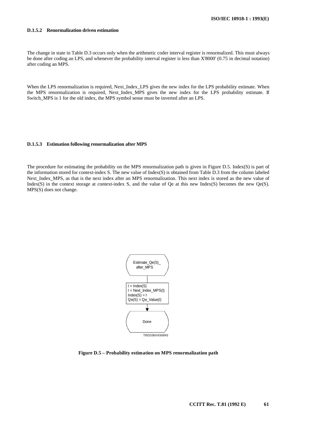### **D.1.5.2 Renormalization driven estimation**

The change in state in Table D.3 occurs only when the arithmetic coder interval register is renormalized. This must always be done after coding an LPS, and whenever the probability interval register is less than X'8000' (0.75 in decimal notation) after coding an MPS.

When the LPS renormalization is required, Next\_Index\_LPS gives the new index for the LPS probability estimate. When the MPS renormalization is required, Next\_Index\_MPS gives the new index for the LPS probability estimate. If Switch MPS is 1 for the old index, the MPS symbol sense must be inverted after an LPS.

#### **D.1.5.3 Estimation following renormalization after MPS**

The procedure for estimating the probability on the MPS renormalization path is given in Figure D.5. Index(S) is part of the information stored for context-index S. The new value of Index(S) is obtained from Table D.3 from the column labeled Next\_Index\_MPS, as that is the next index after an MPS renormalization. This next index is stored as the new value of Index(S) in the context storage at context-index S, and the value of Qe at this new Index(S) becomes the new Qe(S). MPS(S) does not change.



**Figure D.5 – Probability estimation on MPS renormalization path**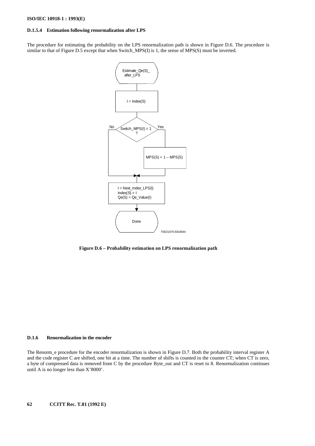# **D.1.5.4 Estimation following renormalization after LPS**

The procedure for estimating the probability on the LPS renormalization path is shown in Figure D.6. The procedure is similar to that of Figure D.5 except that when Switch\_MPS(I) is 1, the sense of MPS(S) must be inverted.



**Figure D.6 – Probability estimation on LPS renormalization path**

# **D.1.6 Renormalization in the encoder**

The Renorm\_e procedure for the encoder renormalization is shown in Figure D.7. Both the probability interval register A and the code register C are shifted, one bit at a time. The number of shifts is counted in the counter CT; when CT is zero, a byte of compressed data is removed from C by the procedure Byte\_out and CT is reset to 8. Renormalization continues until A is no longer less than X'8000'.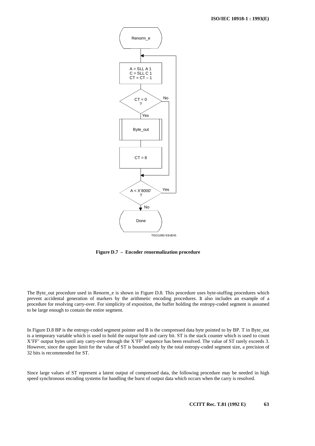

**Figure D.7 – Encoder renormalization procedure**

The Byte out procedure used in Renorm e is shown in Figure D.8. This procedure uses byte-stuffing procedures which prevent accidental generation of markers by the arithmetic encoding procedures. It also includes an example of a procedure for resolving carry-over. For simplicity of exposition, the buffer holding the entropy-coded segment is assumed to be large enough to contain the entire segment.

In Figure D.8 BP is the entropy-coded segment pointer and B is the compressed data byte pointed to by BP. T in Byte\_out is a temporary variable which is used to hold the output byte and carry bit. ST is the stack counter which is used to count X'FF' output bytes until any carry-over through the X'FF' sequence has been resolved. The value of ST rarely exceeds 3. However, since the upper limit for the value of ST is bounded only by the total entropy-coded segment size, a precision of 32 bits is recommended for ST.

Since large values of ST represent a latent output of compressed data, the following procedure may be needed in high speed synchronous encoding systems for handling the burst of output data which occurs when the carry is resolved.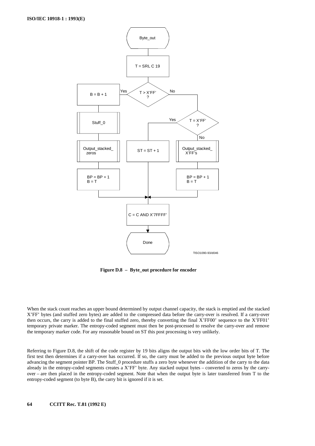

**Figure D.8 – Byte\_out procedure for encoder**

When the stack count reaches an upper bound determined by output channel capacity, the stack is emptied and the stacked X'FF' bytes (and stuffed zero bytes) are added to the compressed data before the carry-over is resolved. If a carry-over then occurs, the carry is added to the final stuffed zero, thereby converting the final X'FF00' sequence to the X'FF01' temporary private marker. The entropy-coded segment must then be post-processed to resolve the carry-over and remove the temporary marker code. For any reasonable bound on ST this post processing is very unlikely.

Referring to Figure D.8, the shift of the code register by 19 bits aligns the output bits with the low order bits of T. The first test then determines if a carry-over has occurred. If so, the carry must be added to the previous output byte before advancing the segment pointer BP. The Stuff\_0 procedure stuffs a zero byte whenever the addition of the carry to the data already in the entropy-coded segments creates a X'FF' byte. Any stacked output bytes – converted to zeros by the carryover – are then placed in the entropy-coded segment. Note that when the output byte is later transferred from T to the entropy-coded segment (to byte B), the carry bit is ignored if it is set.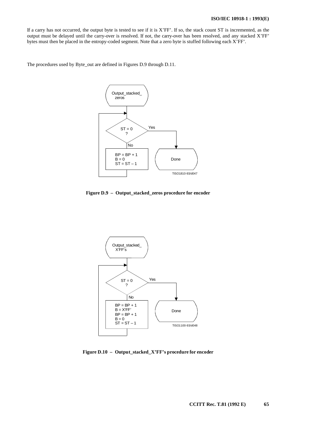If a carry has not occurred, the output byte is tested to see if it is X'FF'. If so, the stack count ST is incremented, as the output must be delayed until the carry-over is resolved. If not, the carry-over has been resolved, and any stacked X'FF' bytes must then be placed in the entropy-coded segment. Note that a zero byte is stuffed following each X'FF'.

The procedures used by Byte\_out are defined in Figures D.9 through D.11.



**Figure D.9 – Output\_stacked\_zeros procedure for encoder**



**Figure D.10 – Output\_stacked\_X'FF's procedure for encoder**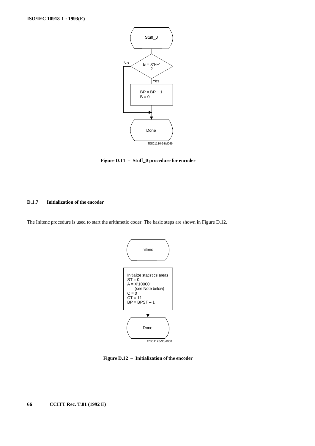

**Figure D.11 – Stuff\_0 procedure for encoder**

# **D.1.7 Initialization of the encoder**

The Initenc procedure is used to start the arithmetic coder. The basic steps are shown in Figure D.12.



**Figure D.12 – Initialization of the encoder**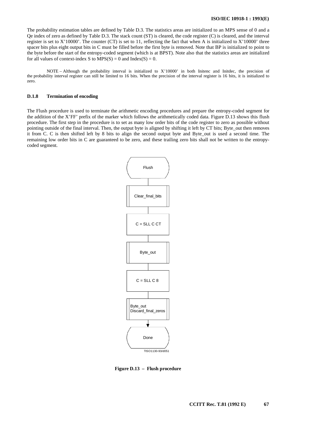The probability estimation tables are defined by Table D.3. The statistics areas are initialized to an MPS sense of 0 and a Qe index of zero as defined by Table D.3. The stack count (ST) is cleared, the code register (C) is cleared, and the interval register is set to X'10000'. The counter (CT) is set to 11, reflecting the fact that when A is initialized to X'10000' three spacer bits plus eight output bits in C must be filled before the first byte is removed. Note that BP is initialized to point to the byte before the start of the entropy-coded segment (which is at BPST). Note also that the statistics areas are initialized for all values of context-index S to  $MPS(S) = 0$  and  $Index(S) = 0$ .

NOTE – Although the probability interval is initialized to X'10000' in both Initenc and Initdec, the precision of the probability interval register can still be limited to 16 bits. When the precision of the interval register is 16 bits, it is initialized to zero.

## **D.1.8 Termination of encoding**

The Flush procedure is used to terminate the arithmetic encoding procedures and prepare the entropy-coded segment for the addition of the X'FF' prefix of the marker which follows the arithmetically coded data. Figure D.13 shows this flush procedure. The first step in the procedure is to set as many low order bits of the code register to zero as possible without pointing outside of the final interval. Then, the output byte is aligned by shifting it left by CT bits; Byte\_out then removes it from C. C is then shifted left by 8 bits to align the second output byte and Byte\_out is used a second time. The remaining low order bits in C are guaranteed to be zero, and these trailing zero bits shall not be written to the entropycoded segment.



**Figure D.13 – Flush procedure**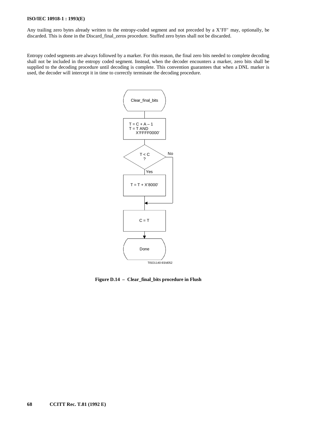# **ISO/IEC 10918-1 : 1993(E)**

Any trailing zero bytes already written to the entropy-coded segment and not preceded by a X'FF' may, optionally, be discarded. This is done in the Discard\_final\_zeros procedure. Stuffed zero bytes shall not be discarded.

Entropy coded segments are always followed by a marker. For this reason, the final zero bits needed to complete decoding shall not be included in the entropy coded segment. Instead, when the decoder encounters a marker, zero bits shall be supplied to the decoding procedure until decoding is complete. This convention guarantees that when a DNL marker is used, the decoder will intercept it in time to correctly terminate the decoding procedure.



**Figure D.14 – Clear\_final\_bits procedure in Flush**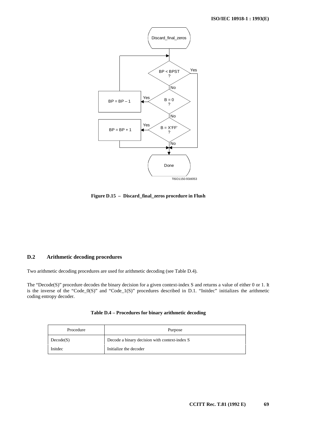

**Figure D.15 – Discard\_final\_zeros procedure in Flush**

# **D.2 Arithmetic decoding procedures**

Two arithmetic decoding procedures are used for arithmetic decoding (see Table D.4).

The "Decode(S)" procedure decodes the binary decision for a given context-index S and returns a value of either 0 or 1. It is the inverse of the "Code\_0(S)" and "Code\_1(S)" procedures described in D.1. "Initdec" initializes the arithmetic coding entropy decoder.

| Procedure | Purpose                                       |
|-----------|-----------------------------------------------|
| Decode(S) | Decode a binary decision with context-index S |
| Initdec   | Initialize the decoder                        |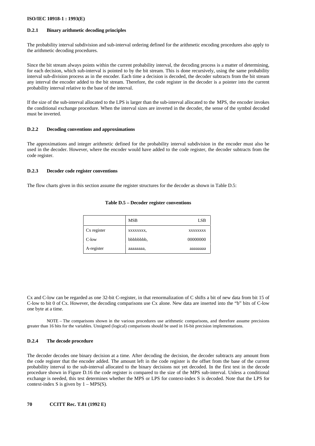#### **D.2.1 Binary arithmetic decoding principles**

The probability interval subdivision and sub-interval ordering defined for the arithmetic encoding procedures also apply to the arithmetic decoding procedures.

Since the bit stream always points within the current probability interval, the decoding process is a matter of determining, for each decision, which sub-interval is pointed to by the bit stream. This is done recursively, using the same probability interval sub-division process as in the encoder. Each time a decision is decoded, the decoder subtracts from the bit stream any interval the encoder added to the bit stream. Therefore, the code register in the decoder is a pointer into the current probability interval relative to the base of the interval.

If the size of the sub-interval allocated to the LPS is larger than the sub-interval allocated to the MPS, the encoder invokes the conditional exchange procedure. When the interval sizes are inverted in the decoder, the sense of the symbol decoded must be inverted.

#### **D.2.2 Decoding conventions and approximations**

The approximations and integer arithmetic defined for the probability interval subdivision in the encoder must also be used in the decoder. However, where the encoder would have added to the code register, the decoder subtracts from the code register.

# **D.2.3 Decoder code register conventions**

The flow charts given in this section assume the register structures for the decoder as shown in Table D.5:

|             | <b>MSB</b> | LSB      |
|-------------|------------|----------|
| Cx register | XXXXXXXX,  | XXXXXXXX |
| C-low       | bbbbbbb.   | 00000000 |
| A-register  | aaaaaaaa.  | аааааааа |

#### **Table D.5 – Decoder register conventions**

Cx and C-low can be regarded as one 32-bit C-register, in that renormalization of C shifts a bit of new data from bit 15 of C-low to bit 0 of Cx. However, the decoding comparisons use Cx alone. New data are inserted into the "b" bits of C-low one byte at a time.

NOTE – The comparisons shown in the various procedures use arithmetic comparisons, and therefore assume precisions greater than 16 bits for the variables. Unsigned (logical) comparisons should be used in 16-bit precision implementations.

### **D.2.4 The decode procedure**

The decoder decodes one binary decision at a time. After decoding the decision, the decoder subtracts any amount from the code register that the encoder added. The amount left in the code register is the offset from the base of the current probability interval to the sub-interval allocated to the binary decisions not yet decoded. In the first test in the decode procedure shown in Figure D.16 the code register is compared to the size of the MPS sub-interval. Unless a conditional exchange is needed, this test determines whether the MPS or LPS for context-index S is decoded. Note that the LPS for context-index S is given by  $1 - MPS(S)$ .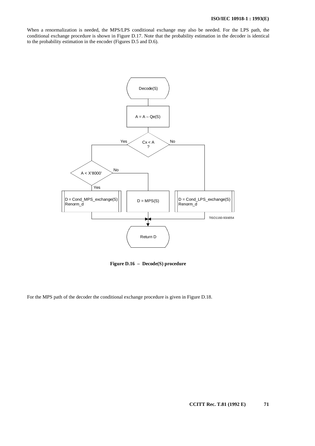When a renormalization is needed, the MPS/LPS conditional exchange may also be needed. For the LPS path, the conditional exchange procedure is shown in Figure D.17. Note that the probability estimation in the decoder is identical to the probability estimation in the encoder (Figures D.5 and D.6).



**Figure D.16 – Decode(S) procedure**

For the MPS path of the decoder the conditional exchange procedure is given in Figure D.18.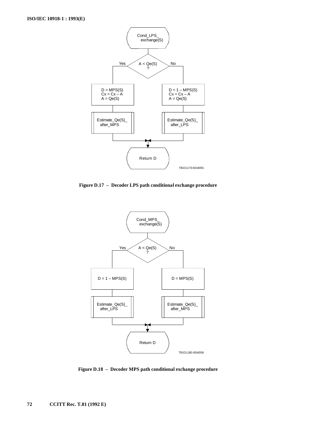

**Figure D.17 – Decoder LPS path conditional exchange procedure**



**Figure D.18 – Decoder MPS path conditional exchange procedure**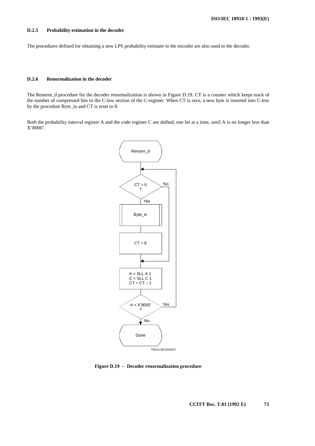# **D.2.5 Probability estimation in the decoder**

The procedures defined for obtaining a new LPS probability estimate in the encoder are also used in the decoder.

# **D.2.6 Renormalization in the decoder**

The Renorm\_d procedure for the decoder renormalization is shown in Figure D.19. CT is a counter which keeps track of the number of compressed bits in the C-low section of the C-register. When CT is zero, a new byte is inserted into C-low by the procedure Byte\_in and CT is reset to 8.

Both the probability interval register A and the code register C are shifted, one bit at a time, until A is no longer less than X'8000'.



**Figure D.19 – Decoder renormalization procedure**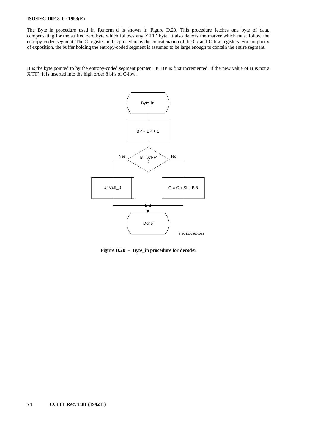The Byte\_in procedure used in Renorm\_d is shown in Figure D.20. This procedure fetches one byte of data, compensating for the stuffed zero byte which follows any X'FF' byte. It also detects the marker which must follow the entropy-coded segment. The C-register in this procedure is the concatenation of the Cx and C-low registers. For simplicity of exposition, the buffer holding the entropy-coded segment is assumed to be large enough to contain the entire segment.

B is the byte pointed to by the entropy-coded segment pointer BP. BP is first incremented. If the new value of B is not a X'FF', it is inserted into the high order 8 bits of C-low.



**Figure D.20 – Byte\_in procedure for decoder**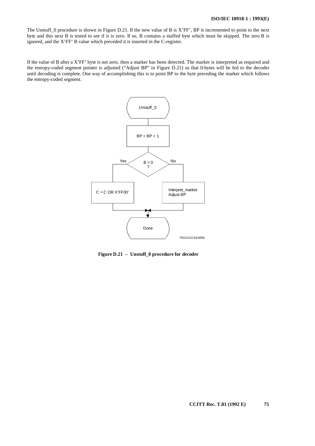The Unstuff\_0 procedure is shown in Figure D.21. If the new value of B is X'FF', BP is incremented to point to the next byte and this next B is tested to see if it is zero. If so, B contains a stuffed byte which must be skipped. The zero B is ignored, and the X'FF' B value which preceded it is inserted in the C-register.

If the value of B after a X'FF' byte is not zero, then a marker has been detected. The marker is interpreted as required and the entropy-coded segment pointer is adjusted ("Adjust BP" in Figure D.21) so that 0-bytes will be fed to the decoder until decoding is complete. One way of accomplishing this is to point BP to the byte preceding the marker which follows the entropy-coded segment.



**Figure D.21 – Unstuff\_0 procedure for decoder**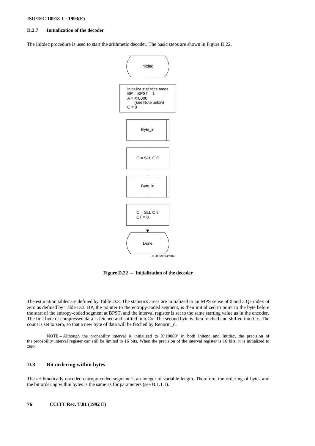#### **D.2.7 Initialization of the decoder**

The Initdec procedure is used to start the arithmetic decoder. The basic steps are shown in Figure D.22.



**Figure D.22 – Initialization of the decoder**

The estimation tables are defined by Table D.3. The statistics areas are initialized to an MPS sense of 0 and a Qe index of zero as defined by Table D.3. BP, the pointer to the entropy-coded segment, is then initialized to point to the byte before the start of the entropy-coded segment at BPST, and the interval register is set to the same starting value as in the encoder. The first byte of compressed data is fetched and shifted into Cx. The second byte is then fetched and shifted into Cx. The count is set to zero, so that a new byte of data will be fetched by Renorm\_d.

NOTE – Although the probability interval is initialized to X'10000' in both Initenc and Initdec, the precision of the probability interval register can still be limited to 16 bits. When the precision of the interval register is 16 bits, it is initialized to zero.

## **D.3 Bit ordering within bytes**

The arithmetically encoded entropy-coded segment is an integer of variable length. Therefore, the ordering of bytes and the bit ordering within bytes is the same as for parameters (see B.1.1.1).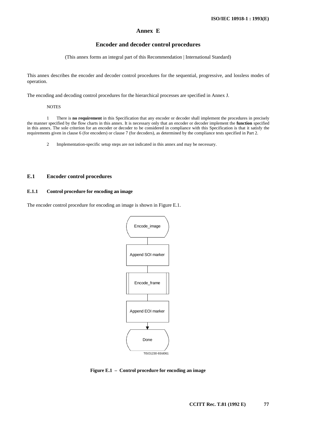# **Annex E**

# **Encoder and decoder control procedures**

(This annex forms an integral part of this Recommendation | International Standard)

This annex describes the encoder and decoder control procedures for the sequential, progressive, and lossless modes of operation.

The encoding and decoding control procedures for the hierarchical processes are specified in Annex J.

**NOTES** 

1 There is **no requirement** in this Specification that any encoder or decoder shall implement the procedures in precisely the manner specified by the flow charts in this annex. It is necessary only that an encoder or decoder implement the **function** specified in this annex. The sole criterion for an encoder or decoder to be considered in compliance with this Specification is that it satisfy the requirements given in clause 6 (for encoders) or clause 7 (for decoders), as determined by the compliance tests specified in Part 2.

2 Implementation-specific setup steps are not indicated in this annex and may be necessary.

# **E.1 Encoder control procedures**

# **E.1.1 Control procedure for encoding an image**

The encoder control procedure for encoding an image is shown in Figure E.1.



**Figure E.1 – Control procedure for encoding an image**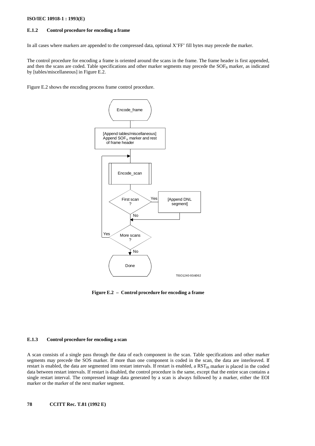### **E.1.2 Control procedure for encoding a frame**

In all cases where markers are appended to the compressed data, optional X'FF' fill bytes may precede the marker.

The control procedure for encoding a frame is oriented around the scans in the frame. The frame header is first appended, and then the scans are coded. Table specifications and other marker segments may precede the  $SOF_n$  marker, as indicated by [tables/miscellaneous] in Figure E.2.

Figure E.2 shows the encoding process frame control procedure.



**Figure E.2 – Control procedure for encoding a frame**

# **E.1.3 Control procedure for encoding a scan**

A scan consists of a single pass through the data of each component in the scan. Table specifications and other marker segments may precede the SOS marker. If more than one component is coded in the scan, the data are interleaved. If restart is enabled, the data are segmented into restart intervals. If restart is enabled, a  $RST_m$  marker is placed in the coded data between restart intervals. If restart is disabled, the control procedure is the same, except that the entire scan contains a single restart interval. The compressed image data generated by a scan is always followed by a marker, either the EOI marker or the marker of the next marker segment.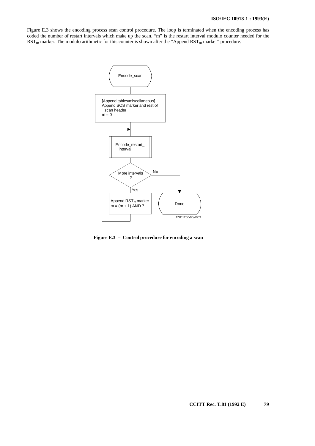Figure E.3 shows the encoding process scan control procedure. The loop is terminated when the encoding process has coded the number of restart intervals which make up the scan. "m" is the restart interval modulo counter needed for the  $RST_m$  marker. The modulo arithmetic for this counter is shown after the "Append  $RST_m$  marker" procedure.



**Figure E.3 – Control procedure for encoding a scan**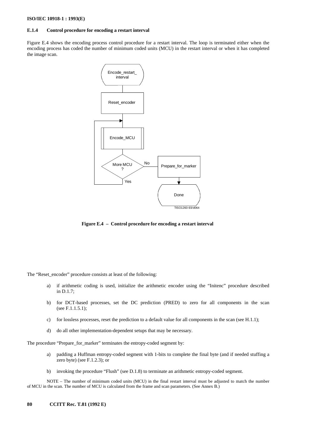## **E.1.4 Control procedure for encoding a restart interval**

Figure E.4 shows the encoding process control procedure for a restart interval. The loop is terminated either when the encoding process has coded the number of minimum coded units (MCU) in the restart interval or when it has completed the image scan.



**Figure E.4 – Control procedure for encoding a restart interval**

The "Reset\_encoder" procedure consists at least of the following:

- a) if arithmetic coding is used, initialize the arithmetic encoder using the "Initenc" procedure described in D.1.7;
- b) for DCT-based processes, set the DC prediction (PRED) to zero for all components in the scan (see F.1.1.5.1);
- c) for lossless processes, reset the prediction to a default value for all components in the scan (see H.1.1);
- d) do all other implementation-dependent setups that may be necessary.

The procedure "Prepare\_for\_marker" terminates the entropy-coded segment by:

- a) padding a Huffman entropy-coded segment with 1-bits to complete the final byte (and if needed stuffing a zero byte) (see F.1.2.3); or
- b) invoking the procedure "Flush" (see D.1.8) to terminate an arithmetic entropy-coded segment.

NOTE – The number of minimum coded units (MCU) in the final restart interval must be adjusted to match the number of MCU in the scan. The number of MCU is calculated from the frame and scan parameters. (See Annex B.)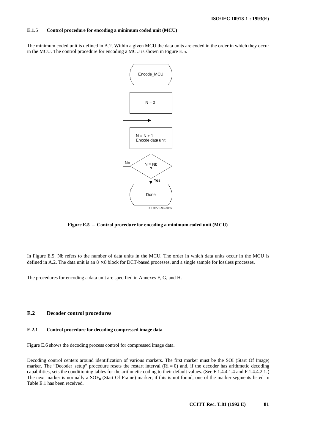### **E.1.5 Control procedure for encoding a minimum coded unit (MCU)**

The minimum coded unit is defined in A.2. Within a given MCU the data units are coded in the order in which they occur in the MCU. The control procedure for encoding a MCU is shown in Figure E.5.



**Figure E.5 – Control procedure for encoding a minimum coded unit (MCU)**

In Figure E.5, Nb refers to the number of data units in the MCU. The order in which data units occur in the MCU is defined in A.2. The data unit is an  $8 \times 8$  block for DCT-based processes, and a single sample for lossless processes.

The procedures for encoding a data unit are specified in Annexes F, G, and H.

# **E.2 Decoder control procedures**

#### **E.2.1 Control procedure for decoding compressed image data**

Figure E.6 shows the decoding process control for compressed image data.

Decoding control centers around identification of various markers. The first marker must be the SOI (Start Of Image) marker. The "Decoder\_setup" procedure resets the restart interval  $(Ri = 0)$  and, if the decoder has arithmetic decoding capabilities, sets the conditioning tables for the arithmetic coding to their default values. (See F.1.4.4.1.4 and F.1.4.4.2.1.) The next marker is normally a  $SOF_n$  (Start Of Frame) marker; if this is not found, one of the marker segments listed in Table E.1 has been received.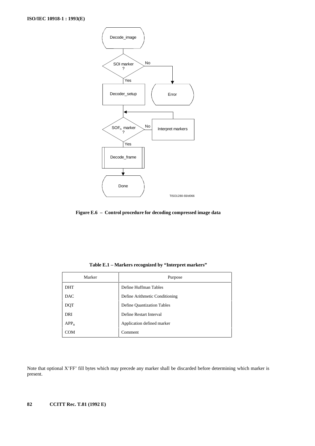



|  |  | Table E.1 – Markers recognized by ''Interpret markers'' |
|--|--|---------------------------------------------------------|
|--|--|---------------------------------------------------------|

| Marker     | Purpose                           |
|------------|-----------------------------------|
| <b>DHT</b> | Define Huffman Tables             |
| <b>DAC</b> | Define Arithmetic Conditioning    |
| <b>DQT</b> | <b>Define Quantization Tables</b> |
| DRI        | Define Restart Interval           |
| $APP_n$    | Application defined marker        |
| <b>COM</b> | Comment                           |

Note that optional X'FF' fill bytes which may precede any marker shall be discarded before determining which marker is present.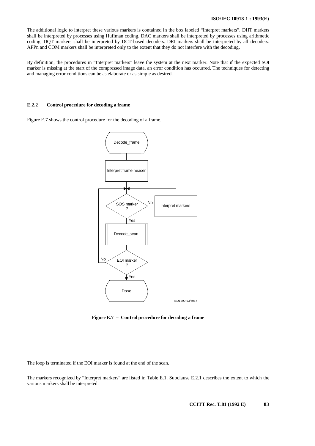The additional logic to interpret these various markers is contained in the box labeled "Interpret markers". DHT markers shall be interpreted by processes using Huffman coding. DAC markers shall be interpreted by processes using arithmetic coding. DQT markers shall be interpreted by DCT-based decoders. DRI markers shall be interpreted by all decoders. APPn and COM markers shall be interpreted only to the extent that they do not interfere with the decoding.

By definition, the procedures in "Interpret markers" leave the system at the next marker. Note that if the expected SOI marker is missing at the start of the compressed image data, an error condition has occurred. The techniques for detecting and managing error conditions can be as elaborate or as simple as desired.

### **E.2.2 Control procedure for decoding a frame**

Figure E.7 shows the control procedure for the decoding of a frame.



**Figure E.7 – Control procedure for decoding a frame**

The loop is terminated if the EOI marker is found at the end of the scan.

The markers recognized by "Interpret markers" are listed in Table E.1. Subclause E.2.1 describes the extent to which the various markers shall be interpreted.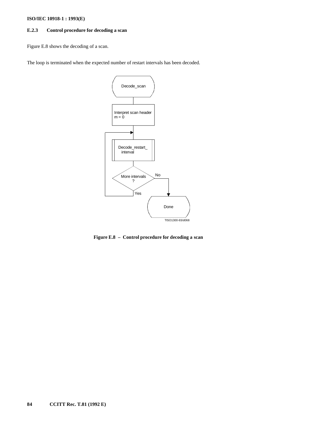# **E.2.3 Control procedure for decoding a scan**

Figure E.8 shows the decoding of a scan.

The loop is terminated when the expected number of restart intervals has been decoded.



**Figure E.8 – Control procedure for decoding a scan**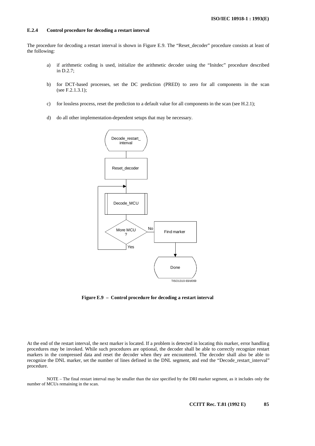#### **E.2.4 Control procedure for decoding a restart interval**

The procedure for decoding a restart interval is shown in Figure E.9. The "Reset\_decoder" procedure consists at least of the following:

- a) if arithmetic coding is used, initialize the arithmetic decoder using the "Initdec" procedure described in D.2.7;
- b) for DCT-based processes, set the DC prediction (PRED) to zero for all components in the scan (see F.2.1.3.1);
- c) for lossless process, reset the prediction to a default value for all components in the scan (see H.2.1);
- d) do all other implementation-dependent setups that may be necessary.



**Figure E.9 – Control procedure for decoding a restart interval**

At the end of the restart interval, the next marker is located. If a problem is detected in locating this marker, error handling procedures may be invoked. While such procedures are optional, the decoder shall be able to correctly recognize restart markers in the compressed data and reset the decoder when they are encountered. The decoder shall also be able to recognize the DNL marker, set the number of lines defined in the DNL segment, and end the "Decode\_restart\_interval" procedure.

NOTE – The final restart interval may be smaller than the size specified by the DRI marker segment, as it includes only the number of MCUs remaining in the scan.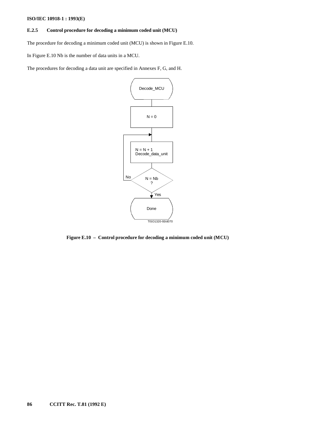# **E.2.5 Control procedure for decoding a minimum coded unit (MCU)**

The procedure for decoding a minimum coded unit (MCU) is shown in Figure E.10.

In Figure E.10 Nb is the number of data units in a MCU.

The procedures for decoding a data unit are specified in Annexes F, G, and H.



**Figure E.10 – Control procedure for decoding a minimum coded unit (MCU)**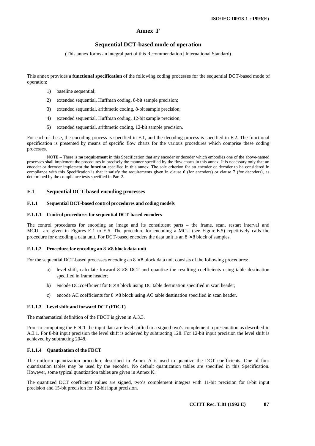# **Annex F**

# **Sequential DCT-based mode of operation**

(This annex forms an integral part of this Recommendation | International Standard)

This annex provides a **functional specification** of the following coding processes for the sequential DCT-based mode of operation:

- 1) baseline sequential;
- 2) extended sequential, Huffman coding, 8-bit sample precision;
- 3) extended sequential, arithmetic coding, 8-bit sample precision;
- 4) extended sequential, Huffman coding, 12-bit sample precision;
- 5) extended sequential, arithmetic coding, 12-bit sample precision.

For each of these, the encoding process is specified in F.1, and the decoding process is specified in F.2. The functional specification is presented by means of specific flow charts for the various procedures which comprise these coding processes.

NOTE – There is **no requirement** in this Specification that any encoder or decoder which embodies one of the above-named processes shall implement the procedures in precisely the manner specified by the flow charts in this annex. It is necessary only that an encoder or decoder implement the **function** specified in this annex. The sole criterion for an encoder or decoder to be considered in compliance with this Specification is that it satisfy the requirements given in clause 6 (for encoders) or clause 7 (for decoders), as determined by the compliance tests specified in Part 2.

#### **F.1 Sequential DCT-based encoding processes**

#### **F.1.1 Sequential DCT-based control procedures and coding models**

#### **F.1.1.1 Control procedures for sequential DCT-based encoders**

The control procedures for encoding an image and its constituent parts – the frame, scan, restart interval and MCU – are given in Figures E.1 to E.5. The procedure for encoding a MCU (see Figure E.5) repetitively calls the procedure for encoding a data unit. For DCT-based encoders the data unit is an  $8 \times 8$  block of samples.

#### **F.1.1.2 Procedure for encoding an 8** × **8 block data unit**

For the sequential DCT-based processes encoding an  $8 \times 8$  block data unit consists of the following procedures:

- a) level shift, calculate forward  $8 \times 8$  DCT and quantize the resulting coefficients using table destination specified in frame header;
- b) encode DC coefficient for  $8 \times 8$  block using DC table destination specified in scan header;
- c) encode AC coefficients for  $8 \times 8$  block using AC table destination specified in scan header.

#### **F.1.1.3 Level shift and forward DCT (FDCT)**

The mathematical definition of the FDCT is given in A.3.3.

Prior to computing the FDCT the input data are level shifted to a signed two's complement representation as described in A.3.1. For 8-bit input precision the level shift is achieved by subtracting 128. For 12-bit input precision the level shift is achieved by subtracting 2048.

### **F.1.1.4 Quantization of the FDCT**

The uniform quantization procedure described in Annex A is used to quantize the DCT coefficients. One of four quantization tables may be used by the encoder. No default quantization tables are specified in this Specification. However, some typical quantization tables are given in Annex K.

The quantized DCT coefficient values are signed, two's complement integers with 11-bit precision for 8-bit input precision and 15-bit precision for 12-bit input precision.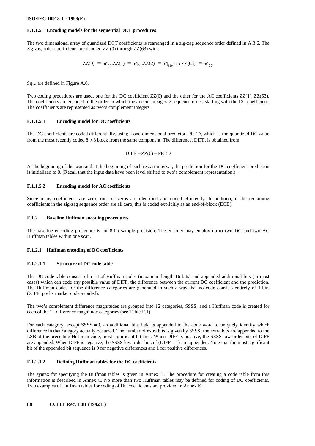#### **F.1.1.5 Encoding models for the sequential DCT procedures**

The two dimensional array of quantized DCT coefficients is rearranged in a zig-zag sequence order defined in A.3.6. The zig-zag order coefficients are denoted ZZ (0) through ZZ(63) with:

$$
ZZ(0) = Sq_{00'}ZZ(1) = Sq_{01'}ZZ(2) = Sq_{10'}\bullet,\bullet, ZZ(63) = Sq_{77}
$$

Sqvu are defined in Figure A.6.

Two coding procedures are used, one for the DC coefficient ZZ(0) and the other for the AC coefficients ZZ(1)..ZZ(63). The coefficients are encoded in the order in which they occur in zig-zag sequence order, starting with the DC coefficient. The coefficients are represented as two's complement integers.

### **F.1.1.5.1 Encoding model for DC coefficients**

The DC coefficients are coded differentially, using a one-dimensional predictor, PRED, which is the quantized DC value from the most recently coded  $8 \times 8$  block from the same component. The difference, DIFF, is obtained from

$$
DIFF = ZZ(0) - PRED
$$

At the beginning of the scan and at the beginning of each restart interval, the prediction for the DC coefficient prediction is initialized to 0. (Recall that the input data have been level shifted to two's complement representation.)

## **F.1.1.5.2 Encoding model for AC coefficients**

Since many coefficients are zero, runs of zeros are identified and coded efficiently. In addition, if the remaining coefficients in the zig-zag sequence order are all zero, this is coded explicitly as an end-of-block (EOB).

### **F.1.2 Baseline Huffman encoding procedures**

The baseline encoding procedure is for 8-bit sample precision. The encoder may employ up to two DC and two AC Huffman tables within one scan.

### **F.1.2.1 Huffman encoding of DC coefficients**

# **F.1.2.1.1 Structure of DC code table**

The DC code table consists of a set of Huffman codes (maximum length 16 bits) and appended additional bits (in most cases) which can code any possible value of DIFF, the difference between the current DC coefficient and the prediction. The Huffman codes for the difference categories are generated in such a way that no code consists entirely of 1-bits (X'FF' prefix marker code avoided).

The two's complement difference magnitudes are grouped into 12 categories, SSSS, and a Huffman code is created for each of the 12 difference magnitude categories (see Table F.1).

For each category, except  $SSS = 0$ , an additional bits field is appended to the code word to uniquely identify which difference in that category actually occurred. The number of extra bits is given by SSSS; the extra bits are appended to the LSB of the preceding Huffman code, most significant bit first. When DIFF is positive, the SSSS low order bits of DIFF are appended. When DIFF is negative, the SSSS low order bits of  $(DIFF - 1)$  are appended. Note that the most significant bit of the appended bit sequence is 0 for negative differences and 1 for positive differences.

# **F.1.2.1.2 Defining Huffman tables for the DC coefficients**

The syntax for specifying the Huffman tables is given in Annex B. The procedure for creating a code table from this information is described in Annex C. No more than two Huffman tables may be defined for coding of DC coefficients. Two examples of Huffman tables for coding of DC coefficients are provided in Annex K.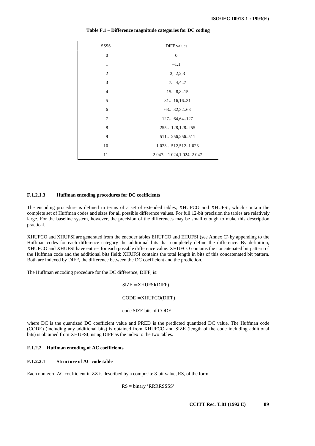| SSSS           | DIFF values                  |
|----------------|------------------------------|
| $\overline{0}$ | $\boldsymbol{0}$             |
| $\mathbf{1}$   | $-1,1$                       |
| 2              | $-3, -2, 2, 3$               |
| 3              | $-7$ $-4$ , $4$ 7            |
| $\overline{4}$ | $-15-8,815$                  |
| 5              | $-31$ $-16,16$ 31            |
| 6              | $-63-32,3263$                |
| 7              | $-127$ $-64,64$ 127          |
| 8              | $-255-128,128255$            |
| 9              | $-511 - 256, 256511$         |
| 10             | $-1$ 023 $-512,512$ 1 023    |
| 11             | $-2$ 047 $-1$ 024,1 0242 047 |

#### **Table F.1 – Difference magnitude categories for DC coding**

### **F.1.2.1.3 Huffman encoding procedures for DC coefficients**

The encoding procedure is defined in terms of a set of extended tables, XHUFCO and XHUFSI, which contain the complete set of Huffman codes and sizes for all possible difference values. For full 12-bit precision the tables are relatively large. For the baseline system, however, the precision of the differences may be small enough to make this description practical.

XHUFCO and XHUFSI are generated from the encoder tables EHUFCO and EHUFSI (see Annex C) by appending to the Huffman codes for each difference category the additional bits that completely define the difference. By definition, XHUFCO and XHUFSI have entries for each possible difference value. XHUFCO contains the concatenated bit pattern of the Huffman code and the additional bits field; XHUFSI contains the total length in bits of this concatenated bit pattern. Both are indexed by DIFF, the difference between the DC coefficient and the prediction.

The Huffman encoding procedure for the DC difference, DIFF, is:

SIZE = XHUFSI(DIFF) CODE = XHUFCO(DIFF) code SIZE bits of CODE

where DC is the quantized DC coefficient value and PRED is the predicted quantized DC value. The Huffman code (CODE) (including any additional bits) is obtained from XHUFCO and SIZE (length of the code including additional bits) is obtained from XHUFSI, using DIFF as the index to the two tables.

# **F.1.2.2 Huffman encoding of AC coefficients**

#### **F.1.2.2.1 Structure of AC code table**

Each non-zero AC coefficient in ZZ is described by a composite 8-bit value, RS, of the form

RS = binary 'RRRRSSSS'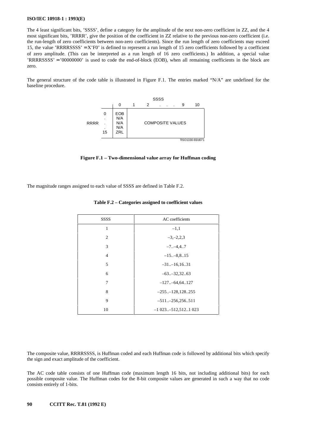The 4 least significant bits, 'SSSS', define a category for the amplitude of the next non-zero coefficient in ZZ, and the 4 most significant bits, 'RRRR', give the position of the coefficient in ZZ relative to the previous non-zero coefficient (i.e. the run-length of zero coefficients between non-zero coefficients). Since the run length of zero coefficients may exceed 15, the value 'RRRRSSSS' = X'F0' is defined to represent a run length of 15 zero coefficients followed by a coefficient of zero amplitude. (This can be interpreted as a run length of 16 zero coefficients.) In addition, a special value 'RRRRSSSS' = '00000000' is used to code the end-of-block (EOB), when all remaining coefficients in the block are zero.

The general structure of the code table is illustrated in Figure F.1. The entries marked "N/A" are undefined for the baseline procedure.



**Figure F.1 – Two-dimensional value array for Huffman coding**

The magnitude ranges assigned to each value of SSSS are defined in Table F.2.

| <b>SSSS</b>    | AC coefficients           |
|----------------|---------------------------|
| 1              | $-1,1$                    |
| $\overline{2}$ | $-3, -2, 2, 3$            |
| 3              | $-7$ $-4$ , $4$ 7         |
| $\overline{4}$ | $-15-8.815$               |
| 5              | $-31-16,1631$             |
| 6              | $-63-32,3263$             |
| 7              | $-127$ $-64,64$ 127       |
| 8              | $-255-128,128255$         |
| 9              | $-511 - 256, 256511$      |
| 10             | $-1$ 023 $-512,512$ 1 023 |

**Table F.2 – Categories assigned to coefficient values**

The composite value, RRRRSSSS, is Huffman coded and each Huffman code is followed by additional bits which specify the sign and exact amplitude of the coefficient.

The AC code table consists of one Huffman code (maximum length 16 bits, not including additional bits) for each possible composite value. The Huffman codes for the 8-bit composite values are generated in such a way that no code consists entirely of 1-bits.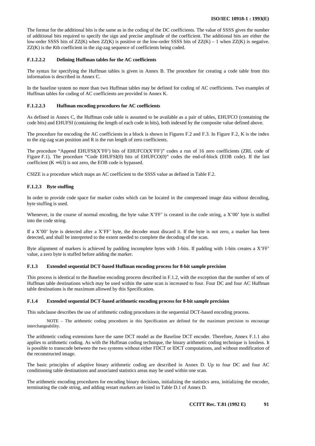The format for the additional bits is the same as in the coding of the DC coefficients. The value of SSSS gives the number of additional bits required to specify the sign and precise amplitude of the coefficient. The additional bits are either the low-order SSSS bits of  $ZZ(K)$  when  $ZZ(K)$  is positive or the low-order SSSS bits of  $ZZ(K) - 1$  when  $ZZ(K)$  is negative. ZZ(K) is the *K*th coefficient in the zig-zag sequence of coefficients being coded.

### **F.1.2.2.2 Defining Huffman tables for the AC coefficients**

The syntax for specifying the Huffman tables is given in Annex B. The procedure for creating a code table from this information is described in Annex C.

In the baseline system no more than two Huffman tables may be defined for coding of AC coefficients. Two examples of Huffman tables for coding of AC coefficients are provided in Annex K.

### **F.1.2.2.3 Huffman encoding procedures for AC coefficients**

As defined in Annex C, the Huffman code table is assumed to be available as a pair of tables, EHUFCO (containing the code bits) and EHUFSI (containing the length of each code in bits), both indexed by the composite value defined above.

The procedure for encoding the AC coefficients in a block is shown in Figures F.2 and F.3. In Figure F.2, K is the index to the zig-zag scan position and R is the run length of zero coefficients.

The procedure "Append EHUFSI(X'F0') bits of EHUFCO(X'F0')" codes a run of 16 zero coefficients (ZRL code of Figure F.1). The procedure "Code EHUFSI(0) bits of EHUFCO(0)" codes the end-of-block (EOB code). If the last coefficient  $(K = 63)$  is not zero, the EOB code is bypassed.

CSIZE is a procedure which maps an AC coefficient to the SSSS value as defined in Table F.2.

# **F.1.2.3 Byte stuffing**

In order to provide code space for marker codes which can be located in the compressed image data without decoding, byte stuffing is used.

Whenever, in the course of normal encoding, the byte value X'FF' is created in the code string, a X'00' byte is stuffed into the code string.

If a  $X'00'$  byte is detected after a  $X'FF'$  byte, the decoder must discard it. If the byte is not zero, a marker has been detected, and shall be interpreted to the extent needed to complete the decoding of the scan.

Byte alignment of markers is achieved by padding incomplete bytes with 1-bits. If padding with 1-bits creates a X'FF' value, a zero byte is stuffed before adding the marker.

### **F.1.3 Extended sequential DCT-based Huffman encoding process for 8-bit sample precision**

This process is identical to the Baseline encoding process described in F.1.2, with the exception that the number of sets of Huffman table destinations which may be used within the same scan is increased to four. Four DC and four AC Huffman table destinations is the maximum allowed by this Specification.

### **F.1.4 Extended sequential DCT-based arithmetic encoding process for 8-bit sample precision**

This subclause describes the use of arithmetic coding procedures in the sequential DCT-based encoding process.

NOTE – The arithmetic coding procedures in this Specification are defined for the maximum precision to encourage interchangeability.

The arithmetic coding extensions have the same DCT model as the Baseline DCT encoder. Therefore, Annex F.1.1 also applies to arithmetic coding. As with the Huffman coding technique, the binary arithmetic coding technique is lossless. It is possible to transcode between the two systems without either FDCT or IDCT computations, and without modification of the reconstructed image.

The basic principles of adaptive binary arithmetic coding are described in Annex D. Up to four DC and four AC conditioning table destinations and associated statistics areas may be used within one scan.

The arithmetic encoding procedures for encoding binary decisions, initializing the statistics area, initializing the encoder, terminating the code string, and adding restart markers are listed in Table D.1 of Annex D.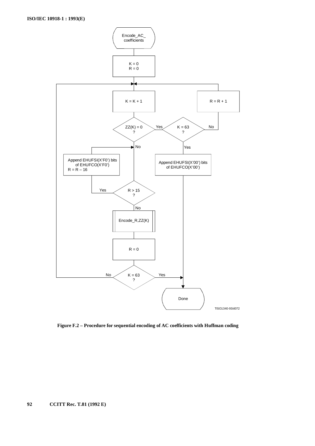

**Figure F.2 – Procedure for sequential encoding of AC coefficients with Huffman coding**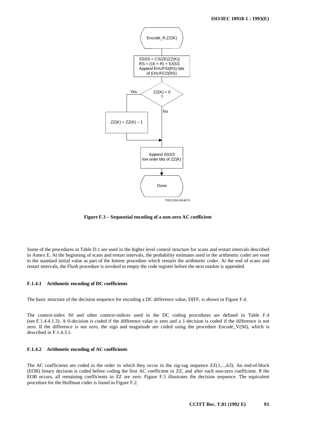

**Figure F.3 – Sequential encoding of a non-zero AC coefficient**

Some of the procedures in Table D.1 are used in the higher level control structure for scans and restart intervals described in Annex E. At the beginning of scans and restart intervals, the probability estimates used in the arithmetic coder are reset to the standard initial value as part of the Initenc procedure which restarts the arithmetic coder. At the end of scans and restart intervals, the Flush procedure is invoked to empty the code register before the next marker is appended.

#### **F.1.4.1 Arithmetic encoding of DC coefficients**

The basic structure of the decision sequence for encoding a DC difference value, DIFF, is shown in Figure F.4.

The context-index S0 and other context-indices used in the DC coding procedures are defined in Table F.4 (see F.1.4.4.1.3). A 0-decision is coded if the difference value is zero and a 1-decision is coded if the difference is not zero. If the difference is not zero, the sign and magnitude are coded using the procedure Encode\_V(S0), which is described in F.1.4.3.1.

#### **F.1.4.2 Arithmetic encoding of AC coefficients**

The AC coefficients are coded in the order in which they occur in the zig-zag sequence ZZ(1,...,63). An end-of-block (EOB) binary decision is coded before coding the first AC coefficient in ZZ, and after each non-zero coefficient. If the EOB occurs, all remaining coefficients in ZZ are zero. Figure F.5 illustrates the decision sequence. The equivalent procedure for the Huffman coder is found in Figure F.2.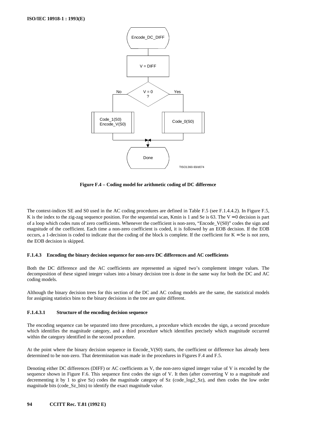

**Figure F.4 – Coding model for arithmetic coding of DC difference**

The context-indices SE and S0 used in the AC coding procedures are defined in Table F.5 (see F.1.4.4.2). In Figure F.5, K is the index to the zig-zag sequence position. For the sequential scan, Kmin is 1 and Se is 63. The V = 0 decision is part of a loop which codes runs of zero coefficients. Whenever the coefficient is non-zero, "Encode\_V(S0)" codes the sign and magnitude of the coefficient. Each time a non-zero coefficient is coded, it is followed by an EOB decision. If the EOB occurs, a 1-decision is coded to indicate that the coding of the block is complete. If the coefficient for  $K = S$ e is not zero, the EOB decision is skipped.

### **F.1.4.3 Encoding the binary decision sequence for non-zero DC differences and AC coefficients**

Both the DC difference and the AC coefficients are represented as signed two's complement integer values. The decomposition of these signed integer values into a binary decision tree is done in the same way for both the DC and AC coding models.

Although the binary decision trees for this section of the DC and AC coding models are the same, the statistical models for assigning statistics bins to the binary decisions in the tree are quite different.

# **F.1.4.3.1 Structure of the encoding decision sequence**

The encoding sequence can be separated into three procedures, a procedure which encodes the sign, a second procedure which identifies the magnitude category, and a third procedure which identifies precisely which magnitude occurred within the category identified in the second procedure.

At the point where the binary decision sequence in Encode\_V(S0) starts, the coefficient or difference has already been determined to be non-zero. That determination was made in the procedures in Figures F.4 and F.5.

Denoting either DC differences (DIFF) or AC coefficients as V, the non-zero signed integer value of V is encoded by the sequence shown in Figure F.6. This sequence first codes the sign of V. It then (after converting V to a magnitude and decrementing it by 1 to give Sz) codes the magnitude category of Sz (code log2 Sz), and then codes the low order magnitude bits (code\_Sz\_bits) to identify the exact magnitude value.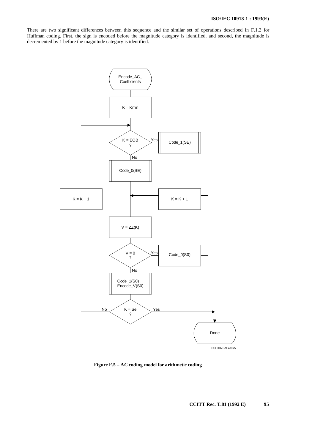There are two significant differences between this sequence and the similar set of operations described in F.1.2 for Huffman coding. First, the sign is encoded before the magnitude category is identified, and second, the magnitude is decremented by 1 before the magnitude category is identified.



**Figure F.5 – AC coding model for arithmetic coding**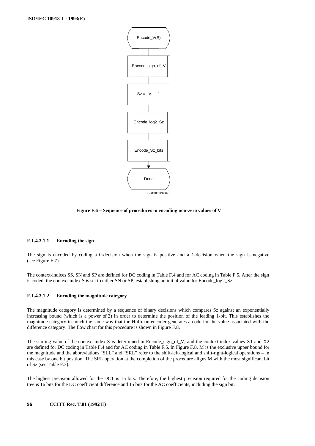

**Figure F.6 – Sequence of procedures in encoding non-zero values of V**

### **F.1.4.3.1.1 Encoding the sign**

The sign is encoded by coding a 0-decision when the sign is positive and a 1-decision when the sign is negative (see Figure F.7).

The context-indices SS, SN and SP are defined for DC coding in Table F.4 and for AC coding in Table F.5. After the sign is coded, the context-index S is set to either SN or SP, establishing an initial value for Encode\_log2\_Sz.

#### **F.1.4.3.1.2 Encoding the magnitude category**

The magnitude category is determined by a sequence of binary decisions which compares Sz against an exponentially increasing bound (which is a power of 2) in order to determine the position of the leading 1-bit. This establishes the magnitude category in much the same way that the Huffman encoder generates a code for the value associated with the difference category. The flow chart for this procedure is shown in Figure F.8.

The starting value of the context-index S is determined in Encode sign of V, and the context-index values X1 and X2 are defined for DC coding in Table F.4 and for AC coding in Table F.5. In Figure F.8, M is the exclusive upper bound for the magnitude and the abbreviations "SLL" and "SRL" refer to the shift-left-logical and shift-right-logical operations – in this case by one bit position. The SRL operation at the completion of the procedure aligns M with the most significant bit of Sz (see Table F.3).

The highest precision allowed for the DCT is 15 bits. Therefore, the highest precision required for the coding decision tree is 16 bits for the DC coefficient difference and 15 bits for the AC coefficients, including the sign bit.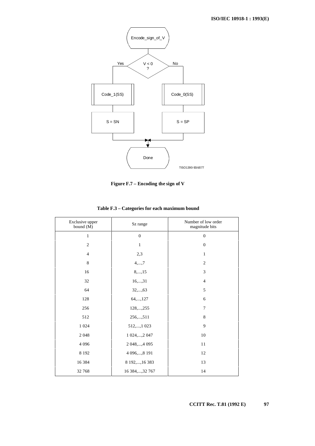

**Figure F.7 – Encoding the sign of V**

| Exclusive upper<br>bound $(M)$ | Sz range         | Number of low order<br>magnitude bits |
|--------------------------------|------------------|---------------------------------------|
| 1                              | $\boldsymbol{0}$ | $\mathbf{0}$                          |
| $\overline{2}$                 | $\mathbf{1}$     | $\boldsymbol{0}$                      |
| $\overline{4}$                 | 2,3              | $\mathbf{1}$                          |
| 8                              | 4, , 7           | $\overline{2}$                        |
| 16                             | 8, , 15          | 3                                     |
| 32                             | 16, , 31         | $\overline{4}$                        |
| 64                             | 32, , 63         | 5                                     |
| 128                            | 64,,127          | 6                                     |
| 256                            | 128,  , 255      | $\overline{7}$                        |
| 512                            | 256,  , 511      | 8                                     |
| 1 0 2 4                        | 512,, 1023       | 9                                     |
| 2 0 4 8                        | 1 024,, 2 047    | 10                                    |
| 4 0 9 6                        | 2 048,  , 4 095  | 11                                    |
| 8 1 9 2                        | 4 096,  , 8 191  | 12                                    |
| 16 3 8 4                       | 8 192,, 16 383   | 13                                    |
| 32 768                         | 16 384,,32 767   | 14                                    |

**Table F.3 – Categories for each maximum bound**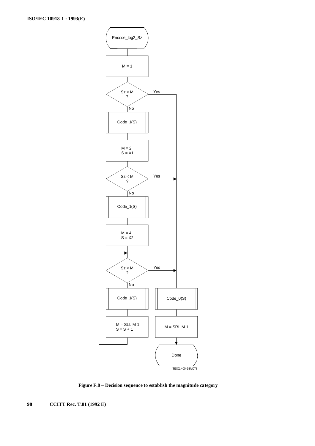

**Figure F.8 – Decision sequence to establish the magnitude category**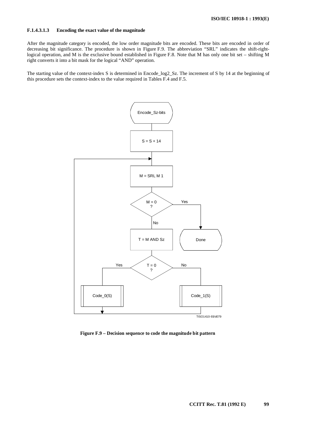# **F.1.4.3.1.3 Encoding the exact value of the magnitude**

After the magnitude category is encoded, the low order magnitude bits are encoded. These bits are encoded in order of decreasing bit significance. The procedure is shown in Figure F.9. The abbreviation "SRL" indicates the shift-rightlogical operation, and M is the exclusive bound established in Figure F.8. Note that M has only one bit set – shifting M right converts it into a bit mask for the logical "AND" operation.

The starting value of the context-index S is determined in Encode\_log2\_Sz. The increment of S by 14 at the beginning of this procedure sets the context-index to the value required in Tables F.4 and F.5.



**Figure F.9 – Decision sequence to code the magnitude bit pattern**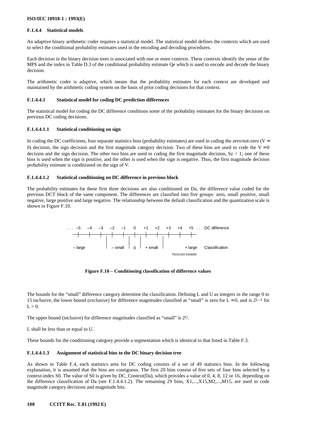#### **F.1.4.4 Statistical models**

An adaptive binary arithmetic coder requires a statistical model. The statistical model defines the contexts which are used to select the conditional probability estimates used in the encoding and decoding procedures.

Each decision in the binary decision trees is associated with one or more contexts. These contexts identify the sense of the MPS and the index in Table D.3 of the conditional probability estimate Qe which is used to encode and decode the binary decision.

The arithmetic coder is adaptive, which means that the probability estimates for each context are developed and maintained by the arithmetic coding system on the basis of prior coding decisions for that context.

#### **F.1.4.4.1 Statistical model for coding DC prediction differences**

The statistical model for coding the DC difference conditions some of the probability estimates for the binary decisions on previous DC coding decisions.

#### **F.1.4.4.1.1 Statistical conditioning on sign**

In coding the DC coefficients, four separate statistics bins (probability estimates) are used in coding the zero/not-zero ( $V =$ 0) decision, the sign decision and the first magnitude category decision. Two of these bins are used to code the  $V = 0$ decision and the sign decision. The other two bins are used in coding the first magnitude decision,  $Sz < 1$ ; one of these bins is used when the sign is positive, and the other is used when the sign is negative. Thus, the first magnitude decision probability estimate is conditioned on the sign of V.

### **F.1.4.4.1.2 Statistical conditioning on DC difference in previous block**

The probability estimates for these first three decisions are also conditioned on Da, the difference value coded for the previous DCT block of the same component. The differences are classified into five groups: zero, small positive, small negative, large positive and large negative. The relationship between the default classification and the quantization scale is shown in Figure F.10.



**Figure F.10 – Conditioning classification of difference values**

The bounds for the "small" difference category determine the classification. Defining L and U as integers in the range 0 to 15 inclusive, the lower bound (exclusive) for difference magnitudes classified as "small" is zero for  $L = 0$ , and is  $2L-1$  for  $L > 0$ .

The upper bound (inclusive) for difference magnitudes classified as "small" is 2U.

L shall be less than or equal to U.

These bounds for the conditioning category provide a segmentation which is identical to that listed in Table F.3.

### **F.1.4.4.1.3 Assignment of statistical bins to the DC binary decision tree**

As shown in Table F.4, each statistics area for DC coding consists of a set of 49 statistics bins. In the following explanation, it is assumed that the bins are contiguous. The first 20 bins consist of five sets of four bins selected by a context-index S0. The value of S0 is given by DC\_Context(Da), which provides a value of 0, 4, 8, 12 or 16, depending on the difference classification of Da (see F.1.4.4.1.2). The remaining 29 bins, X1,...,X15,M2,...,M15, are used to code magnitude category decisions and magnitude bits.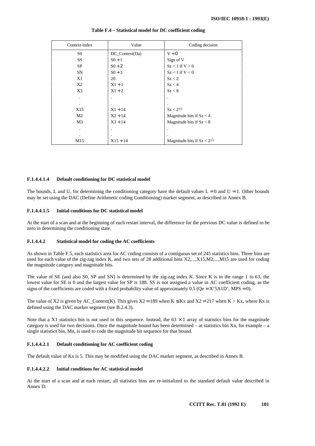| Context-index        | Value             | Coding decision                 |
|----------------------|-------------------|---------------------------------|
| S <sub>0</sub>       | $DC\_Context(Da)$ | $V = 0$                         |
| SS                   | $S_0+1$           | Sign of V                       |
| SP.                  | $S_0 + 2$         | $Sz < 1$ if $V > 0$             |
| SN.                  | $S_0 + 3$         | $Sz < 1$ if $V < 0$             |
| X1                   | 20                | Sz < 2                          |
| X2                   | $X1 + 1$          | Sz < 4                          |
| X <sub>3</sub>       | $X1 + 2$          | Sz < 8                          |
| $\cdot$              |                   |                                 |
| $\ddot{\phantom{0}}$ | $\cdot$           | $\cdot$                         |
| X15                  | $X1 + 14$         | $Sz < 2^{15}$                   |
| M <sub>2</sub>       | $X2 + 14$         | Magnitude bits if $Sz < 4$      |
| M <sub>3</sub>       | $X3 + 14$         | Magnitude bits if $Sz < 8$      |
| $\cdot$              |                   |                                 |
| $\cdot$              |                   | ٠                               |
| M15                  | $X15 + 14$        | Magnitude bits if $Sz < 2^{15}$ |

#### **Table F.4 – Statistical model for DC coefficient coding**

## **F.1.4.4.1.4 Default conditioning for DC statistical model**

The bounds, L and U, for determining the conditioning category have the default values  $L = 0$  and  $U = 1$ . Other bounds may be set using the DAC (Define Arithmetic coding Conditioning) marker segment, as described in Annex B.

#### **F.1.4.4.1.5 Initial conditions for DC statistical model**

At the start of a scan and at the beginning of each restart interval, the difference for the previous DC value is defined to be zero in determining the conditioning state.

## **F.1.4.4.2 Statistical model for coding the AC coefficients**

As shown in Table F.5, each statistics area for AC coding consists of a contiguous set of 245 statistics bins. Three bins are used for each value of the zig-zag index K, and two sets of 28 additional bins X2,...,X15,M2,...,M15 are used for coding the magnitude category and magnitude bits.

The value of SE (and also S0, SP and SN) is determined by the zig-zag index K. Since K is in the range 1 to 63, the lowest value for SE is 0 and the largest value for SP is 188. SS is not assigned a value in AC coefficient coding, as the signs of the coefficients are coded with a fixed probability value of approximately  $0.5$  ( $Qe = X'SAD'$ , MPS = 0).

The value of X2 is given by AC\_Context(K). This gives  $X2 = 189$  when K  $\leq$  Kx and X2 = 217 when K > Kx, where Kx is defined using the DAC marker segment (see B.2.4.3).

Note that a X1 statistics bin is not used in this sequence. Instead, the  $63 \times 1$  array of statistics bins for the magnitude category is used for two decisions. Once the magnitude bound has been determined – at statistics bin Xn, for example – a single statistics bin, Mn, is used to code the magnitude bit sequence for that bound.

#### **F.1.4.4.2.1 Default conditioning for AC coefficient coding**

The default value of Kx is 5. This may be modified using the DAC marker segment, as described in Annex B.

### **F.1.4.4.2.2 Initial conditions for AC statistical model**

At the start of a scan and at each restart, all statistics bins are re-initialized to the standard default value described in Annex D.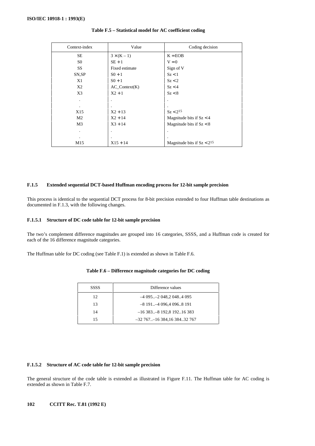| Context-index  | Value            | Coding decision                 |
|----------------|------------------|---------------------------------|
| <b>SE</b>      | $3 \times (K-1)$ | $K = EOB$                       |
| S <sub>0</sub> | $SE + 1$         | $V = 0$                         |
| SS.            | Fixed estimate   | Sign of V                       |
| SN,SP          | $S_0 + 1$        | Sz < 1                          |
| X1             | $S_0+1$          | Sz < 2                          |
| X2             | $AC\_Context(K)$ | Sz < 4                          |
| X3             | $X2 + 1$         | Sz < 8                          |
|                |                  |                                 |
|                | ٠                |                                 |
| X15            | $X2 + 13$        | $Sz < 2^{15}$                   |
| M <sub>2</sub> | $X2 + 14$        | Magnitude bits if $Sz < 4$      |
| M <sub>3</sub> | $X3 + 14$        | Magnitude bits if $Sz < 8$      |
|                |                  |                                 |
|                |                  |                                 |
| M15            | $X15 + 14$       | Magnitude bits if $Sz < 2^{15}$ |

# **Table F.5 – Statistical model for AC coefficient coding**

# **F.1.5 Extended sequential DCT-based Huffman encoding process for 12-bit sample precision**

This process is identical to the sequential DCT process for 8-bit precision extended to four Huffman table destinations as documented in F.1.3, with the following changes.

#### **F.1.5.1 Structure of DC code table for 12-bit sample precision**

The two's complement difference magnitudes are grouped into 16 categories, SSSS, and a Huffman code is created for each of the 16 difference magnitude categories.

The Huffman table for DC coding (see Table F.1) is extended as shown in Table F.6.

| <b>SSSS</b> | Difference values              |
|-------------|--------------------------------|
| 12          | $-4095$ $-2048.2048$ 4095      |
| 13          | $-8$ 191 $-4$ 096,4 0968 191   |
| 14          | $-16$ 383 $-8$ 192,8 19216 383 |
| 15          | $-32767$ $-16384$ , 1638432767 |

## **Table F.6 – Difference magnitude categories for DC coding**

# **F.1.5.2 Structure of AC code table for 12-bit sample precision**

The general structure of the code table is extended as illustrated in Figure F.11. The Huffman table for AC coding is extended as shown in Table F.7.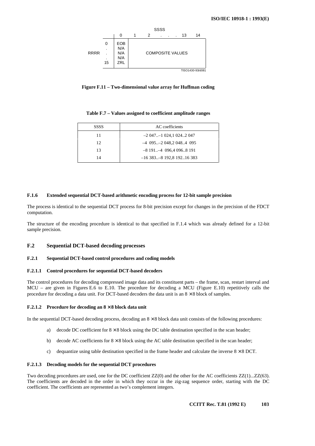

**Figure F.11 – Two-dimensional value array for Huffman coding**

**Table F.7 – Values assigned to coefficient amplitude ranges**

| <b>SSSS</b> | AC coefficients                |
|-------------|--------------------------------|
| 11          | $-2047$ $-1024$ , 10242047     |
| 12          | $-4$ 095 $-2$ 048,2 0484 095   |
| 13          | $-8$ 191 $-4$ 096,4 0968 191   |
| 14          | $-16$ 383 $-8$ 192,8 19216 383 |

### **F.1.6 Extended sequential DCT-based arithmetic encoding process for 12-bit sample precision**

The process is identical to the sequential DCT process for 8-bit precision except for changes in the precision of the FDCT computation.

The structure of the encoding procedure is identical to that specified in F.1.4 which was already defined for a 12-bit sample precision.

## **F.2 Sequential DCT-based decoding processes**

# **F.2.1 Sequential DCT-based control procedures and coding models**

### **F.2.1.1 Control procedures for sequential DCT-based decoders**

The control procedures for decoding compressed image data and its constituent parts – the frame, scan, restart interval and MCU – are given in Figures E.6 to E.10. The procedure for decoding a MCU (Figure E.10) repetitively calls the procedure for decoding a data unit. For DCT-based decoders the data unit is an  $8 \times 8$  block of samples.

#### **F.2.1.2 Procedure for decoding an 8** × **8 block data unit**

In the sequential DCT-based decoding process, decoding an  $8 \times 8$  block data unit consists of the following procedures:

- a) decode DC coefficient for  $8 \times 8$  block using the DC table destination specified in the scan header;
- b) decode AC coefficients for  $8 \times 8$  block using the AC table destination specified in the scan header;
- c) dequantize using table destination specified in the frame header and calculate the inverse  $8 \times 8$  DCT.

#### **F.2.1.3 Decoding models for the sequential DCT procedures**

Two decoding procedures are used, one for the DC coefficient ZZ(0) and the other for the AC coefficients ZZ(1)...ZZ(63). The coefficients are decoded in the order in which they occur in the zig-zag sequence order, starting with the DC coefficient. The coefficients are represented as two's complement integers.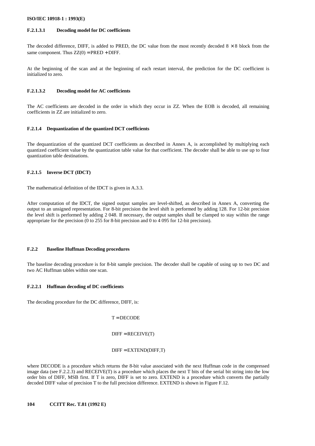#### **F.2.1.3.1 Decoding model for DC coefficients**

The decoded difference, DIFF, is added to PRED, the DC value from the most recently decoded  $8 \times 8$  block from the same component. Thus  $ZZ(0) = PRED + DIFF$ .

At the beginning of the scan and at the beginning of each restart interval, the prediction for the DC coefficient is initialized to zero.

### **F.2.1.3.2 Decoding model for AC coefficients**

The AC coefficients are decoded in the order in which they occur in ZZ. When the EOB is decoded, all remaining coefficients in ZZ are initialized to zero.

#### **F.2.1.4 Dequantization of the quantized DCT coefficients**

The dequantization of the quantized DCT coefficients as described in Annex A, is accomplished by multiplying each quantized coefficient value by the quantization table value for that coefficient. The decoder shall be able to use up to four quantization table destinations.

### **F.2.1.5 Inverse DCT (IDCT)**

The mathematical definition of the IDCT is given in A.3.3.

After computation of the IDCT, the signed output samples are level-shifted, as described in Annex A, converting the output to an unsigned representation. For 8-bit precision the level shift is performed by adding 128. For 12-bit precision the level shift is performed by adding 2 048. If necessary, the output samples shall be clamped to stay within the range appropriate for the precision (0 to 255 for 8-bit precision and 0 to 4 095 for 12-bit precision).

# **F.2.2 Baseline Huffman Decoding procedures**

The baseline decoding procedure is for 8-bit sample precision. The decoder shall be capable of using up to two DC and two AC Huffman tables within one scan.

### **F.2.2.1 Huffman decoding of DC coefficients**

The decoding procedure for the DC difference, DIFF, is:

 $T = DECODE$ 

 $DIFF = RECEIVE(T)$ 

### DIFF = EXTEND(DIFF,T)

where DECODE is a procedure which returns the 8-bit value associated with the next Huffman code in the compressed image data (see F.2.2.3) and RECEIVE(T) is a procedure which places the next T bits of the serial bit string into the low order bits of DIFF, MSB first. If T is zero, DIFF is set to zero. EXTEND is a procedure which converts the partially decoded DIFF value of precision T to the full precision difference. EXTEND is shown in Figure F.12.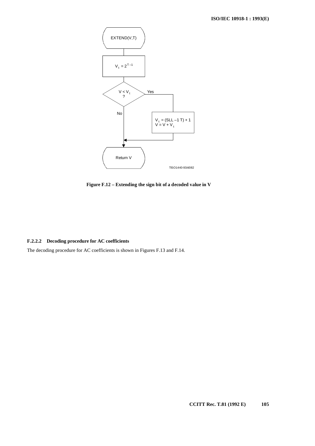

**Figure F.12 – Extending the sign bit of a decoded value in V**

# **F.2.2.2 Decoding procedure for AC coefficients**

The decoding procedure for AC coefficients is shown in Figures F.13 and F.14.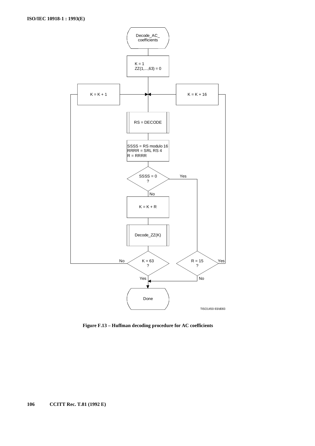

**Figure F.13 – Huffman decoding procedure for AC coefficients**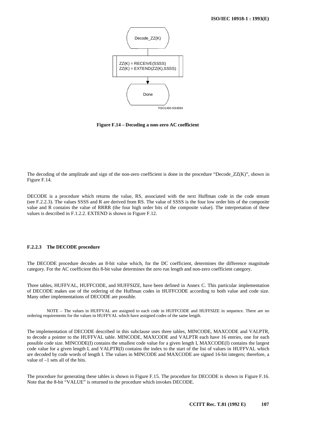

**Figure F.14 – Decoding a non-zero AC coefficient**

The decoding of the amplitude and sign of the non-zero coefficient is done in the procedure "Decode\_ZZ(K)", shown in Figure F.14.

DECODE is a procedure which returns the value, RS, associated with the next Huffman code in the code stream (see F.2.2.3). The values SSSS and R are derived from RS. The value of SSSS is the four low order bits of the composite value and R contains the value of RRRR (the four high order bits of the composite value). The interpretation of these values is described in F.1.2.2. EXTEND is shown in Figure F.12.

# **F.2.2.3 The DECODE procedure**

The DECODE procedure decodes an 8-bit value which, for the DC coefficient, determines the difference magnitude category. For the AC coefficient this 8-bit value determines the zero run length and non-zero coefficient category.

Three tables, HUFFVAL, HUFFCODE, and HUFFSIZE, have been defined in Annex C. This particular implementation of DECODE makes use of the ordering of the Huffman codes in HUFFCODE according to both value and code size. Many other implementations of DECODE are possible.

NOTE – The values in HUFFVAL are assigned to each code in HUFFCODE and HUFFSIZE in sequence. There are no ordering requirements for the values in HUFFVAL which have assigned codes of the same length.

The implementation of DECODE described in this subclause uses three tables, MINCODE, MAXCODE and VALPTR, to decode a pointer to the HUFFVAL table. MINCODE, MAXCODE and VALPTR each have 16 entries, one for each possible code size. MINCODE(I) contains the smallest code value for a given length I, MAXCODE(I) contains the largest code value for a given length I, and VALPTR(I) contains the index to the start of the list of values in HUFFVAL which are decoded by code words of length I. The values in MINCODE and MAXCODE are signed 16-bit integers; therefore, a value of –1 sets all of the bits.

The procedure for generating these tables is shown in Figure F.15. The procedure for DECODE is shown in Figure F.16. Note that the 8-bit "VALUE" is returned to the procedure which invokes DECODE.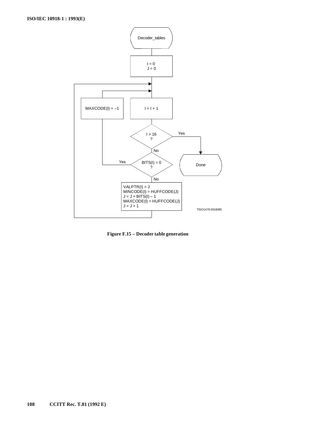

**Figure F.15 – Decoder table generation**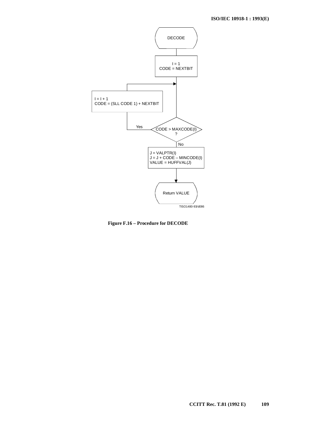

**Figure F.16 – Procedure for DECODE**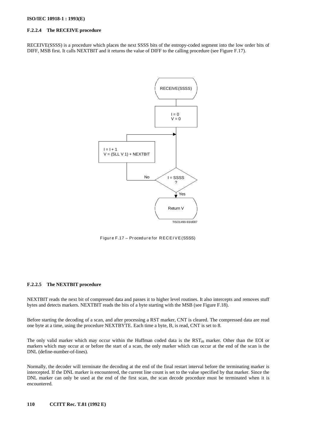# **F.2.2.4 The RECEIVE procedure**

RECEIVE(SSSS) is a procedure which places the next SSSS bits of the entropy-coded segment into the low order bits of DIFF, MSB first. It calls NEXTBIT and it returns the value of DIFF to the calling procedure (see Figure F.17).



Figur e F.17 – Pr ocedur e for R EC E I V E (SSSS)

# **F.2.2.5 The NEXTBIT procedure**

NEXTBIT reads the next bit of compressed data and passes it to higher level routines. It also intercepts and removes stuff bytes and detects markers. NEXTBIT reads the bits of a byte starting with the MSB (see Figure F.18).

Before starting the decoding of a scan, and after processing a RST marker, CNT is cleared. The compressed data are read one byte at a time, using the procedure NEXTBYTE. Each time a byte, B, is read, CNT is set to 8.

The only valid marker which may occur within the Huffman coded data is the  $RST_m$  marker. Other than the EOI or markers which may occur at or before the start of a scan, the only marker which can occur at the end of the scan is the DNL (define-number-of-lines).

Normally, the decoder will terminate the decoding at the end of the final restart interval before the terminating marker is intercepted. If the DNL marker is encountered, the current line count is set to the value specified by that marker. Since the DNL marker can only be used at the end of the first scan, the scan decode procedure must be terminated when it is encountered.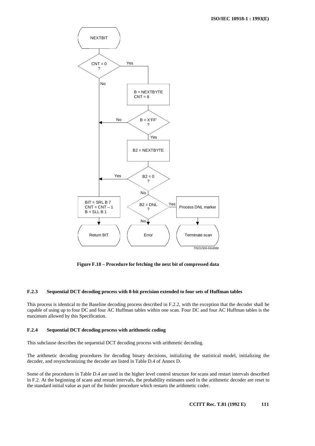

**Figure F.18 – Procedure for fetching the next bit of compressed data**

### **F.2.3 Sequential DCT decoding process with 8-bit precision extended to four sets of Huffman tables**

This process is identical to the Baseline decoding process described in F.2.2, with the exception that the decoder shall be capable of using up to four DC and four AC Huffman tables within one scan. Four DC and four AC Huffman tables is the maximum allowed by this Specification.

### **F.2.4 Sequential DCT decoding process with arithmetic coding**

This subclause describes the sequential DCT decoding process with arithmetic decoding.

The arithmetic decoding procedures for decoding binary decisions, initializing the statistical model, initializing the decoder, and resynchronizing the decoder are listed in Table D.4 of Annex D.

Some of the procedures in Table D.4 are used in the higher level control structure for scans and restart intervals described in F.2. At the beginning of scans and restart intervals, the probability estimates used in the arithmetic decoder are reset to the standard initial value as part of the Initdec procedure which restarts the arithmetic coder.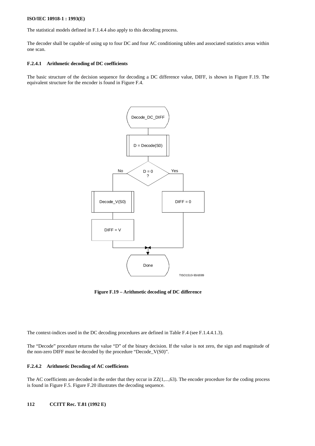The statistical models defined in F.1.4.4 also apply to this decoding process.

The decoder shall be capable of using up to four DC and four AC conditioning tables and associated statistics areas within one scan.

### **F.2.4.1 Arithmetic decoding of DC coefficients**

The basic structure of the decision sequence for decoding a DC difference value, DIFF, is shown in Figure F.19. The equivalent structure for the encoder is found in Figure F.4.



**Figure F.19 – Arithmetic decoding of DC difference**

The context-indices used in the DC decoding procedures are defined in Table F.4 (see F.1.4.4.1.3).

The "Decode" procedure returns the value "D" of the binary decision. If the value is not zero, the sign and magnitude of the non-zero DIFF must be decoded by the procedure "Decode\_V(S0)".

#### **F.2.4.2 Arithmetic Decoding of AC coefficients**

The AC coefficients are decoded in the order that they occur in  $ZZ(1, ..., 63)$ . The encoder procedure for the coding process is found in Figure F.5. Figure F.20 illustrates the decoding sequence.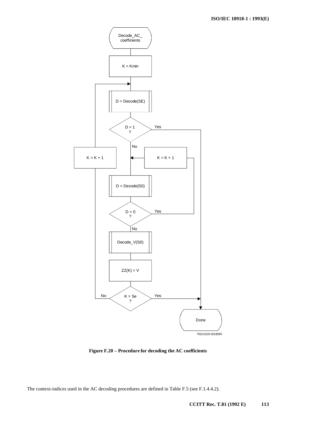

**Figure F.20 – Procedure for decoding the AC coefficients**

The context-indices used in the AC decoding procedures are defined in Table F.5 (see F.1.4.4.2).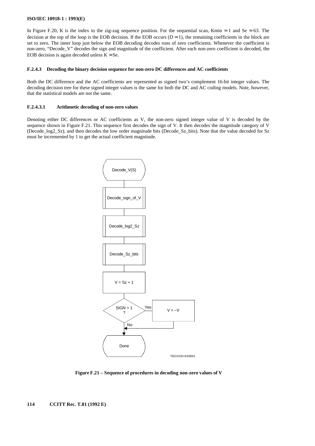In Figure F.20, K is the index to the zig-zag sequence position. For the sequential scan, Kmin  $= 1$  and Se  $= 63$ . The decision at the top of the loop is the EOB decision. If the EOB occurs  $(D = 1)$ , the remaining coefficients in the block are set to zero. The inner loop just below the EOB decoding decodes runs of zero coefficients. Whenever the coefficient is non-zero, "Decode\_V" decodes the sign and magnitude of the coefficient. After each non-zero coefficient is decoded, the EOB decision is again decoded unless  $K = Se$ .

### **F.2.4.3 Decoding the binary decision sequence for non-zero DC differences and AC coefficients**

Both the DC difference and the AC coefficients are represented as signed two's complement 16-bit integer values. The decoding decision tree for these signed integer values is the same for both the DC and AC coding models. Note, however, that the statistical models are not the same.

### **F.2.4.3.1 Arithmetic decoding of non-zero values**

Denoting either DC differences or AC coefficients as V, the non-zero signed integer value of V is decoded by the sequence shown in Figure F.21. This sequence first decodes the sign of V. It then decodes the magnitude category of V (Decode\_log2\_Sz), and then decodes the low order magnitude bits (Decode\_Sz\_bits). Note that the value decoded for Sz must be incremented by 1 to get the actual coefficient magnitude.



**Figure F.21 – Sequence of procedures in decoding non-zero values of V**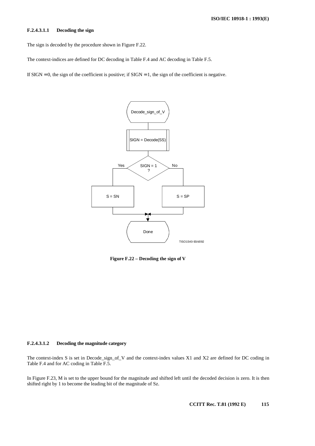# **F.2.4.3.1.1 Decoding the sign**

The sign is decoded by the procedure shown in Figure F.22.

The context-indices are defined for DC decoding in Table F.4 and AC decoding in Table F.5.

If  $SIGN = 0$ , the sign of the coefficient is positive; if  $SIGN = 1$ , the sign of the coefficient is negative.



**Figure F.22 – Decoding the sign of V**

### **F.2.4.3.1.2 Decoding the magnitude category**

The context-index S is set in Decode\_sign\_of\_V and the context-index values X1 and X2 are defined for DC coding in Table F.4 and for AC coding in Table F.5.

In Figure F.23, M is set to the upper bound for the magnitude and shifted left until the decoded decision is zero. It is then shifted right by 1 to become the leading bit of the magnitude of Sz.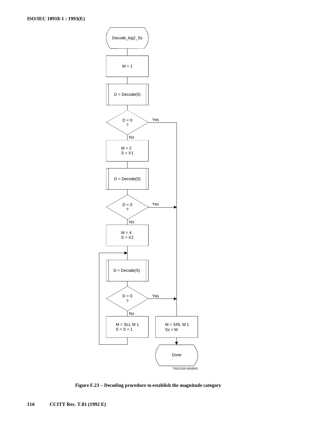

**Figure F.23 – Decoding procedure to establish the magnitude category**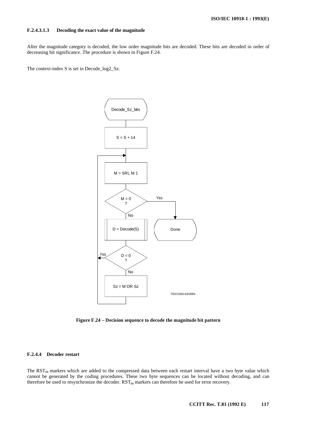### **F.2.4.3.1.3 Decoding the exact value of the magnitude**

After the magnitude category is decoded, the low order magnitude bits are decoded. These bits are decoded in order of decreasing bit significance. The procedure is shown in Figure F.24.

The context-index S is set in Decode\_log2\_Sz.



**Figure F.24 – Decision sequence to decode the magnitude bit pattern**

# **F.2.4.4 Decoder restart**

The  $RST_m$  markers which are added to the compressed data between each restart interval have a two byte value which cannot be generated by the coding procedures. These two byte sequences can be located without decoding, and can therefore be used to resynchronize the decoder.  $RST_m$  markers can therefore be used for error recovery.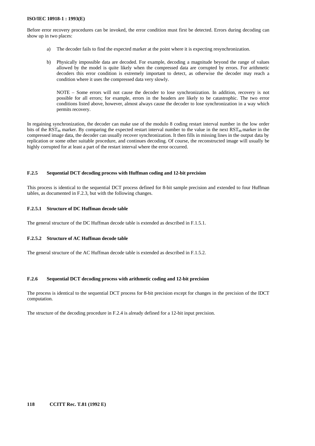Before error recovery procedures can be invoked, the error condition must first be detected. Errors during decoding can show up in two places:

- a) The decoder fails to find the expected marker at the point where it is expecting resynchronization.
- b) Physically impossible data are decoded. For example, decoding a magnitude beyond the range of values allowed by the model is quite likely when the compressed data are corrupted by errors. For arithmetic decoders this error condition is extremely important to detect, as otherwise the decoder may reach a condition where it uses the compressed data very slowly.

NOTE – Some errors will not cause the decoder to lose synchronization. In addition, recovery is not possible for all errors; for example, errors in the headers are likely to be catastrophic. The two error conditions listed above, however, almost always cause the decoder to lose synchronization in a way which permits recovery.

In regaining synchronization, the decoder can make use of the modulo 8 coding restart interval number in the low order bits of the RST<sub>m</sub> marker. By comparing the expected restart interval number to the value in the next RST<sub>m</sub> marker in the compressed image data, the decoder can usually recover synchronization. It then fills in missing lines in the output data by replication or some other suitable procedure, and continues decoding. Of course, the reconstructed image will usually be highly corrupted for at least a part of the restart interval where the error occurred.

# **F.2.5 Sequential DCT decoding process with Huffman coding and 12-bit precision**

This process is identical to the sequential DCT process defined for 8-bit sample precision and extended to four Huffman tables, as documented in F.2.3, but with the following changes.

# **F.2.5.1 Structure of DC Huffman decode table**

The general structure of the DC Huffman decode table is extended as described in F.1.5.1.

# **F.2.5.2 Structure of AC Huffman decode table**

The general structure of the AC Huffman decode table is extended as described in F.1.5.2.

# **F.2.6 Sequential DCT decoding process with arithmetic coding and 12-bit precision**

The process is identical to the sequential DCT process for 8-bit precision except for changes in the precision of the IDCT computation.

The structure of the decoding procedure in F.2.4 is already defined for a 12-bit input precision.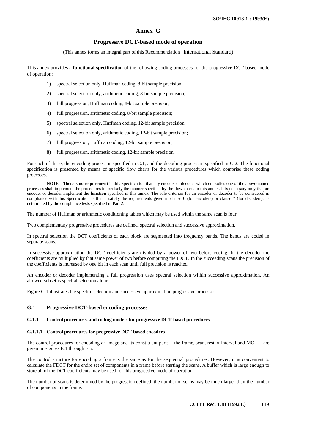# **Annex G**

# **Progressive DCT-based mode of operation**

(This annex forms an integral part of this Recommendation | International Standard)

This annex provides a **functional specification** of the following coding processes for the progressive DCT-based mode of operation:

- 1) spectral selection only, Huffman coding, 8-bit sample precision;
- 2) spectral selection only, arithmetic coding, 8-bit sample precision;
- 3) full progression, Huffman coding, 8-bit sample precision;
- 4) full progression, arithmetic coding, 8-bit sample precision;
- 5) spectral selection only, Huffman coding, 12-bit sample precision;
- 6) spectral selection only, arithmetic coding, 12-bit sample precision;
- 7) full progression, Huffman coding, 12-bit sample precision;
- 8) full progression, arithmetic coding, 12-bit sample precision.

For each of these, the encoding process is specified in G.1, and the decoding process is specified in G.2. The functional specification is presented by means of specific flow charts for the various procedures which comprise these coding processes.

NOTE – There is **no requirement** in this Specification that any encoder or decoder which embodies one of the above-named processes shall implement the procedures in precisely the manner specified by the flow charts in this annex. It is necessary only that an encoder or decoder implement the **function** specified in this annex. The sole criterion for an encoder or decoder to be considered in compliance with this Specification is that it satisfy the requirements given in clause 6 (for encoders) or clause 7 (for decoders), as determined by the compliance tests specified in Part 2.

The number of Huffman or arithmetic conditioning tables which may be used within the same scan is four.

Two complementary progressive procedures are defined, spectral selection and successive approximation.

In spectral selection the DCT coefficients of each block are segmented into frequency bands. The bands are coded in separate scans.

In successive approximation the DCT coefficients are divided by a power of two before coding. In the decoder the coefficients are multiplied by that same power of two before computing the IDCT. In the succeeding scans the precision of the coefficients is increased by one bit in each scan until full precision is reached.

An encoder or decoder implementing a full progression uses spectral selection within successive approximation. An allowed subset is spectral selection alone.

Figure G.1 illustrates the spectral selection and successive approximation progressive processes.

# **G.1 Progressive DCT-based encoding processes**

#### **G.1.1 Control procedures and coding models for progressive DCT-based procedures**

### **G.1.1.1 Control procedures for progressive DCT-based encoders**

The control procedures for encoding an image and its constituent parts – the frame, scan, restart interval and MCU – are given in Figures E.1 through E.5.

The control structure for encoding a frame is the same as for the sequential procedures. However, it is convenient to calculate the FDCT for the entire set of components in a frame before starting the scans. A buffer which is large enough to store all of the DCT coefficients may be used for this progressive mode of operation.

The number of scans is determined by the progression defined; the number of scans may be much larger than the number of components in the frame.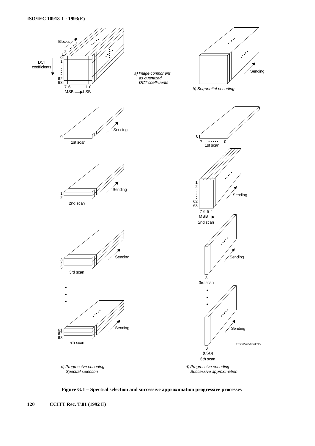

**Figure G.1 – Spectral selection and successive approximation progressive processes**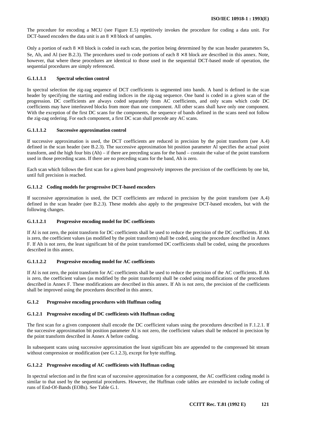The procedure for encoding a MCU (see Figure E.5) repetitively invokes the procedure for coding a data unit. For DCT-based encoders the data unit is an  $8 \times 8$  block of samples.

Only a portion of each  $8 \times 8$  block is coded in each scan, the portion being determined by the scan header parameters Ss, Se, Ah, and Al (see B.2.3). The procedures used to code portions of each  $8 \times 8$  block are described in this annex. Note, however, that where these procedures are identical to those used in the sequential DCT-based mode of operation, the sequential procedures are simply referenced.

### **G.1.1.1.1 Spectral selection control**

In spectral selection the zig-zag sequence of DCT coefficients is segmented into bands. A band is defined in the scan header by specifying the starting and ending indices in the zig-zag sequence. One band is coded in a given scan of the progression. DC coefficients are always coded separately from AC coefficients, and only scans which code DC coefficients may have interleaved blocks from more than one component. All other scans shall have only one component. With the exception of the first DC scans for the components, the sequence of bands defined in the scans need not follow the zig-zag ordering. For each component, a first DC scan shall precede any AC scans.

### **G.1.1.1.2 Successive approximation control**

If successive approximation is used, the DCT coefficients are reduced in precision by the point transform (see A.4) defined in the scan header (see B.2.3). The successive approximation bit position parameter Al specifies the actual point transform, and the high four bits (Ah) – if there are preceding scans for the band – contain the value of the point transform used in those preceding scans. If there are no preceding scans for the band, Ah is zero.

Each scan which follows the first scan for a given band progressively improves the precision of the coefficients by one bit, until full precision is reached.

#### **G.1.1.2 Coding models for progressive DCT-based encoders**

If successive approximation is used, the DCT coefficients are reduced in precision by the point transform (see A.4) defined in the scan header (see B.2.3). These models also apply to the progressive DCT-based encoders, but with the following changes.

### **G.1.1.2.1 Progressive encoding model for DC coefficients**

If Al is not zero, the point transform for DC coefficients shall be used to reduce the precision of the DC coefficients. If Ah is zero, the coefficient values (as modified by the point transform) shall be coded, using the procedure described in Annex F. If Ah is not zero, the least significant bit of the point transformed DC coefficients shall be coded, using the procedures described in this annex.

#### **G.1.1.2.2 Progressive encoding model for AC coefficients**

If Al is not zero, the point transform for AC coefficients shall be used to reduce the precision of the AC coefficients. If Ah is zero, the coefficient values (as modified by the point transform) shall be coded using modifications of the procedures described in Annex F. These modifications are described in this annex. If Ah is not zero, the precision of the coefficients shall be improved using the procedures described in this annex.

### **G.1.2 Progressive encoding procedures with Huffman coding**

#### **G.1.2.1 Progressive encoding of DC coefficients with Huffman coding**

The first scan for a given component shall encode the DC coefficient values using the procedures described in F.1.2.1. If the successive approximation bit position parameter Al is not zero, the coefficient values shall be reduced in precision by the point transform described in Annex A before coding.

In subsequent scans using successive approximation the least significant bits are appended to the compressed bit stream without compression or modification (see G.1.2.3), except for byte stuffing.

#### **G.1.2.2 Progressive encoding of AC coefficients with Huffman coding**

In spectral selection and in the first scan of successive approximation for a component, the AC coefficient coding model is similar to that used by the sequential procedures. However, the Huffman code tables are extended to include coding of runs of End-Of-Bands (EOBs). See Table G.1.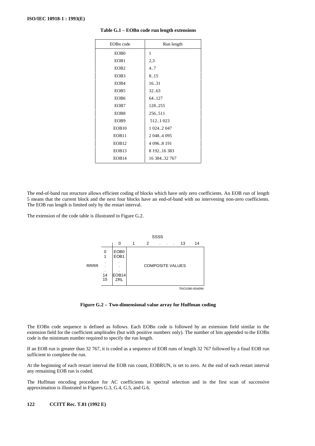| EOBn code         | Run length    |
|-------------------|---------------|
| EOB <sub>0</sub>  | $\mathbf{1}$  |
| EOB1              | 2,3           |
| EOB <sub>2</sub>  | 4.7           |
| EOB <sub>3</sub>  | 8.15          |
| EOB <sub>4</sub>  | 16.31         |
| EOB <sub>5</sub>  | 3263          |
| EOB <sub>6</sub>  | 64.127        |
| EOB7              | 128255        |
| EOB <sub>8</sub>  | 256511        |
| EOB9              | 5121 023      |
| EOB10             | 1 0242 047    |
| EOB11             | 2 0484 095    |
| EOB <sub>12</sub> | 4 0968 191    |
| EOB <sub>13</sub> | 8 192.16 383  |
| EOB14             | 16 384 32 767 |

### **Table G.1 – EOBn code run length extensions**

The end-of-band run structure allows efficient coding of blocks which have only zero coefficients. An EOB run of length 5 means that the current block and the next four blocks have an end-of-band with no intervening non-zero coefficients. The EOB run length is limited only by the restart interval.

The extension of the code table is illustrated in Figure G.2.



**Figure G.2 – Two-dimensional value array for Huffman coding**

The EOBn code sequence is defined as follows. Each EOBn code is followed by an extension field similar to the extension field for the coefficient amplitudes (but with positive numbers only). The number of bits appended to the EOBn code is the minimum number required to specify the run length.

If an EOB run is greater than 32 767, it is coded as a sequence of EOB runs of length 32 767 followed by a final EOB run sufficient to complete the run.

At the beginning of each restart interval the EOB run count, EOBRUN, is set to zero. At the end of each restart interval any remaining EOB run is coded.

The Huffman encoding procedure for AC coefficients in spectral selection and in the first scan of successive approximation is illustrated in Figures G.3, G.4, G.5, and G.6.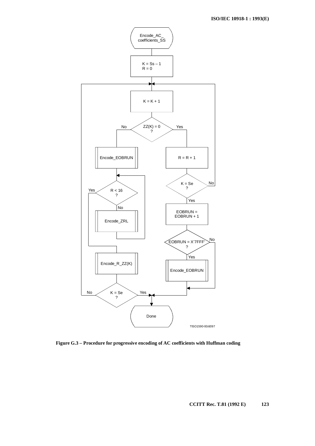

**Figure G.3 – Procedure for progressive encoding of AC coefficients with Huffman coding**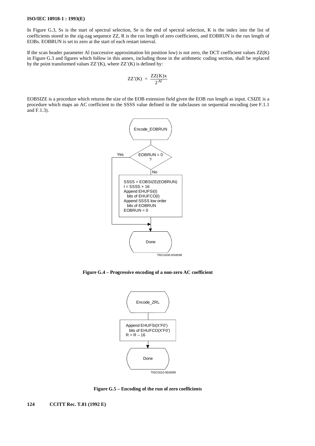In Figure G.3, Ss is the start of spectral selection, Se is the end of spectral selection, K is the index into the list of coefficients stored in the zig-zag sequence ZZ, R is the run length of zero coefficients, and EOBRUN is the run length of EOBs. EOBRUN is set to zero at the start of each restart interval.

If the scan header parameter Al (successive approximation bit position low) is not zero, the DCT coefficient values ZZ(K) in Figure G.3 and figures which follow in this annex, including those in the arithmetic coding section, shall be replaced by the point transformed values ZZ'(K), where ZZ'(K) is defined by:

$$
ZZ'(K) = \frac{ZZ(K)x}{2^{Al}}
$$

EOBSIZE is a procedure which returns the size of the EOB extension field given the EOB run length as input. CSIZE is a procedure which maps an AC coefficient to the SSSS value defined in the subclauses on sequential encoding (see F.1.1 and F.1.3).



**Figure G.4 – Progressive encoding of a non-zero AC coefficient**



**Figure G.5 – Encoding of the run of zero coefficients**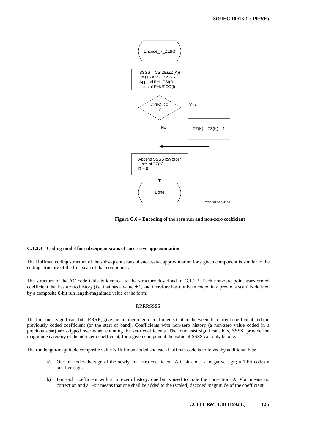

**Figure G.6 – Encoding of the zero run and non-zero coefficient**

### **G.1.2.3 Coding model for subsequent scans of successive approximation**

The Huffman coding structure of the subsequent scans of successive approximation for a given component is similar to the coding structure of the first scan of that component.

The structure of the AC code table is identical to the structure described in G.1.2.2. Each non-zero point transformed coefficient that has a zero history (i.e. that has a value  $\pm 1$ , and therefore has not been coded in a previous scan) is defined by a composite 8-bit run length-magnitude value of the form:

#### **RRRRSSSS**

The four most significant bits, RRRR, give the number of zero coefficients that are between the current coefficient and the previously coded coefficient (or the start of band). Coefficients with non-zero history (a non-zero value coded in a previous scan) are skipped over when counting the zero coefficients. The four least significant bits, SSSS, provide the magnitude category of the non-zero coefficient; for a given component the value of SSSS can only be one.

The run length-magnitude composite value is Huffman coded and each Huffman code is followed by additional bits:

- a) One bit codes the sign of the newly non-zero coefficient. A 0-bit codes a negative sign; a 1-bit codes a positive sign.
- b) For each coefficient with a non-zero history, one bit is used to code the correction. A 0-bit means no correction and a 1-bit means that one shall be added to the (scaled) decoded magnitude of the coefficient.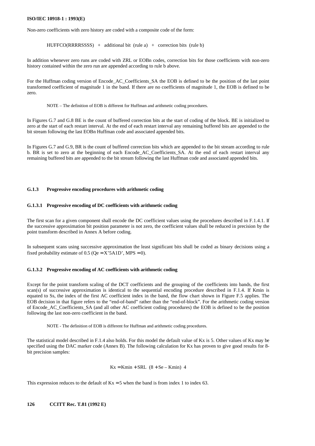Non-zero coefficients with zero history are coded with a composite code of the form:

 $HUFFCO(RRRRSSSS) + additional bit (rule a) + correction bits (rule b)$ 

In addition whenever zero runs are coded with ZRL or EOBn codes, correction bits for those coefficients with non-zero history contained within the zero run are appended according to rule b above.

For the Huffman coding version of Encode\_AC\_Coefficients\_SA the EOB is defined to be the position of the last point transformed coefficient of magnitude 1 in the band. If there are no coefficients of magnitude 1, the EOB is defined to be zero.

NOTE – The definition of EOB is different for Huffman and arithmetic coding procedures.

In Figures G.7 and G.8 BE is the count of buffered correction bits at the start of coding of the block. BE is initialized to zero at the start of each restart interval. At the end of each restart interval any remaining buffered bits are appended to the bit stream following the last EOBn Huffman code and associated appended bits.

In Figures G.7 and G.9, BR is the count of buffered correction bits which are appended to the bit stream according to rule b. BR is set to zero at the beginning of each Encode\_AC\_Coefficients\_SA. At the end of each restart interval any remaining buffered bits are appended to the bit stream following the last Huffman code and associated appended bits.

# **G.1.3 Progressive encoding procedures with arithmetic coding**

#### **G.1.3.1 Progressive encoding of DC coefficients with arithmetic coding**

The first scan for a given component shall encode the DC coefficient values using the procedures described in F.1.4.1. If the successive approximation bit position parameter is not zero, the coefficient values shall be reduced in precision by the point transform described in Annex A before coding.

In subsequent scans using successive approximation the least significant bits shall be coded as binary decisions using a fixed probability estimate of  $0.5$  ( $\text{Oe} = \text{X}^2$ ,  $5 \text{A} 1 \text{D}$ ), MPS = 0).

# **G.1.3.2 Progressive encoding of AC coefficients with arithmetic coding**

Except for the point transform scaling of the DCT coefficients and the grouping of the coefficients into bands, the first scan(s) of successive approximation is identical to the sequential encoding procedure described in F.1.4. If Kmin is equated to Ss, the index of the first AC coefficient index in the band, the flow chart shown in Figure F.5 applies. The EOB decision in that figure refers to the "end-of-band" rather than the "end-of-block". For the arithmetic coding version of Encode\_AC\_Coefficients\_SA (and all other AC coefficient coding procedures) the EOB is defined to be the position following the last non-zero coefficient in the band.

NOTE - The definition of EOB is different for Huffman and arithmetic coding procedures.

The statistical model described in F.1.4 also holds. For this model the default value of Kx is 5. Other values of Kx may be specified using the DAC marker code (Annex B). The following calculation for Kx has proven to give good results for 8 bit precision samples:

 $Kx = Kmin + SRL$  (8 + Se – Kmin) 4

This expression reduces to the default of  $Kx = 5$  when the band is from index 1 to index 63.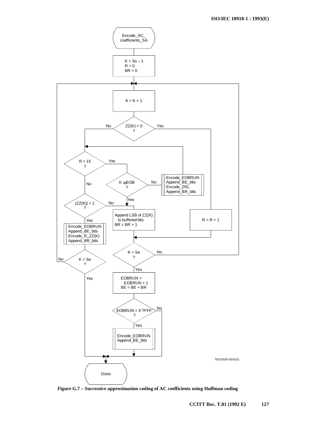

**Figure G.7 – Successive approximation coding of AC coefficients using Huffman coding**

**CCITT Rec. T.81 (1992 E) 127**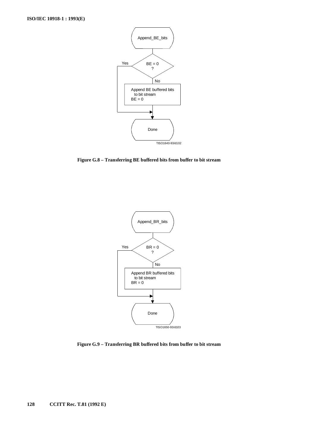

**Figure G.8 – Transferring BE buffered bits from buffer to bit stream**



**Figure G.9 – Transferring BR buffered bits from buffer to bit stream**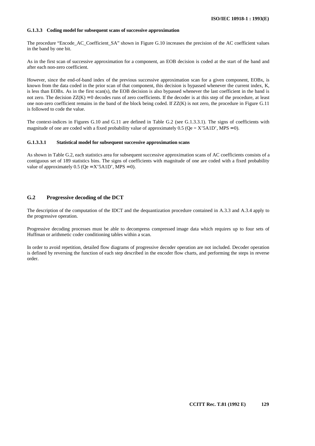#### **G.1.3.3 Coding model for subsequent scans of successive approximation**

The procedure "Encode AC\_Coefficient SA" shown in Figure G.10 increases the precision of the AC coefficient values in the band by one bit.

As in the first scan of successive approximation for a component, an EOB decision is coded at the start of the band and after each non-zero coefficient.

However, since the end-of-band index of the previous successive approximation scan for a given component, EOBx, is known from the data coded in the prior scan of that component, this decision is bypassed whenever the current index, K, is less than EOBx. As in the first scan(s), the EOB decision is also bypassed whenever the last coefficient in the band is not zero. The decision  $ZZ(K) = 0$  decodes runs of zero coefficients. If the decoder is at this step of the procedure, at least one non-zero coefficient remains in the band of the block being coded. If ZZ(K) is not zero, the procedure in Figure G.11 is followed to code the value.

The context-indices in Figures G.10 and G.11 are defined in Table G.2 (see G.1.3.3.1). The signs of coefficients with magnitude of one are coded with a fixed probability value of approximately  $0.5$  (Qe = X'5A1D', MPS = 0).

### **G.1.3.3.1 Statistical model for subsequent successive approximation scans**

As shown in Table G.2, each statistics area for subsequent successive approximation scans of AC coefficients consists of a contiguous set of 189 statistics bins. The signs of coefficients with magnitude of one are coded with a fixed probability value of approximately  $0.5$  ( $Qe = X'5A1D'$ , MPS = 0).

### **G.2 Progressive decoding of the DCT**

The description of the computation of the IDCT and the dequantization procedure contained in A.3.3 and A.3.4 apply to the progressive operation.

Progressive decoding processes must be able to decompress compressed image data which requires up to four sets of Huffman or arithmetic coder conditioning tables within a scan.

In order to avoid repetition, detailed flow diagrams of progressive decoder operation are not included. Decoder operation is defined by reversing the function of each step described in the encoder flow charts, and performing the steps in reverse order.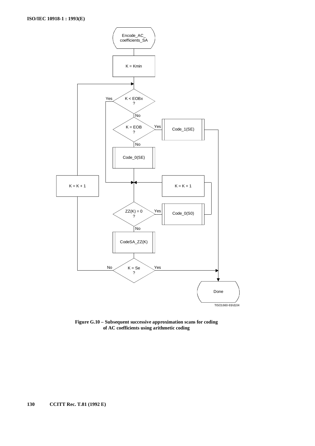

**Figure G.10 – Subsequent successive approximation scans for coding of AC coefficients using arithmetic coding**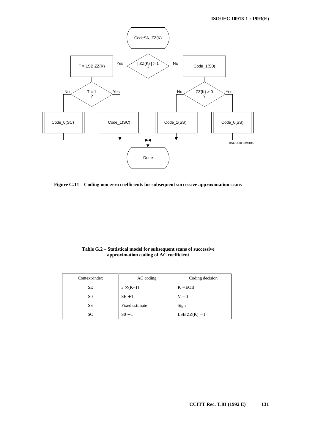

**Figure G.11 – Coding non-zero coefficients for subsequent successive approximation scans**

| Table G.2 – Statistical model for subsequent scans of successive |
|------------------------------------------------------------------|
| approximation coding of AC coefficient                           |

| Context-index | AC coding        | Coding decision |
|---------------|------------------|-----------------|
| SЕ            | $3 \times (K-1)$ | $K = EOB$       |
| S0            | $SE + 1$         | $V = 0$         |
| SS            | Fixed estimate   | Sign            |
| <b>SC</b>     | $S_0+1$          | $LSB ZZ(K) = 1$ |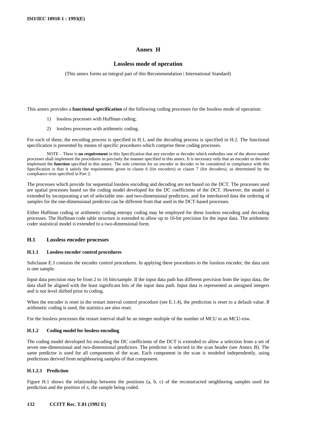# **Annex H**

# **Lossless mode of operation**

(This annex forms an integral part of this Recommendation | International Standard)

This annex provides a **functional specification** of the following coding processes for the lossless mode of operation:

- 1) lossless processes with Huffman coding;
- 2) lossless processes with arithmetic coding.

For each of these, the encoding process is specified in H.1, and the decoding process is specified in H.2. The functional specification is presented by means of specific procedures which comprise these coding processes.

NOTE – There is **no requirement** in this Specification that any encoder or decoder which embodies one of the above-named processes shall implement the procedures in precisely the manner specified in this annex. It is necessary only that an encoder or decoder implement the **function** specified in this annex. The sole criterion for an encoder or decoder to be considered in compliance with this Specification is that it satisfy the requirements given in clause 6 (for encoders) or clause 7 (for decoders), as determined by the compliance tests specified in Part 2.

The processes which provide for sequential lossless encoding and decoding are not based on the DCT. The processes used are spatial processes based on the coding model developed for the DC coefficients of the DCT. However, the model is extended by incorporating a set of selectable one- and two-dimensional predictors, and for interleaved data the ordering of samples for the one-dimensional predictor can be different from that used in the DCT-based processes.

Either Huffman coding or arithmetic coding entropy coding may be employed for these lossless encoding and decoding processes. The Huffman code table structure is extended to allow up to 16-bit precision for the input data. The arithmetic coder statistical model is extended to a two-dimensional form.

# **H.1 Lossless encoder processes**

### **H.1.1 Lossless encoder control procedures**

Subclause E.1 contains the encoder control procedures. In applying these procedures to the lossless encoder, the data unit is one sample.

Input data precision may be from 2 to 16 bits/sample. If the input data path has different precision from the input data, the data shall be aligned with the least significant bits of the input data path. Input data is represented as unsigned integers and is not level shifted prior to coding.

When the encoder is reset in the restart interval control procedure (see E.1.4), the prediction is reset to a default value. If arithmetic coding is used, the statistics are also reset.

For the lossless processes the restart interval shall be an integer multiple of the number of MCU in an MCU-row.

### **H.1.2 Coding model for lossless encoding**

The coding model developed for encoding the DC coefficients of the DCT is extended to allow a selection from a set of seven one-dimensional and two-dimensional predictors. The predictor is selected in the scan header (see Annex B). The same predictor is used for all components of the scan. Each component in the scan is modeled independently, using predictions derived from neighbouring samples of that component.

# **H.1.2.1 Prediction**

Figure H.1 shows the relationship between the positions (a, b, c) of the reconstructed neighboring samples used for prediction and the position of x, the sample being coded.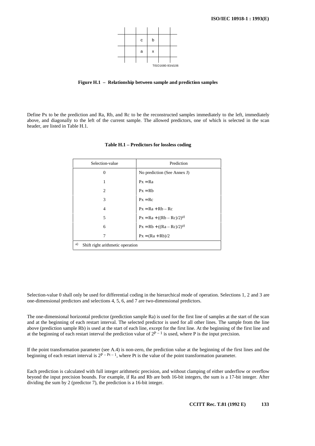

**Figure H.1 – Relationship between sample and prediction samples**

Define Px to be the prediction and Ra, Rb, and Rc to be the reconstructed samples immediately to the left, immediately above, and diagonally to the left of the current sample. The allowed predictors, one of which is selected in the scan header, are listed in Table H.1.

| Selection-value                        | Prediction                    |
|----------------------------------------|-------------------------------|
| $\Omega$                               | No prediction (See Annex J)   |
| 1                                      | $Px = Ra$                     |
| $\mathfrak{D}$                         | $Px = Rb$                     |
| 3                                      | $Px = Rc$                     |
| 4                                      | $Px = Ra + Rb - Rc$           |
| 5                                      | $Px = Ra + ((Rb - Rc)/2)^{a}$ |
| 6                                      | $Px = Rb + ((Ra - Rc)/2)^{a}$ |
| 7                                      | $Px = (Ra + Rb)/2$            |
| a)<br>Shift right arithmetic operation |                               |

Selection-value 0 shall only be used for differential coding in the hierarchical mode of operation. Selections 1, 2 and 3 are one-dimensional predictors and selections 4, 5, 6, and 7 are two-dimensional predictors.

The one-dimensional horizontal predictor (prediction sample Ra) is used for the first line of samples at the start of the scan and at the beginning of each restart interval. The selected predictor is used for all other lines. The sample from the line above (prediction sample Rb) is used at the start of each line, except for the first line. At the beginning of the first line and at the beginning of each restart interval the prediction value of  $2^{P-1}$  is used, where P is the input precision.

If the point transformation parameter (see A.4) is non-zero, the prediction value at the beginning of the first lines and the beginning of each restart interval is  $2^{p - pt - 1}$ , where Pt is the value of the point transformation parameter.

Each prediction is calculated with full integer arithmetic precision, and without clamping of either underflow or overflow beyond the input precision bounds. For example, if Ra and Rb are both 16-bit integers, the sum is a 17-bit integer. After dividing the sum by 2 (predictor 7), the prediction is a 16-bit integer.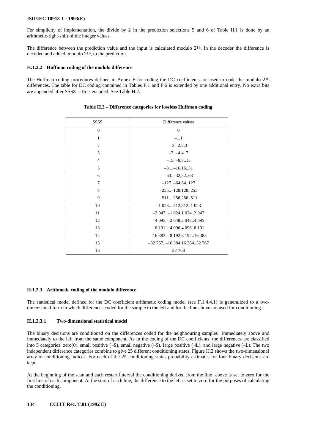For simplicity of implementation, the divide by 2 in the prediction selections 5 and 6 of Table H.1 is done by an arithmetic-right-shift of the integer values.

The difference between the prediction value and the input is calculated modulo 216. In the decoder the difference is decoded and added, modulo  $2^{16}$ , to the prediction.

### **H.1.2.2 Huffman coding of the modulo difference**

The Huffman coding procedures defined in Annex F for coding the DC coefficients are used to code the modulo 216 differences. The table for DC coding contained in Tables F.1 and F.6 is extended by one additional entry. No extra bits are appended after  $SSSS = 16$  is encoded. See Table H.2.

| <b>SSSS</b>    | Difference values                |
|----------------|----------------------------------|
| $\overline{0}$ | $\overline{0}$                   |
| 1              | $-1,1$                           |
| $\overline{c}$ | $-3, -2, 2, 3$                   |
| 3              | $-7, -4, 4, .7$                  |
| $\overline{4}$ | $-15-8,815$                      |
| 5              | $-31-16,1631$                    |
| 6              | $-63-32,3263$                    |
| 7              | $-127$ $-64,64$ 127              |
| 8              | $-255-128,128255$                |
| 9              | $-511 - 256, 256511$             |
| 10             | $-1$ 023 $-512,512$ 1 023        |
| 11             | $-2$ 047 $-1$ 024,1 0242 047     |
| 12             | $-4095$ . $-2048,2048$ . 4095    |
| 13             | $-8$ 191 $-4$ 096,4 0968 191     |
| 14             | $-16$ 383 $-8$ 192,8 19216 383   |
| 15             | $-32$ 767 $-16$ 384,16 38432 767 |
| 16             | 32 768                           |

#### **Table H.2 – Difference categories for lossless Huffman coding**

#### **H.1.2.3 Arithmetic coding of the modulo difference**

The statistical model defined for the DC coefficient arithmetic coding model (see F.1.4.4.1) is generalized to a twodimensional form in which differences coded for the sample to the left and for the line above are used for conditioning.

### **H.1.2.3.1 Two-dimensional statistical model**

The binary decisions are conditioned on the differences coded for the neighbouring samples immediately above and immediately to the left from the same component. As in the coding of the DC coefficients, the differences are classified into 5 categories: zero(0), small positive (+S), small negative (–S), large positive (+L), and large negative (–L). The two independent difference categories combine to give 25 different conditioning states. Figure H.2 shows the two-dimensional array of conditioning indices. For each of the 25 conditioning states probability estimates for four binary decisions are kept.

At the beginning of the scan and each restart interval the conditioning derived from the line above is set to zero for the first line of each component. At the start of each line, the difference to the left is set to zero for the purposes of calculating the conditioning.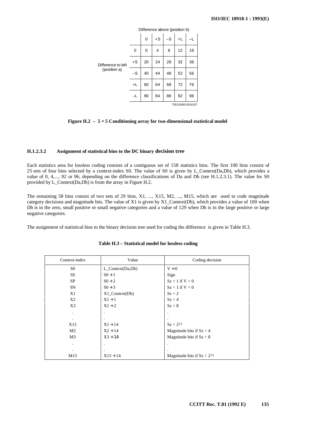|                                    | Difference above (position b) |    |      |    |    |                  |
|------------------------------------|-------------------------------|----|------|----|----|------------------|
|                                    |                               | 0  | $+S$ | -S | +L |                  |
| Difference to left<br>(position a) | 0                             | 0  | 4    | 8  | 12 | 16               |
|                                    | +S                            | 20 | 24   | 28 | 32 | 36               |
|                                    | $-S$                          | 40 | 44   | 48 | 52 | 56               |
|                                    | +L                            | 60 | 64   | 68 | 72 | 76               |
|                                    |                               | 80 | 84   | 88 | 92 | 96               |
|                                    |                               |    |      |    |    | TISO1690-93/d107 |

**Figure H.2 – 5 × 5 Conditioning array for two-dimensional statistical model**

### **H.1.2.3.2 Assignment of statistical bins to the DC binary decision tree**

Each statistics area for lossless coding consists of a contiguous set of 158 statistics bins. The first 100 bins consist of 25 sets of four bins selected by a context-index S0. The value of S0 is given by L\_Context(Da,Db), which provides a value of 0, 4,..., 92 or 96, depending on the difference classifications of Da and Db (see H.1.2.3.1). The value for S0 provided by L\_Context(Da,Db) is from the array in Figure H.2.

The remaining 58 bins consist of two sets of 29 bins, X1, ..., X15, M2, ..., M15, which are used to code magnitude category decisions and magnitude bits. The value of X1 is given by X1\_Context(Db), which provides a value of  $100$  when Db is in the zero, small positive or small negative categories and a value of 129 when Db is in the large positive or large negative categories.

The assignment of statistical bins to the binary decision tree used for coding the difference is given in Table H.3.

| Context-index  | Value               | Coding decision                 |
|----------------|---------------------|---------------------------------|
| S <sub>0</sub> | $L$ _Context(Da,Db) | $V = 0$                         |
| SS             | $S_0+1$             | Sign                            |
| <b>SP</b>      | $S_0 + 2$           | $Sz < 1$ if $V > 0$             |
| SN             | $S_0 + 3$           | $Sz < 1$ if $V < 0$             |
| X1             | $X1$ _Context(Db)   | Sz < 2                          |
| X <sub>2</sub> | $X1 + 1$            | Sz < 4                          |
| X3             | $X1 + 2$            | Sz < 8                          |
| $\cdot$        |                     |                                 |
| $\bullet$      | $\cdot$             | ٠                               |
| X15            | $X1 + 14$           | $Sz < 2^{15}$                   |
| M <sub>2</sub> | $X2 + 14$           | Magnitude bits if $Sz < 4$      |
| M <sub>3</sub> | $X3 + 14$           | Magnitude bits if $Sz < 8$      |
| $\cdot$        |                     |                                 |
| $\bullet$      | $\bullet$           |                                 |
| M15            | $X15 + 14$          | Magnitude bits if $Sz < 2^{15}$ |

#### **Table H.3 – Statistical model for lossless coding**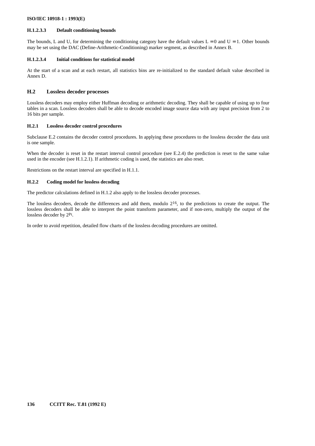### **H.1.2.3.3 Default conditioning bounds**

The bounds, L and U, for determining the conditioning category have the default values  $L = 0$  and  $U = 1$ . Other bounds may be set using the DAC (Define-Arithmetic-Conditioning) marker segment, as described in Annex B.

### **H.1.2.3.4 Initial conditions for statistical model**

At the start of a scan and at each restart, all statistics bins are re-initialized to the standard default value described in Annex D.

# **H.2 Lossless decoder processes**

Lossless decoders may employ either Huffman decoding or arithmetic decoding. They shall be capable of using up to four tables in a scan. Lossless decoders shall be able to decode encoded image source data with any input precision from 2 to 16 bits per sample.

#### **H.2.1 Lossless decoder control procedures**

Subclause E.2 contains the decoder control procedures. In applying these procedures to the lossless decoder the data unit is one sample.

When the decoder is reset in the restart interval control procedure (see E.2.4) the prediction is reset to the same value used in the encoder (see H.1.2.1). If arithmetic coding is used, the statistics are also reset.

Restrictions on the restart interval are specified in H.1.1.

#### **H.2.2 Coding model for lossless decoding**

The predictor calculations defined in H.1.2 also apply to the lossless decoder processes.

The lossless decoders, decode the differences and add them, modulo 216, to the predictions to create the output. The lossless decoders shall be able to interpret the point transform parameter, and if non-zero, multiply the output of the lossless decoder by 2Pt.

In order to avoid repetition, detailed flow charts of the lossless decoding procedures are omitted.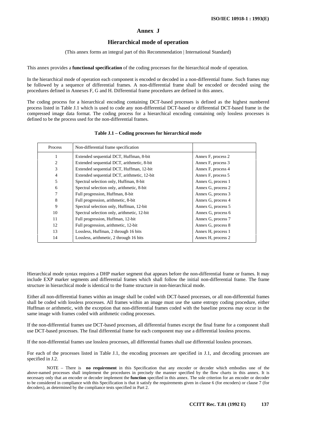# **Annex J**

# **Hierarchical mode of operation**

(This annex forms an integral part of this Recommendation | International Standard)

This annex provides a **functional specification** of the coding processes for the hierarchical mode of operation.

In the hierarchical mode of operation each component is encoded or decoded in a non-differential frame. Such frames may be followed by a sequence of differential frames. A non-differential frame shall be encoded or decoded using the procedures defined in Annexes F, G and H. Differential frame procedures are defined in this annex.

The coding process for a hierarchical encoding containing DCT-based processes is defined as the highest numbered process listed in Table J.1 which is used to code any non-differential DCT-based or differential DCT-based frame in the compressed image data format. The coding process for a hierarchical encoding containing only lossless processes is defined to be the process used for the non-differential frames.

| Process        | Non-differential frame specification        |                    |
|----------------|---------------------------------------------|--------------------|
| 1              | Extended sequential DCT, Huffman, 8-bit     | Annex F, process 2 |
| 2              | Extended sequential DCT, arithmetic, 8-bit  | Annex F, process 3 |
| 3              | Extended sequential DCT, Huffman, 12-bit    | Annex F, process 4 |
| $\overline{4}$ | Extended sequential DCT, arithmetic, 12-bit | Annex F, process 5 |
| 5              | Spectral selection only, Huffman, 8-bit     | Annex G, process 1 |
| 6              | Spectral selection only, arithmetic, 8-bit  | Annex G, process 2 |
| 7              | Full progression, Huffman, 8-bit            | Annex G, process 3 |
| 8              | Full progression, arithmetic, 8-bit         | Annex G, process 4 |
| 9              | Spectral selection only, Huffman, 12-bit    | Annex G, process 5 |
| 10             | Spectral selection only, arithmetic, 12-bit | Annex G, process 6 |
| 11             | Full progression, Huffman, 12-bit           | Annex G, process 7 |
| 12             | Full progression, arithmetic, 12-bit        | Annex G, process 8 |
| 13             | Lossless, Huffman, 2 through 16 bits        | Annex H, process 1 |
| 14             | Lossless, arithmetic, 2 through 16 bits     | Annex H, process 2 |

**Table J.1 – Coding processes for hierarchical mode**

Hierarchical mode syntax requires a DHP marker segment that appears before the non-differential frame or frames. It may include EXP marker segments and differential frames which shall follow the initial non-differential frame. The frame structure in hierarchical mode is identical to the frame structure in non-hierarchical mode.

Either all non-differential frames within an image shall be coded with DCT-based processes, or all non-differential frames shall be coded with lossless processes. All frames within an image must use the same entropy coding procedure, either Huffman or arithmetic, with the exception that non-differential frames coded with the baseline process may occur in the same image with frames coded with arithmetic coding processes.

If the non-differential frames use DCT-based processes, all differential frames except the final frame for a component shall use DCT-based processes. The final differential frame for each component may use a differential lossless process.

If the non-differential frames use lossless processes, all differential frames shall use differential lossless processes.

For each of the processes listed in Table J.1, the encoding processes are specified in J.1, and decoding processes are specified in J.2.

NOTE – There is **no requirement** in this Specification that any encoder or decoder which embodies one of the above-named processes shall implement the procedures in precisely the manner specified by the flow charts in this annex. It is necessary only that an encoder or decoder implement the **function** specified in this annex. The sole criterion for an encoder or decoder to be considered in compliance with this Specification is that it satisfy the requirements given in clause 6 (for encoders) or clause 7 (for decoders), as determined by the compliance tests specified in Part 2.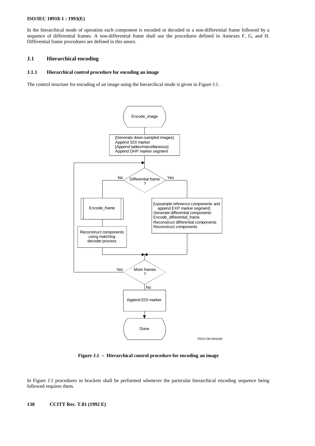In the hierarchical mode of operation each component is encoded or decoded in a non-differential frame followed by a sequence of differential frames. A non-differential frame shall use the procedures defined in Annexes F, G, and H. Differential frame procedures are defined in this annex.

# **J.1 Hierarchical encoding**

# **J.1.1 Hierarchical control procedure for encoding an image**

The control structure for encoding of an image using the hierarchical mode is given in Figure J.1.



**Figure J.1 – Hierarchical control procedure for encoding an image**

In Figure J.1 procedures in brackets shall be performed whenever the particular hierarchical encoding sequence being followed requires them.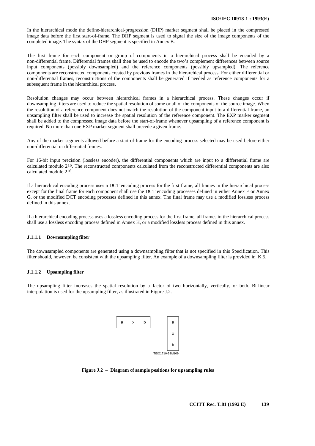In the hierarchical mode the define-hierarchical-progression (DHP) marker segment shall be placed in the compressed image data before the first start-of-frame. The DHP segment is used to signal the size of the image components of the completed image. The syntax of the DHP segment is specified in Annex B.

The first frame for each component or group of components in a hierarchical process shall be encoded by a non-differential frame. Differential frames shall then be used to encode the two's complement differences between source input components (possibly downsampled) and the reference components (possibly upsampled). The reference components are reconstructed components created by previous frames in the hierarchical process. For either differential or non-differential frames, reconstructions of the components shall be generated if needed as reference components for a subsequent frame in the hierarchical process.

Resolution changes may occur between hierarchical frames in a hierarchical process. These changes occur if downsampling filters are used to reduce the spatial resolution of some or all of the components of the source image. When the resolution of a reference component does not match the resolution of the component input to a differential frame, an upsampling filter shall be used to increase the spatial resolution of the reference component. The EXP marker segment shall be added to the compressed image data before the start-of-frame whenever upsampling of a reference component is required. No more than one EXP marker segment shall precede a given frame.

Any of the marker segments allowed before a start-of-frame for the encoding process selected may be used before either non-differential or differential frames.

For 16-bit input precision (lossless encoder), the differential components which are input to a differential frame are calculated modulo 216. The reconstructed components calculated from the reconstructed differential components are also calculated modulo 216.

If a hierarchical encoding process uses a DCT encoding process for the first frame, all frames in the hierarchical process except for the final frame for each component shall use the DCT encoding processes defined in either Annex F or Annex G, or the modified DCT encoding processes defined in this annex. The final frame may use a modified lossless process defined in this annex.

If a hierarchical encoding process uses a lossless encoding process for the first frame, all frames in the hierarchical process shall use a lossless encoding process defined in Annex H, or a modified lossless process defined in this annex.

### **J.1.1.1 Downsampling filter**

The downsampled components are generated using a downsampling filter that is not specified in this Specification. This filter should, however, be consistent with the upsampling filter. An example of a downsampling filter is provided in K.5.

### **J.1.1.2 Upsampling filter**

The upsampling filter increases the spatial resolution by a factor of two horizontally, vertically, or both. Bi-linear interpolation is used for the upsampling filter, as illustrated in Figure J.2.



**Figure J.2 – Diagram of sample positions for upsampling rules**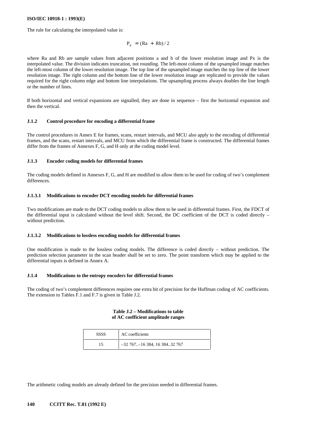The rule for calculating the interpolated value is:

$$
P_x = (Ra + Rb)/2
$$

where Ra and Rb are sample values from adjacent positions a and b of the lower resolution image and Px is the interpolated value. The division indicates truncation, not rounding. The left-most column of the upsampled image matches the left-most column of the lower resolution image. The top line of the upsampled image matches the top line of the lower resolution image. The right column and the bottom line of the lower resolution image are replicated to provide the values required for the right column edge and bottom line interpolations. The upsampling process always doubles the line length or the number of lines.

If both horizontal and vertical expansions are signalled, they are done in sequence – first the horizontal expansion and then the vertical.

## **J.1.2 Control procedure for encoding a differential frame**

The control procedures in Annex E for frames, scans, restart intervals, and MCU also apply to the encoding of differential frames, and the scans, restart intervals, and MCU from which the differential frame is constructed. The differential frames differ from the frames of Annexes F, G, and H only at the coding model level.

### **J.1.3 Encoder coding models for differential frames**

The coding models defined in Annexes F, G, and H are modified to allow them to be used for coding of two's complement differences.

### **J.1.3.1 Modifications to encoder DCT encoding models for differential frames**

Two modifications are made to the DCT coding models to allow them to be used in differential frames. First, the FDCT of the differential input is calculated without the level shift. Second, the DC coefficient of the DCT is coded directly – without prediction.

# **J.1.3.2 Modifications to lossless encoding models for differential frames**

One modification is made to the lossless coding models. The difference is coded directly – without prediction. The prediction selection parameter in the scan header shall be set to zero. The point transform which may be applied to the differential inputs is defined in Annex A.

## **J.1.4 Modifications to the entropy encoders for differential frames**

The coding of two's complement differences requires one extra bit of precision for the Huffman coding of AC coefficients. The extension to Tables F.1 and F.7 is given in Table J.2.

### **Table J.2 – Modifications to table of AC coefficient amplitude ranges**

| SSSS | AC coefficients                   |
|------|-----------------------------------|
|      | $-32$ 767 $-16$ 384, 16 38432 767 |

The arithmetic coding models are already defined for the precision needed in differential frames.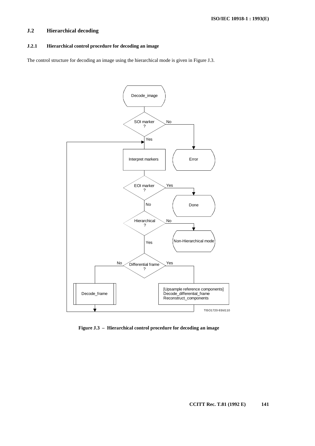# **J.2 Hierarchical decoding**

# **J.2.1 Hierarchical control procedure for decoding an image**

The control structure for decoding an image using the hierarchical mode is given in Figure J.3.



**Figure J.3 – Hierarchical control procedure for decoding an image**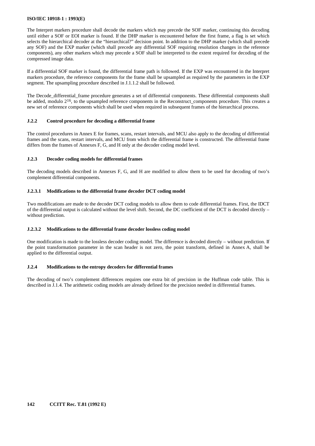The Interpret markers procedure shall decode the markers which may precede the SOF marker, continuing this decoding until either a SOF or EOI marker is found. If the DHP marker is encountered before the first frame, a flag is set which selects the hierarchical decoder at the "hierarchical?" decision point. In addition to the DHP marker (which shall precede any SOF) and the EXP marker (which shall precede any differential SOF requiring resolution changes in the reference components), any other markers which may precede a SOF shall be interpreted to the extent required for decoding of the compressed image data.

If a differential SOF marker is found, the differential frame path is followed. If the EXP was encountered in the Interpret markers procedure, the reference components for the frame shall be upsampled as required by the parameters in the EXP segment. The upsampling procedure described in J.1.1.2 shall be followed.

The Decode\_differential\_frame procedure generates a set of differential components. These differential components shall be added, modulo 2<sup>16</sup>, to the upsampled reference components in the Reconstruct\_components procedure. This creates a new set of reference components which shall be used when required in subsequent frames of the hierarchical process.

### **J.2.2 Control procedure for decoding a differential frame**

The control procedures in Annex E for frames, scans, restart intervals, and MCU also apply to the decoding of differential frames and the scans, restart intervals, and MCU from which the differential frame is constructed. The differential frame differs from the frames of Annexes F, G, and H only at the decoder coding model level.

### **J.2.3 Decoder coding models for differential frames**

The decoding models described in Annexes F, G, and H are modified to allow them to be used for decoding of two's complement differential components.

### **J.2.3.1 Modifications to the differential frame decoder DCT coding model**

Two modifications are made to the decoder DCT coding models to allow them to code differential frames. First, the IDCT of the differential output is calculated without the level shift. Second, the DC coefficient of the DCT is decoded directly – without prediction.

#### **J.2.3.2 Modifications to the differential frame decoder lossless coding model**

One modification is made to the lossless decoder coding model. The difference is decoded directly – without prediction. If the point transformation parameter in the scan header is not zero, the point transform, defined in Annex A, shall be applied to the differential output.

#### **J.2.4 Modifications to the entropy decoders for differential frames**

The decoding of two's complement differences requires one extra bit of precision in the Huffman code table. This is described in J.1.4. The arithmetic coding models are already defined for the precision needed in differential frames.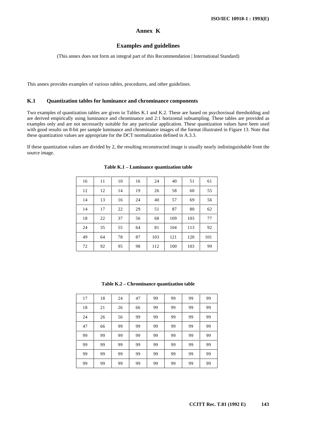# **Annex K**

#### **Examples and guidelines**

(This annex does not form an integral part of this Recommendation | International Standard)

This annex provides examples of various tables, procedures, and other guidelines.

### **K.1 Quantization tables for luminance and chrominance components**

Two examples of quantization tables are given in Tables K.1 and K.2. These are based on psychovisual thresholding and are derived empirically using luminance and chrominance and 2:1 horizontal subsampling. These tables are provided as examples only and are not necessarily suitable for any particular application. These quantization values have been used with good results on 8-bit per sample luminance and chrominance images of the format illustrated in Figure 13. Note that these quantization values are appropriate for the DCT normalization defined in A.3.3.

If these quantization values are divided by 2, the resulting reconstructed image is usually nearly indistinguishable from the source image.

| 16 | 11 | 10 | 16 | 24  | 40  | 51  | 61  |
|----|----|----|----|-----|-----|-----|-----|
| 12 | 12 | 14 | 19 | 26  | 58  | 60  | 55  |
| 14 | 13 | 16 | 24 | 40  | 57  | 69  | 56  |
| 14 | 17 | 22 | 29 | 51  | 87  | 80  | 62  |
| 18 | 22 | 37 | 56 | 68  | 109 | 103 | 77  |
| 24 | 35 | 55 | 64 | 81  | 104 | 113 | 92  |
| 49 | 64 | 78 | 87 | 103 | 121 | 120 | 101 |
| 72 | 92 | 95 | 98 | 112 | 100 | 103 | 99  |

#### **Table K.1 – Luminance quantization table**

**Table K.2 – Chrominance quantization table**

| 17 | 18 | 24 | 47 | 99 | 99 | 99 | 99 |
|----|----|----|----|----|----|----|----|
| 18 | 21 | 26 | 66 | 99 | 99 | 99 | 99 |
| 24 | 26 | 56 | 99 | 99 | 99 | 99 | 99 |
| 47 | 66 | 99 | 99 | 99 | 99 | 99 | 99 |
| 99 | 99 | 99 | 99 | 99 | 99 | 99 | 99 |
| 99 | 99 | 99 | 99 | 99 | 99 | 99 | 99 |
| 99 | 99 | 99 | 99 | 99 | 99 | 99 | 99 |
| 99 | 99 | 99 | 99 | 99 | 99 | 99 | 99 |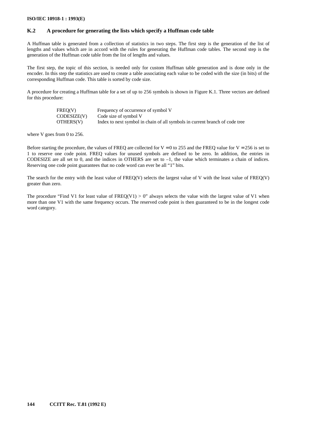### **K.2 A procedure for generating the lists which specify a Huffman code table**

A Huffman table is generated from a collection of statistics in two steps. The first step is the generation of the list of lengths and values which are in accord with the rules for generating the Huffman code tables. The second step is the generation of the Huffman code table from the list of lengths and values.

The first step, the topic of this section, is needed only for custom Huffman table generation and is done only in the encoder. In this step the statistics are used to create a table associating each value to be coded with the size (in bits) of the corresponding Huffman code. This table is sorted by code size.

A procedure for creating a Huffman table for a set of up to 256 symbols is shown in Figure K.1. Three vectors are defined for this procedure:

| FREO(V)     | Frequency of occurrence of symbol V                                         |
|-------------|-----------------------------------------------------------------------------|
| CODESIZE(V) | Code size of symbol V                                                       |
| OTHERS(V)   | Index to next symbol in chain of all symbols in current branch of code tree |

where V goes from 0 to 256.

Before starting the procedure, the values of FREQ are collected for  $V = 0$  to 255 and the FREQ value for  $V = 256$  is set to 1 to reserve one code point. FREQ values for unused symbols are defined to be zero. In addition, the entries in CODESIZE are all set to 0, and the indices in OTHERS are set to –1, the value which terminates a chain of indices. Reserving one code point guarantees that no code word can ever be all "1" bits.

The search for the entry with the least value of  $FREG(V)$  selects the largest value of V with the least value of  $FREG(V)$ greater than zero.

The procedure "Find V1 for least value of FREO(V1)  $> 0$ " always selects the value with the largest value of V1 when more than one V1 with the same frequency occurs. The reserved code point is then guaranteed to be in the longest code word category.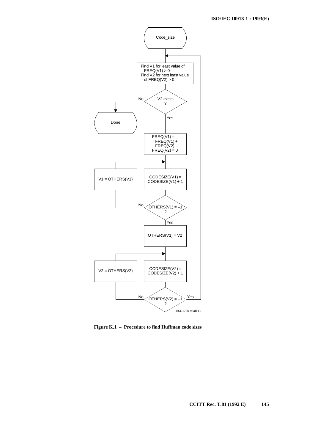

**Figure K.1 – Procedure to find Huffman code sizes**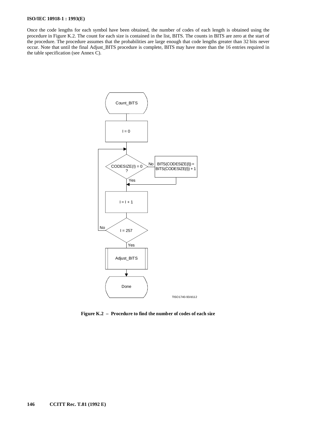Once the code lengths for each symbol have been obtained, the number of codes of each length is obtained using the procedure in Figure K.2. The count for each size is contained in the list, BITS. The counts in BITS are zero at the start of the procedure. The procedure assumes that the probabilities are large enough that code lengths greater than 32 bits never occur. Note that until the final Adjust\_BITS procedure is complete, BITS may have more than the 16 entries required in the table specification (see Annex C).



**Figure K.2 – Procedure to find the number of codes of each size**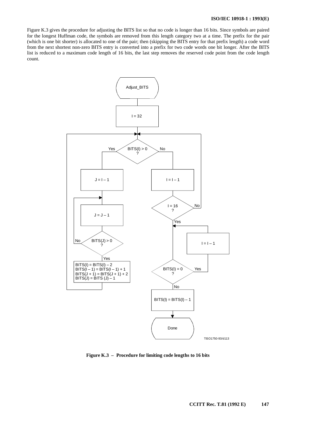Figure K.3 gives the procedure for adjusting the BITS list so that no code is longer than 16 bits. Since symbols are paired for the longest Huffman code, the symbols are removed from this length category two at a time. The prefix for the pair (which is one bit shorter) is allocated to one of the pair; then (skipping the BITS entry for that prefix length) a code word from the next shortest non-zero BITS entry is converted into a prefix for two code words one bit longer. After the BITS list is reduced to a maximum code length of 16 bits, the last step removes the reserved code point from the code length count.



**Figure K.3 – Procedure for limiting code lengths to 16 bits**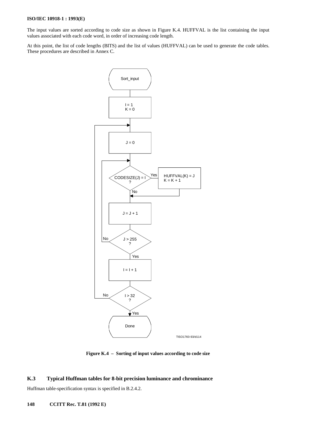The input values are sorted according to code size as shown in Figure K.4. HUFFVAL is the list containing the input values associated with each code word, in order of increasing code length.

At this point, the list of code lengths (BITS) and the list of values (HUFFVAL) can be used to generate the code tables. These procedures are described in Annex C.



**Figure K.4 – Sorting of input values according to code size**

# **K.3 Typical Huffman tables for 8-bit precision luminance and chrominance**

Huffman table-specification syntax is specified in B.2.4.2.

**148 CCITT Rec. T.81 (1992 E)**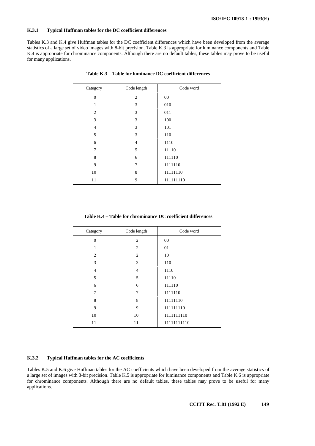### **K.3.1 Typical Huffman tables for the DC coefficient differences**

Tables K.3 and K.4 give Huffman tables for the DC coefficient differences which have been developed from the average statistics of a large set of video images with 8-bit precision. Table K.3 is appropriate for luminance components and Table K.4 is appropriate for chrominance components. Although there are no default tables, these tables may prove to be useful for many applications.

| Category       | Code length    | Code word |
|----------------|----------------|-----------|
| $\overline{0}$ | $\overline{2}$ | 00        |
| 1              | 3              | 010       |
| $\overline{2}$ | 3              | 011       |
| 3              | 3              | 100       |
| $\overline{4}$ | 3              | 101       |
| 5              | 3              | 110       |
| 6              | 4              | 1110      |
| 7              | 5              | 11110     |
| 8              | 6              | 111110    |
| 9              | 7              | 1111110   |
| 10             | 8              | 11111110  |
| 11             | 9              | 111111110 |

**Table K.3 – Table for luminance DC coefficient differences**

**Table K.4 – Table for chrominance DC coefficient differences**

| Category       | Code length    | Code word   |
|----------------|----------------|-------------|
| $\overline{0}$ | $\overline{2}$ | 00          |
| 1              | $\overline{2}$ | 01          |
| $\overline{2}$ | $\overline{c}$ | 10          |
| 3              | 3              | 110         |
| $\overline{4}$ | 4              | 1110        |
| 5              | 5              | 11110       |
| 6              | 6              | 111110      |
| $\overline{7}$ | 7              | 1111110     |
| 8              | 8              | 11111110    |
| 9              | 9              | 111111110   |
| 10             | 10             | 1111111110  |
| 11             | 11             | 11111111110 |

### **K.3.2 Typical Huffman tables for the AC coefficients**

Tables K.5 and K.6 give Huffman tables for the AC coefficients which have been developed from the average statistics of a large set of images with 8-bit precision. Table K.5 is appropriate for luminance components and Table K.6 is appropriate for chrominance components. Although there are no default tables, these tables may prove to be useful for many applications.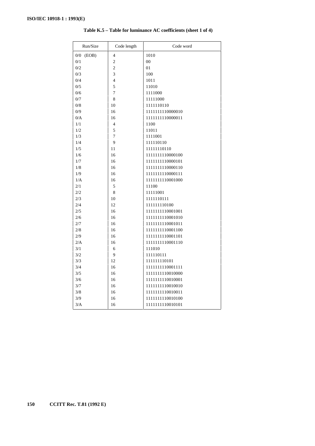| Run/Size       | Code length    | Code word        |
|----------------|----------------|------------------|
| $0/0$<br>(EOB) | $\overline{4}$ | 1010             |
| 0/1            | $\overline{c}$ | 00               |
| 0/2            | $\overline{c}$ | 01               |
| 0/3            | 3              | 100              |
| 0/4            | $\overline{4}$ | 1011             |
| 0/5            | 5              | 11010            |
| 0/6            | 7              | 1111000          |
| 0/7            | 8              | 11111000         |
| 0/8            | 10             | 1111110110       |
| 0/9            | 16             | 1111111110000010 |
| 0/A            | 16             | 1111111110000011 |
| 1/1            | 4              | 1100             |
| 1/2            | 5              | 11011            |
| 1/3            | 7              | 1111001          |
| 1/4            | 9              | 111110110        |
| 1/5            | 11             | 11111110110      |
| 1/6            | 16             | 1111111110000100 |
| 1/7            | 16             | 1111111110000101 |
| 1/8            | 16             | 1111111110000110 |
| 1/9            | 16             | 1111111110000111 |
| 1/A            | 16             | 1111111110001000 |
| 2/1            | 5              | 11100            |
| 2/2            | 8              | 11111001         |
| 2/3            | 10             | 1111110111       |
| 2/4            | 12             | 111111110100     |
| 2/5            | 16             | 1111111110001001 |
| 2/6            | 16             | 1111111110001010 |
| 2/7            | 16             | 1111111110001011 |
| 2/8            | 16             | 1111111110001100 |
| 2/9            | 16             | 1111111110001101 |
| 2/A            | 16             | 1111111110001110 |
| 3/1            | 6              | 111010           |
| 3/2            | 9              | 111110111        |
| 3/3            | 12             | 111111110101     |
| 3/4            | 16             | 1111111110001111 |
| 3/5            | 16             | 1111111110010000 |
| 3/6            | 16             | 1111111110010001 |
| 3/7            | 16             | 1111111110010010 |
| 3/8            | 16             | 1111111110010011 |
| 3/9            | 16             | 1111111110010100 |
| 3/A            | 16             | 1111111110010101 |

**Table K.5 – Table for luminance AC coefficients (sheet 1 of 4)**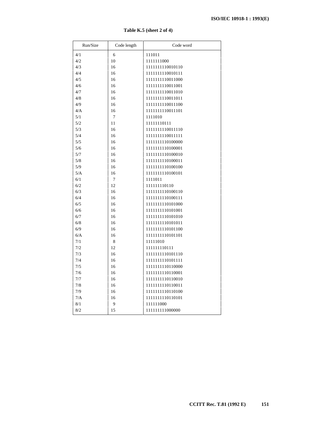| Run/Size | Code length | Code word        |
|----------|-------------|------------------|
| 4/1      | 6           | 111011           |
| 4/2      | 10          | 1111111000       |
| 4/3      | 16          | 1111111110010110 |
| 4/4      | 16          | 1111111110010111 |
| 4/5      | 16          | 1111111110011000 |
| 4/6      | 16          | 1111111110011001 |
| 4/7      | 16          | 1111111110011010 |
| 4/8      | 16          | 1111111110011011 |
| 4/9      | 16          | 1111111110011100 |
| 4/A      | 16          | 1111111110011101 |
| 5/1      | 7           | 1111010          |
| 5/2      | 11          | 11111110111      |
| 5/3      | 16          | 1111111110011110 |
| 5/4      | 16          | 1111111110011111 |
| 5/5      | 16          | 1111111110100000 |
| 5/6      | 16          | 1111111110100001 |
| 5/7      | 16          | 1111111110100010 |
| 5/8      | 16          | 1111111110100011 |
| 5/9      | 16          | 1111111110100100 |
| 5/A      | 16          | 1111111110100101 |
| 6/1      | 7           | 1111011          |
| 6/2      | 12          | 111111110110     |
| 6/3      | 16          | 1111111110100110 |
| 6/4      | 16          | 1111111110100111 |
| 6/5      | 16          | 1111111110101000 |
| 6/6      | 16          | 1111111110101001 |
| 6/7      | 16          | 1111111110101010 |
| 6/8      | 16          | 1111111110101011 |
| 6/9      | 16          | 1111111110101100 |
| 6/A      | 16          | 1111111110101101 |
| 7/1      | 8           | 11111010         |
| 7/2      | 12          | 111111110111     |
| 7/3      | 16          | 1111111110101110 |
| 7/4      | 16          | 1111111110101111 |
| 7/5      | 16          | 1111111110110000 |
| 7/6      | 16          | 1111111110110001 |
| 7/7      | 16          | 1111111110110010 |
| 7/8      | 16          | 1111111110110011 |
| 7/9      | 16          | 1111111110110100 |
| 7/A      | 16          | 1111111110110101 |
| $8/1$    | 9           | 111111000        |
| 8/2      | 15          | 111111111000000  |

**Table K.5 (sheet 2 of 4)**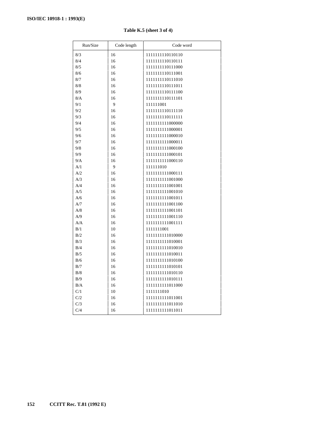| Run/Size | Code length | Code word        |
|----------|-------------|------------------|
| 8/3      | 16          | 1111111110110110 |
| 8/4      | 16          | 1111111110110111 |
| 8/5      | 16          | 1111111110111000 |
| 8/6      | 16          | 1111111110111001 |
| 8/7      | 16          | 1111111110111010 |
| 8/8      | 16          | 1111111110111011 |
| 8/9      | 16          | 1111111110111100 |
| 8/A      | 16          | 1111111110111101 |
| 9/1      | 9           | 111111001        |
| 9/2      | 16          | 1111111110111110 |
| 9/3      | 16          | 1111111110111111 |
| 9/4      | 16          | 1111111111000000 |
| 9/5      | 16          | 1111111111000001 |
| 9/6      | 16          | 1111111111000010 |
| 9/7      | 16          | 1111111111000011 |
| 9/8      | 16          | 1111111111000100 |
| 9/9      | 16          | 1111111111000101 |
| 9/A      | 16          | 1111111111000110 |
| A/1      | 9           | 111111010        |
| A/2      | 16          | 1111111111000111 |
| A/3      | 16          | 1111111111001000 |
| A/4      | 16          | 1111111111001001 |
| A/5      | 16          | 1111111111001010 |
| A/6      | 16          | 1111111111001011 |
| А/7      | 16          | 1111111111001100 |
| A/8      | 16          | 1111111111001101 |
| A/9      | 16          | 1111111111001110 |
| A/A      | 16          | 1111111111001111 |
| B/1      | 10          | 1111111001       |
| B/2      | 16          | 1111111111010000 |
| B/3      | 16          | 1111111111010001 |
| B/4      | 16          | 1111111111010010 |
| B/5      | 16          | 1111111111010011 |
| B/6      | 16          | 1111111111010100 |
| B/7      | 16          | 1111111111010101 |
| B/8      | 16          | 1111111111010110 |
| B/9      | 16          | 1111111111010111 |
| B/A      | 16          | 1111111111011000 |
| C/1      | 10          | 1111111010       |
| C/2      | 16          | 1111111111011001 |
| C/3      | 16          | 1111111111011010 |
| C/4      | 16          | 1111111111011011 |

**Table K.5 (sheet 3 of 4)**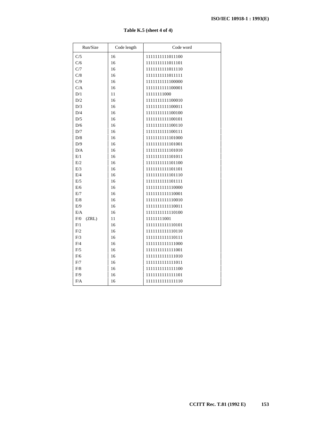| Run/Size     | Code length | Code word        |
|--------------|-------------|------------------|
| C/5          | 16          | 1111111111011100 |
| C/6          | 16          | 1111111111011101 |
| C/7          | 16          | 1111111111011110 |
| C/8          | 16          | 1111111111011111 |
| C/9          | 16          | 1111111111100000 |
| C/A          | 16          | 1111111111100001 |
| D/1          | 11          | 11111111000      |
| D/2          | 16          | 1111111111100010 |
| D/3          | 16          | 1111111111100011 |
| D/4          | 16          | 1111111111100100 |
| D/5          | 16          | 1111111111100101 |
| D/6          | 16          | 1111111111100110 |
| D/7          | 16          | 1111111111100111 |
| D/8          | 16          | 1111111111101000 |
| D/9          | 16          | 1111111111101001 |
| D/A          | 16          | 1111111111101010 |
| E/1          | 16          | 1111111111101011 |
| E/2          | 16          | 1111111111101100 |
| E/3          | 16          | 1111111111101101 |
| E/4          | 16          | 1111111111101110 |
| E/5          | 16          | 1111111111101111 |
| E/6          | 16          | 1111111111110000 |
| E/7          | 16          | 1111111111110001 |
| E/8          | 16          | 1111111111110010 |
| E/9          | 16          | 1111111111110011 |
| E/A          | 16          | 1111111111110100 |
| F/0<br>(ZRL) | 11          | 11111111001      |
| F/1          | 16          | 1111111111110101 |
| F/2          | 16          | 1111111111110110 |
| F/3          | 16          | 1111111111110111 |
| F/4          | 16          | 1111111111111000 |
| F/5          | 16          | 1111111111111001 |
| F/6          | 16          | 1111111111111010 |
| F/7          | 16          | 1111111111111011 |
| F/8          | 16          | 1111111111111100 |
| F/9          | 16          | 1111111111111101 |
| F/A          | 16          | 1111111111111110 |

# **Table K.5 (sheet 4 of 4)**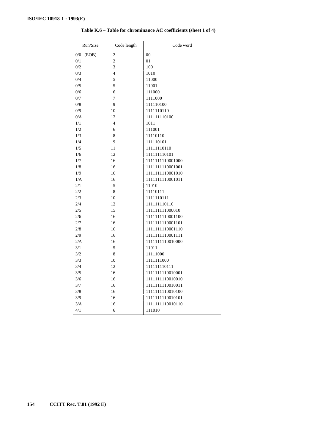| Run/Size     | Code length    | Code word        |
|--------------|----------------|------------------|
| 0/0<br>(EOB) | $\overline{c}$ | 00               |
| 0/1          | $\overline{c}$ | 01               |
| 0/2          | 3              | 100              |
| 0/3          | 4              | 1010             |
| 0/4          | 5              | 11000            |
| 0/5          | 5              | 11001            |
| 0/6          | 6              | 111000           |
| 0/7          | 7              | 1111000          |
| 0/8          | 9              | 111110100        |
| 0/9          | 10             | 1111110110       |
| 0/A          | 12             | 111111110100     |
| 1/1          | $\overline{4}$ | 1011             |
| 1/2          | 6              | 111001           |
| 1/3          | 8              | 11110110         |
| 1/4          | 9              | 111110101        |
| 1/5          | 11             | 11111110110      |
| 1/6          | 12             | 111111110101     |
| 1/7          | 16             | 1111111110001000 |
| 1/8          | 16             | 1111111110001001 |
| 1/9          | 16             | 1111111110001010 |
| 1/A          | 16             | 1111111110001011 |
| 2/1          | 5              | 11010            |
| 2/2          | 8              | 11110111         |
| 2/3          | 10             | 1111110111       |
| 2/4          | 12             | 111111110110     |
| 2/5          | 15             | 111111111000010  |
| 2/6          | 16             | 1111111110001100 |
| 2/7          | 16             | 1111111110001101 |
| $2/8$        | 16             | 1111111110001110 |
| 2/9          | 16             | 1111111110001111 |
| 2/A          | 16             | 1111111110010000 |
| 3/1          | 5              | 11011            |
| 3/2          | 8              | 11111000         |
| 3/3          | 10             | 1111111000       |
| 3/4          | 12             | 111111110111     |
| 3/5          | 16             | 1111111110010001 |
| 3/6          | 16             | 1111111110010010 |
| 3/7          | 16             | 1111111110010011 |
| 3/8          | 16             | 1111111110010100 |
| 3/9          | 16             | 1111111110010101 |
| 3/A          | 16             | 1111111110010110 |
| 4/1          | 6              | 111010           |

**Table K.6 – Table for chrominance AC coefficients (sheet 1 of 4)**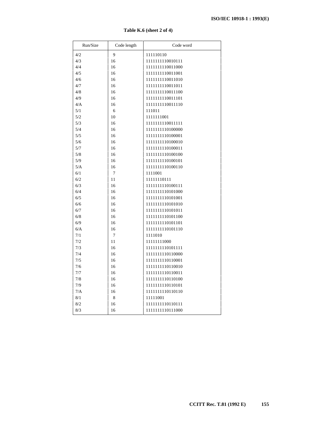| Run/Size | Code length | Code word        |
|----------|-------------|------------------|
| 4/2      | 9           | 111110110        |
| 4/3      | 16          | 1111111110010111 |
| 4/4      | 16          | 1111111110011000 |
| 4/5      | 16          | 1111111110011001 |
| 4/6      | 16          | 1111111110011010 |
| 4/7      | 16          | 1111111110011011 |
| 4/8      | 16          | 1111111110011100 |
| 4/9      | 16          | 1111111110011101 |
| 4/A      | 16          | 1111111110011110 |
| 5/1      | 6           | 111011           |
| 5/2      | 10          | 1111111001       |
| 5/3      | 16          | 1111111110011111 |
| 5/4      | 16          | 1111111110100000 |
| 5/5      | 16          | 1111111110100001 |
| 5/6      | 16          | 1111111110100010 |
| 5/7      | 16          | 1111111110100011 |
| 5/8      | 16          | 1111111110100100 |
| 5/9      | 16          | 1111111110100101 |
| 5/A      | 16          | 1111111110100110 |
| 6/1      | 7           | 1111001          |
| 6/2      | 11          | 11111110111      |
| 6/3      | 16          | 1111111110100111 |
| 6/4      | 16          | 1111111110101000 |
| 6/5      | 16          | 1111111110101001 |
| 6/6      | 16          | 1111111110101010 |
| 6/7      | 16          | 1111111110101011 |
| 6/8      | 16          | 1111111110101100 |
| 6/9      | 16          | 1111111110101101 |
| 6/A      | 16          | 1111111110101110 |
| 7/1      | 7           | 1111010          |
| 7/2      | 11          | 11111111000      |
| 7/3      | 16          | 1111111110101111 |
| 7/4      | 16          | 1111111110110000 |
| 7/5      | 16          | 1111111110110001 |
| 7/6      | 16          | 1111111110110010 |
| 7/7      | 16          | 1111111110110011 |
| 7/8      | 16          | 1111111110110100 |
| 7/9      | 16          | 1111111110110101 |
| 7/A      | 16          | 1111111110110110 |
| 8/1      | 8           | 11111001         |
| 8/2      | 16          | 1111111110110111 |
| 8/3      | 16          | 1111111110111000 |

**Table K.6 (sheet 2 of 4)**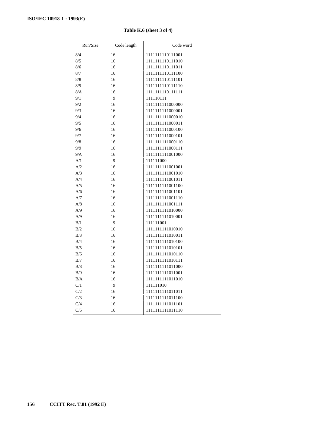| Run/Size | Code length | Code word        |
|----------|-------------|------------------|
| 8/4      | 16          | 1111111110111001 |
| 8/5      | 16          | 1111111110111010 |
| 8/6      | 16          | 1111111110111011 |
| 8/7      | 16          | 1111111110111100 |
| 8/8      | 16          | 1111111110111101 |
| 8/9      | 16          | 1111111110111110 |
| 8/A      | 16          | 1111111110111111 |
| 9/1      | 9           | 111110111        |
| 9/2      | 16          | 1111111111000000 |
| 9/3      | 16          | 1111111111000001 |
| 9/4      | 16          | 1111111111000010 |
| 9/5      | 16          | 1111111111000011 |
| 9/6      | 16          | 1111111111000100 |
| 9/7      | 16          | 1111111111000101 |
| 9/8      | 16          | 1111111111000110 |
| 9/9      | 16          | 1111111111000111 |
| 9/A      | 16          | 1111111111001000 |
| A/1      | 9           | 111111000        |
| A/2      | 16          | 1111111111001001 |
| A/3      | 16          | 1111111111001010 |
| A/4      | 16          | 1111111111001011 |
| A/5      | 16          | 1111111111001100 |
| A/6      | 16          | 1111111111001101 |
| A/7      | 16          | 1111111111001110 |
| A/8      | 16          | 1111111111001111 |
| A/9      | 16          | 1111111111010000 |
| A/A      | 16          | 1111111111010001 |
| B/1      | 9           | 111111001        |
| B/2      | 16          | 1111111111010010 |
| B/3      | 16          | 1111111111010011 |
| B/4      | 16          | 1111111111010100 |
| B/5      | 16          | 1111111111010101 |
| B/6      | 16          | 1111111111010110 |
| B/7      | 16          | 1111111111010111 |
| B/8      | 16          | 1111111111011000 |
| B/9      | 16          | 1111111111011001 |
| B/A      | 16          | 1111111111011010 |
| C/1      | 9           | 111111010        |
| C/2      | 16          | 1111111111011011 |
| C/3      | 16          | 1111111111011100 |
| C/4      | 16          | 1111111111011101 |
| C/5      | 16          | 1111111111011110 |

**Table K.6 (sheet 3 of 4)**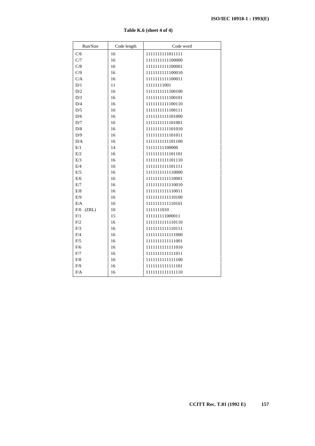| Run/Size     | Code length | Code word        |
|--------------|-------------|------------------|
| C/6          | 16          | 1111111111011111 |
| C/7          | 16          | 1111111111100000 |
| C/8          | 16          | 1111111111100001 |
| C/9          | 16          | 1111111111100010 |
| C/A          | 16          | 1111111111100011 |
| D/1          | 11          | 11111111001      |
| D/2          | 16          | 1111111111100100 |
| D/3          | 16          | 1111111111100101 |
| D/4          | 16          | 1111111111100110 |
| D/5          | 16          | 1111111111100111 |
| D/6          | 16          | 1111111111101000 |
| D/7          | 16          | 1111111111101001 |
| D/8          | 16          | 1111111111101010 |
| D/9          | 16          | 1111111111101011 |
| D/A          | 16          | 1111111111101100 |
| E/1          | 14          | 11111111100000   |
| E/2          | 16          | 1111111111101101 |
| E/3          | 16          | 1111111111101110 |
| E/4          | 16          | 1111111111101111 |
| E/5          | 16          | 1111111111110000 |
| E/6          | 16          | 1111111111110001 |
| E/7          | 16          | 1111111111110010 |
| E/8          | 16          | 1111111111110011 |
| E/9          | 16          | 1111111111110100 |
| E/A          | 16          | 1111111111110101 |
| F/0<br>(ZRL) | 10          | 1111111010       |
| F/1          | 15          | 111111111000011  |
| F/2          | 16          | 1111111111110110 |
| F/3          | 16          | 1111111111110111 |
| F/4          | 16          | 1111111111111000 |
| F/5          | 16          | 1111111111111001 |
| F/6          | 16          | 1111111111111010 |
| F/7          | 16          | 1111111111111011 |
| F/8          | 16          | 1111111111111100 |
| F/9          | 16          | 1111111111111101 |
| F/A          | 16          | 1111111111111110 |

**Table K.6 (sheet 4 of 4)**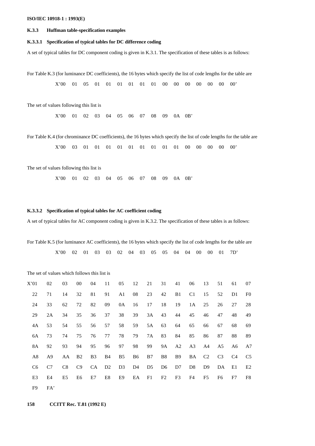### **K.3.3 Huffman table-specification examples**

#### **K.3.3.1 Specification of typical tables for DC difference coding**

A set of typical tables for DC component coding is given in K.3.1. The specification of these tables is as follows:

For Table K.3 (for luminance DC coefficients), the 16 bytes which specify the list of code lengths for the table are

X'00 01 05 01 01 01 01 01 01 00 00 00 00 00 00 00'

The set of values following this list is

X'00 01 02 03 04 05 06 07 08 09 0A 0B'

For Table K.4 (for chrominance DC coefficients), the 16 bytes which specify the list of code lengths for the table are

X'00 03 01 01 01 01 01 01 01 01 01 00 00 00 00 00'

The set of values following this list is

X'00 01 02 03 04 05 06 07 08 09 0A 0B'

#### **K.3.3.2 Specification of typical tables for AC coefficient coding**

A set of typical tables for AC component coding is given in K.3.2. The specification of these tables is as follows:

For Table K.5 (for luminance AC coefficients), the 16 bytes which specify the list of code lengths for the table are X'00 02 01 03 03 02 04 03 05 05 04 04 00 00 01 7D'

The set of values which follows this list is

| X'01           | 02  | 03 | $00\,$    | 04        | 11                | 05             | 12 | 21       | 31        | 41             | 06 | 13                | 51    | 61             | 07             |
|----------------|-----|----|-----------|-----------|-------------------|----------------|----|----------|-----------|----------------|----|-------------------|-------|----------------|----------------|
| 22             | 71  | 14 | 32        | 81        | 91                | A1             | 08 | 23       | 42        | B <sub>1</sub> | C1 | 15                | 52    | D <sub>1</sub> | F <sub>0</sub> |
| 24             | 33  | 62 | 72        | 82        | 09                | 0A             | 16 | 17       | 18        | 19             | 1A | 25                | 26    | 27             | 28             |
| 29             | 2A  | 34 | 35        | 36        | 37                | 38             | 39 | 3A       | 43        | 44             | 45 | 46                | 47    | 48             | 49             |
| 4A             | 53  | 54 | 55        | 56        | 57                | 58             | 59 | 5A       | 63        | - 64           | 65 | 66                | 67    | 68             | 69             |
| 6A             | 73  | 74 | 75        | 76        | 77                | 78             | 79 | 7A       | 83        | 84             | 85 | 86                | 87    | 88             | 89             |
| 8A             | 92  | 93 | 94        | 95        | 96                | 97             | 98 | 99       | 9A        | A2             | A3 | A4                | A5    | A6             | A7             |
| A8             | A9  | AA | <b>B2</b> | <b>B3</b> | <b>B</b> 4        | B <sub>5</sub> | B6 | B7       | <b>B8</b> | <b>B</b> 9     |    | BA C <sub>2</sub> | C3 C4 |                | C5             |
| C6             | C7  | C8 | C9        |           | CA D <sub>2</sub> |                |    | D3 D4 D5 | D6        | D7             | D8 | D9                | DA    | E1             | E2             |
| E <sub>3</sub> | E4  | E5 | E6        | E7        | E8                | E9             |    | EA F1    | F2        | F <sub>3</sub> | F4 | F5                | F6    | F7             | F8             |
| F9             | FA' |    |           |           |                   |                |    |          |           |                |    |                   |       |                |                |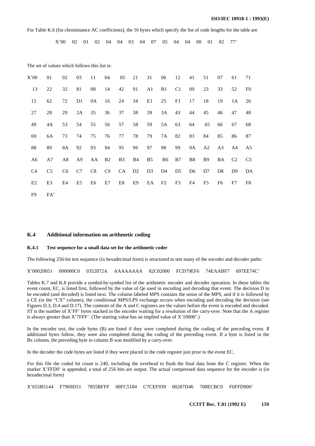For Table K.6 (for chrominance AC coefficients), the 16 bytes which specify the list of code lengths for the table are

X'00 02 01 02 04 04 03 04 07 05 04 04 00 01 02 77'

|      | The set of values which follows this list is: |                |                |                |                |                |            |                |                |                |                |                |                |                |                |
|------|-----------------------------------------------|----------------|----------------|----------------|----------------|----------------|------------|----------------|----------------|----------------|----------------|----------------|----------------|----------------|----------------|
| X'00 | 01                                            | 02             | 03             | 11             | 04             | 05             | 21         | 31             | 06             | 12             | 41             | 51             | 07             | 61             | 71             |
| 13   | 22                                            | 32             | 81             | 08             | 14             | 42             | 91         | A <sub>1</sub> | B1             | C1             | 09             | 23             | 33             | 52             | F <sub>0</sub> |
| 15   | 62                                            | 72             | D1             | 0A             | 16             | 24             | 34         | E1             | 25             | F1             | 17             | 18             | 19             | 1A             | 26             |
| 27   | 28                                            | 29             | 2A             | 35             | 36             | 37             | 38         | 39             | 3A             | 43             | 44             | 45             | 46             | 47             | 48             |
| 49   | 4A                                            | 53             | 54             | 55             | 56             | 57             | 58         | 59             | 5A             | 63             | 64             | 65             | 66             | 67             | 68             |
| 69   | 6A                                            | 73             | 74             | 75             | 76             | 77             | 78         | 79             | <b>7A</b>      | 82             | 83             | 84             | 85             | 86             | 87             |
| 88   | 89                                            | 8A             | 92             | 93             | 94             | 95             | 96         | 97             | 98             | 99             | 9A             | A2             | A <sub>3</sub> | A4             | A5             |
| A6   | A7                                            | A8             | A <sub>9</sub> | AA             | B <sub>2</sub> | B <sub>3</sub> | <b>B</b> 4 | B <sub>5</sub> | B <sub>6</sub> | B7             | <b>B8</b>      | <b>B</b> 9     | BA             | C <sub>2</sub> | C <sub>3</sub> |
| C4   | C <sub>5</sub>                                | C <sub>6</sub> | C7             | C8             | C9             | CA             | D2         | D <sub>3</sub> | D <sub>4</sub> | D <sub>5</sub> | D <sub>6</sub> | D7             | D <sub>8</sub> | D <sub>9</sub> | DA             |
| E2   | E <sub>3</sub>                                | E4             | E <sub>5</sub> | E <sub>6</sub> | E7             | $\rm E8$       | E9         | EA             | F <sub>2</sub> | F <sub>3</sub> | F4             | F <sub>5</sub> | F <sub>6</sub> | F7             | F8             |
| F9   | FA'                                           |                |                |                |                |                |            |                |                |                |                |                |                |                |                |

### **K.4 Additional information on arithmetic coding**

#### **K.4.1 Test sequence for a small data set for the arithmetic coder**

The following 256-bit test sequence (in hexadecimal form) is structured to test many of the encoder and decoder paths:

X'00020051 000000C0 0352872A AAAAAAAA 82C02000 FCD79EF6 74EAABF7 697EE74C'

Tables K.7 and K.8 provide a symbol-by-symbol list of the arithmetic encoder and decoder operation. In these tables the event count, EC, is listed first, followed by the value of Qe used in encoding and decoding that event. The decision D to be encoded (and decoded) is listed next. The column labeled MPS contains the sense of the MPS, and if it is followed by a CE (in the "CX" column), the conditional MPS/LPS exchange occurs when encoding and decoding the decision (see Figures D.3, D.4 and D.17). The contents of the A and C registers are the values before the event is encoded and decoded. ST is the number of X'FF' bytes stacked in the encoder waiting for a resolution of the carry-over. Note that the A register is always greater than  $X'7$ FFF'. (The starting value has an implied value of  $X'10000'$ .)

In the encoder test, the code bytes (B) are listed if they were completed during the coding of the preceding event. If additional bytes follow, they were also completed during the coding of the preceding event. If a byte is listed in the Bx column, the preceding byte in column B was modified by a carry-over.

In the decoder the code bytes are listed if they were placed in the code register just prior to the event EC.

For this file the coded bit count is 240, including the overhead to flush the final data from the C register. When the marker X'FFD9' is appended, a total of 256 bits are output. The actual compressed data sequence for the encoder is (in hexadecimal form)

X'655B5144 F7969D51 7855BFFF 00FC5184 C7CEF939 00287D46 708ECBC0 F6FFD900'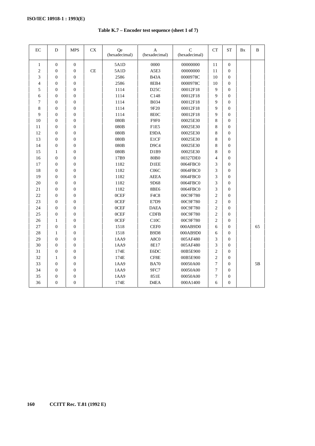| Table K.7 – Encoder test sequence (sheet 1 of 7) |  |
|--------------------------------------------------|--|
|--------------------------------------------------|--|

| EC             | D                | <b>MPS</b>       | <b>CX</b> | Qe<br>(hexadecimal) | A<br>(hexadecimal)            | $\mathsf{C}$<br>(hexadecimal) | CT             | <b>ST</b>        | Bx | B  |
|----------------|------------------|------------------|-----------|---------------------|-------------------------------|-------------------------------|----------------|------------------|----|----|
| $\mathbf{1}$   | $\boldsymbol{0}$ | $\mathbf{0}$     |           | 5A1D                | 0000                          | 00000000                      | 11             | $\mathbf{0}$     |    |    |
| 2              | $\mathbf{0}$     | $\mathbf{0}$     | CE        | 5A1D                | A5E3                          | 00000000                      | 11             | $\overline{0}$   |    |    |
| 3              | $\boldsymbol{0}$ | $\boldsymbol{0}$ |           | 2586                | <b>B43A</b>                   | 0000978C                      | 10             | $\boldsymbol{0}$ |    |    |
| $\overline{4}$ | $\boldsymbol{0}$ | $\boldsymbol{0}$ |           | 2586                | <b>8EB4</b>                   | 0000978C                      | 10             | $\overline{0}$   |    |    |
| 5              | $\boldsymbol{0}$ | $\boldsymbol{0}$ |           | 1114                | D25C                          | 00012F18                      | 9              | $\mathbf{0}$     |    |    |
| 6              | $\mathbf{0}$     | $\overline{0}$   |           | 1114                | C148                          | 00012F18                      | 9              | $\overline{0}$   |    |    |
| 7              | $\boldsymbol{0}$ | $\overline{0}$   |           | 1114                | <b>B034</b>                   | 00012F18                      | 9              | $\overline{0}$   |    |    |
| 8              | $\boldsymbol{0}$ | $\overline{0}$   |           | 1114                | 9F20                          | 00012F18                      | 9              | $\overline{0}$   |    |    |
| 9              | $\boldsymbol{0}$ | $\boldsymbol{0}$ |           | 1114                | 8E0C                          | 00012F18                      | 9              | $\overline{0}$   |    |    |
| 10             | $\mathbf{0}$     | $\overline{0}$   |           | 080B                | F9F <sub>0</sub>              | 00025E30                      | 8              | $\Omega$         |    |    |
| 11             | $\mathbf{0}$     | $\overline{0}$   |           | 080B                | F1E5                          | 00025E30                      | 8              | $\mathbf{0}$     |    |    |
| 12             | $\mathbf{0}$     | $\overline{0}$   |           | 080B                | E9DA                          | 00025E30                      | 8              | $\overline{0}$   |    |    |
| 13             | $\mathbf{0}$     | $\overline{0}$   |           | 080B                | E1CF                          | 00025E30                      | 8              | $\overline{0}$   |    |    |
| 14             | $\boldsymbol{0}$ | $\boldsymbol{0}$ |           | 080B                | D <sub>9</sub> C <sub>4</sub> | 00025E30                      | 8              | $\boldsymbol{0}$ |    |    |
| 15             | $\mathbf{1}$     | $\overline{0}$   |           | 080B                | D1B9                          | 00025E30                      | 8              | $\theta$         |    |    |
| 16             | $\mathbf{0}$     | $\overline{0}$   |           | 17B9                | <b>80B0</b>                   | 00327DE0                      | $\overline{4}$ | $\Omega$         |    |    |
| 17             | $\boldsymbol{0}$ | $\boldsymbol{0}$ |           | 1182                | D1EE                          | 0064FBC0                      | 3              | $\overline{0}$   |    |    |
| 18             | $\boldsymbol{0}$ | $\boldsymbol{0}$ |           | 1182                | C06C                          | 0064FBC0                      | 3              | $\overline{0}$   |    |    |
| 19             | $\boldsymbol{0}$ | $\boldsymbol{0}$ |           | 1182                | <b>AEEA</b>                   | 0064FBC0                      | 3              | $\overline{0}$   |    |    |
| 20             | $\overline{0}$   | $\overline{0}$   |           | 1182                | 9D68                          | 0064FBC0                      | 3              | $\overline{0}$   |    |    |
| 21             | $\mathbf{0}$     | $\overline{0}$   |           | 1182                | <b>8BE6</b>                   | 0064FBC0                      | 3              | $\Omega$         |    |    |
| 22             | $\mathbf{0}$     | $\overline{0}$   |           | 0CEF                | F <sub>4</sub> C <sub>8</sub> | 00C9F780                      | 2              | $\mathbf{0}$     |    |    |
| 23             | $\boldsymbol{0}$ | $\boldsymbol{0}$ |           | 0CEF                | E7D9                          | 00C9F780                      | $\overline{c}$ | $\overline{0}$   |    |    |
| 24             | $\boldsymbol{0}$ | $\boldsymbol{0}$ |           | 0CEF                | <b>DAEA</b>                   | 00C9F780                      | $\overline{c}$ | $\overline{0}$   |    |    |
| 25             | $\mathbf{0}$     | $\overline{0}$   |           | 0CEF                | <b>CDFB</b>                   | 00C9F780                      | $\overline{c}$ | $\overline{0}$   |    |    |
| 26             | 1                | $\boldsymbol{0}$ |           | 0CEF                | C10C                          | 00C9F780                      | $\overline{c}$ | $\overline{0}$   |    |    |
| 27             | $\boldsymbol{0}$ | $\boldsymbol{0}$ |           | 1518                | <b>CEF0</b>                   | 000AB9D0                      | 6              | $\overline{0}$   |    | 65 |
| 28             | $\mathbf{1}$     | $\boldsymbol{0}$ |           | 1518                | B9D8                          | 000AB9D0                      | 6              | $\overline{0}$   |    |    |
| 29             | $\boldsymbol{0}$ | $\boldsymbol{0}$ |           | 1AA9                | A8C0                          | 005AF480                      | 3              | $\theta$         |    |    |
| 30             | $\overline{0}$   | $\overline{0}$   |           | 1AA9                | 8E17                          | 005AF480                      | 3              | $\theta$         |    |    |
| 31             | $\boldsymbol{0}$ | $\boldsymbol{0}$ |           | 174E                | E6DC                          | 00B5E900                      | $\overline{2}$ | $\overline{0}$   |    |    |
| 32             | $\mathbf{1}$     | $\boldsymbol{0}$ |           | 174E                | CF8E                          | 00B5E900                      | $\overline{2}$ | $\mathbf{0}$     |    |    |
| 33             | $\boldsymbol{0}$ | $\boldsymbol{0}$ |           | 1AA9                | <b>BA70</b>                   | 00050A00                      | 7              | $\mathbf{0}$     |    | 5B |
| 34             | $\overline{0}$   | $\overline{0}$   |           | 1AA9                | <b>9FC7</b>                   | 00050A00                      | 7              | $\overline{0}$   |    |    |
| 35             | $\overline{0}$   | $\overline{0}$   |           | 1AA9                | 851E                          | 00050A00                      | 7              | $\overline{0}$   |    |    |
| 36             | $\mathbf{0}$     | $\mathbf{0}$     |           | 174E                | D <sub>4</sub> EA             | 000A1400                      | 6              | $\overline{0}$   |    |    |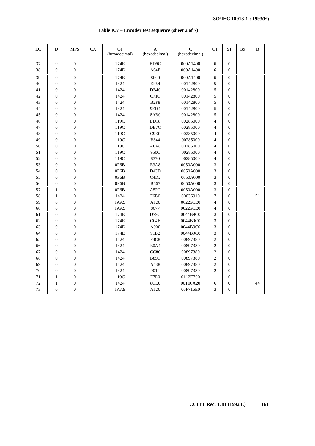| EC | D                | <b>MPS</b>       | CX | Qe<br>(hexadecimal) | A<br>(hexadecimal)            | $\mathsf{C}$<br>(hexadecimal) | CT             | <b>ST</b>        | Bx | B  |
|----|------------------|------------------|----|---------------------|-------------------------------|-------------------------------|----------------|------------------|----|----|
| 37 | $\boldsymbol{0}$ | $\mathbf{0}$     |    | 174E                | BD9C                          | 000A1400                      | 6              | $\boldsymbol{0}$ |    |    |
| 38 | $\boldsymbol{0}$ | $\boldsymbol{0}$ |    | 174E                | A64E                          | 000A1400                      | 6              | $\overline{0}$   |    |    |
| 39 | $\overline{0}$   | $\boldsymbol{0}$ |    | 174E                | <b>8F00</b>                   | 000A1400                      | 6              | $\overline{0}$   |    |    |
| 40 | $\boldsymbol{0}$ | $\boldsymbol{0}$ |    | 1424                | EF64                          | 00142800                      | 5              | $\boldsymbol{0}$ |    |    |
| 41 | $\boldsymbol{0}$ | $\boldsymbol{0}$ |    | 1424                | <b>DB40</b>                   | 00142800                      | 5              | $\overline{0}$   |    |    |
| 42 | $\boldsymbol{0}$ | $\boldsymbol{0}$ |    | 1424                | C71C                          | 00142800                      | 5              | $\boldsymbol{0}$ |    |    |
| 43 | $\overline{0}$   | $\boldsymbol{0}$ |    | 1424                | <b>B2F8</b>                   | 00142800                      | 5              | $\overline{0}$   |    |    |
| 44 | $\overline{0}$   | $\mathbf{0}$     |    | 1424                | <b>9ED4</b>                   | 00142800                      | 5              | $\overline{0}$   |    |    |
| 45 | $\boldsymbol{0}$ | $\mathbf{0}$     |    | 1424                | <b>8AB0</b>                   | 00142800                      | 5              | $\overline{0}$   |    |    |
| 46 | $\boldsymbol{0}$ | $\mathbf{0}$     |    | 119C                | ED18                          | 00285000                      | $\overline{4}$ | $\overline{0}$   |    |    |
| 47 | $\boldsymbol{0}$ | $\boldsymbol{0}$ |    | 119C                | DB7C                          | 00285000                      | $\overline{4}$ | $\mathbf 0$      |    |    |
| 48 | $\boldsymbol{0}$ | $\boldsymbol{0}$ |    | 119C                | C <sub>9E0</sub>              | 00285000                      | $\overline{4}$ | $\boldsymbol{0}$ |    |    |
| 49 | $\overline{0}$   | $\mathbf{0}$     |    | 119C                | <b>B844</b>                   | 00285000                      | 4              | $\overline{0}$   |    |    |
| 50 | $\boldsymbol{0}$ | $\boldsymbol{0}$ |    | 119C                | <b>A6A8</b>                   | 00285000                      | $\overline{4}$ | $\overline{0}$   |    |    |
| 51 | $\overline{0}$   | $\mathbf{0}$     |    | 119C                | 950C                          | 00285000                      | $\overline{4}$ | $\overline{0}$   |    |    |
| 52 | $\boldsymbol{0}$ | $\boldsymbol{0}$ |    | 119C                | 8370                          | 00285000                      | $\overline{4}$ | $\boldsymbol{0}$ |    |    |
| 53 | $\boldsymbol{0}$ | $\mathbf{0}$     |    | 0F6B                | E3A8                          | 0050A000                      | 3              | $\overline{0}$   |    |    |
| 54 | $\boldsymbol{0}$ | $\mathbf{0}$     |    | 0F6B                | D <sub>43</sub> D             | 0050A000                      | 3              | $\overline{0}$   |    |    |
| 55 | $\boldsymbol{0}$ | $\boldsymbol{0}$ |    | 0F6B                | C4D2                          | 0050A000                      | 3              | $\boldsymbol{0}$ |    |    |
| 56 | $\boldsymbol{0}$ | $\boldsymbol{0}$ |    | 0F6B                | B567                          | 0050A000                      | 3              | $\overline{0}$   |    |    |
| 57 | $\mathbf{1}$     | $\boldsymbol{0}$ |    | 0F6B                | A5FC                          | 0050A000                      | 3              | $\boldsymbol{0}$ |    |    |
| 58 | $\mathbf{1}$     | $\boldsymbol{0}$ |    | 1424                | F6B0                          | 00036910                      | $\overline{7}$ | $\overline{0}$   |    | 51 |
| 59 | $\overline{0}$   | $\mathbf{0}$     |    | 1AA9                | A120                          | 00225CE0                      | $\overline{4}$ | $\overline{0}$   |    |    |
| 60 | $\boldsymbol{0}$ | $\boldsymbol{0}$ |    | 1AA9                | 8677                          | 00225CE0                      | $\overline{4}$ | $\boldsymbol{0}$ |    |    |
| 61 | $\mathbf{0}$     | $\mathbf{0}$     |    | 174E                | D79C                          | 0044B9C0                      | 3              | $\overline{0}$   |    |    |
| 62 | $\boldsymbol{0}$ | $\boldsymbol{0}$ |    | 174E                | CO4E                          | 0044B9C0                      | 3              | $\boldsymbol{0}$ |    |    |
| 63 | $\boldsymbol{0}$ | $\boldsymbol{0}$ |    | 174E                | A900                          | 0044B9C0                      | 3              | $\mathbf 0$      |    |    |
| 64 | $\mathbf{0}$     | $\mathbf{0}$     |    | 174E                | 91B2                          | 0044B9C0                      | 3              | $\overline{0}$   |    |    |
| 65 | $\boldsymbol{0}$ | $\boldsymbol{0}$ |    | 1424                | F <sub>4</sub> C <sub>8</sub> | 00897380                      | $\overline{2}$ | $\overline{0}$   |    |    |
| 66 | $\overline{0}$   | $\mathbf{0}$     |    | 1424                | E0A4                          | 00897380                      | $\overline{2}$ | $\overline{0}$   |    |    |
| 67 | $\boldsymbol{0}$ | $\boldsymbol{0}$ |    | 1424                | CC80                          | 00897380                      | $\overline{2}$ | $\boldsymbol{0}$ |    |    |
| 68 | $\boldsymbol{0}$ | $\mathbf{0}$     |    | 1424                | <b>B85C</b>                   | 00897380                      | $\overline{c}$ | $\overline{0}$   |    |    |
| 69 | $\mathbf{0}$     | $\mathbf{0}$     |    | 1424                | A438                          | 00897380                      | $\overline{c}$ | $\overline{0}$   |    |    |
| 70 | $\boldsymbol{0}$ | $\boldsymbol{0}$ |    | 1424                | 9014                          | 00897380                      | $\overline{2}$ | $\boldsymbol{0}$ |    |    |
| 71 | $\mathbf{1}$     | $\boldsymbol{0}$ |    | 119C                | ${\rm F7E0}$                  | 0112E700                      | $\mathbf{1}$   | $\boldsymbol{0}$ |    |    |
| 72 | $\mathbf{1}$     | $\boldsymbol{0}$ |    | 1424                | 8CE <sub>0</sub>              | 001E6A20                      | 6              | $\boldsymbol{0}$ |    | 44 |
| 73 | $\overline{0}$   | $\overline{0}$   |    | 1AA9                | A120                          | 00F716E0                      | 3              | $\overline{0}$   |    |    |

**Table K.7 – Encoder test sequence (sheet 2 of 7)**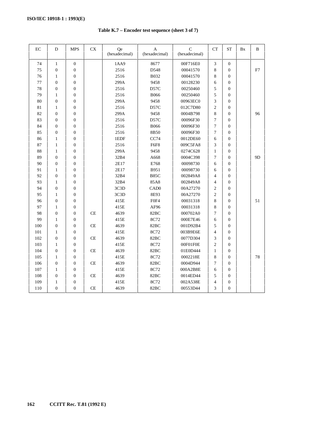| EC  | D                | <b>MPS</b>       | ${\rm CX}$ | Qe<br>(hexadecimal) | A<br>(hexadecimal) | $\mathbf C$<br>(hexadecimal) | <b>CT</b>      | <b>ST</b>        | Bx | B              |
|-----|------------------|------------------|------------|---------------------|--------------------|------------------------------|----------------|------------------|----|----------------|
| 74  | $\mathbf{1}$     | $\theta$         |            | 1AA9                | 8677               | 00F716E0                     | 3              | $\boldsymbol{0}$ |    |                |
| 75  | $\mathbf{0}$     | $\boldsymbol{0}$ |            | 2516                | D548               | 00041570                     | 8              | $\boldsymbol{0}$ |    | ${\rm F}7$     |
| 76  | $\mathbf{1}$     | $\boldsymbol{0}$ |            | 2516                | B032               | 00041570                     | 8              | $\boldsymbol{0}$ |    |                |
| 77  | $\mathbf{0}$     | $\boldsymbol{0}$ |            | 299A                | 9458               | 00128230                     | 6              | $\mathbf{0}$     |    |                |
| 78  | $\boldsymbol{0}$ | $\boldsymbol{0}$ |            | 2516                | D <sub>57</sub> C  | 00250460                     | 5              | $\boldsymbol{0}$ |    |                |
| 79  | $\mathbf{1}$     | $\boldsymbol{0}$ |            | 2516                | <b>B066</b>        | 00250460                     | 5              | $\overline{0}$   |    |                |
| 80  | $\boldsymbol{0}$ | $\boldsymbol{0}$ |            | 299A                | 9458               | 00963EC0                     | 3              | $\boldsymbol{0}$ |    |                |
| 81  | $\mathbf{1}$     | $\boldsymbol{0}$ |            | 2516                | D57C               | 012C7D80                     | 2              | $\boldsymbol{0}$ |    |                |
| 82  | $\mathbf{0}$     | $\boldsymbol{0}$ |            | 299A                | 9458               | 0004B798                     | 8              | $\mathbf{0}$     |    | 96             |
| 83  | $\boldsymbol{0}$ | $\boldsymbol{0}$ |            | 2516                | D57C               | 00096F30                     | 7              | $\boldsymbol{0}$ |    |                |
| 84  | $\overline{0}$   | $\boldsymbol{0}$ |            | 2516                | <b>B066</b>        | 00096F30                     | 7              | $\overline{0}$   |    |                |
| 85  | $\boldsymbol{0}$ | $\boldsymbol{0}$ |            | 2516                | 8B50               | 00096F30                     | 7              | $\boldsymbol{0}$ |    |                |
| 86  | $\mathbf{1}$     | $\mathbf{0}$     |            | 1EDF                | CC74               | 0012DE60                     | 6              | $\mathbf{0}$     |    |                |
| 87  | $\mathbf{1}$     | $\boldsymbol{0}$ |            | 2516                | F6F8               | 009C5FA8                     | 3              | $\overline{0}$   |    |                |
| 88  | $\mathbf{1}$     | $\boldsymbol{0}$ |            | 299A                | 9458               | 0274C628                     | $\mathbf{1}$   | $\boldsymbol{0}$ |    |                |
| 89  | $\mathbf{0}$     | $\boldsymbol{0}$ |            | 32B4                | A668               | 0004C398                     | 7              | $\overline{0}$   |    | 9 <sub>D</sub> |
| 90  | $\boldsymbol{0}$ | $\boldsymbol{0}$ |            | 2E17                | E768               | 00098730                     | 6              | $\boldsymbol{0}$ |    |                |
| 91  | $\mathbf{1}$     | $\mathbf{0}$     |            | 2E17                | B951               | 00098730                     | 6              | $\overline{0}$   |    |                |
| 92  | $\boldsymbol{0}$ | $\boldsymbol{0}$ |            | 32B4                | <b>B85C</b>        | 002849A8                     | $\overline{4}$ | $\boldsymbol{0}$ |    |                |
| 93  | $\mathbf{1}$     | $\boldsymbol{0}$ |            | 32B4                | 85A8               | 002849A8                     | $\overline{4}$ | $\boldsymbol{0}$ |    |                |
| 94  | $\mathbf{0}$     | $\overline{0}$   |            | 3C3D                | CAD <sub>0</sub>   | 00A27270                     | $\overline{c}$ | $\mathbf{0}$     |    |                |
| 95  | $\mathbf{1}$     | $\boldsymbol{0}$ |            | 3C3D                | 8E93               | 00A27270                     | $\overline{c}$ | $\mathbf{0}$     |    |                |
| 96  | $\overline{0}$   | $\mathbf{0}$     |            | 415E                | F0F4               | 00031318                     | 8              | $\overline{0}$   |    | 51             |
| 97  | $\mathbf{1}$     | $\boldsymbol{0}$ |            | 415E                | AF96               | 00031318                     | 8              | $\mathbf{0}$     |    |                |
| 98  | $\overline{0}$   | $\boldsymbol{0}$ | <b>CE</b>  | 4639                | 82BC               | 000702A0                     | 7              | $\mathbf{0}$     |    |                |
| 99  | $\mathbf{1}$     | $\boldsymbol{0}$ |            | 415E                | 8C72               | 000E7E46                     | 6              | $\overline{0}$   |    |                |
| 100 | $\boldsymbol{0}$ | $\boldsymbol{0}$ | <b>CE</b>  | 4639                | 82BC               | 001D92B4                     | 5              | $\boldsymbol{0}$ |    |                |
| 101 | $\mathbf{1}$     | $\boldsymbol{0}$ |            | 415E                | 8C72               | 003B9E6E                     | $\overline{4}$ | $\mathbf{0}$     |    |                |
| 102 | $\boldsymbol{0}$ | $\boldsymbol{0}$ | <b>CE</b>  | 4639                | 82BC               | 0077D304                     | 3              | $\boldsymbol{0}$ |    |                |
| 103 | $\mathbf{1}$     | $\mathbf{0}$     |            | 415E                | <b>8C72</b>        | 00F01F0E                     | $\overline{c}$ | $\mathbf{0}$     |    |                |
| 104 | $\boldsymbol{0}$ | $\boldsymbol{0}$ | <b>CE</b>  | 4639                | 82BC               | 01E0D444                     | $\mathbf{1}$   | $\mathbf{0}$     |    |                |
| 105 | $\mathbf{1}$     | $\boldsymbol{0}$ |            | 415E                | 8C72               | 0002218E                     | 8              | $\boldsymbol{0}$ |    | 78             |
| 106 | $\boldsymbol{0}$ | $\boldsymbol{0}$ | <b>CE</b>  | 4639                | 82BC               | 0004D944                     | 7              | $\mathbf{0}$     |    |                |
| 107 | $\mathbf{1}$     | $\boldsymbol{0}$ |            | 415E                | 8C72               | 000A2B8E                     | 6              | $\boldsymbol{0}$ |    |                |
| 108 | $\overline{0}$   | $\boldsymbol{0}$ | CE         | 4639                | 82BC               | 0014ED44                     | 5              | $\mathbf{0}$     |    |                |
| 109 | 1                | $\boldsymbol{0}$ |            | 415E                | 8C72               | 002A538E                     | 4              | $\boldsymbol{0}$ |    |                |
| 110 | $\boldsymbol{0}$ | $\boldsymbol{0}$ | <b>CE</b>  | 4639                | 82BC               | 00553D44                     | 3              | $\boldsymbol{0}$ |    |                |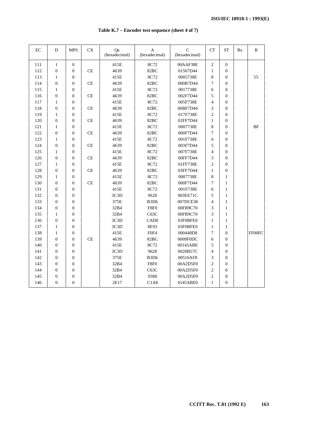| EC  | D                | <b>MPS</b>       | <b>CX</b> | Qe<br>(hexadecimal) | A<br>(hexadecimal)            | $\mathsf{C}$<br>(hexadecimal) | <b>CT</b>      | ST               | Bx | B         |
|-----|------------------|------------------|-----------|---------------------|-------------------------------|-------------------------------|----------------|------------------|----|-----------|
| 111 | $\mathbf{1}$     | $\boldsymbol{0}$ |           | 415E                | 8C72                          | 00AAF38E                      | $\overline{c}$ | $\boldsymbol{0}$ |    |           |
| 112 | $\overline{0}$   | $\boldsymbol{0}$ | <b>CE</b> | 4639                | 82BC                          | 01567D44                      | $\mathbf{1}$   | $\boldsymbol{0}$ |    |           |
| 113 | 1                | $\boldsymbol{0}$ |           | 415E                | 8C72                          | 0005738E                      | 8              | 0                |    | 55        |
| 114 | $\boldsymbol{0}$ | $\boldsymbol{0}$ | <b>CE</b> | 4639                | 82BC                          | 000B7D44                      | 7              | $\boldsymbol{0}$ |    |           |
| 115 | $\mathbf{1}$     | $\boldsymbol{0}$ |           | 415E                | 8C72                          | 0017738E                      | 6              | $\boldsymbol{0}$ |    |           |
| 116 | $\boldsymbol{0}$ | $\boldsymbol{0}$ | CE        | 4639                | 82BC                          | 002F7D44                      | 5              | $\boldsymbol{0}$ |    |           |
| 117 | $\mathbf{1}$     | $\boldsymbol{0}$ |           | 415E                | 8C72                          | 005F738E                      | $\overline{4}$ | $\boldsymbol{0}$ |    |           |
| 118 | $\mathbf{0}$     | $\boldsymbol{0}$ | CE        | 4639                | 82BC                          | 00BF7D44                      | 3              | $\boldsymbol{0}$ |    |           |
| 119 | $\mathbf{1}$     | $\boldsymbol{0}$ |           | 415E                | 8C72                          | 017F738E                      | $\overline{2}$ | $\boldsymbol{0}$ |    |           |
| 120 | $\mathbf{0}$     | $\boldsymbol{0}$ | <b>CE</b> | 4639                | 82BC                          | 02FF7D44                      | $\mathbf{1}$   | $\boldsymbol{0}$ |    |           |
| 121 | $\mathbf{1}$     | $\boldsymbol{0}$ |           | 415E                | 8C72                          | 0007738E                      | 8              | $\boldsymbol{0}$ |    | <b>BF</b> |
| 122 | $\Omega$         | $\mathbf{0}$     | <b>CE</b> | 4639                | 82BC                          | 000F7D44                      | 7              | $\overline{0}$   |    |           |
| 123 | $\mathbf{1}$     | $\boldsymbol{0}$ |           | 415E                | 8C72                          | 001F738E                      | 6              | $\boldsymbol{0}$ |    |           |
| 124 | $\mathbf{0}$     | $\boldsymbol{0}$ | CE        | 4639                | 82BC                          | 003F7D44                      | 5              | $\boldsymbol{0}$ |    |           |
| 125 | $\mathbf{1}$     | $\boldsymbol{0}$ |           | 415E                | 8C72                          | 007F738E                      | $\overline{4}$ | $\boldsymbol{0}$ |    |           |
| 126 | $\mathbf{0}$     | $\boldsymbol{0}$ | <b>CE</b> | 4639                | 82BC                          | 00FF7D44                      | 3              | $\boldsymbol{0}$ |    |           |
| 127 | $\mathbf{1}$     | $\boldsymbol{0}$ |           | 415E                | 8C72                          | 01FF738E                      | $\overline{2}$ | $\boldsymbol{0}$ |    |           |
| 128 | $\overline{0}$   | $\boldsymbol{0}$ | <b>CE</b> | 4639                | 82BC                          | 03FF7D44                      | $\mathbf{1}$   | $\boldsymbol{0}$ |    |           |
| 129 | $\mathbf{1}$     | $\boldsymbol{0}$ |           | 415E                | 8C72                          | 0007738E                      | 8              | $\mathbf{1}$     |    |           |
| 130 | $\mathbf{0}$     | $\mathbf{0}$     | <b>CE</b> | 4639                | 82BC                          | 000F7D44                      | 7              | $\mathbf{1}$     |    |           |
| 131 | $\mathbf{0}$     | $\boldsymbol{0}$ |           | 415E                | 8C72                          | 001F738E                      | 6              | $\mathbf{1}$     |    |           |
| 132 | $\boldsymbol{0}$ | $\boldsymbol{0}$ |           | 3C3D                | 9628                          | 003EE71C                      | 5              | $\mathbf{1}$     |    |           |
| 133 | $\mathbf{0}$     | $\boldsymbol{0}$ |           | 375E                | B <sub>3</sub> D <sub>6</sub> | 007DCE38                      | $\overline{4}$ | $\mathbf{1}$     |    |           |
| 134 | $\mathbf{0}$     | $\boldsymbol{0}$ |           | 32B4                | F8F0                          | 00FB9C70                      | 3              | $\mathbf{1}$     |    |           |
| 135 | $\mathbf{1}$     | $\boldsymbol{0}$ |           | 32B4                | C63C                          | 00FB9C70                      | 3              | $\mathbf{1}$     |    |           |
| 136 | $\mathbf{0}$     | $\boldsymbol{0}$ |           | 3C3D                | CAD <sub>0</sub>              | 03F0BFE0                      | $\mathbf{1}$   | $\mathbf{1}$     |    |           |
| 137 | $\mathbf{1}$     | $\boldsymbol{0}$ |           | 3C3D                | 8E93                          | 03F0BFE0                      | $\mathbf{1}$   | $\mathbf{1}$     |    |           |
| 138 | $\mathbf{1}$     | $\boldsymbol{0}$ |           | 415E                | F0F4                          | 000448D8                      | 7              | $\boldsymbol{0}$ |    | FF00FC    |
| 139 | $\mathbf{0}$     | $\boldsymbol{0}$ | <b>CE</b> | 4639                | 82BC                          | 0009F0DC                      | 6              | $\boldsymbol{0}$ |    |           |
| 140 | $\mathbf{0}$     | $\boldsymbol{0}$ |           | 415E                | 8C72                          | 00145ABE                      | 5              | $\boldsymbol{0}$ |    |           |
| 141 | $\mathbf{0}$     | $\boldsymbol{0}$ |           | 3C3D                | 9628                          | 0028B57C                      | $\overline{4}$ | $\boldsymbol{0}$ |    |           |
| 142 | $\mathbf{0}$     | $\boldsymbol{0}$ |           | 375E                | B <sub>3</sub> D <sub>6</sub> | 00516AF8                      | 3              | $\boldsymbol{0}$ |    |           |
| 143 | $\Omega$         | $\boldsymbol{0}$ |           | 32B4                | F8F <sub>0</sub>              | 00A2D5F0                      | $\overline{2}$ | $\boldsymbol{0}$ |    |           |
| 144 | $\mathbf{0}$     | $\boldsymbol{0}$ |           | 32B4                | C63C                          | 00A2D5F0                      | $\overline{c}$ | $\boldsymbol{0}$ |    |           |
| 145 | $\boldsymbol{0}$ | $\boldsymbol{0}$ |           | 32B4                | 9388                          | 00A2D5F0                      | $\overline{c}$ | $\boldsymbol{0}$ |    |           |
| 146 | $\mathbf{0}$     | $\boldsymbol{0}$ |           | 2E17                | C1A8                          | 0145ABE0                      | $\mathbf{1}$   | $\overline{0}$   |    |           |

# **Table K.7 – Encoder test sequence (sheet 4 of 7)**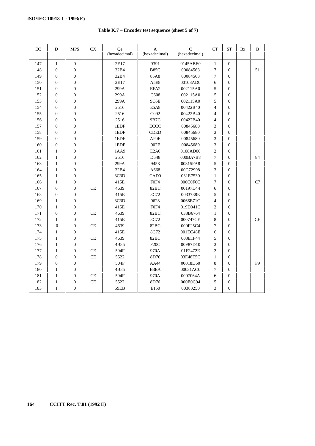| EC  | D                | <b>MPS</b>       | <b>CX</b> | Qe<br>(hexadecimal) | A<br>(hexadecimal)            | $\mathbf C$<br>(hexadecimal) | <b>CT</b>      | ST               | Bx | B              |
|-----|------------------|------------------|-----------|---------------------|-------------------------------|------------------------------|----------------|------------------|----|----------------|
| 147 | $\mathbf{1}$     | $\boldsymbol{0}$ |           | 2E17                | 9391                          | 0145ABE0                     | $\mathbf{1}$   | $\boldsymbol{0}$ |    |                |
| 148 | $\boldsymbol{0}$ | $\boldsymbol{0}$ |           | 32B4                | <b>B85C</b>                   | 00084568                     | 7              | $\boldsymbol{0}$ |    | 51             |
| 149 | $\boldsymbol{0}$ | $\boldsymbol{0}$ |           | 32B4                | 85A8                          | 00084568                     | 7              | $\mathbf{0}$     |    |                |
| 150 | $\boldsymbol{0}$ | $\boldsymbol{0}$ |           | 2E17                | A5E8                          | 00108AD0                     | 6              | $\mathbf{0}$     |    |                |
| 151 | $\boldsymbol{0}$ | $\boldsymbol{0}$ |           | 299A                | EFA <sub>2</sub>              | 002115A0                     | 5              | $\mathbf{0}$     |    |                |
| 152 | $\boldsymbol{0}$ | $\boldsymbol{0}$ |           | 299A                | C608                          | 002115A0                     | 5              | $\boldsymbol{0}$ |    |                |
| 153 | $\mathbf{0}$     | $\overline{0}$   |           | 299A                | 9C6E                          | 002115A0                     | 5              | $\mathbf{0}$     |    |                |
| 154 | $\boldsymbol{0}$ | $\boldsymbol{0}$ |           | 2516                | E5A8                          | 00422B40                     | 4              | $\mathbf{0}$     |    |                |
| 155 | $\boldsymbol{0}$ | $\overline{0}$   |           | 2516                | C092                          | 00422B40                     | $\overline{4}$ | $\mathbf{0}$     |    |                |
| 156 | $\mathbf{0}$     | $\boldsymbol{0}$ |           | 2516                | 9B7C                          | 00422B40                     | 4              | $\mathbf{0}$     |    |                |
| 157 | $\boldsymbol{0}$ | $\boldsymbol{0}$ |           | 1EDF                | $\operatorname{ECCC}$         | 00845680                     | 3              | $\boldsymbol{0}$ |    |                |
| 158 | $\overline{0}$   | $\overline{0}$   |           | 1EDF                | <b>CDED</b>                   | 00845680                     | 3              | $\mathbf{0}$     |    |                |
| 159 | $\boldsymbol{0}$ | $\boldsymbol{0}$ |           | 1EDF                | ${\sf AFOE}$                  | 00845680                     | 3              | $\mathbf{0}$     |    |                |
| 160 | $\mathbf{0}$     | $\overline{0}$   |           | 1EDF                | 902F                          | 00845680                     | 3              | $\mathbf{0}$     |    |                |
| 161 | $\mathbf{1}$     | $\overline{0}$   |           | 1AA9                | E <sub>2</sub> A <sub>0</sub> | 0108AD00                     | $\overline{c}$ | $\mathbf{0}$     |    |                |
| 162 | 1                | $\boldsymbol{0}$ |           | 2516                | D548                          | 000BA7B8                     | 7              | $\boldsymbol{0}$ |    | 84             |
| 163 | $\mathbf{1}$     | $\boldsymbol{0}$ |           | 299A                | 9458                          | 00315FA8                     | 5              | $\mathbf{0}$     |    |                |
| 164 | $\mathbf{1}$     | $\boldsymbol{0}$ |           | 32B4                | A668                          | 00C72998                     | 3              | $\mathbf{0}$     |    |                |
| 165 | $\mathbf{1}$     | $\boldsymbol{0}$ |           | 3C3D                | CAD <sub>0</sub>              | 031E7530                     | $\mathbf{1}$   | $\boldsymbol{0}$ |    |                |
| 166 | $\mathbf{1}$     | $\boldsymbol{0}$ |           | 415E                | ${\rm FOF4}$                  | 000C0F0C                     | 7              | $\mathbf{0}$     |    | C7             |
| 167 | $\boldsymbol{0}$ | $\boldsymbol{0}$ | CE        | 4639                | 82BC                          | 00197D44                     | 6              | $\mathbf{0}$     |    |                |
| 168 | $\mathbf{0}$     | $\overline{0}$   |           | 415E                | 8C72                          | 0033738E                     | 5              | $\mathbf{0}$     |    |                |
| 169 | $\mathbf{1}$     | 0                |           | 3C3D                | 9628                          | 0066E71C                     | $\overline{4}$ | $\boldsymbol{0}$ |    |                |
| 170 | $\mathbf{1}$     | $\boldsymbol{0}$ |           | 415E                | ${\rm FOF4}$                  | 019D041C                     | $\overline{c}$ | $\mathbf{0}$     |    |                |
| 171 | $\boldsymbol{0}$ | $\boldsymbol{0}$ | CE        | 4639                | 82BC                          | 033B6764                     | $\mathbf{1}$   | $\mathbf{0}$     |    |                |
| 172 | $\mathbf{1}$     | $\boldsymbol{0}$ |           | 415E                | 8C72                          | 000747CE                     | 8              | $\mathbf{0}$     |    | CE             |
| 173 | $\mathbf{0}$     | $\overline{0}$   | CE        | 4639                | 82BC                          | 000F25C4                     | 7              | $\mathbf 0$      |    |                |
| 174 | $\mathbf{1}$     | $\boldsymbol{0}$ |           | 415E                | 8C72                          | 001EC48E                     | 6              | $\overline{0}$   |    |                |
| 175 | $\mathbf{1}$     | $\boldsymbol{0}$ | $\!$ $\!$ | 4639                | 82BC                          | 003E1F44                     | 5              | $\boldsymbol{0}$ |    |                |
| 176 | $\mathbf{1}$     | 0                |           | 4B85                | F20C                          | 00F87D10                     | 3              | $\mathbf{0}$     |    |                |
| 177 | $\mathbf{1}$     | $\boldsymbol{0}$ | <b>CE</b> | 504F                | 970A                          | 01F2472E                     | $\overline{2}$ | $\overline{0}$   |    |                |
| 178 | $\boldsymbol{0}$ | 0                | $\!$ $\!$ | 5522                | 8D76                          | 03E48E5C                     | $\mathbf{1}$   | $\boldsymbol{0}$ |    |                |
| 179 | $\overline{0}$   | $\boldsymbol{0}$ |           | 504F                | AA44                          | 00018D60                     | 8              | $\mathbf{0}$     |    | F <sub>9</sub> |
| 180 | $\mathbf{1}$     | $\boldsymbol{0}$ |           | 4B85                | B3EA                          | 00031AC0                     | 7              | $\boldsymbol{0}$ |    |                |
| 181 | $\mathbf{1}$     | $\boldsymbol{0}$ | CE        | 504F                | 970A                          | 0007064A                     | 6              | $\mathbf{0}$     |    |                |
| 182 | $\mathbf{1}$     | $\boldsymbol{0}$ | CE        | 5522                | 8D76                          | 000E0C94                     | 5              | $\boldsymbol{0}$ |    |                |
| 183 | $\mathbf{1}$     | 0                |           | 59EB                | E150                          | 00383250                     | 3              | $\Omega$         |    |                |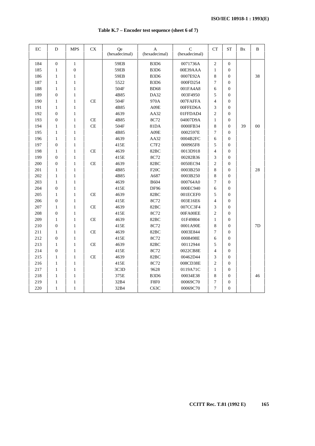| $\rm EC$ | D                | <b>MPS</b>       | <b>CX</b> | Qe<br>(hexadecimal) | A<br>(hexadecimal)            | $\mathsf{C}$<br>(hexadecimal) | <b>CT</b>      | <b>ST</b>        | Bx | B  |
|----------|------------------|------------------|-----------|---------------------|-------------------------------|-------------------------------|----------------|------------------|----|----|
| 184      | $\mathbf{0}$     | $\mathbf{1}$     |           | 59EB                | B <sub>3</sub> D <sub>6</sub> | 0071736A                      | $\sqrt{2}$     | $\overline{0}$   |    |    |
| 185      | $\mathbf{1}$     | $\boldsymbol{0}$ |           | 59EB                | B <sub>3</sub> D <sub>6</sub> | 00E39AAA                      | $\mathbf{1}$   | $\overline{0}$   |    |    |
| 186      | $\mathbf{1}$     | 1                |           | 59EB                | B <sub>3</sub> D <sub>6</sub> | 0007E92A                      | 8              | $\overline{0}$   |    | 38 |
| 187      | $\mathbf{1}$     | $\mathbf{1}$     |           | 5522                | B <sub>3</sub> D <sub>6</sub> | 000FD254                      | $\tau$         | $\overline{0}$   |    |    |
| 188      | $\mathbf{1}$     | $\mathbf{1}$     |           | 504F                | <b>BD68</b>                   | 001FA4A8                      | 6              | $\boldsymbol{0}$ |    |    |
| 189      | $\overline{0}$   | $\mathbf{1}$     |           | 4B85                | <b>DA32</b>                   | 003F4950                      | 5              | $\overline{0}$   |    |    |
| 190      | $\mathbf{1}$     | 1                | <b>CE</b> | 504F                | 970A                          | 007FAFFA                      | $\overline{4}$ | $\overline{0}$   |    |    |
| 191      | $\mathbf{1}$     | 1                |           | 4B85                | A09E                          | 00FFED6A                      | 3              | $\overline{0}$   |    |    |
| 192      | $\overline{0}$   | $\mathbf{1}$     |           | 4639                | AA32                          | 01FFDAD4                      | $\overline{2}$ | $\overline{0}$   |    |    |
| 193      | $\overline{0}$   | $\mathbf{1}$     | <b>CE</b> | 4B85                | 8C72                          | 04007D9A                      | $\mathbf{1}$   | $\Omega$         |    |    |
| 194      | $\mathbf{1}$     | $\mathbf{1}$     | CE        | 504F                | 81DA                          | 0000FB34                      | 8              | $\overline{0}$   | 39 | 00 |
| 195      | $\mathbf{1}$     | $\mathbf{1}$     |           | 4B85                | A09E                          | 0002597E                      | $\overline{7}$ | $\overline{0}$   |    |    |
| 196      | $\mathbf{1}$     | $\mathbf{1}$     |           | 4639                | AA32                          | 0004B2FC                      | 6              | $\overline{0}$   |    |    |
| 197      | $\boldsymbol{0}$ | $\mathbf{1}$     |           | 415E                | C7F2                          | 000965F8                      | 5              | $\overline{0}$   |    |    |
| 198      | $\mathbf{1}$     | 1                | <b>CE</b> | 4639                | 82BC                          | 0013D918                      | $\overline{4}$ | $\overline{0}$   |    |    |
| 199      | $\boldsymbol{0}$ | 1                |           | 415E                | 8C72                          | 00282B36                      | 3              | $\overline{0}$   |    |    |
| 200      | $\boldsymbol{0}$ | $\mathbf{1}$     | <b>CE</b> | 4639                | 82BC                          | 0050EC94                      | $\overline{2}$ | $\boldsymbol{0}$ |    |    |
| 201      | $\mathbf{1}$     | $\mathbf{1}$     |           | 4B85                | F20C                          | 0003B250                      | 8              | $\overline{0}$   |    | 28 |
| 202      | $\mathbf{1}$     | $\mathbf{1}$     |           | 4B85                | A687                          | 0003B250                      | 8              | $\overline{0}$   |    |    |
| 203      | $\mathbf{1}$     | $\mathbf{1}$     |           | 4639                | <b>B604</b>                   | 000764A0                      | 7              | $\overline{0}$   |    |    |
| 204      | $\overline{0}$   | $\mathbf{1}$     |           | 415E                | <b>DF96</b>                   | 000EC940                      | 6              | $\overline{0}$   |    |    |
| 205      | $\mathbf{1}$     | $\mathbf{1}$     | <b>CE</b> | 4639                | 82BC                          | 001ECEF0                      | 5              | $\overline{0}$   |    |    |
| 206      | $\overline{0}$   | $\mathbf{1}$     |           | 415E                | 8C72                          | 003E16E6                      | $\overline{4}$ | $\overline{0}$   |    |    |
| 207      | 1                | 1                | <b>CE</b> | 4639                | 82BC                          | 007CC3F4                      | 3              | $\overline{0}$   |    |    |
| 208      | $\boldsymbol{0}$ | $\mathbf{1}$     |           | 415E                | 8C72                          | 00FA00EE                      | $\overline{2}$ | $\boldsymbol{0}$ |    |    |
| 209      | $\mathbf{1}$     | $\mathbf{1}$     | CE        | 4639                | 82BC                          | 01F49804                      | $\mathbf{1}$   | $\overline{0}$   |    |    |
| 210      | $\overline{0}$   | $\mathbf{1}$     |           | 415E                | 8C72                          | 0001A90E                      | 8              | $\mathbf{0}$     |    | 7D |
| 211      | $\mathbf{1}$     | $\mathbf{1}$     | <b>CE</b> | 4639                | 82BC                          | 0003E844                      | $\tau$         | $\overline{0}$   |    |    |
| 212      | $\overline{0}$   | $\mathbf{1}$     |           | 415E                | 8C72                          | 0008498E                      | 6              | $\overline{0}$   |    |    |
| 213      | $\mathbf{1}$     | $\mathbf{1}$     | <b>CE</b> | 4639                | 82BC                          | 00112944                      | 5              | $\overline{0}$   |    |    |
| 214      | $\boldsymbol{0}$ | 1                |           | 415E                | 8C72                          | 0022CB8E                      | $\overline{4}$ | $\boldsymbol{0}$ |    |    |
| 215      | $\mathbf{1}$     | 1                | <b>CE</b> | 4639                | 82BC                          | 00462D44                      | 3              | $\overline{0}$   |    |    |
| 216      | $\mathbf{1}$     | $\mathbf{1}$     |           | 415E                | 8C72                          | 008CD38E                      | $\overline{2}$ | $\overline{0}$   |    |    |
| 217      | $\mathbf{1}$     | $\mathbf{1}$     |           | 3C3D                | 9628                          | 0119A71C                      | $\mathbf{1}$   | $\overline{0}$   |    |    |
| 218      | $\mathbf{1}$     | $\mathbf{1}$     |           | 375E                | B <sub>3</sub> D <sub>6</sub> | 00034E38                      | 8              | $\overline{0}$   |    | 46 |
| 219      | $\mathbf{1}$     | 1                |           | 32B4                | ${\rm F8F0}$                  | 00069C70                      | 7              | $\boldsymbol{0}$ |    |    |
| 220      | $\mathbf{1}$     | $\mathbf{1}$     |           | 32B4                | C63C                          | 00069C70                      | $\overline{7}$ | $\overline{0}$   |    |    |

**Table K.7 – Encoder test sequence (sheet 6 of 7)**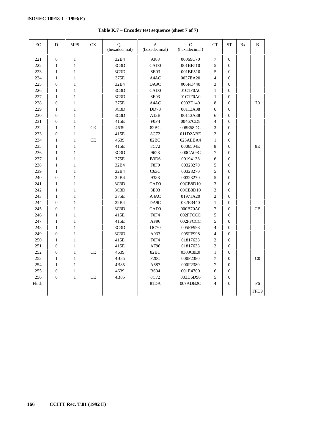| EC     | D                | <b>MPS</b>   | CX        | Qe<br>(hexadecimal) | A<br>(hexadecimal)            | $\mathsf{C}$<br>(hexadecimal) | CT             | <b>ST</b>        | Bx | B              |
|--------|------------------|--------------|-----------|---------------------|-------------------------------|-------------------------------|----------------|------------------|----|----------------|
| 221    | $\boldsymbol{0}$ | $\mathbf{1}$ |           | 32B4                | 9388                          | 00069C70                      | 7              | $\boldsymbol{0}$ |    |                |
| 222    | $\mathbf{1}$     | $\mathbf{1}$ |           | 3C3D                | CAD <sub>0</sub>              | 001BF510                      | 5              | $\overline{0}$   |    |                |
| 223    | $\mathbf{1}$     | $\mathbf{1}$ |           | 3C3D                | 8E93                          | 001BF510                      | 5              | $\boldsymbol{0}$ |    |                |
| 224    | $\mathbf{1}$     | $\mathbf{1}$ |           | 375E                | A4AC                          | 0037EA20                      | $\overline{4}$ | $\boldsymbol{0}$ |    |                |
| 225    | $\boldsymbol{0}$ | $\mathbf{1}$ |           | 32B4                | DA9C                          | 006FD440                      | 3              | $\boldsymbol{0}$ |    |                |
| 226    | $\mathbf{1}$     | $\mathbf{1}$ |           | 3C3D                | CAD <sub>0</sub>              | 01C1F0A0                      | $\mathbf{1}$   | $\boldsymbol{0}$ |    |                |
| 227    | $\mathbf{1}$     | $\mathbf{1}$ |           | 3C3D                | 8E93                          | 01C1F0A0                      | $\mathbf{1}$   | $\boldsymbol{0}$ |    |                |
| 228    | $\overline{0}$   | $\mathbf{1}$ |           | 375E                | A4AC                          | 0003E140                      | 8              | $\overline{0}$   |    | 70             |
| 229    | $\mathbf{1}$     | $\mathbf{1}$ |           | 3C3D                | <b>DD78</b>                   | 00113A38                      | 6              | $\boldsymbol{0}$ |    |                |
| 230    | $\mathbf{0}$     | $\mathbf{1}$ |           | 3C3D                | A13B                          | 00113A38                      | 6              | $\boldsymbol{0}$ |    |                |
| 231    | $\boldsymbol{0}$ | $\mathbf{1}$ |           | 415E                | ${\rm FOF4}$                  | 00467CD8                      | $\overline{4}$ | $\boldsymbol{0}$ |    |                |
| 232    | $\mathbf{1}$     | $\mathbf{1}$ | CE        | 4639                | 82BC                          | 008E58DC                      | 3              | $\boldsymbol{0}$ |    |                |
| 233    | $\boldsymbol{0}$ | $\mathbf{1}$ |           | 415E                | 8C72                          | 011D2ABE                      | $\overline{2}$ | $\boldsymbol{0}$ |    |                |
| 234    | $\mathbf{1}$     | $\mathbf{1}$ | CE        | 4639                | 82BC                          | 023AEBA4                      | $\mathbf{1}$   | $\boldsymbol{0}$ |    |                |
| 235    | $\mathbf{1}$     | $\mathbf{1}$ |           | 415E                | 8C72                          | 0006504E                      | 8              | $\boldsymbol{0}$ |    | 8E             |
| 236    | $\mathbf{1}$     | $\mathbf{1}$ |           | 3C3D                | 9628                          | 000CA09C                      | 7              | $\boldsymbol{0}$ |    |                |
| 237    | $\mathbf{1}$     | $\mathbf{1}$ |           | 375E                | B <sub>3</sub> D <sub>6</sub> | 00194138                      | 6              | $\boldsymbol{0}$ |    |                |
| 238    | $\mathbf{1}$     | $\mathbf{1}$ |           | 32B4                | F8F <sub>0</sub>              | 00328270                      | 5              | $\boldsymbol{0}$ |    |                |
| 239    | $\mathbf{1}$     | $\mathbf{1}$ |           | 32B4                | C63C                          | 00328270                      | 5              | $\boldsymbol{0}$ |    |                |
| 240    | $\mathbf{0}$     | 1            |           | 32B4                | 9388                          | 00328270                      | 5              | $\boldsymbol{0}$ |    |                |
| 241    | $\mathbf{1}$     | $\mathbf{1}$ |           | 3C3D                | CAD <sub>0</sub>              | 00CB8D10                      | 3              | $\overline{0}$   |    |                |
| 242    | $\mathbf{1}$     | $\mathbf{1}$ |           | 3C3D                | 8E93                          | 00CB8D10                      | 3              | $\boldsymbol{0}$ |    |                |
| 243    | $\mathbf{1}$     | $\mathbf{1}$ |           | 375E                | A4AC                          | 01971A20                      | $\overline{2}$ | $\overline{0}$   |    |                |
| 244    | $\overline{0}$   | 1            |           | 32B4                | DA9C                          | 032E3440                      | $\mathbf{1}$   | $\boldsymbol{0}$ |    |                |
| 245    | $\overline{0}$   | $\mathbf{1}$ |           | 3C3D                | CAD <sub>0</sub>              | 000B70A0                      | 7              | $\mathbf{0}$     |    | CB             |
| 246    | $\mathbf{1}$     | $\mathbf{1}$ |           | 415E                | F0F4                          | 002FFCCC                      | 5              | $\boldsymbol{0}$ |    |                |
| 247    | $\mathbf{1}$     | $\mathbf{1}$ |           | 415E                | AF96                          | 002FFCCC                      | 5              | $\boldsymbol{0}$ |    |                |
| 248    | $\mathbf{1}$     | $\mathbf{1}$ |           | 3C3D                | <b>DC70</b>                   | 005FF998                      | $\overline{4}$ | $\boldsymbol{0}$ |    |                |
| 249    | $\mathbf{0}$     | $\mathbf{1}$ |           | 3C3D                | A033                          | 005FF998                      | $\overline{4}$ | $\boldsymbol{0}$ |    |                |
| 250    | $\mathbf{1}$     | $\mathbf{1}$ |           | 415E                | F0F4                          | 01817638                      | $\overline{c}$ | $\boldsymbol{0}$ |    |                |
| 251    | $\overline{0}$   | $\mathbf{1}$ |           | 415E                | AF96                          | 01817638                      | $\overline{2}$ | $\overline{0}$   |    |                |
| 252    | $\boldsymbol{0}$ | $\mathbf{1}$ | CE        | 4639                | 82BC                          | 0303C8E0                      | $\mathbf{1}$   | $\boldsymbol{0}$ |    |                |
| 253    | $\mathbf{1}$     | $\mathbf{1}$ |           | 4B85                | F <sub>20</sub> C             | 000F2380                      | $\overline{7}$ | $\boldsymbol{0}$ |    | C <sub>0</sub> |
| 254    | $\mathbf{1}$     | $\mathbf{1}$ |           | 4B85                | A687                          | 000F2380                      | $\overline{7}$ | $\boldsymbol{0}$ |    |                |
| 255    | $\overline{0}$   | $\mathbf{1}$ |           | 4639                | <b>B604</b>                   | 001E4700                      | 6              | $\boldsymbol{0}$ |    |                |
| 256    | $\overline{0}$   | $\mathbf{1}$ | <b>CE</b> | 4B85                | 8C72                          | 003D6D96                      | 5              | $\boldsymbol{0}$ |    |                |
| Flush: |                  |              |           |                     | 81DA                          | 007ADB2C                      | $\overline{4}$ | $\boldsymbol{0}$ |    | F6             |
|        |                  |              |           |                     |                               |                               |                |                  |    | FFD9           |
|        |                  |              |           |                     |                               |                               |                |                  |    |                |

**Table K.7 – Encoder test sequence (sheet 7 of 7)**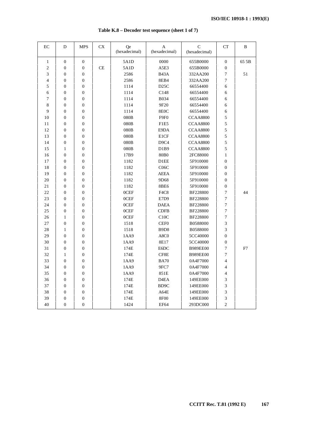| EC             | D                | <b>MPS</b>       | ${\rm CX}$ | <b>Qe</b><br>(hexadecimal) | A<br>(hexadecimal)            | $\mathcal{C}$<br>(hexadecimal) | <b>CT</b>        | B     |
|----------------|------------------|------------------|------------|----------------------------|-------------------------------|--------------------------------|------------------|-------|
| $\mathbf{1}$   | $\overline{0}$   | $\boldsymbol{0}$ |            | 5A1D                       | 0000                          | 655B0000                       | $\mathbf{0}$     | 65 5B |
| $\sqrt{2}$     | $\overline{0}$   | $\overline{0}$   | $\!$ $\!$  | 5A1D                       | A5E3                          | 655B0000                       | $\overline{0}$   |       |
| 3              | $\mathbf{0}$     | $\boldsymbol{0}$ |            | 2586                       | <b>B43A</b>                   | 332AA200                       | $\overline{7}$   | 51    |
| $\overline{4}$ | $\boldsymbol{0}$ | $\boldsymbol{0}$ |            | 2586                       | <b>8EB4</b>                   | 332AA200                       | $\tau$           |       |
| 5              | $\overline{0}$   | $\boldsymbol{0}$ |            | 1114                       | D25C                          | 66554400                       | 6                |       |
| 6              | $\boldsymbol{0}$ | $\boldsymbol{0}$ |            | 1114                       | C148                          | 66554400                       | 6                |       |
| 7              | $\overline{0}$   | $\mathbf{0}$     |            | 1114                       | <b>B034</b>                   | 66554400                       | 6                |       |
| 8              | $\boldsymbol{0}$ | $\boldsymbol{0}$ |            | 1114                       | 9F20                          | 66554400                       | 6                |       |
| 9              | $\boldsymbol{0}$ | $\boldsymbol{0}$ |            | 1114                       | 8E <sub>0</sub> C             | 66554400                       | 6                |       |
| 10             | $\boldsymbol{0}$ | $\boldsymbol{0}$ |            | 080B                       | F9F <sub>0</sub>              | <b>CCAA8800</b>                | 5                |       |
| 11             | $\boldsymbol{0}$ | $\boldsymbol{0}$ |            | 080B                       | F1E5                          | <b>CCAA8800</b>                | 5                |       |
| 12             | $\boldsymbol{0}$ | $\boldsymbol{0}$ |            | 080B                       | E9DA                          | <b>CCAA8800</b>                | 5                |       |
| 13             | $\boldsymbol{0}$ | $\boldsymbol{0}$ |            | 080B                       | E1CF                          | <b>CCAA8800</b>                | 5                |       |
| 14             | $\overline{0}$   | $\boldsymbol{0}$ |            | 080B                       | D <sub>9</sub> C <sub>4</sub> | <b>CCAA8800</b>                | 5                |       |
| 15             | $\mathbf{1}$     | $\boldsymbol{0}$ |            | 080B                       | D <sub>1</sub> B <sub>9</sub> | <b>CCAA8800</b>                | 5                |       |
| 16             | $\boldsymbol{0}$ | $\boldsymbol{0}$ |            | 17B9                       | 80B0                          | 2FC88000                       | $\mathbf{1}$     |       |
| 17             | $\overline{0}$   | $\boldsymbol{0}$ |            | 1182                       | D1EE                          | 5F910000                       | $\boldsymbol{0}$ |       |
| 18             | $\mathbf{0}$     | $\boldsymbol{0}$ |            | 1182                       | C06C                          | 5F910000                       | $\overline{0}$   |       |
| 19             | $\overline{0}$   | $\overline{0}$   |            | 1182                       | <b>AEEA</b>                   | 5F910000                       | $\overline{0}$   |       |
| 20             | $\overline{0}$   | $\boldsymbol{0}$ |            | 1182                       | 9D68                          | 5F910000                       | $\overline{0}$   |       |
| 21             | $\boldsymbol{0}$ | $\boldsymbol{0}$ |            | 1182                       | <b>8BE6</b>                   | 5F910000                       | $\boldsymbol{0}$ |       |
| 22             | $\mathbf{0}$     | $\boldsymbol{0}$ |            | 0CEF                       | F <sub>4</sub> C <sub>8</sub> | BF228800                       | $\overline{7}$   | 44    |
| 23             | $\boldsymbol{0}$ | $\boldsymbol{0}$ |            | 0CEF                       | E7D9                          | BF228800                       | $\tau$           |       |
| 24             | $\overline{0}$   | $\boldsymbol{0}$ |            | 0CEF                       | <b>DAEA</b>                   | BF228800                       | $\overline{7}$   |       |
| 25             | $\boldsymbol{0}$ | $\boldsymbol{0}$ |            | 0CEF                       | <b>CDFB</b>                   | BF228800                       | $\overline{7}$   |       |
| 26             | $\mathbf{1}$     | $\boldsymbol{0}$ |            | 0CEF                       | C10C                          | BF228800                       | $\tau$           |       |
| 27             | $\boldsymbol{0}$ | $\boldsymbol{0}$ |            | 1518                       | <b>CEF0</b>                   | B0588000                       | 3                |       |
| 28             | $\mathbf{1}$     | $\boldsymbol{0}$ |            | 1518                       | B9D8                          | B0588000                       | 3                |       |
| 29             | $\overline{0}$   | $\boldsymbol{0}$ |            | 1AA9                       | A8C0                          | 5CC40000                       | $\boldsymbol{0}$ |       |
| 30             | $\boldsymbol{0}$ | $\boldsymbol{0}$ |            | 1AA9                       | 8E17                          | 5CC40000                       | $\boldsymbol{0}$ |       |
| 31             | $\boldsymbol{0}$ | $\boldsymbol{0}$ |            | 174E                       | E6DC                          | <b>B989EE00</b>                | $\boldsymbol{7}$ | F7    |
| 32             | $\mathbf{1}$     | $\boldsymbol{0}$ |            | 174E                       | CF8E                          | <b>B989EE00</b>                | $\overline{7}$   |       |
| 33             | $\mathbf{0}$     | $\boldsymbol{0}$ |            | 1AA9                       | <b>BA70</b>                   | 0A4F7000                       | 4                |       |
| 34             | $\overline{0}$   | $\boldsymbol{0}$ |            | 1AA9                       | 9FC7                          | 0A4F7000                       | $\overline{4}$   |       |
| 35             | $\boldsymbol{0}$ | $\boldsymbol{0}$ |            | 1AA9                       | 851E                          | 0A4F7000                       | $\overline{4}$   |       |
| 36             | $\overline{0}$   | $\boldsymbol{0}$ |            | 174E                       | D <sub>4</sub> EA             | 149EE000                       | $\overline{3}$   |       |
| 37             | $\overline{0}$   | $\boldsymbol{0}$ |            | 174E                       | BD9C                          | 149EE000                       | 3                |       |
| 38             | $\boldsymbol{0}$ | $\boldsymbol{0}$ |            | 174E                       | A64E                          | 149EE000                       | $\overline{3}$   |       |
| 39             | $\overline{0}$   | $\mathbf{0}$     |            | 174E                       | <b>8F00</b>                   | 149EE000                       | 3                |       |
| 40             | $\boldsymbol{0}$ | $\boldsymbol{0}$ |            | 1424                       | EF64                          | 293DC000                       | $\overline{2}$   |       |

**Table K.8 – Decoder test sequence (sheet 1 of 7)**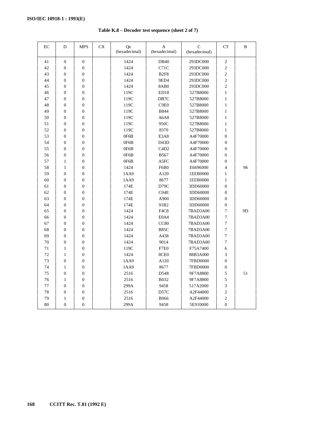| Table K.8 – Decoder test sequence (sheet 2 of 7) |  |  |  |  |  |
|--------------------------------------------------|--|--|--|--|--|
|--------------------------------------------------|--|--|--|--|--|

| $\rm EC$ | D                | <b>MPS</b>       | <b>CX</b> | <b>Qe</b><br>(hexadecimal) | A<br>(hexadecimal)            | $\mathcal{C}$<br>(hexadecimal) | <b>CT</b>        | B              |
|----------|------------------|------------------|-----------|----------------------------|-------------------------------|--------------------------------|------------------|----------------|
| 41       | $\boldsymbol{0}$ | $\boldsymbol{0}$ |           | 1424                       | <b>DB40</b>                   | 293DC000                       | $\overline{c}$   |                |
| 42       | $\boldsymbol{0}$ | $\boldsymbol{0}$ |           | 1424                       | C71C                          | 293DC000                       | $\overline{c}$   |                |
| 43       | $\overline{0}$   | $\mathbf{0}$     |           | 1424                       | <b>B2F8</b>                   | 293DC000                       | $\overline{c}$   |                |
| 44       | $\overline{0}$   | $\mathbf{0}$     |           | 1424                       | 9ED4                          | 293DC000                       | $\overline{2}$   |                |
| 45       | $\overline{0}$   | $\mathbf{0}$     |           | 1424                       | <b>8AB0</b>                   | 293DC000                       | $\overline{2}$   |                |
| 46       | $\overline{0}$   | $\boldsymbol{0}$ |           | 119C                       | ED18                          | 527B8000                       | $\mathbf{1}$     |                |
| 47       | $\boldsymbol{0}$ | $\boldsymbol{0}$ |           | 119C                       | DB7C                          | 527B8000                       | $\mathbf{1}$     |                |
| 48       | $\boldsymbol{0}$ | $\boldsymbol{0}$ |           | 119C                       | C9E0                          | 527B8000                       | $\mathbf{1}$     |                |
| 49       | $\overline{0}$   | $\boldsymbol{0}$ |           | 119C                       | <b>B844</b>                   | 527B8000                       | $\mathbf{1}$     |                |
| 50       | $\overline{0}$   | $\mathbf{0}$     |           | 119C                       | A6A8                          | 527B8000                       | $\mathbf{1}$     |                |
| 51       | $\overline{0}$   | $\mathbf{0}$     |           | 119C                       | 950C                          | 527B8000                       | $\mathbf{1}$     |                |
| 52       | $\boldsymbol{0}$ | $\boldsymbol{0}$ |           | 119C                       | 8370                          | 527B8000                       | $\mathbf{1}$     |                |
| 53       | $\boldsymbol{0}$ | $\boldsymbol{0}$ |           | 0F6B                       | E3A8                          | A4F70000                       | $\boldsymbol{0}$ |                |
| 54       | $\overline{0}$   | $\mathbf{0}$     |           | 0F6B                       | D <sub>43</sub> D             | A4F70000                       | $\overline{0}$   |                |
| 55       | $\overline{0}$   | $\mathbf{0}$     |           | 0F6B                       | C <sub>4</sub> D <sub>2</sub> | A4F70000                       | $\mathbf{0}$     |                |
| 56       | $\boldsymbol{0}$ | $\boldsymbol{0}$ |           | 0F6B                       | <b>B567</b>                   | A4F70000                       | $\boldsymbol{0}$ |                |
| 57       | $\mathbf{1}$     | $\boldsymbol{0}$ |           | 0F6B                       | A5FC                          | A4F70000                       | $\boldsymbol{0}$ |                |
| 58       | $\mathbf{1}$     | $\boldsymbol{0}$ |           | 1424                       | F6B0                          | E6696000                       | $\overline{4}$   | 96             |
| 59       | $\boldsymbol{0}$ | $\boldsymbol{0}$ |           | 1AA9                       | A120                          | 1EEB0000                       | $\mathbf{1}$     |                |
| 60       | $\overline{0}$   | $\mathbf{0}$     |           | 1AA9                       | 8677                          | 1EEB0000                       | $\mathbf{1}$     |                |
| 61       | $\overline{0}$   | $\mathbf{0}$     |           | 174E                       | D79C                          | 3DD60000                       | $\overline{0}$   |                |
| 62       | $\boldsymbol{0}$ | $\boldsymbol{0}$ |           | 174E                       | CO4E                          | 3DD60000                       | $\boldsymbol{0}$ |                |
| 63       | $\boldsymbol{0}$ | $\boldsymbol{0}$ |           | 174E                       | A900                          | 3DD60000                       | $\overline{0}$   |                |
| 64       | $\boldsymbol{0}$ | $\boldsymbol{0}$ |           | 174E                       | 91B2                          | 3DD60000                       | $\boldsymbol{0}$ |                |
| 65       | $\overline{0}$   | $\mathbf{0}$     |           | 1424                       | F <sub>4</sub> C <sub>8</sub> | 7BAD3A00                       | $\overline{7}$   | 9 <sub>D</sub> |
| 66       | $\boldsymbol{0}$ | $\boldsymbol{0}$ |           | 1424                       | E0A4                          | 7BAD3A00                       | $\boldsymbol{7}$ |                |
| 67       | $\boldsymbol{0}$ | $\boldsymbol{0}$ |           | 1424                       | CC80                          | 7BAD3A00                       | $\boldsymbol{7}$ |                |
| 68       | $\boldsymbol{0}$ | $\boldsymbol{0}$ |           | 1424                       | <b>B85C</b>                   | 7BAD3A00                       | $\overline{7}$   |                |
| 69       | $\boldsymbol{0}$ | $\boldsymbol{0}$ |           | 1424                       | A438                          | 7BAD3A00                       | $\boldsymbol{7}$ |                |
| 70       | $\overline{0}$   | $\overline{0}$   |           | 1424                       | 9014                          | 7BAD3A00                       | $\overline{7}$   |                |
| 71       | $\mathbf{1}$     | $\overline{0}$   |           | 119C                       | F7E0                          | F75A7400                       | 6                |                |
| 72       | $\mathbf{1}$     | $\mathbf{0}$     |           | 1424                       | 8CE <sub>0</sub>              | 88B3A000                       | 3                |                |
| 73       | $\boldsymbol{0}$ | $\boldsymbol{0}$ |           | 1AA9                       | A120                          | 7FBD0000                       | $\boldsymbol{0}$ |                |
| 74       | $\mathbf{1}$     | $\boldsymbol{0}$ |           | 1AA9                       | 8677                          | 7FBD0000                       | $\boldsymbol{0}$ |                |
| 75       | $\boldsymbol{0}$ | $\boldsymbol{0}$ |           | 2516                       | D548                          | 9F7A8800                       | 5                | 51             |
| 76       | $\mathbf{1}$     | $\boldsymbol{0}$ |           | 2516                       | <b>B032</b>                   | 9F7A8800                       | 5                |                |
| 77       | $\boldsymbol{0}$ | $\boldsymbol{0}$ |           | 299A                       | 9458                          | 517A2000                       | 3                |                |
| 78       | $\boldsymbol{0}$ | $\boldsymbol{0}$ |           | 2516                       | D57C                          | A2F44000                       | $\overline{c}$   |                |
| 79       | $\mathbf{1}$     | $\boldsymbol{0}$ |           | 2516                       | <b>B066</b>                   | A2F44000                       | $\overline{c}$   |                |
| 80       | $\boldsymbol{0}$ | $\boldsymbol{0}$ |           | 299A                       | 9458                          | 5E910000                       | $\boldsymbol{0}$ |                |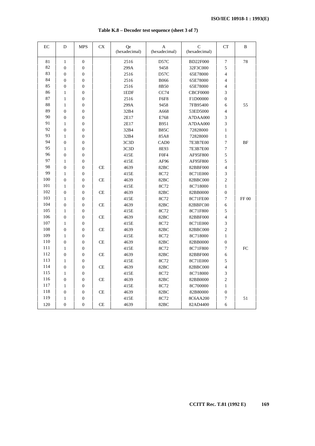| EC  | D                | <b>MPS</b>       | <b>CX</b> | Qe<br>(hexadecimal) | A<br>(hexadecimal) | $\mathsf{C}$<br>(hexadecimal) | <b>CT</b>               | B         |
|-----|------------------|------------------|-----------|---------------------|--------------------|-------------------------------|-------------------------|-----------|
| 81  | $\mathbf{1}$     | $\mathbf{0}$     |           | 2516                | D57C               | <b>BD22F000</b>               | $\boldsymbol{7}$        | 78        |
| 82  | $\boldsymbol{0}$ | $\boldsymbol{0}$ |           | 299A                | 9458               | 32F3C000                      | 5                       |           |
| 83  | $\overline{0}$   | $\overline{0}$   |           | 2516                | D57C               | 65E78000                      | $\overline{\mathbf{4}}$ |           |
| 84  | $\boldsymbol{0}$ | $\boldsymbol{0}$ |           | 2516                | <b>B066</b>        | 65E78000                      | 4                       |           |
| 85  | $\overline{0}$   | $\overline{0}$   |           | 2516                | 8B50               | 65E78000                      | $\overline{\mathbf{4}}$ |           |
| 86  | $\mathbf{1}$     | $\mathbf{0}$     |           | 1EDF                | CC74               | <b>CBCF0000</b>               | 3                       |           |
| 87  | $\mathbf{1}$     | $\boldsymbol{0}$ |           | 2516                | F6F8               | F1D00000                      | $\boldsymbol{0}$        |           |
| 88  | $\mathbf{1}$     | $\boldsymbol{0}$ |           | 299A                | 9458               | 7FB95400                      | 6                       | 55        |
| 89  | $\boldsymbol{0}$ | $\boldsymbol{0}$ |           | 32B4                | A668               | 53ED5000                      | 4                       |           |
| 90  | $\boldsymbol{0}$ | $\boldsymbol{0}$ |           | 2E17                | E768               | A7DAA000                      | 3                       |           |
| 91  | $\mathbf{1}$     | $\boldsymbol{0}$ |           | 2E17                | B951               | A7DAA000                      | 3                       |           |
| 92  | $\boldsymbol{0}$ | $\mathbf{0}$     |           | 32B4                | <b>B85C</b>        | 72828000                      | $\mathbf{1}$            |           |
| 93  | $\mathbf{1}$     | $\boldsymbol{0}$ |           | 32B4                | 85A8               | 72828000                      | $\mathbf{1}$            |           |
| 94  | $\overline{0}$   | $\mathbf{0}$     |           | 3C3D                | CAD <sub>0</sub>   | 7E3B7E00                      | 7                       | <b>BF</b> |
| 95  | $\mathbf{1}$     | $\mathbf{0}$     |           | 3C3D                | 8E93               | 7E3B7E00                      | 7                       |           |
| 96  | $\overline{0}$   | $\overline{0}$   |           | 415E                | ${\rm FOF4}$       | AF95F800                      | 5                       |           |
| 97  | $\mathbf{1}$     | $\mathbf{0}$     |           | 415E                | AF96               | AF95F800                      | 5                       |           |
| 98  | $\overline{0}$   | $\boldsymbol{0}$ | CE        | 4639                | 82BC               | 82BBF000                      | $\overline{\mathbf{4}}$ |           |
| 99  | $\mathbf{1}$     | $\boldsymbol{0}$ |           | 415E                | 8C72               | 8C71E000                      | 3                       |           |
| 100 | $\overline{0}$   | $\mathbf{0}$     | CE        | 4639                | 82BC               | 82BBC000                      | $\overline{2}$          |           |
| 101 | $\mathbf{1}$     | $\boldsymbol{0}$ |           | 415E                | 8C72               | 8C718000                      | $\mathbf{1}$            |           |
| 102 | $\overline{0}$   | $\boldsymbol{0}$ | CE        | 4639                | 82BC               | 82BB0000                      | $\boldsymbol{0}$        |           |
| 103 | $\mathbf{1}$     | $\boldsymbol{0}$ |           | 415E                | 8C72               | 8C71FE00                      | 7                       | FF 00     |
| 104 | $\overline{0}$   | $\overline{0}$   | $\!$ $\!$ | 4639                | 82BC               | 82BBFC00                      | 6                       |           |
| 105 | $\mathbf{1}$     | $\boldsymbol{0}$ |           | 415E                | 8C72               | 8C71F800                      | 5                       |           |
| 106 | $\boldsymbol{0}$ | $\boldsymbol{0}$ | CE        | 4639                | 82BC               | 82BBF000                      | 4                       |           |
| 107 | $\mathbf{1}$     | $\mathbf{0}$     |           | 415E                | 8C72               | 8C71E000                      | 3                       |           |
| 108 | $\boldsymbol{0}$ | $\mathbf{0}$     | CE        | 4639                | 82BC               | 82BBC000                      | $\overline{c}$          |           |
| 109 | $\mathbf{1}$     | $\boldsymbol{0}$ |           | 415E                | 8C72               | 8C718000                      | $\mathbf{1}$            |           |
| 110 | $\overline{0}$   | $\overline{0}$   | CE        | 4639                | 82BC               | 82BB0000                      | $\boldsymbol{0}$        |           |
| 111 | $\mathbf{1}$     | $\mathbf{0}$     |           | 415E                | 8C72               | 8C71F800                      | 7                       | FC        |
| 112 | $\overline{0}$   | $\overline{0}$   | $\!$ $\!$ | 4639                | 82BC               | 82BBF000                      | 6                       |           |
| 113 | $\mathbf{1}$     | $\boldsymbol{0}$ |           | 415E                | 8C72               | 8C71E000                      | 5                       |           |
| 114 | $\boldsymbol{0}$ | $\boldsymbol{0}$ | CE        | 4639                | 82BC               | 82BBC000                      | 4                       |           |
| 115 | $\mathbf{1}$     | $\mathbf{0}$     |           | 415E                | 8C72               | 8C718000                      | 3                       |           |
| 116 | $\boldsymbol{0}$ | $\mathbf{0}$     | CE        | 4639                | 82BC               | 82BB0000                      | $\overline{c}$          |           |
| 117 | $\mathbf{1}$     | $\boldsymbol{0}$ |           | 415E                | 8C72               | 8C700000                      | $\mathbf{1}$            |           |
| 118 | $\boldsymbol{0}$ | $\boldsymbol{0}$ | CE        | 4639                | 82BC               | 82B80000                      | $\boldsymbol{0}$        |           |
| 119 | $\mathbf{1}$     | $\mathbf{0}$     |           | 415E                | 8C72               | 8C6AA200                      | 7                       | 51        |
| 120 | $\boldsymbol{0}$ | $\mathbf{0}$     | $\!$ $\!$ | 4639                | 82BC               | 82AD4400                      | 6                       |           |

**Table K.8 – Decoder test sequence (sheet 3 of 7)**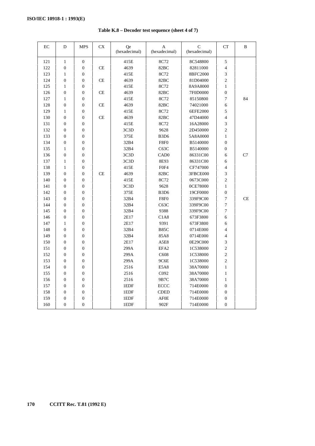**Table K.8 – Decoder test sequence (sheet 4 of 7)**

| EC  | D                | <b>MPS</b>       | <b>CX</b> | <b>Qe</b><br>(hexadecimal) | A<br>(hexadecimal)            | $\mathsf{C}$<br>(hexadecimal) | <b>CT</b>        | B         |
|-----|------------------|------------------|-----------|----------------------------|-------------------------------|-------------------------------|------------------|-----------|
| 121 | $\mathbf{1}$     | $\boldsymbol{0}$ |           | 415E                       | 8C72                          | 8C548800                      | 5                |           |
| 122 | $\boldsymbol{0}$ | $\boldsymbol{0}$ | CE        | 4639                       | 82BC                          | 82811000                      | $\overline{4}$   |           |
| 123 | $\mathbf{1}$     | $\mathbf{0}$     |           | 415E                       | 8C72                          | 8BFC2000                      | 3                |           |
| 124 | $\boldsymbol{0}$ | $\boldsymbol{0}$ | <b>CE</b> | 4639                       | 82BC                          | 81D04000                      | $\overline{c}$   |           |
| 125 | $\mathbf{1}$     | $\boldsymbol{0}$ |           | 415E                       | 8C72                          | 8A9A8000                      | $\mathbf{1}$     |           |
| 126 | $\boldsymbol{0}$ | $\boldsymbol{0}$ | CE        | 4639                       | 82BC                          | 7F0D0000                      | $\boldsymbol{0}$ |           |
| 127 | $\mathbf{1}$     | $\boldsymbol{0}$ |           | 415E                       | 8C72                          | 85150800                      | 7                | 84        |
| 128 | $\boldsymbol{0}$ | $\boldsymbol{0}$ | CE        | 4639                       | 82BC                          | 74021000                      | 6                |           |
| 129 | $\mathbf{1}$     | $\boldsymbol{0}$ |           | 415E                       | 8C72                          | 6EFE2000                      | 5                |           |
| 130 | $\overline{0}$   | $\boldsymbol{0}$ | CE        | 4639                       | 82BC                          | 47D44000                      | 4                |           |
| 131 | $\overline{0}$   | $\boldsymbol{0}$ |           | 415E                       | 8C72                          | 16A28000                      | 3                |           |
| 132 | $\boldsymbol{0}$ | $\boldsymbol{0}$ |           | 3C3D                       | 9628                          | 2D450000                      | $\overline{2}$   |           |
| 133 | $\boldsymbol{0}$ | $\boldsymbol{0}$ |           | 375E                       | B <sub>3</sub> D <sub>6</sub> | 5A8A0000                      | $\mathbf{1}$     |           |
| 134 | $\boldsymbol{0}$ | $\boldsymbol{0}$ |           | 32B4                       | F8F0                          | B5140000                      | $\boldsymbol{0}$ |           |
| 135 | $\mathbf{1}$     | $\boldsymbol{0}$ |           | 32B4                       | C63C                          | B5140000                      | $\boldsymbol{0}$ |           |
| 136 | $\overline{0}$   | $\boldsymbol{0}$ |           | 3C3D                       | CAD <sub>0</sub>              | 86331C00                      | 6                | C7        |
| 137 | $\mathbf{1}$     | $\boldsymbol{0}$ |           | 3C3D                       | 8E93                          | 86331C00                      | 6                |           |
| 138 | $\mathbf{1}$     | $\boldsymbol{0}$ |           | 415E                       | F <sub>0F4</sub>              | CF747000                      | $\overline{4}$   |           |
| 139 | $\boldsymbol{0}$ | $\boldsymbol{0}$ | <b>CE</b> | 4639                       | 82BC                          | 3FBCE000                      | 3                |           |
| 140 | $\boldsymbol{0}$ | $\boldsymbol{0}$ |           | 415E                       | 8C72                          | 0673C000                      | $\overline{c}$   |           |
| 141 | $\boldsymbol{0}$ | $\boldsymbol{0}$ |           | 3C3D                       | 9628                          | 0CE78000                      | $\mathbf{1}$     |           |
| 142 | $\boldsymbol{0}$ | $\boldsymbol{0}$ |           | 375E                       | B <sub>3</sub> D <sub>6</sub> | 19CF0000                      | $\boldsymbol{0}$ |           |
| 143 | $\overline{0}$   | $\overline{0}$   |           | 32B4                       | F8F0                          | 339F9C00                      | 7                | <b>CE</b> |
| 144 | $\overline{0}$   | $\boldsymbol{0}$ |           | 32B4                       | C63C                          | 339F9C00                      | $\overline{7}$   |           |
| 145 | $\overline{0}$   | $\boldsymbol{0}$ |           | 32B4                       | 9388                          | 339F9C00                      | $\overline{7}$   |           |
| 146 | $\boldsymbol{0}$ | $\boldsymbol{0}$ |           | 2E17                       | C1A8                          | 673F3800                      | 6                |           |
| 147 | $\mathbf{1}$     | $\boldsymbol{0}$ |           | 2E17                       | 9391                          | 673F3800                      | 6                |           |
| 148 | $\overline{0}$   | $\boldsymbol{0}$ |           | 32B4                       | <b>B85C</b>                   | 0714E000                      | 4                |           |
| 149 | $\boldsymbol{0}$ | $\boldsymbol{0}$ |           | 32B4                       | 85A8                          | 0714E000                      | $\overline{4}$   |           |
| 150 | $\boldsymbol{0}$ | $\boldsymbol{0}$ |           | 2E17                       | A5E8                          | 0E29C000                      | 3                |           |
| 151 | $\overline{0}$   | $\mathbf{0}$     |           | 299A                       | EFA <sub>2</sub>              | 1C538000                      | $\overline{2}$   |           |
| 152 | $\overline{0}$   | $\boldsymbol{0}$ |           | 299A                       | C608                          | 1C538000                      | $\overline{c}$   |           |
| 153 | $\boldsymbol{0}$ | $\boldsymbol{0}$ |           | 299A                       | 9C6E                          | 1C538000                      | $\overline{c}$   |           |
| 154 | $\boldsymbol{0}$ | $\boldsymbol{0}$ |           | 2516                       | E5A8                          | 38A70000                      | $\mathbf{1}$     |           |
| 155 | $\mathbf{0}$     | $\boldsymbol{0}$ |           | 2516                       | C092                          | 38A70000                      | $\mathbf{1}$     |           |
| 156 | $\boldsymbol{0}$ | $\boldsymbol{0}$ |           | 2516                       | 9B7C                          | 38A70000                      | $\mathbf{1}$     |           |
| 157 | $\boldsymbol{0}$ | $\boldsymbol{0}$ |           | 1EDF                       | ECCC                          | 714E0000                      | $\mathbf{0}$     |           |
| 158 | $\boldsymbol{0}$ | $\boldsymbol{0}$ |           | 1EDF                       | <b>CDED</b>                   | 714E0000                      | $\boldsymbol{0}$ |           |
| 159 | $\mathbf{0}$     | $\mathbf{0}$     |           | 1EDF                       | <b>AF0E</b>                   | 714E0000                      | $\boldsymbol{0}$ |           |
| 160 | $\overline{0}$   | $\boldsymbol{0}$ |           | 1EDF                       | 902F                          | 714E0000                      | $\boldsymbol{0}$ |           |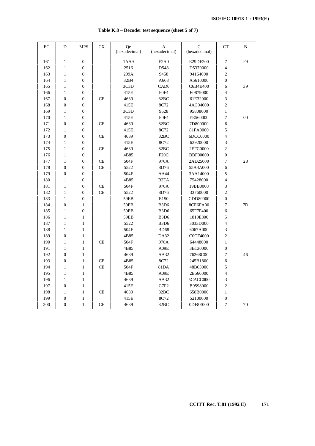| EC  | D                | <b>MPS</b>       | <b>CX</b> | <b>Qe</b><br>(hexadecimal) | A<br>(hexadecimal)            | $\mathsf{C}$<br>(hexadecimal) | CT                       | B              |
|-----|------------------|------------------|-----------|----------------------------|-------------------------------|-------------------------------|--------------------------|----------------|
| 161 | $\,1$            | $\boldsymbol{0}$ |           | 1AA9                       | E <sub>2</sub> A <sub>0</sub> | E29DF200                      | $\boldsymbol{7}$         | F <sub>9</sub> |
| 162 | $\mathbf{1}$     | $\boldsymbol{0}$ |           | 2516                       | D548                          | D5379000                      | 4                        |                |
| 163 | $\mathbf{1}$     | $\boldsymbol{0}$ |           | 299A                       | 9458                          | 94164000                      | $\overline{c}$           |                |
| 164 | $\mathbf{1}$     | $\boldsymbol{0}$ |           | 32B4                       | A668                          | A5610000                      | $\boldsymbol{0}$         |                |
| 165 | $\mathbf{1}$     | $\boldsymbol{0}$ |           | 3C3D                       | CAD <sub>0</sub>              | C6B4E400                      | 6                        | 39             |
| 166 | 1                | $\boldsymbol{0}$ |           | 415E                       | F0F4                          | E0879000                      | $\overline{\mathbf{4}}$  |                |
| 167 | $\boldsymbol{0}$ | $\boldsymbol{0}$ | CE        | 4639                       | 82BC                          | 61E32000                      | 3                        |                |
| 168 | $\boldsymbol{0}$ | $\boldsymbol{0}$ |           | 415E                       | 8C72                          | 4AC04000                      | $\overline{2}$           |                |
| 169 | $\mathbf{1}$     | $\boldsymbol{0}$ |           | 3C3D                       | 9628                          | 95808000                      | $\mathbf{1}$             |                |
| 170 | $\mathbf{1}$     | $\boldsymbol{0}$ |           | 415E                       | F <sub>0F4</sub>              | EE560000                      | 7                        | 00             |
| 171 | $\boldsymbol{0}$ | $\boldsymbol{0}$ | CE        | 4639                       | 82BC                          | 7D800000                      | 6                        |                |
| 172 | $\mathbf{1}$     | $\boldsymbol{0}$ |           | 415E                       | 8C72                          | 81FA0000                      | 5                        |                |
| 173 | $\boldsymbol{0}$ | $\mathbf{0}$     | CE        | 4639                       | 82BC                          | 6DCC0000                      | 4                        |                |
| 174 | $\mathbf{1}$     | $\boldsymbol{0}$ |           | 415E                       | 8C72                          | 62920000                      | 3                        |                |
| 175 | $\mathbf{1}$     | $\boldsymbol{0}$ | CE        | 4639                       | 82BC                          | 2EFC0000                      | $\overline{c}$           |                |
| 176 | $\mathbf{1}$     | $\boldsymbol{0}$ |           | 4B85                       | F <sub>20</sub> C             | <b>BBF00000</b>               | $\boldsymbol{0}$         |                |
| 177 | $\mathbf{1}$     | $\mathbf{0}$     | CE        | 504F                       | 970A                          | 2AD25000                      | 7                        | 28             |
| 178 | $\overline{0}$   | $\boldsymbol{0}$ | CE        | 5522                       | 8D76                          | 55A4A000                      | 6                        |                |
| 179 | $\boldsymbol{0}$ | $\boldsymbol{0}$ |           | 504F                       | AA44                          | 3AA14000                      | 5                        |                |
| 180 | $\mathbf{1}$     | $\boldsymbol{0}$ |           | 4B85                       | B <sub>3</sub> EA             | 75428000                      | $\overline{4}$           |                |
| 181 | $\mathbf{1}$     | $\boldsymbol{0}$ | CE        | 504F                       | 970A                          | 19BB0000                      | 3                        |                |
| 182 | $\mathbf{1}$     | $\boldsymbol{0}$ | $\!$ $\!$ | 5522                       | 8D76                          | 33760000                      | $\overline{c}$           |                |
| 183 | $\mathbf{1}$     | $\boldsymbol{0}$ |           | 59EB                       | E150                          | CDD80000                      | $\boldsymbol{0}$         |                |
| 184 | $\boldsymbol{0}$ | $\mathbf{1}$     |           | 59EB                       | B <sub>3</sub> D <sub>6</sub> | 8CE6FA00                      | 7                        | 7D             |
| 185 | $\mathbf{1}$     | $\mathbf{0}$     |           | 59EB                       | B <sub>3</sub> D <sub>6</sub> | 65F7F400                      | 6                        |                |
| 186 | $\mathbf{1}$     | $\mathbf{1}$     |           | 59EB                       | B <sub>3</sub> D <sub>6</sub> | 1819E800                      | 5                        |                |
| 187 | $\mathbf{1}$     | $\mathbf{1}$     |           | 5522                       | B <sub>3</sub> D <sub>6</sub> | 3033D000                      | $\overline{\mathcal{L}}$ |                |
| 188 | $\mathbf{1}$     | $\mathbf{1}$     |           | 504F                       | <b>BD68</b>                   | 6067A000                      | 3                        |                |
| 189 | $\overline{0}$   | 1                |           | 4B85                       | DA32                          | <b>COCF4000</b>               | $\overline{2}$           |                |
| 190 | $\mathbf{1}$     | $\mathbf{1}$     | CE        | 504F                       | 970A                          | 64448000                      | $\mathbf{1}$             |                |
| 191 | $\mathbf{1}$     | $\mathbf{1}$     |           | 4B85                       | A09E                          | 3B130000                      | $\boldsymbol{0}$         |                |
| 192 | $\mathbf{0}$     | $\mathbf{1}$     |           | 4639                       | AA32                          | 76268C00                      | 7                        | 46             |
| 193 | $\boldsymbol{0}$ | $\mathbf{1}$     | CE        | 4B85                       | 8C72                          | 245B1800                      | 6                        |                |
| 194 | $\mathbf{1}$     | $\mathbf{1}$     | CE        | 504F                       | 81DA                          | 48B63000                      | 5                        |                |
| 195 | $\mathbf{1}$     | $\mathbf{1}$     |           | 4B85                       | A09E                          | 2E566000                      | 4                        |                |
| 196 | $\mathbf{1}$     | $\mathbf{1}$     |           | 4639                       | AA32                          | 5CACC000                      | 3                        |                |
| 197 | $\boldsymbol{0}$ | $\mathbf{1}$     |           | 415E                       | C7F2                          | B9598000                      | $\overline{c}$           |                |
| 198 | $\mathbf{1}$     | $\mathbf{1}$     | CE        | 4639                       | 82BC                          | 658B0000                      | $\mathbf{1}$             |                |
| 199 | $\mathbf{0}$     | $\mathbf{1}$     |           | 415E                       | 8C72                          | 52100000                      | $\boldsymbol{0}$         |                |
| 200 | $\boldsymbol{0}$ | $\mathbf{1}$     | CE        | 4639                       | 82BC                          | 0DF8E000                      | 7                        | 70             |

**Table K.8 – Decoder test sequence (sheet 5 of 7)**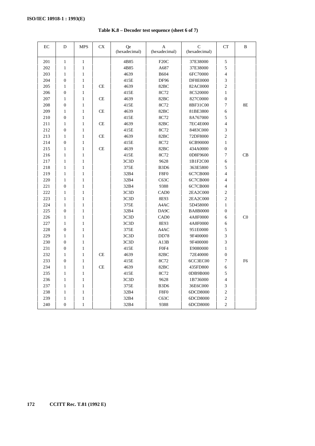**Table K.8 – Decoder test sequence (sheet 6 of 7)**

| EC  | D                | <b>MPS</b>   | <b>CX</b> | <b>Qe</b><br>(hexadecimal) | A<br>(hexadecimal)            | $\mathsf{C}$<br>(hexadecimal) | <b>CT</b>        | B              |
|-----|------------------|--------------|-----------|----------------------------|-------------------------------|-------------------------------|------------------|----------------|
| 201 | $\mathbf{1}$     | $\mathbf{1}$ |           | 4B85                       | F20C                          | 37E38000                      | 5                |                |
| 202 | $\mathbf{1}$     | $\mathbf{1}$ |           | 4B85                       | A687                          | 37E38000                      | 5                |                |
| 203 | $\mathbf{1}$     | $\mathbf{1}$ |           | 4639                       | <b>B604</b>                   | 6FC70000                      | $\overline{4}$   |                |
| 204 | $\boldsymbol{0}$ | $\mathbf{1}$ |           | 415E                       | DF96                          | <b>DF8E0000</b>               | 3                |                |
| 205 | $\mathbf{1}$     | $\mathbf{1}$ | CE        | 4639                       | 82BC                          | 82AC0000                      | $\overline{c}$   |                |
| 206 | $\boldsymbol{0}$ | $\mathbf{1}$ |           | 415E                       | 8C72                          | 8C520000                      | $\mathbf{1}$     |                |
| 207 | $\mathbf{1}$     | $\mathbf{1}$ | $\!$ $\!$ | 4639                       | 82BC                          | 827C0000                      | $\boldsymbol{0}$ |                |
| 208 | $\overline{0}$   | $\mathbf{1}$ |           | 415E                       | 8C72                          | 8BF31C00                      | $\overline{7}$   | 8E             |
| 209 | $\mathbf{1}$     | $\mathbf{1}$ | <b>CE</b> | 4639                       | 82BC                          | 81BE3800                      | 6                |                |
| 210 | $\overline{0}$   | $\mathbf{1}$ |           | 415E                       | 8C72                          | 8A767000                      | 5                |                |
| 211 | $\mathbf{1}$     | $\mathbf{1}$ | <b>CE</b> | 4639                       | 82BC                          | 7EC4E000                      | $\overline{4}$   |                |
| 212 | $\boldsymbol{0}$ | $\mathbf{1}$ |           | 415E                       | 8C72                          | 8483C000                      | 3                |                |
| 213 | $\mathbf{1}$     | $\mathbf{1}$ | CE        | 4639                       | 82BC                          | 72DF8000                      | $\overline{c}$   |                |
| 214 | $\overline{0}$   | $\mathbf{1}$ |           | 415E                       | 8C72                          | 6CB90000                      | $\mathbf{1}$     |                |
| 215 | $\mathbf{1}$     | $\mathbf{1}$ | CE        | 4639                       | 82BC                          | 434A0000                      | $\boldsymbol{0}$ |                |
| 216 | $\mathbf{1}$     | $\mathbf{1}$ |           | 415E                       | 8C72                          | 0D8F9600                      | $\overline{7}$   | CB             |
| 217 | $\mathbf{1}$     | $\mathbf{1}$ |           | 3C3D                       | 9628                          | 1B1F2C00                      | 6                |                |
| 218 | $\mathbf{1}$     | $\mathbf{1}$ |           | 375E                       | B <sub>3</sub> D <sub>6</sub> | 363E5800                      | 5                |                |
| 219 | $\mathbf{1}$     | $\mathbf{1}$ |           | 32B4                       | F8F0                          | 6C7CB000                      | $\overline{4}$   |                |
| 220 | $\mathbf{1}$     | $\mathbf{1}$ |           | 32B4                       | C63C                          | 6C7CB000                      | $\overline{4}$   |                |
| 221 | $\overline{0}$   | $\mathbf{1}$ |           | 32B4                       | 9388                          | 6C7CB000                      | $\overline{4}$   |                |
| 222 | $\mathbf{1}$     | $\mathbf{1}$ |           | 3C3D                       | CAD <sub>0</sub>              | 2EA2C000                      | $\overline{c}$   |                |
| 223 | $\mathbf{1}$     | $\mathbf{1}$ |           | 3C3D                       | 8E93                          | 2EA2C000                      | $\overline{2}$   |                |
| 224 | $\mathbf{1}$     | $\mathbf{1}$ |           | 375E                       | A4AC                          | 5D458000                      | $\mathbf{1}$     |                |
| 225 | $\overline{0}$   | $\mathbf{1}$ |           | 32B4                       | DA9C                          | <b>BA8B0000</b>               | $\boldsymbol{0}$ |                |
| 226 | $\mathbf{1}$     | $\mathbf{1}$ |           | 3C3D                       | CAD <sub>0</sub>              | 4A8F0000                      | 6                | CO             |
| 227 | $\mathbf{1}$     | $\mathbf{1}$ |           | 3C3D                       | 8E93                          | 4A8F0000                      | 6                |                |
| 228 | $\boldsymbol{0}$ | $\mathbf{1}$ |           | 375E                       | A4AC                          | 951E0000                      | 5                |                |
| 229 | $\mathbf{1}$     | $\mathbf{1}$ |           | 3C3D                       | DD78                          | 9F400000                      | 3                |                |
| 230 | $\overline{0}$   | $\mathbf{1}$ |           | 3C3D                       | A13B                          | 9F400000                      | 3                |                |
| 231 | $\overline{0}$   | $\mathbf{1}$ |           | 415E                       | F0F4                          | E9080000                      | $\mathbf{1}$     |                |
| 232 | $\mathbf{1}$     | $\mathbf{1}$ | <b>CE</b> | 4639                       | 82BC                          | 72E40000                      | $\boldsymbol{0}$ |                |
| 233 | $\boldsymbol{0}$ | $\mathbf{1}$ |           | 415E                       | 8C72                          | 6CC3EC00                      | $\boldsymbol{7}$ | F <sub>6</sub> |
| 234 | $\mathbf{1}$     | $\mathbf{1}$ | CE        | 4639                       | 82BC                          | 435FD800                      | 6                |                |
| 235 | $\mathbf{1}$     | $\mathbf{1}$ |           | 415E                       | 8C72                          | 0DB9B000                      | 5                |                |
| 236 | $\mathbf{1}$     | $\mathbf{1}$ |           | 3C3D                       | 9628                          | 1B736000                      | $\overline{4}$   |                |
| 237 | $\mathbf{1}$     | $\mathbf{1}$ |           | 375E                       | B <sub>3</sub> D <sub>6</sub> | 36E6C000                      | 3                |                |
| 238 | $\mathbf{1}$     | $\mathbf{1}$ |           | 32B4                       | F8F0                          | 6DCD8000                      | $\overline{c}$   |                |
| 239 | $\mathbf{1}$     | $\mathbf{1}$ |           | 32B4                       | C63C                          | 6DCD8000                      | $\overline{c}$   |                |
| 240 | $\overline{0}$   | $\mathbf{1}$ |           | 32B4                       | 9388                          | 6DCD8000                      | $\overline{2}$   |                |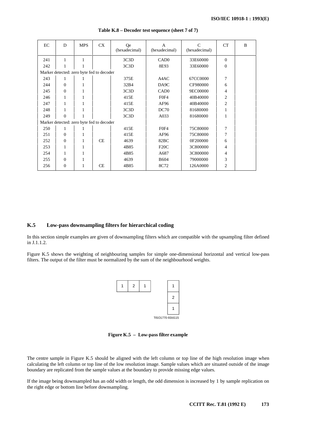| EC  | D                                         | <b>MPS</b> | <b>CX</b> | Qe<br>(hexadecimal) | A<br>(hexadecimal) | C<br>(hexadecimal) | <b>CT</b>      | B |
|-----|-------------------------------------------|------------|-----------|---------------------|--------------------|--------------------|----------------|---|
| 241 | 1                                         | 1          |           | 3C3D                | CAD <sub>0</sub>   | 33E60000           | $\mathbf{0}$   |   |
| 242 |                                           |            |           | 3C3D                | 8E93               | 33E60000           | $\Omega$       |   |
|     | Marker detected: zero byte fed to decoder |            |           |                     |                    |                    |                |   |
| 243 | 1                                         |            |           | 375E                | A4AC               | 67CC0000           | 7              |   |
| 244 | $\Omega$                                  |            |           | 32B4                | DA9C               | CF980000           | 6              |   |
| 245 | $\Omega$                                  | 1          |           | 3C3D                | CAD <sub>0</sub>   | <b>9EC00000</b>    | 4              |   |
| 246 | 1                                         |            |           | 415E                | F <sub>0F4</sub>   | 40B40000           | $\overline{c}$ |   |
| 247 | $\mathbf{1}$                              | 1          |           | 415E                | AF96               | 40B40000           | 2              |   |
| 248 | 1                                         |            |           | 3C3D                | DC70               | 81680000           | 1              |   |
| 249 | $\Omega$                                  |            |           | 3C3D                | A033               | 81680000           | 1              |   |
|     | Marker detected: zero byte fed to decoder |            |           |                     |                    |                    |                |   |
| 250 | 1                                         |            |           | 415E                | F <sub>0F4</sub>   | 75C80000           | 7              |   |
| 251 | $\Omega$                                  | 1          |           | 415E                | AF96               | 75C80000           | 7              |   |
| 252 | $\Omega$                                  | 1          | CE.       | 4639                | 82BC               | 0F200000           | 6              |   |
| 253 | 1                                         |            |           | 4B85                | F20C               | 3C800000           | 4              |   |
| 254 | 1                                         | 1          |           | 4B85                | A687               | 3C800000           | 4              |   |
| 255 | $\Omega$                                  |            |           | 4639                | <b>B604</b>        | 79000000           | 3              |   |
| 256 | $\Omega$                                  | 1          | CE        | 4B85                | 8C72               | 126A0000           | $\overline{c}$ |   |

**Table K.8 – Decoder test sequence (sheet 7 of 7)**

### **K.5 Low-pass downsampling filters for hierarchical coding**

In this section simple examples are given of downsampling filters which are compatible with the upsampling filter defined in J.1.1.2.

Figure K.5 shows the weighting of neighbouring samples for simple one-dimensional horizontal and vertical low-pass filters. The output of the filter must be normalized by the sum of the neighbourhood weights.



**Figure K.5 – Low-pass filter example**

The centre sample in Figure K.5 should be aligned with the left column or top line of the high resolution image when calculating the left column or top line of the low resolution image. Sample values which are situated outside of the image boundary are replicated from the sample values at the boundary to provide missing edge values.

If the image being downsampled has an odd width or length, the odd dimension is increased by 1 by sample replication on the right edge or bottom line before downsampling.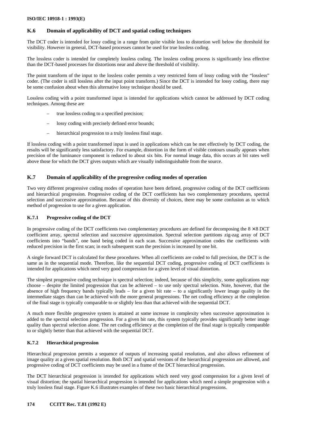### **K.6 Domain of applicability of DCT and spatial coding techniques**

The DCT coder is intended for lossy coding in a range from quite visible loss to distortion well below the threshold for visibility. However in general, DCT-based processes cannot be used for true lossless coding.

The lossless coder is intended for completely lossless coding. The lossless coding process is significantly less effective than the DCT-based processes for distortions near and above the threshold of visibility.

The point transform of the input to the lossless coder permits a very restricted form of lossy coding with the "lossless" coder. (The coder is still lossless after the input point transform.) Since the DCT is intended for lossy coding, there may be some confusion about when this alternative lossy technique should be used.

Lossless coding with a point transformed input is intended for applications which cannot be addressed by DCT coding techniques. Among these are

- true lossless coding to a specified precision;
- lossy coding with precisely defined error bounds;
- hierarchical progression to a truly lossless final stage.

If lossless coding with a point transformed input is used in applications which can be met effectively by DCT coding, the results will be significantly less satisfactory. For example, distortion in the form of visible contours usually appears when precision of the luminance component is reduced to about six bits. For normal image data, this occurs at bit rates well above those for which the DCT gives outputs which are visually indistinguishable from the source.

### **K.7 Domain of applicability of the progressive coding modes of operation**

Two very different progressive coding modes of operation have been defined, progressive coding of the DCT coefficients and hierarchical progression. Progressive coding of the DCT coefficients has two complementary procedures, spectral selection and successive approximation. Because of this diversity of choices, there may be some confusion as to which method of progression to use for a given application.

### **K.7.1 Progressive coding of the DCT**

In progressive coding of the DCT coefficients two complementary procedures are defined for decomposing the  $8 \times 8$  DCT coefficient array, spectral selection and successive approximation. Spectral selection partitions zig-zag array of DCT coefficients into "bands", one band being coded in each scan. Successive approximation codes the coefficients with reduced precision in the first scan; in each subsequent scan the precision is increased by one bit.

A single forward DCT is calculated for these procedures. When all coefficients are coded to full precision, the DCT is the same as in the sequential mode. Therefore, like the sequential DCT coding, progressive coding of DCT coefficients is intended for applications which need very good compression for a given level of visual distortion.

The simplest progressive coding technique is spectral selection; indeed, because of this simplicity, some applications may choose – despite the limited progression that can be achieved – to use only spectral selection. Note, however, that the absence of high frequency bands typically leads – for a given bit rate – to a significantly lower image quality in the intermediate stages than can be achieved with the more general progressions. The net coding efficiency at the completion of the final stage is typically comparable to or slightly less than that achieved with the sequential DCT.

A much more flexible progressive system is attained at some increase in complexity when successive approximation is added to the spectral selection progression. For a given bit rate, this system typically provides significantly better image quality than spectral selection alone. The net coding efficiency at the completion of the final stage is typically comparable to or slightly better than that achieved with the sequential DCT.

### **K.7.2 Hierarchical progression**

Hierarchical progression permits a sequence of outputs of increasing spatial resolution, and also allows refinement of image quality at a given spatial resolution. Both DCT and spatial versions of the hierarchical progression are allowed, and progressive coding of DCT coefficients may be used in a frame of the DCT hierarchical progression.

The DCT hierarchical progression is intended for applications which need very good compression for a given level of visual distortion; the spatial hierarchical progression is intended for applications which need a simple progression with a truly lossless final stage. Figure K.6 illustrates examples of these two basic hierarchical progressions.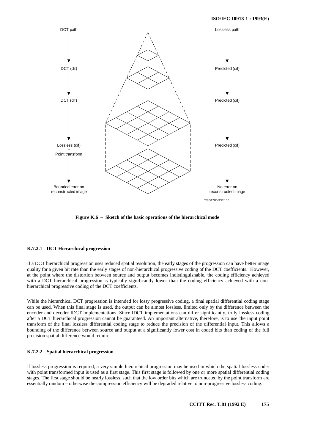

**Figure K.6 – Sketch of the basic operations of the hierarchical mode**

#### **K.7.2.1 DCT Hierarchical progression**

If a DCT hierarchical progression uses reduced spatial resolution, the early stages of the progression can have better image quality for a given bit rate than the early stages of non-hierarchical progressive coding of the DCT coefficients. However, at the point where the distortion between source and output becomes indistinguishable, the coding efficiency achieved with a DCT hierarchical progression is typically significantly lower than the coding efficiency achieved with a nonhierarchical progressive coding of the DCT coefficients.

While the hierarchical DCT progression is intended for lossy progressive coding, a final spatial differential coding stage can be used. When this final stage is used, the output can be almost lossless, limited only by the difference between the encoder and decoder IDCT implementations. Since IDCT implementations can differ significantly, truly lossless coding after a DCT hierarchical progression cannot be guaranteed. An important alternative, therefore, is to use the input point transform of the final lossless differential coding stage to reduce the precision of the differential input. This allows a bounding of the difference between source and output at a significantly lower cost in coded bits than coding of the full precision spatial difference would require.

### **K.7.2.2 Spatial hierarchical progression**

If lossless progression is required, a very simple hierarchical progression may be used in which the spatial lossless coder with point transformed input is used as a first stage. This first stage is followed by one or more spatial differential coding stages. The first stage should be nearly lossless, such that the low order bits which are truncated by the point transform are essentially random – otherwise the compression efficiency will be degraded relative to non-progressive lossless coding.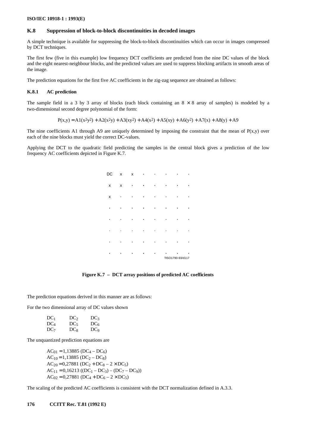#### **K.8 Suppression of block-to-block discontinuities in decoded images**

A simple technique is available for suppressing the block-to-block discontinuities which can occur in images compressed by DCT techniques.

The first few (five in this example) low frequency DCT coefficients are predicted from the nine DC values of the block and the eight nearest-neighbour blocks, and the predicted values are used to suppress blocking artifacts in smooth areas of the image.

The prediction equations for the first five AC coefficients in the zig-zag sequence are obtained as follows:

#### **K.8.1 AC prediction**

The sample field in a 3 by 3 array of blocks (each block containing an  $8 \times 8$  array of samples) is modeled by a two-dimensional second degree polynomial of the form:

$$
P(x,y) = A1(x^{2}y^{2}) + A2(x^{2}y) + A3(xy^{2}) + A4(x^{2}) + A5(xy) + A6(y^{2}) + A7(x) + A8(y) + A9
$$

The nine coefficients A1 through A9 are uniquely determined by imposing the constraint that the mean of  $P(x,y)$  over each of the nine blocks must yield the correct DC-values.

Applying the DCT to the quadratic field predicting the samples in the central block gives a prediction of the low frequency AC coefficients depicted in Figure K.7.

| DC | X | $\boldsymbol{\mathsf{x}}$ |  |                  |  |
|----|---|---------------------------|--|------------------|--|
| X  | X | ٠                         |  |                  |  |
| X  |   |                           |  |                  |  |
|    |   |                           |  |                  |  |
|    |   |                           |  |                  |  |
|    |   |                           |  |                  |  |
|    |   |                           |  |                  |  |
|    |   |                           |  | TISO1790-93/d117 |  |

**Figure K.7 – DCT array positions of predicted AC coefficients**

The prediction equations derived in this manner are as follows:

For the two dimensional array of DC values shown

| $DC_1$       | DC <sub>2</sub> | DC <sub>3</sub> |
|--------------|-----------------|-----------------|
| $\rm DC_4$   | DC <sub>5</sub> | DC <sub>6</sub> |
| $\rm DC_{7}$ | $DC_8$          | DC <sub>9</sub> |

The unquantized prediction equations are

 $AC_{01} = 1,13885$  (DC<sub>4</sub> – DC<sub>6</sub>)  $AC_{10} = 1,13885 (DC_2 - DC_8)$  $AC_{20} = 0,27881$  ( $DC_2 + DC_8 - 2 \times DC_5$ )  $AC_{11} = 0,16213 ((DC_1 - DC_3) - (DC_7 - DC_9))$  $AC_{02} = 0,27881$  ( $DC_4 + DC_6 - 2 \times DC_5$ )

The scaling of the predicted AC coefficients is consistent with the DCT normalization defined in A.3.3.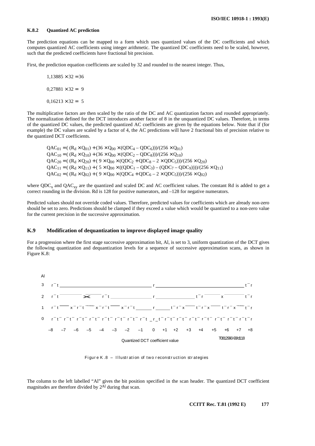#### **K.8.2 Quantized AC prediction**

The prediction equations can be mapped to a form which uses quantized values of the DC coefficients and which computes quantized AC coefficients using integer arithmetic. The quantized DC coefficients need to be scaled, however, such that the predicted coefficients have fractional bit precision.

First, the prediction equation coefficients are scaled by 32 and rounded to the nearest integer. Thus,

 $1,13885 \times 32 = 36$  $0,27881 \times 32 = 9$  $0,16213 \times 32 = 5$ 

The multiplicative factors are then scaled by the ratio of the DC and AC quantization factors and rounded appropriately. The normalization defined for the DCT introduces another factor of 8 in the unquantized DC values. Therefore, in terms of the quantized DC values, the predicted quantized AC coefficients are given by the equations below. Note that if (for example) the DC values are scaled by a factor of 4, the AC predictions will have 2 fractional bits of precision relative to the quantized DCT coefficients.

 $QAC_{01} = ( (R_d \times Q_{01}) + (36 \times Q_{00} \times (QDC_4 - QDC_6)) )/(256 \times Q_{01})$  $QAC_{10} = ((R_d \times Q_{10}) + (36 \times Q_{00} \times (QDC_2 - QDC_8)))/(256 \times Q_{10})$  $QAC_{20} = ( (R_d \times Q_{20}) + (9 \times Q_{00} \times (QDC_2 + QDC_8 - 2 \times QDC_5)) )/(256 \times Q_{20})$  $QAC_{11} = ( (R_d \times Q_{11}) + (5 \times Q_{00} \times ((QDC_1 - QDC_3) - (QDC_7 - QDC_9))))/(256 \times Q_{11})$  $QAC_{02} = ((R_d \times Q_{02}) + (9 \times Q_{00} \times (QDC_4 + QDC_6 - 2 \times QDC_5)))/(256 \times Q_{02})$ 

where  $QDC_x$  and  $QAC_{xy}$  are the quantized and scaled DC and AC coefficient values. The constant Rd is added to get a correct rounding in the division. Rd is 128 for positive numerators, and –128 for negative numerators.

Predicted values should not override coded values. Therefore, predicted values for coefficients which are already non-zero should be set to zero. Predictions should be clamped if they exceed a value which would be quantized to a non-zero value for the current precision in the successive approximation.

### **K.9 Modification of dequantization to improve displayed image quality**

For a progression where the first stage successive approximation bit, Al, is set to 3, uniform quantization of the DCT gives the following quantization and dequantization levels for a sequence of successive approximation scans, as shown in Figure K.8:



Figure K.8 – Illustration of two reconstruction strategies

The column to the left labelled "Al" gives the bit position specified in the scan header. The quantized DCT coefficient magnitudes are therefore divided by 2Al during that scan.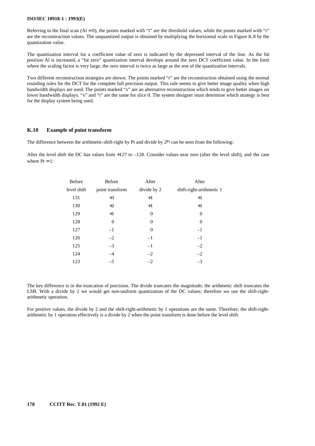### **ISO/IEC 10918-1 : 1993(E)**

Referring to the final scan  $(AI = 0)$ , the points marked with "t" are the threshold values, while the points marked with "r" are the reconstruction values. The unquantized output is obtained by multiplying the horizontal scale in Figure K.8 by the quantization value.

The quantization interval for a coefficient value of zero is indicated by the depressed interval of the line. As the bit position Al is increased, a "fat zero" quantization interval develops around the zero DCT coefficient value. In the limit where the scaling factor is very large, the zero interval is twice as large as the rest of the quantization intervals.

Two different reconstruction strategies are shown. The points marked "r" are the reconstruction obtained using the normal rounding rules for the DCT for the complete full precision output. This rule seems to give better image quality when high bandwidth displays are used. The points marked "x" are an alternative reconstruction which tends to give better images on lower bandwidth displays. "x" and "r" are the same for slice 0. The system designer must determine which strategy is best for the display system being used.

# **K.10 Example of point transform**

The difference between the arithmetic-shift-right by Pt and divide by  $2^{Pt}$  can be seen from the following:

After the level shift the DC has values from  $+127$  to  $-128$ . Consider values near zero (after the level shift), and the case where  $Pt = 1$ :

| <b>Before</b> | <b>Before</b>   | After          | After                    |
|---------------|-----------------|----------------|--------------------------|
| level shift   | point transform | divide by 2    | shift-right-arithmetic 1 |
| 131           | $+3$            | $+1$           | $+1$                     |
| 130           | $+2$            | $+1$           | $+1$                     |
| 129           | $+1$            | $\theta$       | $\theta$                 |
| 128           | 0               | $\Omega$       | $\overline{0}$           |
| 127           | $-1$            | $\overline{0}$ | $-1$                     |
| 126           | $-2$            | $-1$           | $-1$                     |
| 125           | $-3$            | $-1$           | $-2$                     |
| 124           | $-4$            | $-2$           | $-2$                     |
| 123           | $-5$            | $-2$           | $-3$                     |
|               |                 |                |                          |

The key difference is in the truncation of precision. The divide truncates the magnitude; the arithmetic shift truncates the LSB. With a divide by 2 we would get non-uniform quantization of the DC values; therefore we use the shift-rightarithmetic operation.

For positive values, the divide by 2 and the shift-right-arithmetic by 1 operations are the same. Therefore, the shift-rightarithmetic by 1 operation effectively is a divide by 2 when the point transform is done before the level shift.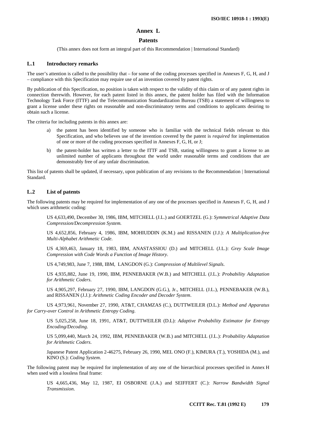# **Annex L**

# **Patents**

(This annex does not form an integral part of this Recommendation | International Standard)

### **L.1 Introductory remarks**

The user's attention is called to the possibility that – for some of the coding processes specified in Annexes F, G, H, and J – compliance with this Specification may require use of an invention covered by patent rights.

By publication of this Specification, no position is taken with respect to the validity of this claim or of any patent rights in connection therewith. However, for each patent listed in this annex, the patent holder has filed with the Information Technology Task Force (ITTF) and the Telecommunication Standardization Bureau (TSB) a statement of willingness to grant a license under these rights on reasonable and non-discriminatory terms and conditions to applicants desiring to obtain such a license.

The criteria for including patents in this annex are:

- a) the patent has been identified by someone who is familiar with the technical fields relevant to this Specification, and who believes use of the invention covered by the patent is *required* for implementation of one or more of the coding processes specified in Annexes F, G, H, or J;
- b) the patent-holder has written a letter to the ITTF and TSB, stating willingness to grant a license to an unlimited number of applicants throughout the world under reasonable terms and conditions that are demonstrably free of any unfair discrimination.

This list of patents shall be updated, if necessary, upon publication of any revisions to the Recommendation | International Standard.

### **L.2 List of patents**

The following patents may be required for implementation of any one of the processes specified in Annexes F, G, H, and J which uses arithmetic coding:

US 4,633,490, December 30, 1986, IBM, MITCHELL (J.L.) and GOERTZEL (G.): *Symmetrical Adaptive Data Compression/Decompression System.*

US 4,652,856, February 4, 1986, IBM, MOHIUDDIN (K.M.) and RISSANEN (J.J.): *A Multiplication-free Multi-Alphabet Arithmetic Code*.

US 4,369,463, January 18, 1983, IBM, ANASTASSIOU (D.) and MITCHELL (J.L.): *Grey Scale Image Compression with Code Words a Function of Image History*.

US 4,749,983, June 7, 1988, IBM, LANGDON (G.): *Compression of Multilevel Signals*.

US 4,935,882, June 19, 1990, IBM, PENNEBAKER (W.B.) and MITCHELL (J.L.): *Probability Adaptation for Arithmetic Coders*.

US 4,905,297, February 27, 1990, IBM, LANGDON (G.G.), Jr., MITCHELL (J.L.), PENNEBAKER (W.B.), and RISSANEN (J.J.): *Arithmetic Coding Encoder and Decoder System*.

US 4,973,961, November 27, 1990, AT&T, CHAMZAS (C.), DUTTWEILER (D.L.): *Method and Apparatus for Carry-over Control in Arithmetic Entropy Coding*.

US 5,025,258, June 18, 1991, AT&T, DUTTWEILER (D.L): *Adaptive Probability Estimator for Entropy Encoding/Decoding*.

US 5,099,440, March 24, 1992, IBM, PENNEBAKER (W.B.) and MITCHELL (J.L.): *Probability Adaptation for Arithmetic Coders*.

Japanese Patent Application 2-46275, February 26, 1990, MEL ONO (F.), KIMURA (T.), YOSHIDA (M.), and KINO (S.): *Coding System*.

The following patent may be required for implementation of any one of the hierarchical processes specified in Annex H when used with a lossless final frame:

US 4,665,436, May 12, 1987, EI OSBORNE (J.A.) and SEIFFERT (C.): *Narrow Bandwidth Signal Transmission*.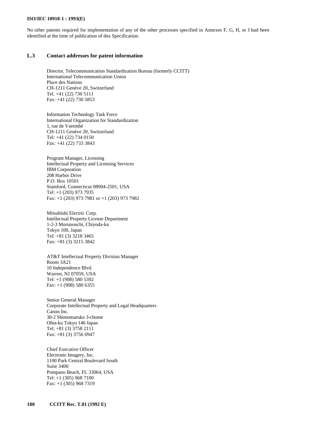### **ISO/IEC 10918-1 : 1993(E)**

No other patents required for implementation of any of the other processes specified in Annexes F, G, H, or J had been identified at the time of publication of this Specification.

# **L.3 Contact addresses for patent information**

Director, Telecommunication Standardization Bureau (formerly CCITT) International Telecommunication Union Place des Nations CH-1211 Genève 20, Switzerland Tel. +41 (22) 730 5111 Fax: +41 (22) 730 5853

Information Technology Task Force International Organization for Standardization 1, rue de Varembé CH-1211 Genève 20, Switzerland Tel: +41 (22) 734 0150 Fax: +41 (22) 733 3843

Program Manager, Licensing Intellectual Property and Licensing Services IBM Corporation 208 Harbor Drive P.O. Box 10501 Stamford, Connecticut 08904-2501, USA Tel: +1 (203) 973 7935 Fax: +1 (203) 973 7981 or +1 (203) 973 7982

Mitsubishi Electric Corp. Intellectual Property License Department 1-2-3 Morunouchi, Chiyoda-ku Tokyo 100, Japan Tel: +81 (3) 3218 3465 Fax: +81 (3) 3215 3842

AT&T Intellectual Property Division Manager Room 3A21 10 Independence Blvd. Warren, NJ 07059, USA Tel: +1 (908) 580 5392 Fax: +1 (908) 580 6355

Senior General Manager Corporate Intellectual Property and Legal Headquarters Canon Inc. 30-2 Shimomaruko 3-chome Ohta-ku Tokyo 146 Japan Tel: +81 (3) 3758 2111 Fax: +81 (3) 3756 0947

Chief Executive Officer Electronic Imagery, Inc. 1100 Park Central Boulevard South Suite 3400 Pompano Beach, FL 33064, USA Tel: +1 (305) 968 7100 Fax: +1 (305) 968 7319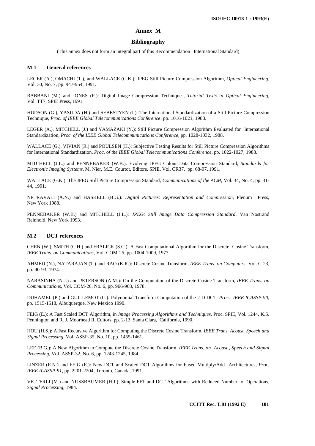# **Annex M**

### **Bibliography**

(This annex does not form an integral part of this Recommendation | International Standard)

## **M.1 General references**

LEGER (A.), OMACHI (T.), and WALLACE (G.K.): JPEG Still Picture Compression Algorithm, *Optical Engineering*, Vol. 30, No. 7, pp. 947-954, 1991.

RABBANI (M.) and JONES (P.): Digital Image Compression Techniques, *Tutorial Texts in Optical Engineering*, Vol. TT7, SPIE Press, 1991.

HUDSON (G.), YASUDA (H.) and SEBESTYEN (I.): The International Standardization of a Still Picture Compression Technique, *Proc. of IEEE Global Telecommunications Conference*, pp. 1016-1021, 1988.

LEGER (A.), MITCHELL (J.) and YAMAZAKI (Y.): Still Picture Compression Algorithm Evaluated for International Standardization, *Proc. of the IEEE Global Telecommunications Conference*, pp. 1028-1032, 1988.

WALLACE (G.), VIVIAN (R.) and POULSEN (H.): Subjective Testing Results for Still Picture Compression Algorithms for International Standardization, *Proc. of the IEEE Global Telecommunications Conference*, pp. 1022-1027, 1988.

MITCHELL (J.L.) and PENNEBAKER (W.B.): Evolving JPEG Colour Data Compression Standard, *Standards for Electronic Imaging Systems*, M. Nier, M.E. Courtot, Editors, SPIE, Vol. CR37, pp. 68-97, 1991.

WALLACE (G.K.): The JPEG Still Picture Compression Standard, *Communications of the ACM*, Vol. 34, No. 4, pp. 31- 44, 1991.

NETRAVALI (A.N.) and HASKELL (B.G.): *Digital Pictures: Representation and Compression*, Plenum Press, New York 1988.

PENNEBAKER (W.B.) and MITCHELL (J.L.): *JPEG: Still Image Data Compression Standard*, Van Nostrand Reinhold, New York 1993.

# **M.2 DCT references**

CHEN (W.), SMITH (C.H.) and FRALICK (S.C.): A Fast Computational Algorithm for the Discrete Cosine Transform, *IEEE Trans. on Communications*, Vol. COM-25, pp. 1004-1009, 1977.

AHMED (N.), NATARAJAN (T.) and RAO (K.R.): Discrete Cosine Transform, *IEEE Trans. on Computers*, Vol. C-23, pp. 90-93, 1974.

NARASINHA (N.J.) and PETERSON (A.M.): On the Computation of the Discrete Cosine Transform, *IEEE Trans. on Communications*, Vol. COM-26, No. 6, pp. 966-968, 1978.

DUHAMEL (P.) and GUILLEMOT (C.): Polynomial Transform Computation of the 2-D DCT, *Proc. IEEE ICASSP-90*, pp. 1515-1518, Albuquerque, New Mexico 1990.

FEIG (E.): A Fast Scaled DCT Algorithm, in *Image Processing Algorithms and Techniques*, Proc. SPIE, Vol. 1244, K.S. Pennington and R. J. Moorhead II, Editors, pp. 2-13, Santa Clara, California, 1990.

HOU (H.S.): A Fast Recursive Algorithm for Computing the Discrete Cosine Transform, *IEEE Trans. Acoust. Speech and Signal Processing*, Vol. ASSP-35, No. 10, pp. 1455-1461.

LEE (B.G.): A New Algorithm to Compute the Discrete Cosine Transform, *IEEE Trans. on Acoust., Speech and Signal Processing*, Vol. ASSP-32, No. 6, pp. 1243-1245, 1984.

LINZER (E.N.) and FEIG (E.): New DCT and Scaled DCT Algorithms for Fused Multiply/Add Architectures, *Proc. IEEE ICASSP-91*, pp. 2201-2204, Toronto, Canada, 1991.

VETTERLI (M.) and NUSSBAUMER (H.J.): Simple FFT and DCT Algorithms with Reduced Number of Operations, *Signal Processing*, 1984.